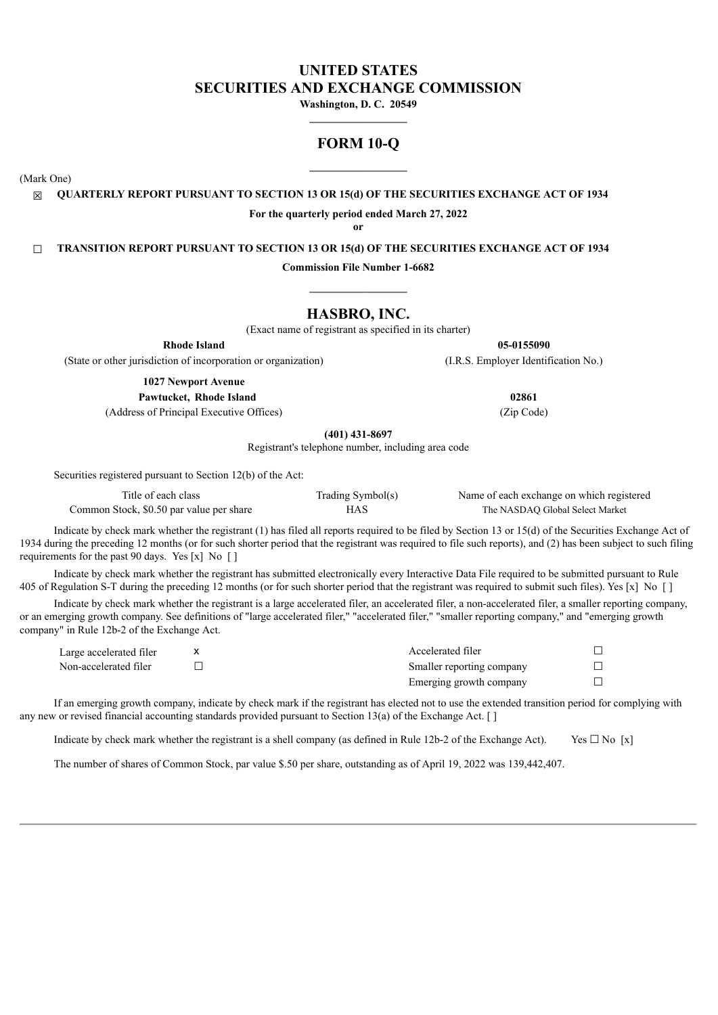# **UNITED STATES SECURITIES AND EXCHANGE COMMISSION**

**Washington, D. C. 20549**

# **FORM 10-Q**

(Mark One)

☒ **QUARTERLY REPORT PURSUANT TO SECTION 13 OR 15(d) OF THE SECURITIES EXCHANGE ACT OF 1934**

**For the quarterly period ended March 27, 2022**

**or**

☐ **TRANSITION REPORT PURSUANT TO SECTION 13 OR 15(d) OF THE SECURITIES EXCHANGE ACT OF 1934**

**Commission File Number 1-6682**

# **HASBRO, INC.**

(Exact name of registrant as specified in its charter)

**Rhode Island 05-0155090**

**1027 Newport Avenue**

**Pawtucket, Rhode Island 02861**

(Address of Principal Executive Offices) (Zip Code)

**(401) 431-8697**

Registrant's telephone number, including area code

Securities registered pursuant to Section 12(b) of the Act:

| Title of each class                      | Trading Symbol(s) | Name of each exchange on which registered |
|------------------------------------------|-------------------|-------------------------------------------|
| Common Stock, \$0.50 par value per share | HAS               | The NASDAO Global Select Market           |

Indicate by check mark whether the registrant (1) has filed all reports required to be filed by Section 13 or 15(d) of the Securities Exchange Act of 1934 during the preceding 12 months (or for such shorter period that the registrant was required to file such reports), and (2) has been subject to such filing requirements for the past 90 days. Yes  $[x]$  No  $[ ]$ 

Indicate by check mark whether the registrant has submitted electronically every Interactive Data File required to be submitted pursuant to Rule 405 of Regulation S-T during the preceding 12 months (or for such shorter period that the registrant was required to submit such files). Yes [x] No [ ]

Indicate by check mark whether the registrant is a large accelerated filer, an accelerated filer, a non-accelerated filer, a smaller reporting company, or an emerging growth company. See definitions of "large accelerated filer," "accelerated filer," "smaller reporting company," and "emerging growth company" in Rule 12b-2 of the Exchange Act.

| Large accelerated filer | Accelerated filer         |  |
|-------------------------|---------------------------|--|
| Non-accelerated filer   | Smaller reporting company |  |
|                         | Emerging growth company   |  |

If an emerging growth company, indicate by check mark if the registrant has elected not to use the extended transition period for complying with any new or revised financial accounting standards provided pursuant to Section 13(a) of the Exchange Act. [ ]

Indicate by check mark whether the registrant is a shell company (as defined in Rule 12b-2 of the Exchange Act). Yes  $\Box$  No [x]

The number of shares of Common Stock, par value \$.50 per share, outstanding as of April 19, 2022 was 139,442,407.

(State or other jurisdiction of incorporation or organization) (I.R.S. Employer Identification No.)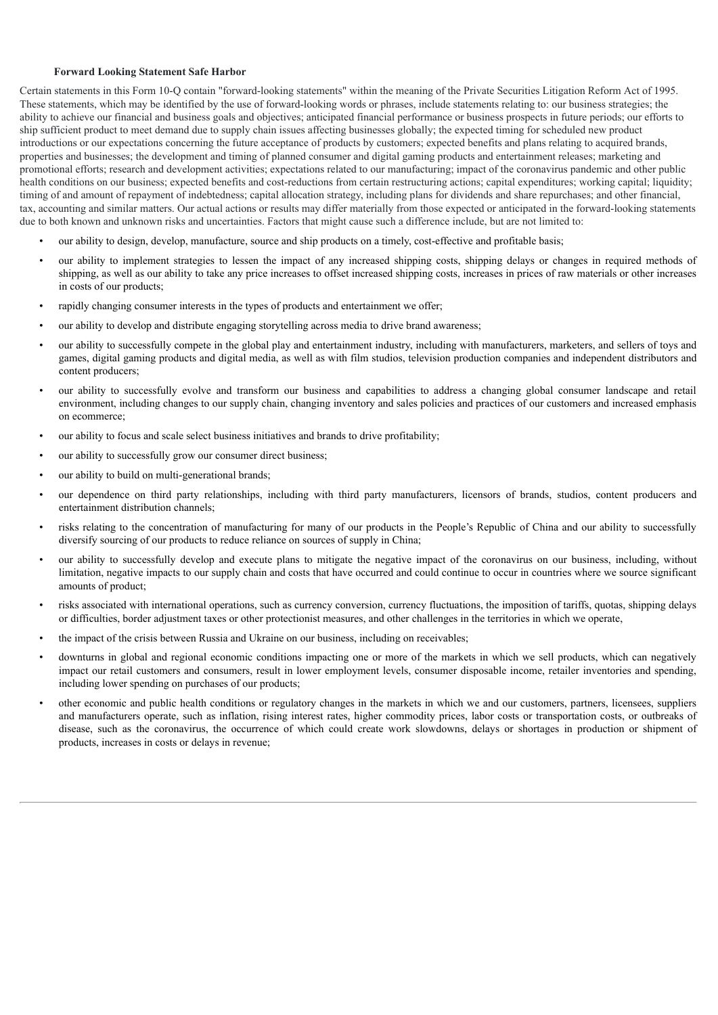### **Forward Looking Statement Safe Harbor**

Certain statements in this Form 10-Q contain "forward-looking statements" within the meaning of the Private Securities Litigation Reform Act of 1995. These statements, which may be identified by the use of forward-looking words or phrases, include statements relating to: our business strategies; the ability to achieve our financial and business goals and objectives; anticipated financial performance or business prospects in future periods; our efforts to ship sufficient product to meet demand due to supply chain issues affecting businesses globally; the expected timing for scheduled new product introductions or our expectations concerning the future acceptance of products by customers; expected benefits and plans relating to acquired brands, properties and businesses; the development and timing of planned consumer and digital gaming products and entertainment releases; marketing and promotional efforts; research and development activities; expectations related to our manufacturing; impact of the coronavirus pandemic and other public health conditions on our business; expected benefits and cost-reductions from certain restructuring actions; capital expenditures; working capital; liquidity; timing of and amount of repayment of indebtedness; capital allocation strategy, including plans for dividends and share repurchases; and other financial, tax, accounting and similar matters. Our actual actions or results may differ materially from those expected or anticipated in the forward-looking statements due to both known and unknown risks and uncertainties. Factors that might cause such a difference include, but are not limited to:

- our ability to design, develop, manufacture, source and ship products on a timely, cost-effective and profitable basis;
- our ability to implement strategies to lessen the impact of any increased shipping costs, shipping delays or changes in required methods of shipping, as well as our ability to take any price increases to offset increased shipping costs, increases in prices of raw materials or other increases in costs of our products;
- rapidly changing consumer interests in the types of products and entertainment we offer;
- our ability to develop and distribute engaging storytelling across media to drive brand awareness;
- our ability to successfully compete in the global play and entertainment industry, including with manufacturers, marketers, and sellers of toys and games, digital gaming products and digital media, as well as with film studios, television production companies and independent distributors and content producers;
- our ability to successfully evolve and transform our business and capabilities to address a changing global consumer landscape and retail environment, including changes to our supply chain, changing inventory and sales policies and practices of our customers and increased emphasis on ecommerce;
- our ability to focus and scale select business initiatives and brands to drive profitability;
- our ability to successfully grow our consumer direct business;
- our ability to build on multi-generational brands;
- our dependence on third party relationships, including with third party manufacturers, licensors of brands, studios, content producers and entertainment distribution channels;
- risks relating to the concentration of manufacturing for many of our products in the People's Republic of China and our ability to successfully diversify sourcing of our products to reduce reliance on sources of supply in China;
- our ability to successfully develop and execute plans to mitigate the negative impact of the coronavirus on our business, including, without limitation, negative impacts to our supply chain and costs that have occurred and could continue to occur in countries where we source significant amounts of product;
- risks associated with international operations, such as currency conversion, currency fluctuations, the imposition of tariffs, quotas, shipping delays or difficulties, border adjustment taxes or other protectionist measures, and other challenges in the territories in which we operate,
- the impact of the crisis between Russia and Ukraine on our business, including on receivables;
- downturns in global and regional economic conditions impacting one or more of the markets in which we sell products, which can negatively impact our retail customers and consumers, result in lower employment levels, consumer disposable income, retailer inventories and spending, including lower spending on purchases of our products;
- other economic and public health conditions or regulatory changes in the markets in which we and our customers, partners, licensees, suppliers and manufacturers operate, such as inflation, rising interest rates, higher commodity prices, labor costs or transportation costs, or outbreaks of disease, such as the coronavirus, the occurrence of which could create work slowdowns, delays or shortages in production or shipment of products, increases in costs or delays in revenue;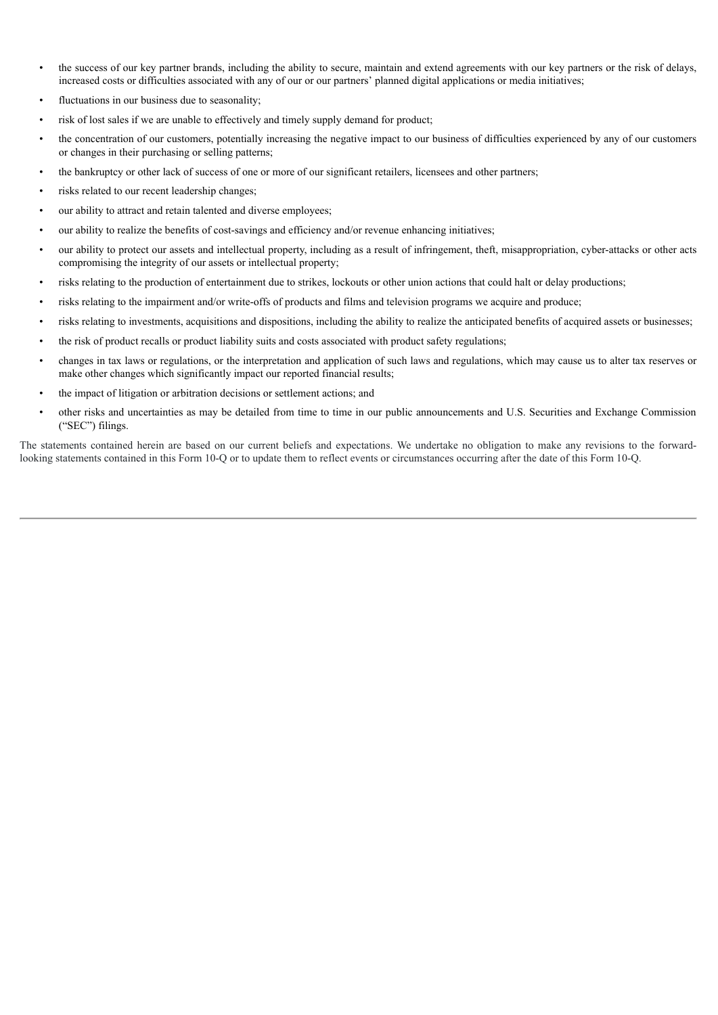- the success of our key partner brands, including the ability to secure, maintain and extend agreements with our key partners or the risk of delays, increased costs or difficulties associated with any of our or our partners' planned digital applications or media initiatives;
- fluctuations in our business due to seasonality;
- risk of lost sales if we are unable to effectively and timely supply demand for product;
- the concentration of our customers, potentially increasing the negative impact to our business of difficulties experienced by any of our customers or changes in their purchasing or selling patterns;
- the bankruptcy or other lack of success of one or more of our significant retailers, licensees and other partners;
- risks related to our recent leadership changes;
- our ability to attract and retain talented and diverse employees;
- our ability to realize the benefits of cost-savings and efficiency and/or revenue enhancing initiatives;
- our ability to protect our assets and intellectual property, including as a result of infringement, theft, misappropriation, cyber-attacks or other acts compromising the integrity of our assets or intellectual property;
- risks relating to the production of entertainment due to strikes, lockouts or other union actions that could halt or delay productions;
- risks relating to the impairment and/or write-offs of products and films and television programs we acquire and produce;
- risks relating to investments, acquisitions and dispositions, including the ability to realize the anticipated benefits of acquired assets or businesses;
- the risk of product recalls or product liability suits and costs associated with product safety regulations;
- changes in tax laws or regulations, or the interpretation and application of such laws and regulations, which may cause us to alter tax reserves or make other changes which significantly impact our reported financial results;
- the impact of litigation or arbitration decisions or settlement actions; and
- other risks and uncertainties as may be detailed from time to time in our public announcements and U.S. Securities and Exchange Commission ("SEC") filings.

The statements contained herein are based on our current beliefs and expectations. We undertake no obligation to make any revisions to the forwardlooking statements contained in this Form 10-Q or to update them to reflect events or circumstances occurring after the date of this Form 10-Q.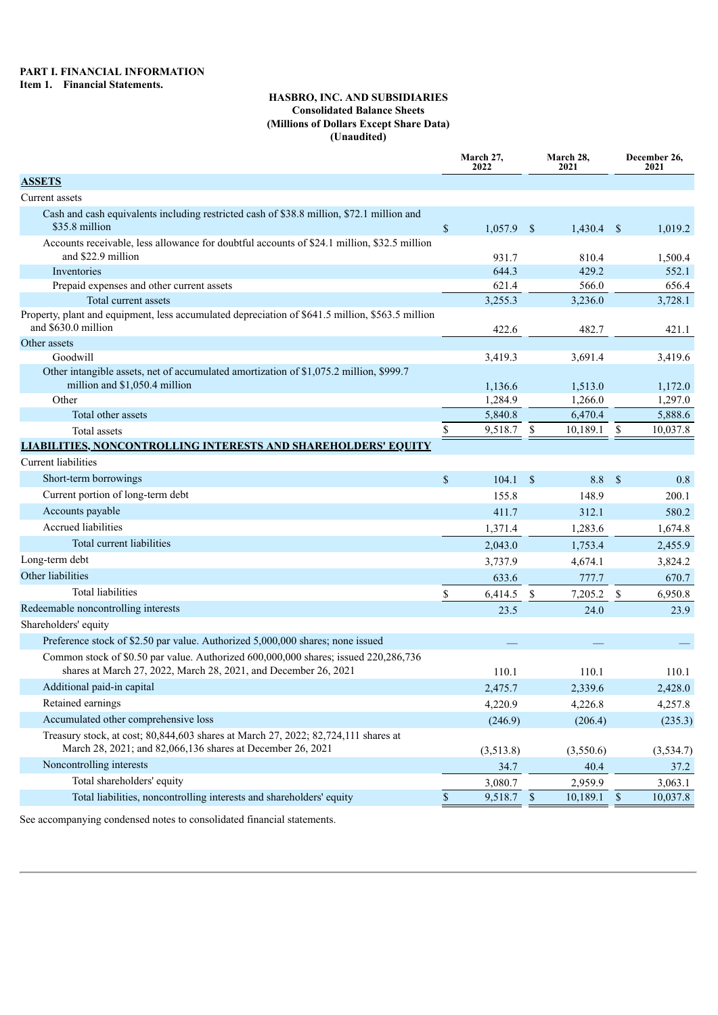# **HASBRO, INC. AND SUBSIDIARIES Consolidated Balance Sheets (Millions of Dollars Except Share Data) (Unaudited)**

|                                                                                                                                                        |              | March 27,<br>2022     |               | March 28,<br>2021   | December 26,<br>2021 |                     |  |
|--------------------------------------------------------------------------------------------------------------------------------------------------------|--------------|-----------------------|---------------|---------------------|----------------------|---------------------|--|
| <b>ASSETS</b>                                                                                                                                          |              |                       |               |                     |                      |                     |  |
| Current assets                                                                                                                                         |              |                       |               |                     |                      |                     |  |
| Cash and cash equivalents including restricted cash of \$38.8 million, \$72.1 million and<br>\$35.8 million                                            | $\$$         | $1,057.9$ \$          |               | $1,430.4$ \$        |                      | 1,019.2             |  |
| Accounts receivable, less allowance for doubtful accounts of \$24.1 million, \$32.5 million<br>and \$22.9 million                                      |              | 931.7                 |               | 810.4               |                      | 1,500.4             |  |
| Inventories                                                                                                                                            |              | 644.3                 |               | 429.2               |                      | 552.1               |  |
| Prepaid expenses and other current assets                                                                                                              |              | 621.4                 |               | 566.0               |                      | 656.4               |  |
| Total current assets                                                                                                                                   |              | 3,255.3               |               | 3,236.0             |                      | 3,728.1             |  |
| Property, plant and equipment, less accumulated depreciation of \$641.5 million, \$563.5 million<br>and \$630.0 million                                |              | 422.6                 |               | 482.7               |                      | 421.1               |  |
| Other assets                                                                                                                                           |              |                       |               |                     |                      |                     |  |
| Goodwill                                                                                                                                               |              | 3,419.3               |               | 3,691.4             |                      | 3,419.6             |  |
| Other intangible assets, net of accumulated amortization of \$1,075.2 million, \$999.7<br>million and \$1,050.4 million                                |              | 1,136.6               |               | 1,513.0             |                      | 1,172.0             |  |
| Other                                                                                                                                                  |              | 1,284.9               |               | 1,266.0             |                      | 1,297.0             |  |
| Total other assets                                                                                                                                     |              | 5,840.8               |               | 6,470.4             |                      | 5,888.6             |  |
| Total assets                                                                                                                                           | \$           | 9,518.7               | <sup>\$</sup> | 10,189.1            | \$                   | 10,037.8            |  |
| <b>LIABILITIES, NONCONTROLLING INTERESTS AND SHAREHOLDERS' EQUITY</b>                                                                                  |              |                       |               |                     |                      |                     |  |
| Current liabilities                                                                                                                                    |              |                       |               |                     |                      |                     |  |
| Short-term borrowings                                                                                                                                  | $\mathbb{S}$ | 104.1                 | $\mathbf{s}$  | 8.8 <sup>°</sup>    |                      | 0.8                 |  |
| Current portion of long-term debt                                                                                                                      |              | 155.8                 |               | 148.9               |                      | 200.1               |  |
| Accounts payable                                                                                                                                       |              | 411.7                 |               | 312.1               |                      | 580.2               |  |
| Accrued liabilities                                                                                                                                    |              | 1,371.4               |               | 1,283.6             |                      | 1,674.8             |  |
| Total current liabilities                                                                                                                              |              | 2,043.0               |               | 1,753.4             |                      | 2,455.9             |  |
| Long-term debt                                                                                                                                         |              | 3,737.9               |               | 4,674.1             |                      | 3,824.2             |  |
| Other liabilities                                                                                                                                      |              | 633.6                 |               | 777.7               |                      | 670.7               |  |
| <b>Total liabilities</b>                                                                                                                               | \$           | 6,414.5               | $\mathbb{S}$  | 7,205.2             | \$                   | 6,950.8             |  |
| Redeemable noncontrolling interests                                                                                                                    |              | 23.5                  |               | 24.0                |                      | 23.9                |  |
| Shareholders' equity                                                                                                                                   |              |                       |               |                     |                      |                     |  |
| Preference stock of \$2.50 par value. Authorized 5,000,000 shares; none issued                                                                         |              |                       |               |                     |                      |                     |  |
| Common stock of \$0.50 par value. Authorized 600,000,000 shares; issued 220,286,736<br>shares at March 27, 2022, March 28, 2021, and December 26, 2021 |              | 110.1                 |               | 110.1               |                      | 110.1               |  |
| Additional paid-in capital                                                                                                                             |              | 2,475.7               |               | 2,339.6             |                      | 2,428.0             |  |
| Retained earnings                                                                                                                                      |              | 4,220.9               |               | 4,226.8             |                      | 4,257.8             |  |
| Accumulated other comprehensive loss                                                                                                                   |              | (246.9)               |               | (206.4)             |                      | (235.3)             |  |
| Treasury stock, at cost; 80,844,603 shares at March 27, 2022; 82,724,111 shares at<br>March 28, 2021; and 82,066,136 shares at December 26, 2021       |              | (3,513.8)             |               |                     |                      |                     |  |
| Noncontrolling interests                                                                                                                               |              |                       |               | (3,550.6)           |                      | (3, 534.7)          |  |
| Total shareholders' equity                                                                                                                             |              | 34.7                  |               | 40.4                |                      | 37.2                |  |
| Total liabilities, noncontrolling interests and shareholders' equity                                                                                   |              | 3,080.7<br>9,518.7 \$ |               | 2,959.9<br>10,189.1 | $\mathcal{S}$        | 3,063.1<br>10,037.8 |  |
|                                                                                                                                                        | \$           |                       |               |                     |                      |                     |  |

See accompanying condensed notes to consolidated financial statements.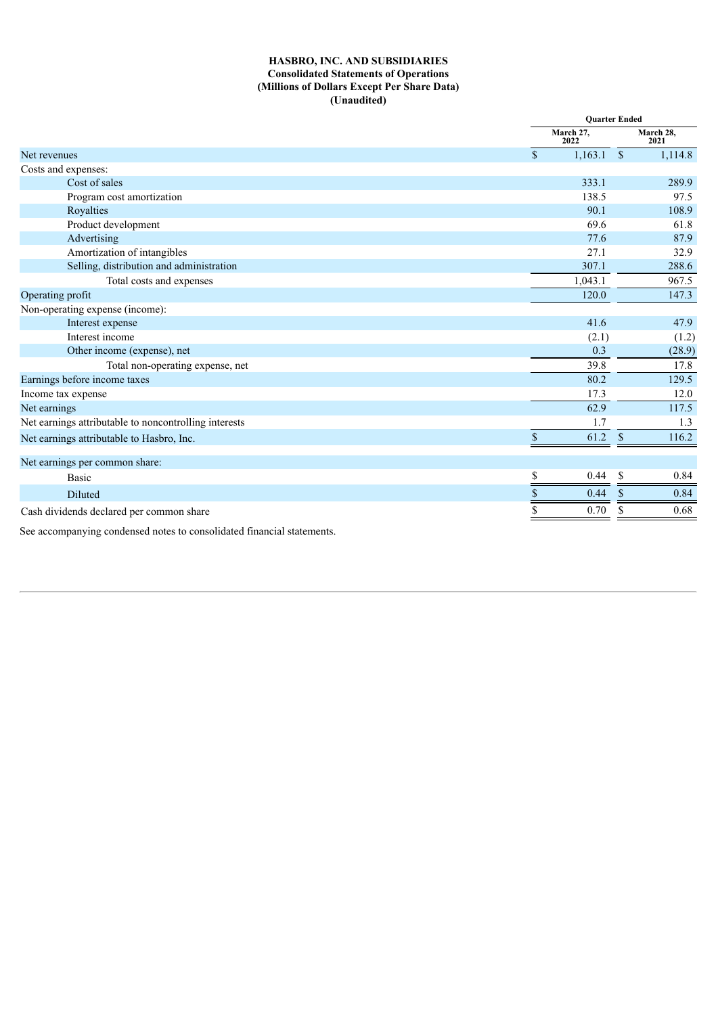# **HASBRO, INC. AND SUBSIDIARIES Consolidated Statements of Operations (Millions of Dollars Except Per Share Data) (Unaudited)**

|                                                       |               | <b>Ouarter Ended</b> |                    |                   |
|-------------------------------------------------------|---------------|----------------------|--------------------|-------------------|
|                                                       |               | March 27,<br>2022    |                    | March 28,<br>2021 |
| Net revenues                                          | $\mathbb{S}$  | 1,163.1              | $\mathcal{S}$      | 1,114.8           |
| Costs and expenses:                                   |               |                      |                    |                   |
| Cost of sales                                         |               | 333.1                |                    | 289.9             |
| Program cost amortization                             |               | 138.5                |                    | 97.5              |
| Royalties                                             |               | 90.1                 |                    | 108.9             |
| Product development                                   |               | 69.6                 |                    | 61.8              |
| Advertising                                           |               | 77.6                 |                    | 87.9              |
| Amortization of intangibles                           |               | 27.1                 |                    | 32.9              |
| Selling, distribution and administration              |               | 307.1                |                    | 288.6             |
| Total costs and expenses                              |               | 1,043.1              |                    | 967.5             |
| Operating profit                                      |               | 120.0                |                    | 147.3             |
| Non-operating expense (income):                       |               |                      |                    |                   |
| Interest expense                                      |               | 41.6                 |                    | 47.9              |
| Interest income                                       |               | (2.1)                |                    | (1.2)             |
| Other income (expense), net                           |               | 0.3                  |                    | (28.9)            |
| Total non-operating expense, net                      |               | 39.8                 |                    | 17.8              |
| Earnings before income taxes                          |               | 80.2                 |                    | 129.5             |
| Income tax expense                                    |               | 17.3                 |                    | 12.0              |
| Net earnings                                          |               | 62.9                 |                    | 117.5             |
| Net earnings attributable to noncontrolling interests |               | 1.7                  |                    | 1.3               |
| Net earnings attributable to Hasbro, Inc.             | $\mathbf{\$}$ | 61.2                 | $\mathbf{\hat{s}}$ | 116.2             |
| Net earnings per common share:                        |               |                      |                    |                   |
| <b>Basic</b>                                          | \$            | 0.44                 | <sup>\$</sup>      | 0.84              |
| Diluted                                               |               | 0.44                 | \$                 | 0.84              |
| Cash dividends declared per common share              |               | 0.70                 |                    | 0.68              |
|                                                       |               |                      |                    |                   |

See accompanying condensed notes to consolidated financial statements.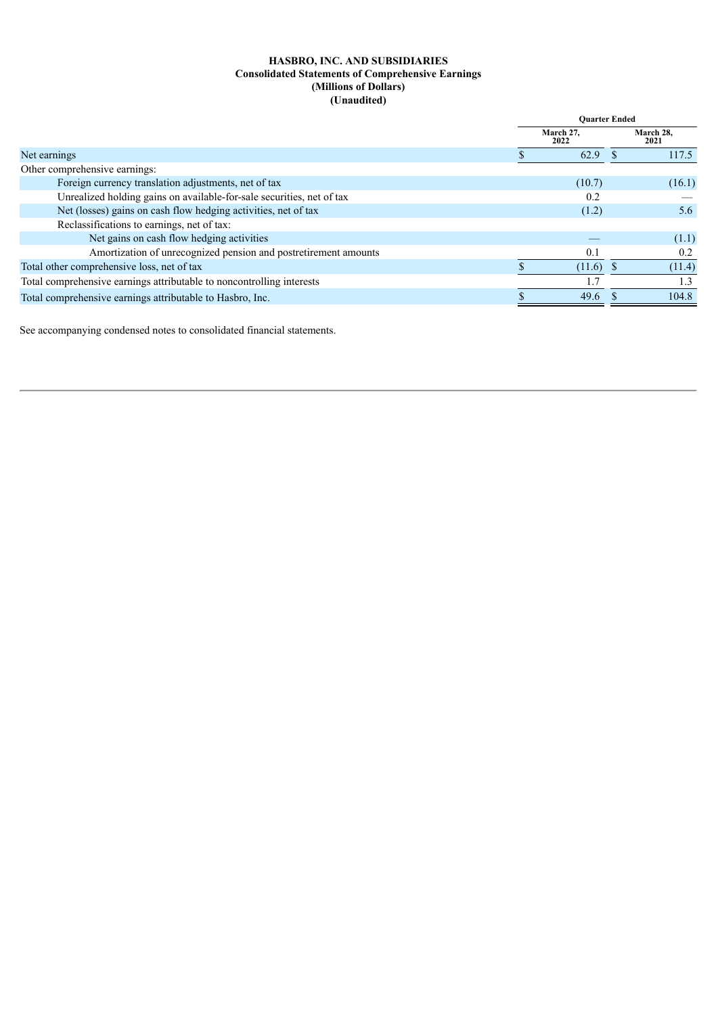# **HASBRO, INC. AND SUBSIDIARIES Consolidated Statements of Comprehensive Earnings (Millions of Dollars) (Unaudited)**

|                                                                       | <b>Ouarter Ended</b> |                   |
|-----------------------------------------------------------------------|----------------------|-------------------|
|                                                                       | March 27,<br>2022    | March 28,<br>2021 |
| Net earnings                                                          | 62.9                 | 117.5             |
| Other comprehensive earnings:                                         |                      |                   |
| Foreign currency translation adjustments, net of tax                  | (10.7)               | (16.1)            |
| Unrealized holding gains on available-for-sale securities, net of tax | 0.2                  |                   |
| Net (losses) gains on cash flow hedging activities, net of tax        | (1.2)                | 5.6               |
| Reclassifications to earnings, net of tax:                            |                      |                   |
| Net gains on cash flow hedging activities                             |                      | (1.1)             |
| Amortization of unrecognized pension and postretirement amounts       | 0.1                  | 0.2               |
| Total other comprehensive loss, net of tax                            | $(11.6)$ \$          | (11.4)            |
| Total comprehensive earnings attributable to noncontrolling interests |                      | 1.3               |
| Total comprehensive earnings attributable to Hasbro, Inc.             | 49.6                 | 104.8             |

See accompanying condensed notes to consolidated financial statements.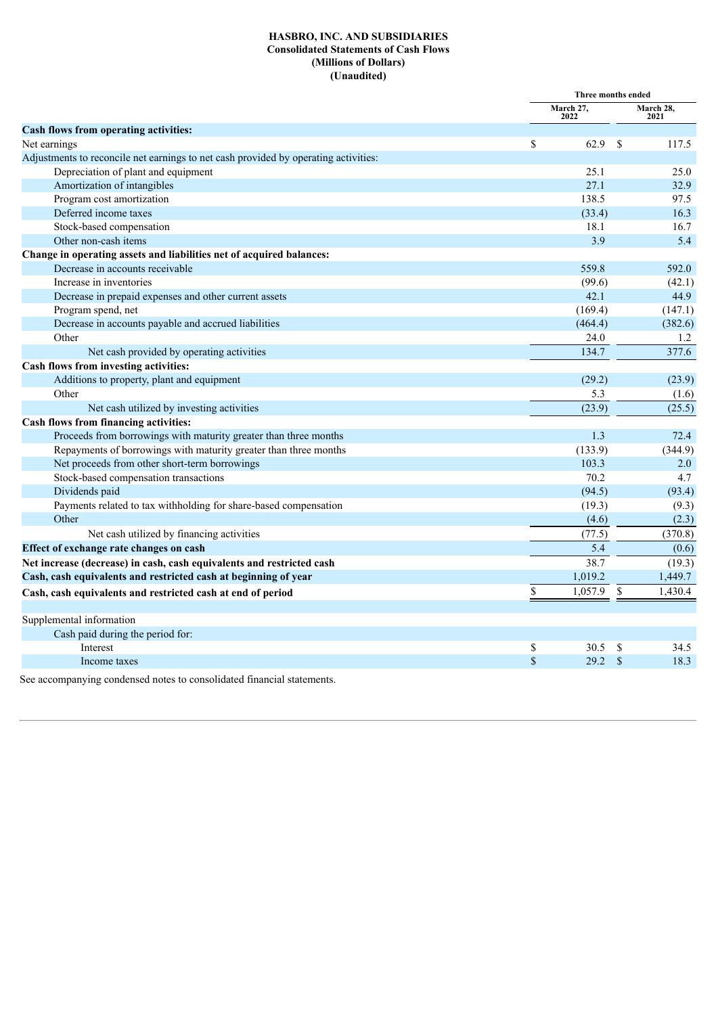# **HASBRO, INC. AND SUBSIDIARIES Consolidated Statements of Cash Flows (Millions of Dollars) (Unaudited)**

|                                                                                     | Three months ended |               |                   |
|-------------------------------------------------------------------------------------|--------------------|---------------|-------------------|
|                                                                                     | March 27,<br>2022  |               | March 28,<br>2021 |
| Cash flows from operating activities:                                               |                    |               |                   |
| Net earnings                                                                        | \$<br>62.9         | \$            | 117.5             |
| Adjustments to reconcile net earnings to net cash provided by operating activities: |                    |               |                   |
| Depreciation of plant and equipment                                                 | 25.1               |               | 25.0              |
| Amortization of intangibles                                                         | 27.1               |               | 32.9              |
| Program cost amortization                                                           | 138.5              |               | 97.5              |
| Deferred income taxes                                                               | (33.4)             |               | 16.3              |
| Stock-based compensation                                                            | 18.1               |               | 16.7              |
| Other non-cash items                                                                | 3.9                |               | 5.4               |
| Change in operating assets and liabilities net of acquired balances:                |                    |               |                   |
| Decrease in accounts receivable                                                     | 559.8              |               | 592.0             |
| Increase in inventories                                                             | (99.6)             |               | (42.1)            |
| Decrease in prepaid expenses and other current assets                               | 42.1               |               | 44.9              |
| Program spend, net                                                                  | (169.4)            |               | (147.1)           |
| Decrease in accounts payable and accrued liabilities                                | (464.4)            |               | (382.6)           |
| Other                                                                               | 24.0               |               | 1.2               |
| Net cash provided by operating activities                                           | 134.7              |               | 377.6             |
| Cash flows from investing activities:                                               |                    |               |                   |
| Additions to property, plant and equipment                                          | (29.2)             |               | (23.9)            |
| Other                                                                               | 5.3                |               | (1.6)             |
| Net cash utilized by investing activities                                           | (23.9)             |               | (25.5)            |
| Cash flows from financing activities:                                               |                    |               |                   |
| Proceeds from borrowings with maturity greater than three months                    | 1.3                |               | 72.4              |
| Repayments of borrowings with maturity greater than three months                    | (133.9)            |               | (344.9)           |
| Net proceeds from other short-term borrowings                                       | 103.3              |               | 2.0               |
| Stock-based compensation transactions                                               | 70.2               |               | 4.7               |
| Dividends paid                                                                      | (94.5)             |               | (93.4)            |
| Payments related to tax withholding for share-based compensation                    | (19.3)             |               | (9.3)             |
| Other                                                                               | (4.6)              |               | (2.3)             |
| Net cash utilized by financing activities                                           | (77.5)             |               | (370.8)           |
| Effect of exchange rate changes on cash                                             | 5.4                |               | (0.6)             |
| Net increase (decrease) in cash, cash equivalents and restricted cash               | 38.7               |               | (19.3)            |
| Cash, cash equivalents and restricted cash at beginning of year                     | 1,019.2            |               | 1,449.7           |
| Cash, cash equivalents and restricted cash at end of period                         | \$<br>1,057.9      | \$            | 1,430.4           |
| Supplemental information                                                            |                    |               |                   |
| Cash paid during the period for:                                                    |                    |               |                   |
| Interest                                                                            | \$<br>30.5         | <sup>\$</sup> | 34.5              |
| Income taxes                                                                        | \$<br>29.2         | $\mathbf S$   | 18.3              |
| See accompanying condensed notes to consolidated financial statements.              |                    |               |                   |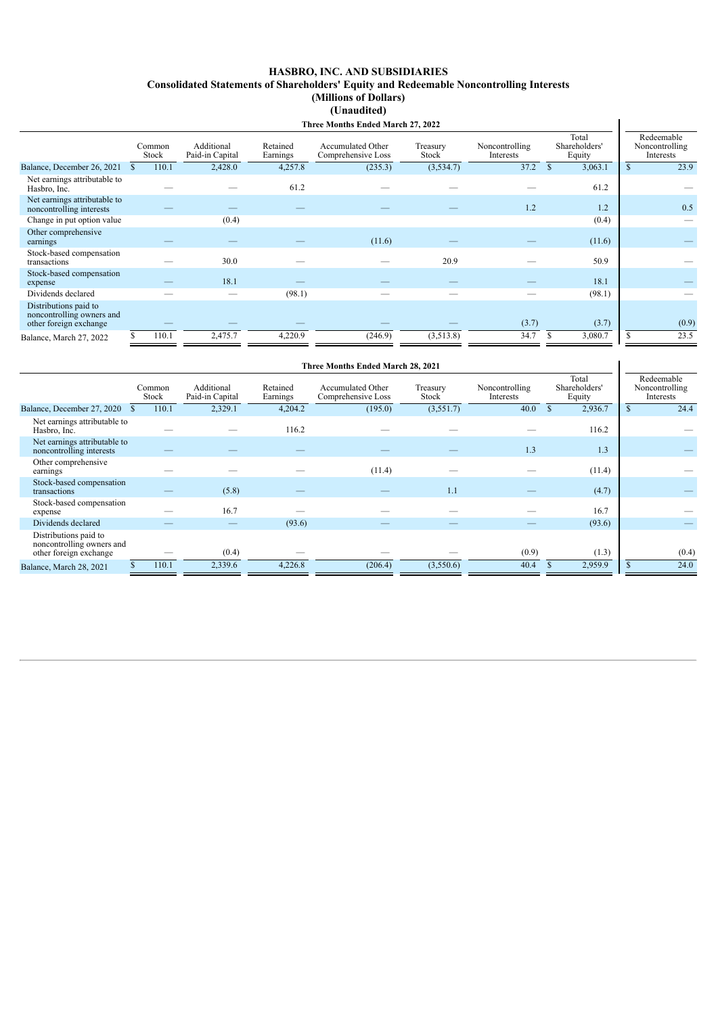#### **HASBRO, INC. AND SUBSIDIARIES Consolidated Statements of Shareholders' Equity and Redeemable Noncontrolling Interests (Millions of Dollars) (Unaudited) Three Months Ended March 27, 2022**

| Three Months Ended March 27, 2022                                            |  |                 |                               |                      |                                                |                   |                             |                                  |                                           |  |
|------------------------------------------------------------------------------|--|-----------------|-------------------------------|----------------------|------------------------------------------------|-------------------|-----------------------------|----------------------------------|-------------------------------------------|--|
|                                                                              |  | Common<br>Stock | Additional<br>Paid-in Capital | Retained<br>Earnings | <b>Accumulated Other</b><br>Comprehensive Loss | Treasury<br>Stock | Noncontrolling<br>Interests | Total<br>Shareholders'<br>Equity | Redeemable<br>Noncontrolling<br>Interests |  |
| Balance, December 26, 2021                                                   |  | 110.1           | 2,428.0                       | 4,257.8              | (235.3)                                        | (3,534.7)         | 37.2                        | 3,063.1<br><sup>\$</sup>         | 23.9                                      |  |
| Net earnings attributable to<br>Hasbro, Inc.                                 |  |                 |                               | 61.2                 |                                                |                   |                             | 61.2                             |                                           |  |
| Net earnings attributable to<br>noncontrolling interests                     |  |                 |                               |                      |                                                |                   | 1.2                         | 1.2                              | 0.5                                       |  |
| Change in put option value                                                   |  |                 | (0.4)                         |                      |                                                |                   |                             | (0.4)                            |                                           |  |
| Other comprehensive<br>earnings                                              |  |                 |                               |                      | (11.6)                                         |                   |                             | (11.6)                           |                                           |  |
| Stock-based compensation<br>transactions                                     |  |                 | 30.0                          |                      |                                                | 20.9              |                             | 50.9                             |                                           |  |
| Stock-based compensation<br>expense                                          |  |                 | 18.1                          |                      |                                                |                   |                             | 18.1                             |                                           |  |
| Dividends declared                                                           |  |                 |                               | (98.1)               |                                                |                   |                             | (98.1)                           |                                           |  |
| Distributions paid to<br>noncontrolling owners and<br>other foreign exchange |  |                 |                               |                      |                                                |                   | (3.7)                       | (3.7)                            | (0.9)                                     |  |
| Balance, March 27, 2022                                                      |  | 110.1           | 2,475.7                       | 4,220.9              | (246.9)                                        | (3,513.8)         | 34.7                        | 3,080.7                          | 23.5                                      |  |

| Three Months Ended March 28, 2021                                            |  |                 |                               |                      |                                         |                   |                             |    |                                  |    |                                           |
|------------------------------------------------------------------------------|--|-----------------|-------------------------------|----------------------|-----------------------------------------|-------------------|-----------------------------|----|----------------------------------|----|-------------------------------------------|
|                                                                              |  | Common<br>Stock | Additional<br>Paid-in Capital | Retained<br>Earnings | Accumulated Other<br>Comprehensive Loss | Treasury<br>Stock | Noncontrolling<br>Interests |    | Total<br>Shareholders'<br>Equity |    | Redeemable<br>Noncontrolling<br>Interests |
| Balance, December 27, 2020                                                   |  | 110.1           | 2,329.1                       | 4,204.2              | (195.0)                                 | (3,551.7)         | 40.0                        | \$ | 2,936.7                          | \$ | 24.4                                      |
| Net earnings attributable to<br>Hasbro, Inc.                                 |  |                 |                               | 116.2                |                                         |                   |                             |    | 116.2                            |    |                                           |
| Net earnings attributable to<br>noncontrolling interests                     |  |                 |                               |                      |                                         |                   | 1.3                         |    | 1.3                              |    |                                           |
| Other comprehensive<br>earnings                                              |  |                 |                               |                      | (11.4)                                  |                   |                             |    | (11.4)                           |    |                                           |
| Stock-based compensation<br>transactions                                     |  |                 | (5.8)                         |                      |                                         | 1.1               |                             |    | (4.7)                            |    |                                           |
| Stock-based compensation<br>expense                                          |  |                 | 16.7                          |                      |                                         |                   |                             |    | 16.7                             |    |                                           |
| Dividends declared                                                           |  |                 |                               | (93.6)               |                                         |                   |                             |    | (93.6)                           |    |                                           |
| Distributions paid to<br>noncontrolling owners and<br>other foreign exchange |  |                 | (0.4)                         |                      |                                         |                   | (0.9)                       |    | (1.3)                            |    | (0.4)                                     |
| Balance, March 28, 2021                                                      |  | 110.1           | 2,339.6                       | 4,226.8              | (206.4)                                 | (3,550.6)         | 40.4                        |    | 2,959.9                          | \$ | 24.0                                      |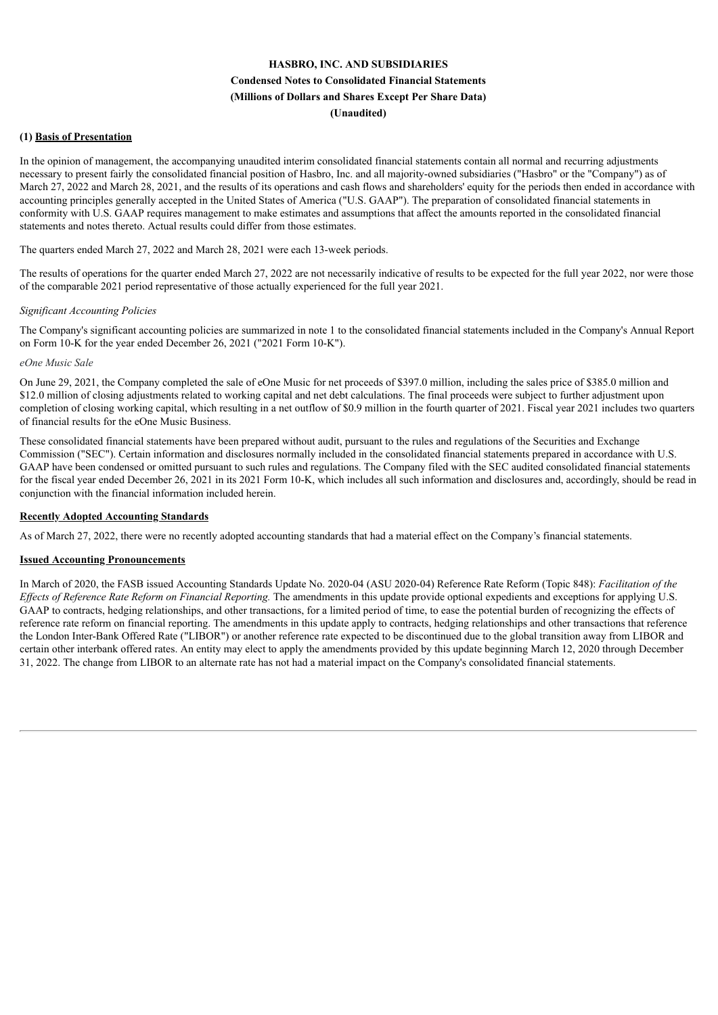# **HASBRO, INC. AND SUBSIDIARIES Condensed Notes to Consolidated Financial Statements (Millions of Dollars and Shares Except Per Share Data) (Unaudited)**

# **(1) Basis of Presentation**

In the opinion of management, the accompanying unaudited interim consolidated financial statements contain all normal and recurring adjustments necessary to present fairly the consolidated financial position of Hasbro, Inc. and all majority-owned subsidiaries ("Hasbro" or the "Company") as of March 27, 2022 and March 28, 2021, and the results of its operations and cash flows and shareholders' equity for the periods then ended in accordance with accounting principles generally accepted in the United States of America ("U.S. GAAP"). The preparation of consolidated financial statements in conformity with U.S. GAAP requires management to make estimates and assumptions that affect the amounts reported in the consolidated financial statements and notes thereto. Actual results could differ from those estimates.

The quarters ended March 27, 2022 and March 28, 2021 were each 13-week periods.

The results of operations for the quarter ended March 27, 2022 are not necessarily indicative of results to be expected for the full year 2022, nor were those of the comparable 2021 period representative of those actually experienced for the full year 2021.

#### *Significant Accounting Policies*

The Company's significant accounting policies are summarized in note 1 to the consolidated financial statements included in the Company's Annual Report on Form 10-K for the year ended December 26, 2021 ("2021 Form 10-K").

#### *eOne Music Sale*

On June 29, 2021, the Company completed the sale of eOne Music for net proceeds of \$397.0 million, including the sales price of \$385.0 million and \$12.0 million of closing adjustments related to working capital and net debt calculations. The final proceeds were subject to further adjustment upon completion of closing working capital, which resulting in a net outflow of \$0.9 million in the fourth quarter of 2021. Fiscal year 2021 includes two quarters of financial results for the eOne Music Business.

These consolidated financial statements have been prepared without audit, pursuant to the rules and regulations of the Securities and Exchange Commission ("SEC"). Certain information and disclosures normally included in the consolidated financial statements prepared in accordance with U.S. GAAP have been condensed or omitted pursuant to such rules and regulations. The Company filed with the SEC audited consolidated financial statements for the fiscal year ended December 26, 2021 in its 2021 Form 10-K, which includes all such information and disclosures and, accordingly, should be read in conjunction with the financial information included herein.

### **Recently Adopted Accounting Standards**

As of March 27, 2022, there were no recently adopted accounting standards that had a material effect on the Company's financial statements.

### **Issued Accounting Pronouncements**

In March of 2020, the FASB issued Accounting Standards Update No. 2020-04 (ASU 2020-04) Reference Rate Reform (Topic 848): *Facilitation of the Ef ects of Reference Rate Reform on Financial Reporting.* The amendments in this update provide optional expedients and exceptions for applying U.S. GAAP to contracts, hedging relationships, and other transactions, for a limited period of time, to ease the potential burden of recognizing the effects of reference rate reform on financial reporting. The amendments in this update apply to contracts, hedging relationships and other transactions that reference the London Inter-Bank Offered Rate ("LIBOR") or another reference rate expected to be discontinued due to the global transition away from LIBOR and certain other interbank offered rates. An entity may elect to apply the amendments provided by this update beginning March 12, 2020 through December 31, 2022. The change from LIBOR to an alternate rate has not had a material impact on the Company's consolidated financial statements.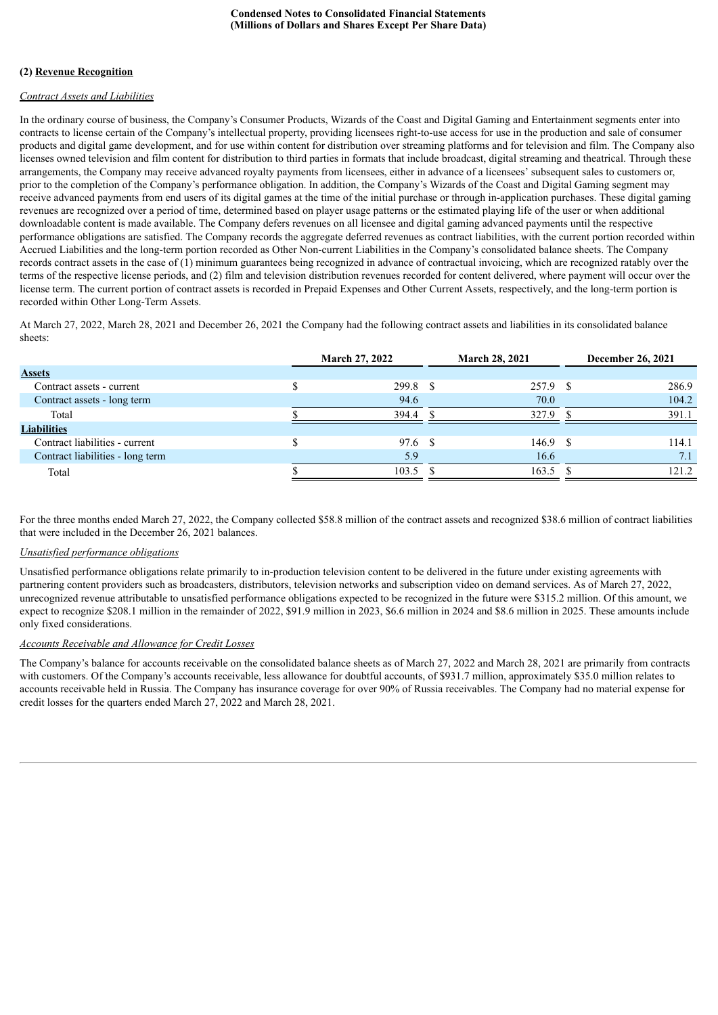# **(2) Revenue Recognition**

# *Contract Assets and Liabilities*

In the ordinary course of business, the Company's Consumer Products, Wizards of the Coast and Digital Gaming and Entertainment segments enter into contracts to license certain of the Company's intellectual property, providing licensees right-to-use access for use in the production and sale of consumer products and digital game development, and for use within content for distribution over streaming platforms and for television and film. The Company also licenses owned television and film content for distribution to third parties in formats that include broadcast, digital streaming and theatrical. Through these arrangements, the Company may receive advanced royalty payments from licensees, either in advance of a licensees' subsequent sales to customers or, prior to the completion of the Company's performance obligation. In addition, the Company's Wizards of the Coast and Digital Gaming segment may receive advanced payments from end users of its digital games at the time of the initial purchase or through in-application purchases. These digital gaming revenues are recognized over a period of time, determined based on player usage patterns or the estimated playing life of the user or when additional downloadable content is made available. The Company defers revenues on all licensee and digital gaming advanced payments until the respective performance obligations are satisfied. The Company records the aggregate deferred revenues as contract liabilities, with the current portion recorded within Accrued Liabilities and the long-term portion recorded as Other Non-current Liabilities in the Company's consolidated balance sheets. The Company records contract assets in the case of (1) minimum guarantees being recognized in advance of contractual invoicing, which are recognized ratably over the terms of the respective license periods, and (2) film and television distribution revenues recorded for content delivered, where payment will occur over the license term. The current portion of contract assets is recorded in Prepaid Expenses and Other Current Assets, respectively, and the long-term portion is recorded within Other Long-Term Assets.

At March 27, 2022, March 28, 2021 and December 26, 2021 the Company had the following contract assets and liabilities in its consolidated balance sheets:

|                                  |   | <b>March 27, 2022</b> | <b>March 28, 2021</b> | December 26, 2021 |       |  |
|----------------------------------|---|-----------------------|-----------------------|-------------------|-------|--|
| <b>Assets</b>                    |   |                       |                       |                   |       |  |
| Contract assets - current        | Φ | $299.8$ \$            | 257.9 \$              |                   | 286.9 |  |
| Contract assets - long term      |   | 94.6                  | 70.0                  |                   | 104.2 |  |
| Total                            |   | 394.4                 | 327.9                 |                   | 391.1 |  |
| <b>Liabilities</b>               |   |                       |                       |                   |       |  |
| Contract liabilities - current   |   | 97.6 \$               | $146.9$ \$            |                   | 114.1 |  |
| Contract liabilities - long term |   | 5.9                   | 16.6                  |                   | 7.1   |  |
| Total                            |   | 103.5                 | 163.5                 |                   | 121.2 |  |
|                                  |   |                       |                       |                   |       |  |

For the three months ended March 27, 2022, the Company collected \$58.8 million of the contract assets and recognized \$38.6 million of contract liabilities that were included in the December 26, 2021 balances.

# *Unsatisfied performance obligations*

Unsatisfied performance obligations relate primarily to in-production television content to be delivered in the future under existing agreements with partnering content providers such as broadcasters, distributors, television networks and subscription video on demand services. As of March 27, 2022, unrecognized revenue attributable to unsatisfied performance obligations expected to be recognized in the future were \$315.2 million. Of this amount, we expect to recognize \$208.1 million in the remainder of 2022, \$91.9 million in 2023, \$6.6 million in 2024 and \$8.6 million in 2025. These amounts include only fixed considerations.

# *Accounts Receivable and Allowance for Credit Losses*

The Company's balance for accounts receivable on the consolidated balance sheets as of March 27, 2022 and March 28, 2021 are primarily from contracts with customers. Of the Company's accounts receivable, less allowance for doubtful accounts, of \$931.7 million, approximately \$35.0 million relates to accounts receivable held in Russia. The Company has insurance coverage for over 90% of Russia receivables. The Company had no material expense for credit losses for the quarters ended March 27, 2022 and March 28, 2021.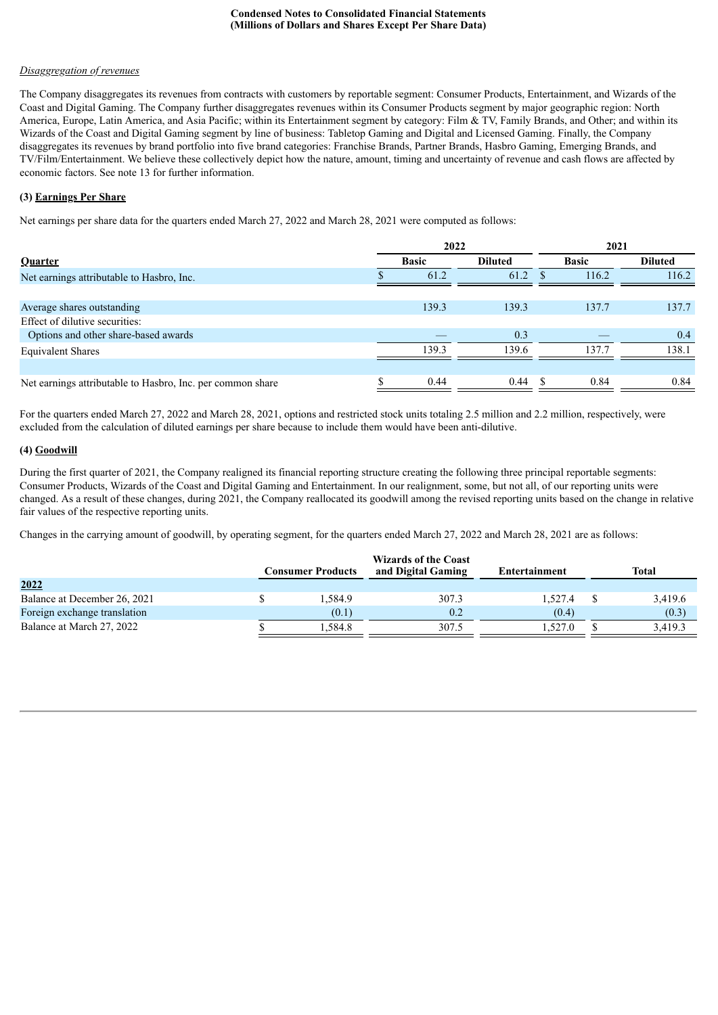### *Disaggregation of revenues*

The Company disaggregates its revenues from contracts with customers by reportable segment: Consumer Products, Entertainment, and Wizards of the Coast and Digital Gaming. The Company further disaggregates revenues within its Consumer Products segment by major geographic region: North America, Europe, Latin America, and Asia Pacific; within its Entertainment segment by category: Film & TV, Family Brands, and Other; and within its Wizards of the Coast and Digital Gaming segment by line of business: Tabletop Gaming and Digital and Licensed Gaming. Finally, the Company disaggregates its revenues by brand portfolio into five brand categories: Franchise Brands, Partner Brands, Hasbro Gaming, Emerging Brands, and TV/Film/Entertainment. We believe these collectively depict how the nature, amount, timing and uncertainty of revenue and cash flows are affected by economic factors. See note 13 for further information.

# **(3) Earnings Per Share**

Net earnings per share data for the quarters ended March 27, 2022 and March 28, 2021 were computed as follows:

|                                                            | 2022         |                | 2021 |              |                |  |
|------------------------------------------------------------|--------------|----------------|------|--------------|----------------|--|
| Quarter                                                    | <b>Basic</b> | <b>Diluted</b> |      | <b>Basic</b> | <b>Diluted</b> |  |
| Net earnings attributable to Hasbro, Inc.                  | 61.2         | 61.2           |      | 116.2        | 116.2          |  |
|                                                            |              |                |      |              |                |  |
| Average shares outstanding                                 | 139.3        | 139.3          |      | 137.7        | 137.7          |  |
| Effect of dilutive securities:                             |              |                |      |              |                |  |
| Options and other share-based awards                       |              | 0.3            |      |              | 0.4            |  |
| <b>Equivalent Shares</b>                                   | 139.3        | 139.6          |      | 137.7        | 138.1          |  |
|                                                            |              |                |      |              |                |  |
| Net earnings attributable to Hasbro, Inc. per common share | 0.44         | 0.44           |      | 0.84         | 0.84           |  |

For the quarters ended March 27, 2022 and March 28, 2021, options and restricted stock units totaling 2.5 million and 2.2 million, respectively, were excluded from the calculation of diluted earnings per share because to include them would have been anti-dilutive.

## **(4) Goodwill**

During the first quarter of 2021, the Company realigned its financial reporting structure creating the following three principal reportable segments: Consumer Products, Wizards of the Coast and Digital Gaming and Entertainment. In our realignment, some, but not all, of our reporting units were changed. As a result of these changes, during 2021, the Company reallocated its goodwill among the revised reporting units based on the change in relative fair values of the respective reporting units.

Changes in the carrying amount of goodwill, by operating segment, for the quarters ended March 27, 2022 and March 28, 2021 are as follows:

|                              | <b>Consumer Products</b> | <b>Wizards of the Coast</b><br>and Digital Gaming | Entertainment | Total   |
|------------------------------|--------------------------|---------------------------------------------------|---------------|---------|
| 2022                         |                          |                                                   |               |         |
| Balance at December 26, 2021 | .584.9                   | 307.3                                             | 1.527.4       | 3,419.6 |
| Foreign exchange translation | (0.1)                    | 0.2                                               | (0.4)         | (0.3)   |
| Balance at March 27, 2022    | .584.8                   | 307.5                                             | 1.527.0       | 3.419.3 |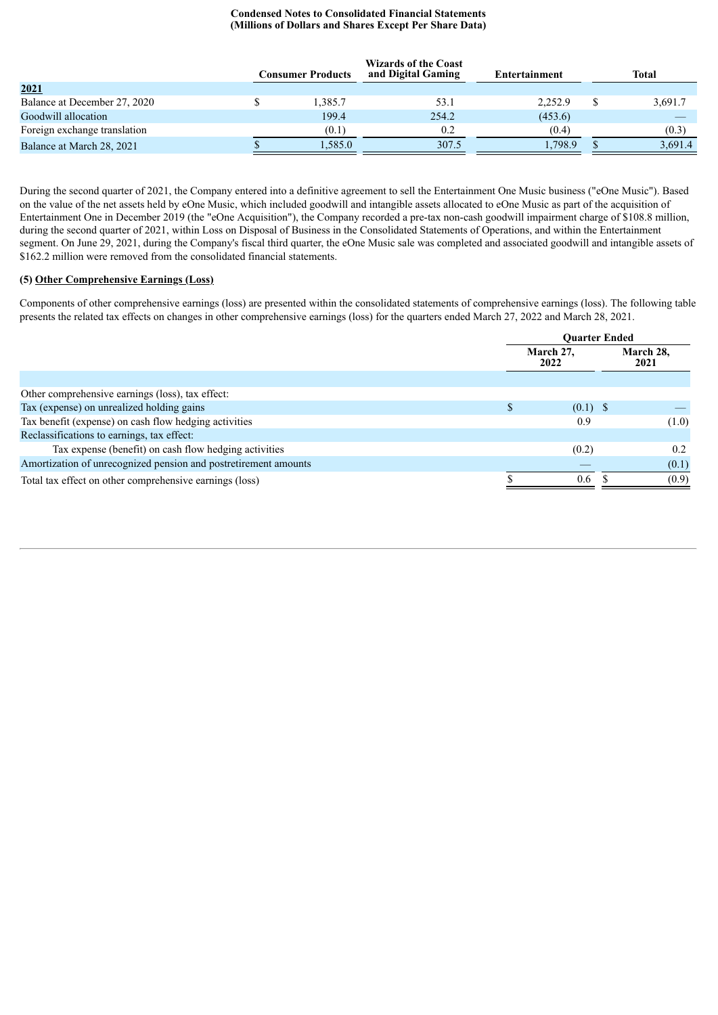|                              | Consumer Products | <b>Wizards of the Coast</b><br>and Digital Gaming | Entertainment | Total   |
|------------------------------|-------------------|---------------------------------------------------|---------------|---------|
| 2021                         |                   |                                                   |               |         |
| Balance at December 27, 2020 | 1,385.7           | 53.1                                              | 2,252.9       | 3,691.7 |
| Goodwill allocation          | 199.4             | 254.2                                             | (453.6)       |         |
| Foreign exchange translation | (0.1)             | 0.2                                               | (0.4)         | (0.3)   |
| Balance at March 28, 2021    | 1,585.0           | 307.5                                             | 1.798.9       | 3,691.4 |

During the second quarter of 2021, the Company entered into a definitive agreement to sell the Entertainment One Music business ("eOne Music"). Based on the value of the net assets held by eOne Music, which included goodwill and intangible assets allocated to eOne Music as part of the acquisition of Entertainment One in December 2019 (the "eOne Acquisition"), the Company recorded a pre-tax non-cash goodwill impairment charge of \$108.8 million, during the second quarter of 2021, within Loss on Disposal of Business in the Consolidated Statements of Operations, and within the Entertainment segment. On June 29, 2021, during the Company's fiscal third quarter, the eOne Music sale was completed and associated goodwill and intangible assets of \$162.2 million were removed from the consolidated financial statements.

## **(5) Other Comprehensive Earnings (Loss)**

Components of other comprehensive earnings (loss) are presented within the consolidated statements of comprehensive earnings (loss). The following table presents the related tax effects on changes in other comprehensive earnings (loss) for the quarters ended March 27, 2022 and March 28, 2021.

|                                                                 |   | <b>Ouarter Ended</b> |                   |
|-----------------------------------------------------------------|---|----------------------|-------------------|
|                                                                 |   | March 27,<br>2022    | March 28,<br>2021 |
|                                                                 |   |                      |                   |
| Other comprehensive earnings (loss), tax effect:                |   |                      |                   |
| Tax (expense) on unrealized holding gains                       | S | $(0.1)$ \$           |                   |
| Tax benefit (expense) on cash flow hedging activities           |   | 0.9                  | (1.0)             |
| Reclassifications to earnings, tax effect:                      |   |                      |                   |
| Tax expense (benefit) on cash flow hedging activities           |   | (0.2)                | 0.2               |
| Amortization of unrecognized pension and postretirement amounts |   |                      | (0.1)             |
| Total tax effect on other comprehensive earnings (loss)         |   | 0.6                  | (0.9)             |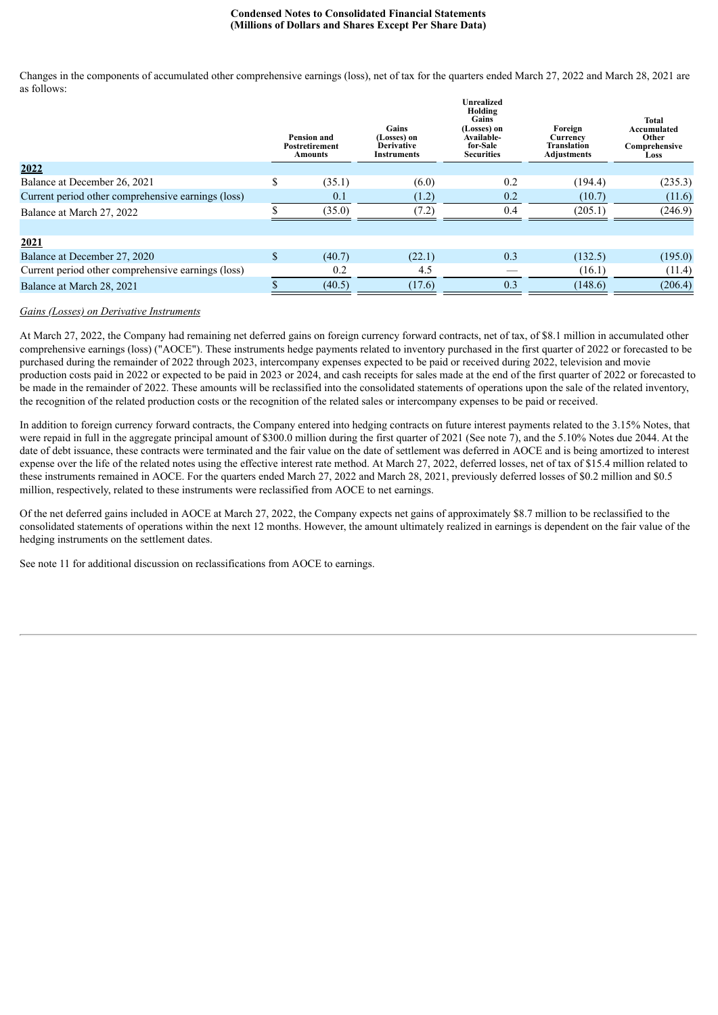Changes in the components of accumulated other comprehensive earnings (loss), net of tax for the quarters ended March 27, 2022 and March 28, 2021 are as follows: **Unrealized**

|                                                    | <b>Pension and</b><br><b>Postretirement</b><br>Amounts | Gains<br>(Losses) on<br><b>Derivative</b><br><b>Instruments</b> | еш сапле<br>Holding<br><b>Gains</b><br>(Losses) on<br>Available-<br>for-Sale<br><b>Securities</b> | Foreign<br>Currency<br>Translation<br>Adjustments | Total<br>Accumulated<br>Other<br>Comprehensive<br>Loss |
|----------------------------------------------------|--------------------------------------------------------|-----------------------------------------------------------------|---------------------------------------------------------------------------------------------------|---------------------------------------------------|--------------------------------------------------------|
| 2022                                               |                                                        |                                                                 |                                                                                                   |                                                   |                                                        |
| Balance at December 26, 2021                       | \$<br>(35.1)                                           | (6.0)                                                           | 0.2                                                                                               | (194.4)                                           | (235.3)                                                |
| Current period other comprehensive earnings (loss) | 0.1                                                    | (1.2)                                                           | 0.2                                                                                               | (10.7)                                            | (11.6)                                                 |
| Balance at March 27, 2022                          | (35.0)                                                 | (7.2)                                                           | 0.4                                                                                               | (205.1)                                           | (246.9)                                                |
|                                                    |                                                        |                                                                 |                                                                                                   |                                                   |                                                        |
| 2021                                               |                                                        |                                                                 |                                                                                                   |                                                   |                                                        |
| Balance at December 27, 2020                       | \$<br>(40.7)                                           | (22.1)                                                          | 0.3                                                                                               | (132.5)                                           | (195.0)                                                |
| Current period other comprehensive earnings (loss) | 0.2                                                    | 4.5                                                             |                                                                                                   | (16.1)                                            | (11.4)                                                 |
| Balance at March 28, 2021                          | (40.5)                                                 | (17.6)                                                          | 0.3                                                                                               | (148.6)                                           | (206.4)                                                |

#### *Gains (Losses) on Derivative Instruments*

At March 27, 2022, the Company had remaining net deferred gains on foreign currency forward contracts, net of tax, of \$8.1 million in accumulated other comprehensive earnings (loss) ("AOCE"). These instruments hedge payments related to inventory purchased in the first quarter of 2022 or forecasted to be purchased during the remainder of 2022 through 2023, intercompany expenses expected to be paid or received during 2022, television and movie production costs paid in 2022 or expected to be paid in 2023 or 2024, and cash receipts for sales made at the end of the first quarter of 2022 or forecasted to be made in the remainder of 2022. These amounts will be reclassified into the consolidated statements of operations upon the sale of the related inventory, the recognition of the related production costs or the recognition of the related sales or intercompany expenses to be paid or received.

In addition to foreign currency forward contracts, the Company entered into hedging contracts on future interest payments related to the 3.15% Notes, that were repaid in full in the aggregate principal amount of \$300.0 million during the first quarter of 2021 (See note 7), and the 5.10% Notes due 2044. At the date of debt issuance, these contracts were terminated and the fair value on the date of settlement was deferred in AOCE and is being amortized to interest expense over the life of the related notes using the effective interest rate method. At March 27, 2022, deferred losses, net of tax of \$15.4 million related to these instruments remained in AOCE. For the quarters ended March 27, 2022 and March 28, 2021, previously deferred losses of \$0.2 million and \$0.5 million, respectively, related to these instruments were reclassified from AOCE to net earnings.

Of the net deferred gains included in AOCE at March 27, 2022, the Company expects net gains of approximately \$8.7 million to be reclassified to the consolidated statements of operations within the next 12 months. However, the amount ultimately realized in earnings is dependent on the fair value of the hedging instruments on the settlement dates.

See note 11 for additional discussion on reclassifications from AOCE to earnings.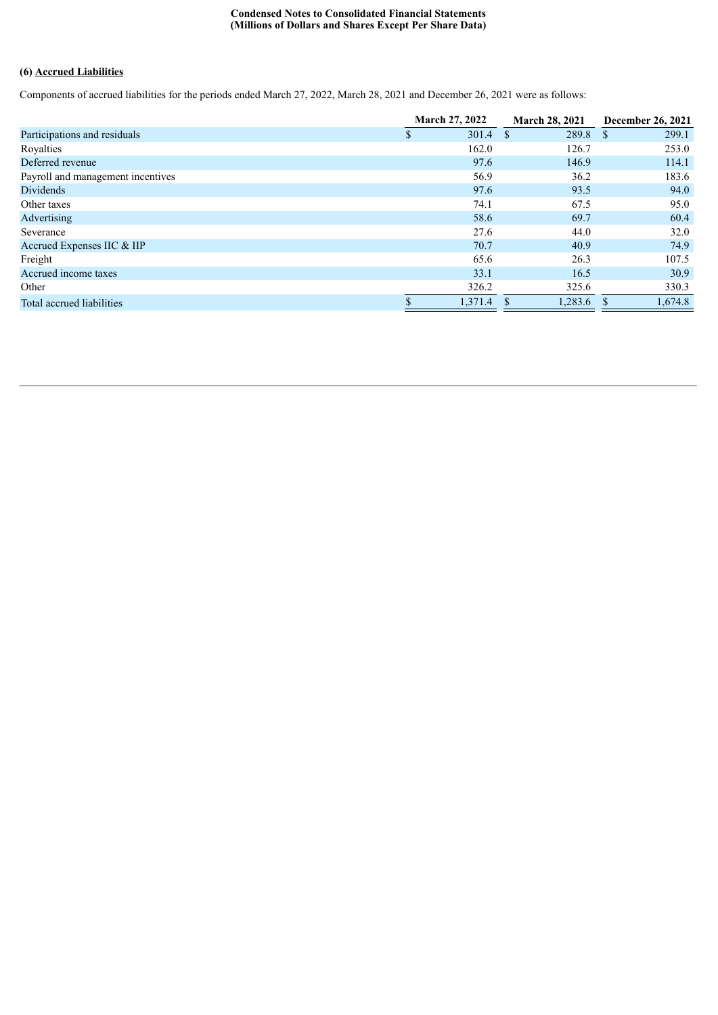# **(6) Accrued Liabilities**

Components of accrued liabilities for the periods ended March 27, 2022, March 28, 2021 and December 26, 2021 were as follows:

|                                   | <b>March 27, 2022</b> | <b>March 28, 2021</b> | December 26, 2021      |
|-----------------------------------|-----------------------|-----------------------|------------------------|
| Participations and residuals      | $301.4$ \$            | 289.8                 | 299.1<br><sup>\$</sup> |
| Royalties                         | 162.0                 | 126.7                 | 253.0                  |
| Deferred revenue                  | 97.6                  | 146.9                 | 114.1                  |
| Payroll and management incentives | 56.9                  | 36.2                  | 183.6                  |
| <b>Dividends</b>                  | 97.6                  | 93.5                  | 94.0                   |
| Other taxes                       | 74.1                  | 67.5                  | 95.0                   |
| Advertising                       | 58.6                  | 69.7                  | 60.4                   |
| Severance                         | 27.6                  | 44.0                  | 32.0                   |
| Accrued Expenses IIC & IIP        | 70.7                  | 40.9                  | 74.9                   |
| Freight                           | 65.6                  | 26.3                  | 107.5                  |
| Accrued income taxes              | 33.1                  | 16.5                  | 30.9                   |
| Other                             | 326.2                 | 325.6                 | 330.3                  |
| Total accrued liabilities         | 1,371.4               | 1,283.6               | 1,674.8                |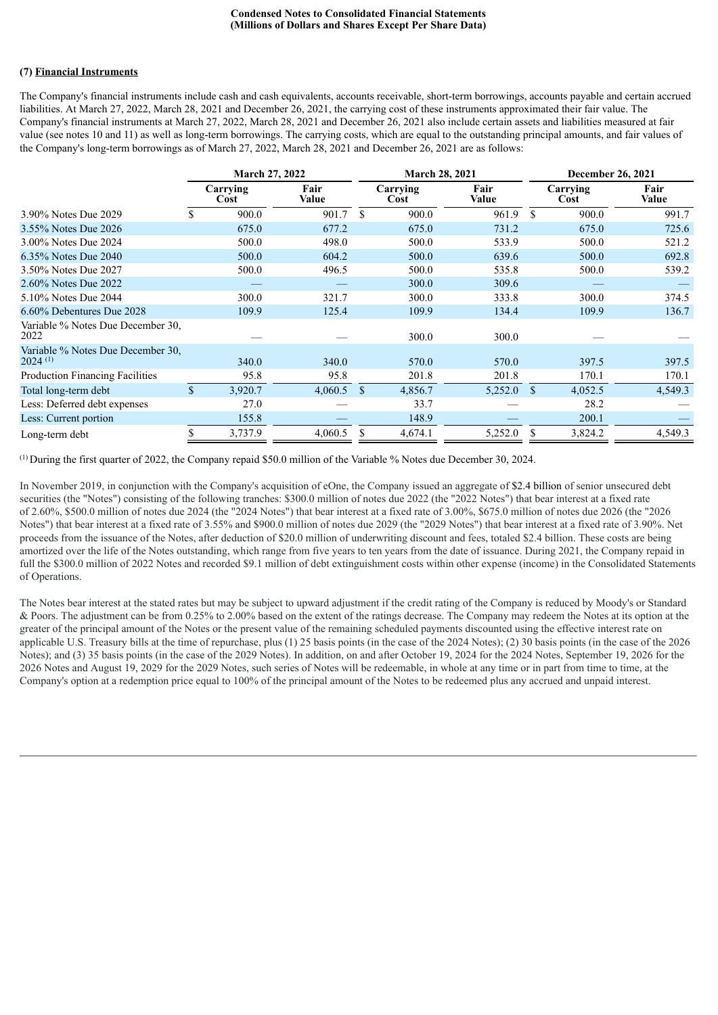# **(7) Financial Instruments**

The Company's financial instruments include cash and cash equivalents, accounts receivable, short-term borrowings, accounts payable and certain accrued liabilities. At March 27, 2022, March 28, 2021 and December 26, 2021, the carrying cost of these instruments approximated their fair value. The Company's financial instruments at March 27, 2022, March 28, 2021 and December 26, 2021 also include certain assets and liabilities measured at fair value (see notes 10 and 11) as well as long-term borrowings. The carrying costs, which are equal to the outstanding principal amounts, and fair values of the Company's long-term borrowings as of March 27, 2022, March 28, 2021 and December 26, 2021 are as follows:

|                                                            |              |                  | <b>March 27, 2022</b> |     | <b>March 28, 2021</b> |               |               |                  | <b>December 26, 2021</b> |
|------------------------------------------------------------|--------------|------------------|-----------------------|-----|-----------------------|---------------|---------------|------------------|--------------------------|
|                                                            |              | Carrying<br>Cost | Fair<br>Value         |     | Carrying<br>Cost      | Fair<br>Value |               | Carrying<br>Cost | Fair<br><b>Value</b>     |
| 3.90% Notes Due 2029                                       |              | 900.0            | 901.7                 | \$. | 900.0                 | 961.9         | \$.           | 900.0            | 991.7                    |
| 3.55% Notes Due 2026                                       |              | 675.0            | 677.2                 |     | 675.0                 | 731.2         |               | 675.0            | 725.6                    |
| 3.00% Notes Due 2024                                       |              | 500.0            | 498.0                 |     | 500.0                 | 533.9         |               | 500.0            | 521.2                    |
| 6.35% Notes Due 2040                                       |              | 500.0            | 604.2                 |     | 500.0                 | 639.6         |               | 500.0            | 692.8                    |
| 3.50% Notes Due 2027                                       |              | 500.0            | 496.5                 |     | 500.0                 | 535.8         |               | 500.0            | 539.2                    |
| 2.60% Notes Due 2022                                       |              |                  |                       |     | 300.0                 | 309.6         |               |                  |                          |
| 5.10% Notes Due 2044                                       |              | 300.0            | 321.7                 |     | 300.0                 | 333.8         |               | 300.0            | 374.5                    |
| 6.60% Debentures Due 2028                                  |              | 109.9            | 125.4                 |     | 109.9                 | 134.4         |               | 109.9            | 136.7                    |
| Variable % Notes Due December 30,<br>2022                  |              |                  |                       |     | 300.0                 | 300.0         |               |                  |                          |
| Variable % Notes Due December 30.<br>$2024$ <sup>(1)</sup> |              | 340.0            | 340.0                 |     | 570.0                 | 570.0         |               | 397.5            | 397.5                    |
| <b>Production Financing Facilities</b>                     |              | 95.8             | 95.8                  |     | 201.8                 | 201.8         |               | 170.1            | 170.1                    |
| Total long-term debt                                       | $\mathbf{s}$ | 3,920.7          | 4,060.5               | -S  | 4,856.7               | 5,252.0       | <sup>\$</sup> | 4,052.5          | 4,549.3                  |
| Less: Deferred debt expenses                               |              | 27.0             |                       |     | 33.7                  |               |               | 28.2             |                          |
| Less: Current portion                                      |              | 155.8            |                       |     | 148.9                 |               |               | 200.1            |                          |
| Long-term debt                                             |              | 3,737.9          | 4,060.5               |     | 4,674.1               | 5,252.0       |               | 3,824.2          | 4,549.3                  |

 $^{(1)}$  During the first quarter of 2022, the Company repaid \$50.0 million of the Variable % Notes due December 30, 2024.

In November 2019, in conjunction with the Company's acquisition of eOne, the Company issued an aggregate of \$2.4 billion of senior unsecured debt securities (the "Notes") consisting of the following tranches: \$300.0 million of notes due 2022 (the "2022 Notes") that bear interest at a fixed rate of 2.60%, \$500.0 million of notes due 2024 (the "2024 Notes") that bear interest at a fixed rate of 3.00%, \$675.0 million of notes due 2026 (the "2026 Notes") that bear interest at a fixed rate of 3.55% and \$900.0 million of notes due 2029 (the "2029 Notes") that bear interest at a fixed rate of 3.90%. Net proceeds from the issuance of the Notes, after deduction of \$20.0 million of underwriting discount and fees, totaled \$2.4 billion. These costs are being amortized over the life of the Notes outstanding, which range from five years to ten years from the date of issuance. During 2021, the Company repaid in full the \$300.0 million of 2022 Notes and recorded \$9.1 million of debt extinguishment costs within other expense (income) in the Consolidated Statements of Operations.

The Notes bear interest at the stated rates but may be subject to upward adjustment if the credit rating of the Company is reduced by Moody's or Standard & Poors. The adjustment can be from 0.25% to 2.00% based on the extent of the ratings decrease. The Company may redeem the Notes at its option at the greater of the principal amount of the Notes or the present value of the remaining scheduled payments discounted using the effective interest rate on applicable U.S. Treasury bills at the time of repurchase, plus (1) 25 basis points (in the case of the 2024 Notes); (2) 30 basis points (in the case of the 2026 Notes); and (3) 35 basis points (in the case of the 2029 Notes). In addition, on and after October 19, 2024 for the 2024 Notes, September 19, 2026 for the 2026 Notes and August 19, 2029 for the 2029 Notes, such series of Notes will be redeemable, in whole at any time or in part from time to time, at the Company's option at a redemption price equal to 100% of the principal amount of the Notes to be redeemed plus any accrued and unpaid interest.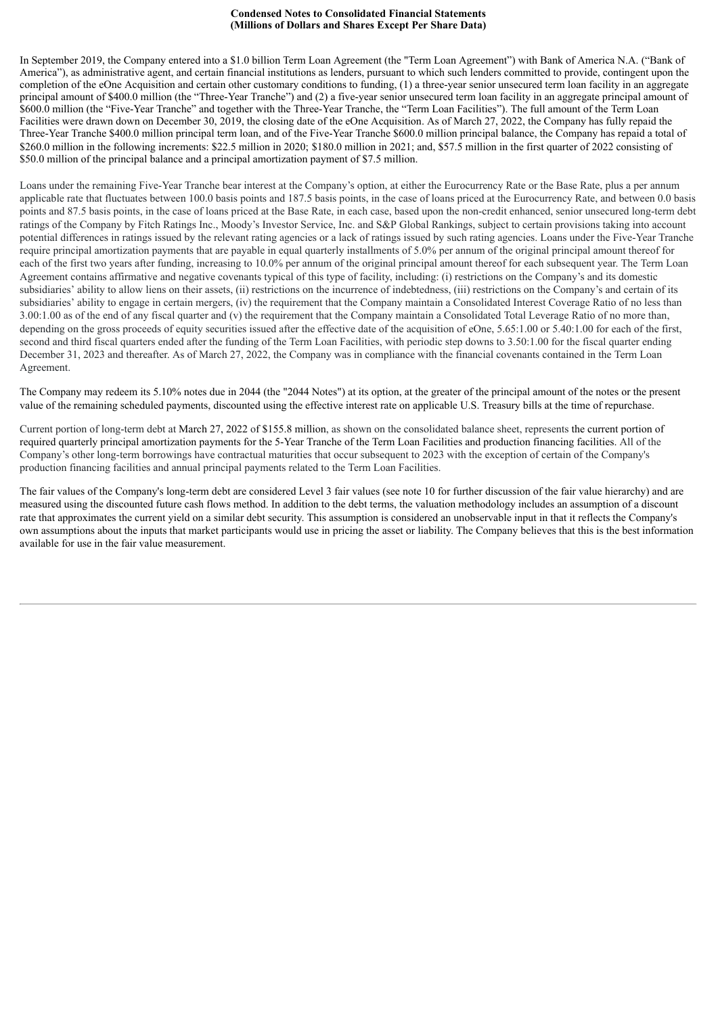In September 2019, the Company entered into a \$1.0 billion Term Loan Agreement (the "Term Loan Agreement") with Bank of America N.A. ("Bank of America"), as administrative agent, and certain financial institutions as lenders, pursuant to which such lenders committed to provide, contingent upon the completion of the eOne Acquisition and certain other customary conditions to funding, (1) a three-year senior unsecured term loan facility in an aggregate principal amount of \$400.0 million (the "Three-Year Tranche") and (2) a five-year senior unsecured term loan facility in an aggregate principal amount of \$600.0 million (the "Five-Year Tranche" and together with the Three-Year Tranche, the "Term Loan Facilities"). The full amount of the Term Loan Facilities were drawn down on December 30, 2019, the closing date of the eOne Acquisition. As of March 27, 2022, the Company has fully repaid the Three-Year Tranche \$400.0 million principal term loan, and of the Five-Year Tranche \$600.0 million principal balance, the Company has repaid a total of \$260.0 million in the following increments: \$22.5 million in 2020; \$180.0 million in 2021; and, \$57.5 million in the first quarter of 2022 consisting of \$50.0 million of the principal balance and a principal amortization payment of \$7.5 million.

Loans under the remaining Five-Year Tranche bear interest at the Company's option, at either the Eurocurrency Rate or the Base Rate, plus a per annum applicable rate that fluctuates between 100.0 basis points and 187.5 basis points, in the case of loans priced at the Eurocurrency Rate, and between 0.0 basis points and 87.5 basis points, in the case of loans priced at the Base Rate, in each case, based upon the non-credit enhanced, senior unsecured long-term debt ratings of the Company by Fitch Ratings Inc., Moody's Investor Service, Inc. and S&P Global Rankings, subject to certain provisions taking into account potential differences in ratings issued by the relevant rating agencies or a lack of ratings issued by such rating agencies. Loans under the Five-Year Tranche require principal amortization payments that are payable in equal quarterly installments of 5.0% per annum of the original principal amount thereof for each of the first two years after funding, increasing to 10.0% per annum of the original principal amount thereof for each subsequent year. The Term Loan Agreement contains affirmative and negative covenants typical of this type of facility, including: (i) restrictions on the Company's and its domestic subsidiaries' ability to allow liens on their assets, (ii) restrictions on the incurrence of indebtedness, (iii) restrictions on the Company's and certain of its subsidiaries' ability to engage in certain mergers, (iv) the requirement that the Company maintain a Consolidated Interest Coverage Ratio of no less than 3.00:1.00 as of the end of any fiscal quarter and (v) the requirement that the Company maintain a Consolidated Total Leverage Ratio of no more than, depending on the gross proceeds of equity securities issued after the effective date of the acquisition of eOne, 5.65:1.00 or 5.40:1.00 for each of the first, second and third fiscal quarters ended after the funding of the Term Loan Facilities, with periodic step downs to 3.50:1.00 for the fiscal quarter ending December 31, 2023 and thereafter. As of March 27, 2022, the Company was in compliance with the financial covenants contained in the Term Loan Agreement.

The Company may redeem its 5.10% notes due in 2044 (the "2044 Notes") at its option, at the greater of the principal amount of the notes or the present value of the remaining scheduled payments, discounted using the effective interest rate on applicable U.S. Treasury bills at the time of repurchase.

Current portion of long-term debt at March 27, 2022 of \$155.8 million, as shown on the consolidated balance sheet, represents the current portion of required quarterly principal amortization payments for the 5-Year Tranche of the Term Loan Facilities and production financing facilities. All of the Company's other long-term borrowings have contractual maturities that occur subsequent to 2023 with the exception of certain of the Company's production financing facilities and annual principal payments related to the Term Loan Facilities.

The fair values of the Company's long-term debt are considered Level 3 fair values (see note 10 for further discussion of the fair value hierarchy) and are measured using the discounted future cash flows method. In addition to the debt terms, the valuation methodology includes an assumption of a discount rate that approximates the current yield on a similar debt security. This assumption is considered an unobservable input in that it reflects the Company's own assumptions about the inputs that market participants would use in pricing the asset or liability. The Company believes that this is the best information available for use in the fair value measurement.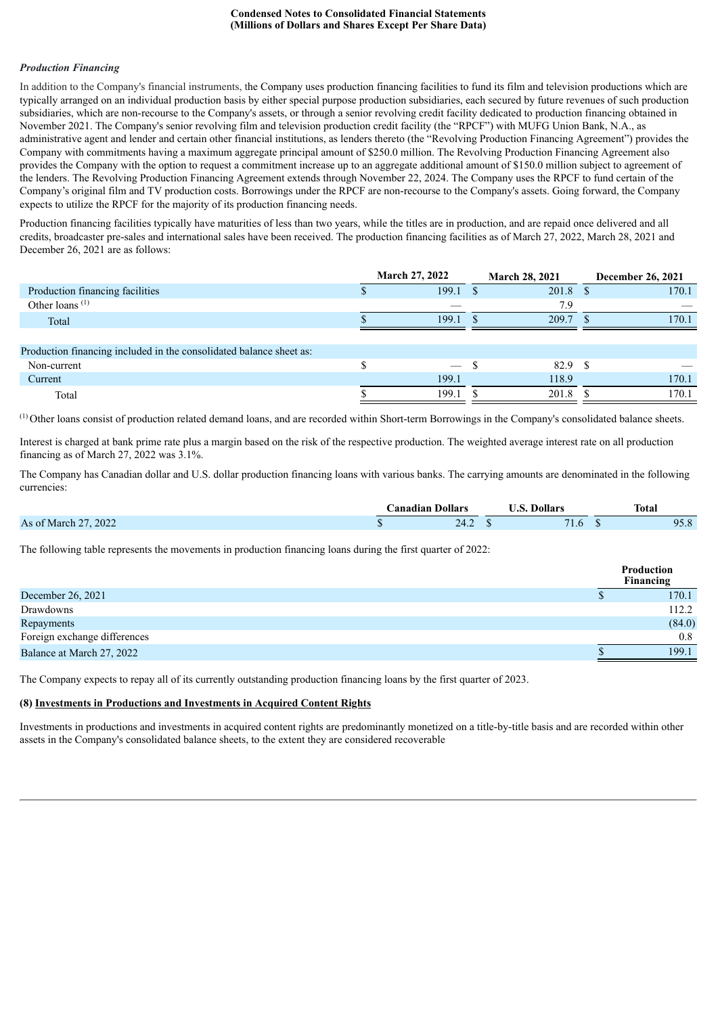#### *Production Financing*

In addition to the Company's financial instruments, the Company uses production financing facilities to fund its film and television productions which are typically arranged on an individual production basis by either special purpose production subsidiaries, each secured by future revenues of such production subsidiaries, which are non-recourse to the Company's assets, or through a senior revolving credit facility dedicated to production financing obtained in November 2021. The Company's senior revolving film and television production credit facility (the "RPCF") with MUFG Union Bank, N.A., as administrative agent and lender and certain other financial institutions, as lenders thereto (the "Revolving Production Financing Agreement") provides the Company with commitments having a maximum aggregate principal amount of \$250.0 million. The Revolving Production Financing Agreement also provides the Company with the option to request a commitment increase up to an aggregate additional amount of \$150.0 million subject to agreement of the lenders. The Revolving Production Financing Agreement extends through November 22, 2024. The Company uses the RPCF to fund certain of the Company's original film and TV production costs. Borrowings under the RPCF are non-recourse to the Company's assets. Going forward, the Company expects to utilize the RPCF for the majority of its production financing needs.

Production financing facilities typically have maturities of less than two years, while the titles are in production, and are repaid once delivered and all credits, broadcaster pre-sales and international sales have been received. The production financing facilities as of March 27, 2022, March 28, 2021 and December 26, 2021 are as follows:

|                                                                     | March 27, 2022 | <b>March 28, 2021</b> | December 26, 2021 |
|---------------------------------------------------------------------|----------------|-----------------------|-------------------|
| Production financing facilities                                     | 199.1          | $201.8$ \$            | 170.1             |
| Other loans $(1)$                                                   |                | 7.9                   |                   |
| Total                                                               | 199.1          | 209.7                 | 170.1             |
|                                                                     |                |                       |                   |
| Production financing included in the consolidated balance sheet as: |                |                       |                   |
| Non-current                                                         |                | 82.9 \$               |                   |
| Current                                                             | 199.1          | 118.9                 | 170.1             |
| Total                                                               | 199.1          | 201.8                 | 170.1             |

 $(1)$  Other loans consist of production related demand loans, and are recorded within Short-term Borrowings in the Company's consolidated balance sheets.

Interest is charged at bank prime rate plus a margin based on the risk of the respective production. The weighted average interest rate on all production financing as of March 27, 2022 was 3.1%.

The Company has Canadian dollar and U.S. dollar production financing loans with various banks. The carrying amounts are denominated in the following currencies:

|                         | Canadian Dollars |      | <b>Dollars</b> | <b>Total</b>          |
|-------------------------|------------------|------|----------------|-----------------------|
| .2022<br>As of March 27 |                  | 47.4 | . .<br>1.0     | 05<br>$\Omega$<br>0.0 |

The following table represents the movements in production financing loans during the first quarter of 2022:

|                              | <b>Production</b><br>Financing |
|------------------------------|--------------------------------|
| December 26, 2021            | 170.1                          |
| Drawdowns                    | 112.2                          |
| Repayments                   | (84.0)                         |
| Foreign exchange differences | 0.8                            |
| Balance at March 27, 2022    | 199.1                          |

The Company expects to repay all of its currently outstanding production financing loans by the first quarter of 2023.

## **(8) Investments in Productions and Investments in Acquired Content Rights**

Investments in productions and investments in acquired content rights are predominantly monetized on a title-by-title basis and are recorded within other assets in the Company's consolidated balance sheets, to the extent they are considered recoverable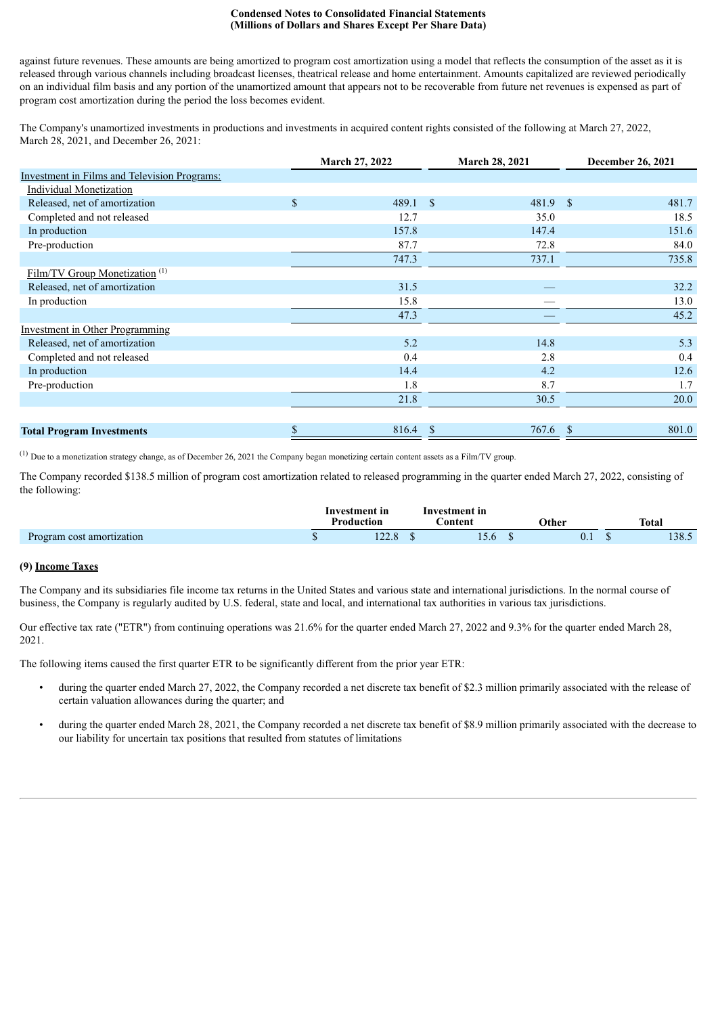against future revenues. These amounts are being amortized to program cost amortization using a model that reflects the consumption of the asset as it is released through various channels including broadcast licenses, theatrical release and home entertainment. Amounts capitalized are reviewed periodically on an individual film basis and any portion of the unamortized amount that appears not to be recoverable from future net revenues is expensed as part of program cost amortization during the period the loss becomes evident.

The Company's unamortized investments in productions and investments in acquired content rights consisted of the following at March 27, 2022, March 28, 2021, and December 26, 2021:

|                                                     | March 27, 2022 |               | <b>March 28, 2021</b> |    | <b>December 26, 2021</b> |
|-----------------------------------------------------|----------------|---------------|-----------------------|----|--------------------------|
| <b>Investment in Films and Television Programs:</b> |                |               |                       |    |                          |
| <b>Individual Monetization</b>                      |                |               |                       |    |                          |
| Released, net of amortization                       | \$<br>489.1    | <sup>\$</sup> | 481.9 \$              |    | 481.7                    |
| Completed and not released                          | 12.7           |               | 35.0                  |    | 18.5                     |
| In production                                       | 157.8          |               | 147.4                 |    | 151.6                    |
| Pre-production                                      | 87.7           |               | 72.8                  |    | 84.0                     |
|                                                     | 747.3          |               | 737.1                 |    | 735.8                    |
| Film/TV Group Monetization <sup>(1)</sup>           |                |               |                       |    |                          |
| Released, net of amortization                       | 31.5           |               |                       |    | 32.2                     |
| In production                                       | 15.8           |               |                       |    | 13.0                     |
|                                                     | 47.3           |               |                       |    | 45.2                     |
| <b>Investment in Other Programming</b>              |                |               |                       |    |                          |
| Released, net of amortization                       | 5.2            |               | 14.8                  |    | 5.3                      |
| Completed and not released                          | 0.4            |               | 2.8                   |    | 0.4                      |
| In production                                       | 14.4           |               | 4.2                   |    | 12.6                     |
| Pre-production                                      | 1.8            |               | 8.7                   |    | 1.7                      |
|                                                     | 21.8           |               | 30.5                  |    | 20.0                     |
|                                                     |                |               |                       |    |                          |
| <b>Total Program Investments</b>                    | \$<br>816.4    | $\mathbf S$   | 767.6                 | -S | 801.0                    |

<sup>(1)</sup> Due to a monetization strategy change, as of December 26, 2021 the Company began monetizing certain content assets as a Film/TV group.

The Company recorded \$138.5 million of program cost amortization related to released programming in the quarter ended March 27, 2022, consisting of the following:

|                           | Investment in<br>Production | Investment in<br>.'ontent | Other          | <b>Total</b>                 |
|---------------------------|-----------------------------|---------------------------|----------------|------------------------------|
| Program cost amortization |                             | 1 J.U                     | $\mathbf{U}$ . | $\overline{\Omega}$<br>198.9 |

### **(9) Income Taxes**

The Company and its subsidiaries file income tax returns in the United States and various state and international jurisdictions. In the normal course of business, the Company is regularly audited by U.S. federal, state and local, and international tax authorities in various tax jurisdictions.

Our effective tax rate ("ETR") from continuing operations was 21.6% for the quarter ended March 27, 2022 and 9.3% for the quarter ended March 28, 2021.

The following items caused the first quarter ETR to be significantly different from the prior year ETR:

- during the quarter ended March 27, 2022, the Company recorded a net discrete tax benefit of \$2.3 million primarily associated with the release of certain valuation allowances during the quarter; and
- during the quarter ended March 28, 2021, the Company recorded a net discrete tax benefit of \$8.9 million primarily associated with the decrease to our liability for uncertain tax positions that resulted from statutes of limitations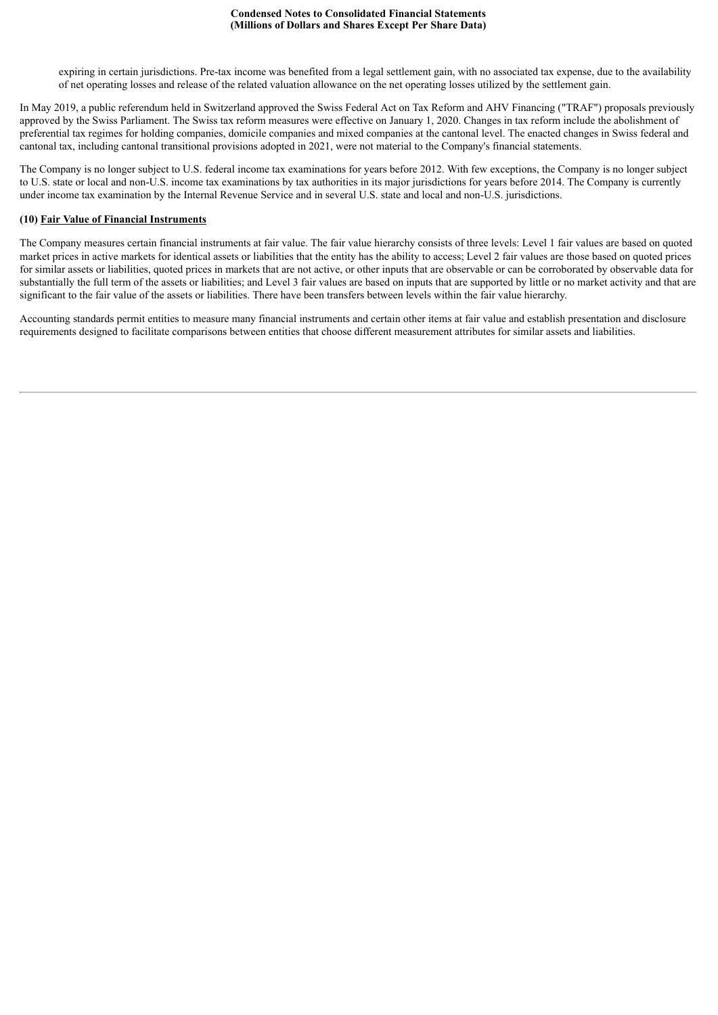expiring in certain jurisdictions. Pre-tax income was benefited from a legal settlement gain, with no associated tax expense, due to the availability of net operating losses and release of the related valuation allowance on the net operating losses utilized by the settlement gain.

In May 2019, a public referendum held in Switzerland approved the Swiss Federal Act on Tax Reform and AHV Financing ("TRAF") proposals previously approved by the Swiss Parliament. The Swiss tax reform measures were effective on January 1, 2020. Changes in tax reform include the abolishment of preferential tax regimes for holding companies, domicile companies and mixed companies at the cantonal level. The enacted changes in Swiss federal and cantonal tax, including cantonal transitional provisions adopted in 2021, were not material to the Company's financial statements.

The Company is no longer subject to U.S. federal income tax examinations for years before 2012. With few exceptions, the Company is no longer subject to U.S. state or local and non-U.S. income tax examinations by tax authorities in its major jurisdictions for years before 2014. The Company is currently under income tax examination by the Internal Revenue Service and in several U.S. state and local and non-U.S. jurisdictions.

### **(10) Fair Value of Financial Instruments**

The Company measures certain financial instruments at fair value. The fair value hierarchy consists of three levels: Level 1 fair values are based on quoted market prices in active markets for identical assets or liabilities that the entity has the ability to access; Level 2 fair values are those based on quoted prices for similar assets or liabilities, quoted prices in markets that are not active, or other inputs that are observable or can be corroborated by observable data for substantially the full term of the assets or liabilities; and Level 3 fair values are based on inputs that are supported by little or no market activity and that are significant to the fair value of the assets or liabilities. There have been transfers between levels within the fair value hierarchy.

Accounting standards permit entities to measure many financial instruments and certain other items at fair value and establish presentation and disclosure requirements designed to facilitate comparisons between entities that choose different measurement attributes for similar assets and liabilities.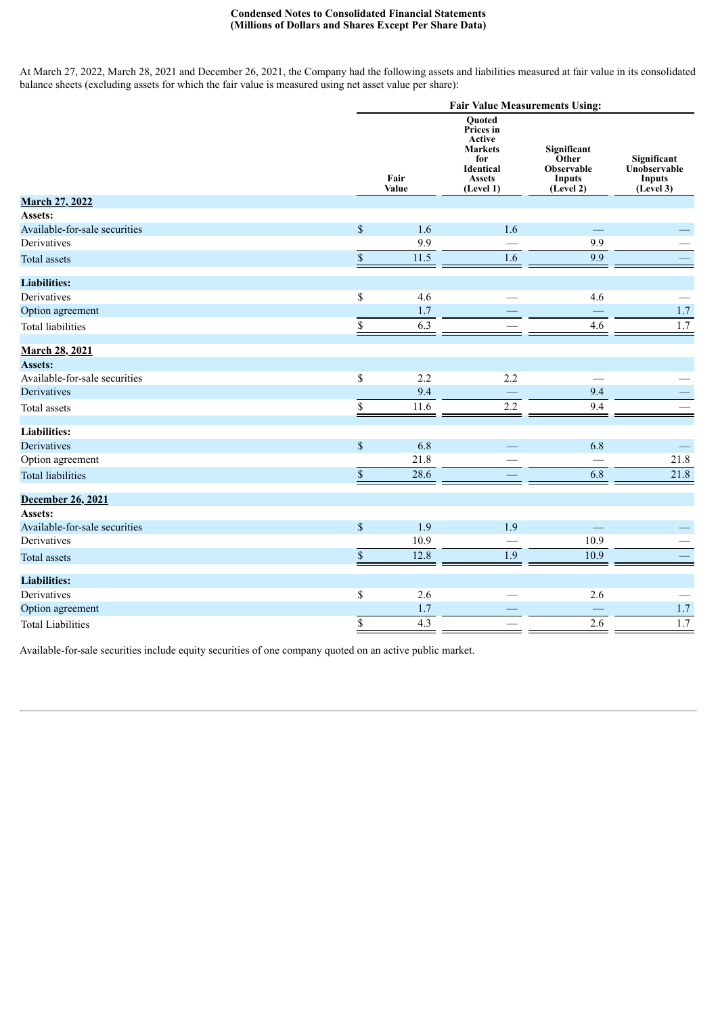At March 27, 2022, March 28, 2021 and December 26, 2021, the Company had the following assets and liabilities measured at fair value in its consolidated balance sheets (excluding assets for which the fair value is measured using net asset value per share):

|                               |              |               | <b>Fair Value Measurements Using:</b>                                                                           |                                                                         |                                                           |
|-------------------------------|--------------|---------------|-----------------------------------------------------------------------------------------------------------------|-------------------------------------------------------------------------|-----------------------------------------------------------|
|                               |              | Fair<br>Value | <b>Ouoted</b><br>Prices in<br>Active<br><b>Markets</b><br>for<br><b>Identical</b><br><b>Assets</b><br>(Level 1) | Significant<br>Other<br><b>Observable</b><br><b>Inputs</b><br>(Level 2) | Significant<br>Unobservable<br><b>Inputs</b><br>(Level 3) |
| <b>March 27, 2022</b>         |              |               |                                                                                                                 |                                                                         |                                                           |
| Assets:                       |              |               |                                                                                                                 |                                                                         |                                                           |
| Available-for-sale securities | $\mathbb S$  | 1.6           | 1.6                                                                                                             |                                                                         |                                                           |
| Derivatives                   |              | 9.9           |                                                                                                                 | 9.9                                                                     |                                                           |
| <b>Total assets</b>           | $\mathbb{S}$ | 11.5          | 1.6                                                                                                             | 9.9                                                                     |                                                           |
| <b>Liabilities:</b>           |              |               |                                                                                                                 |                                                                         |                                                           |
| Derivatives                   | $\mathbb S$  | 4.6           |                                                                                                                 | 4.6                                                                     |                                                           |
| Option agreement              |              | 1.7           |                                                                                                                 |                                                                         | $1.7\,$                                                   |
| <b>Total liabilities</b>      | \$           | 6.3           |                                                                                                                 | 4.6                                                                     | 1.7                                                       |
| <b>March 28, 2021</b>         |              |               |                                                                                                                 |                                                                         |                                                           |
| <b>Assets:</b>                |              |               |                                                                                                                 |                                                                         |                                                           |
| Available-for-sale securities | $\mathbb S$  | 2.2           | 2.2                                                                                                             |                                                                         |                                                           |
| Derivatives                   |              | 9.4           | $\frac{1}{2}$                                                                                                   | 9.4                                                                     |                                                           |
| Total assets                  | \$           | 11.6          | 2.2                                                                                                             | 9.4                                                                     |                                                           |
| <b>Liabilities:</b>           |              |               |                                                                                                                 |                                                                         |                                                           |
| Derivatives                   | $\sqrt{\ }$  | 6.8           |                                                                                                                 | 6.8                                                                     |                                                           |
| Option agreement              |              | 21.8          |                                                                                                                 |                                                                         | 21.8                                                      |
| <b>Total liabilities</b>      | $\mathbb{S}$ | 28.6          |                                                                                                                 | 6.8                                                                     | 21.8                                                      |
| December 26, 2021             |              |               |                                                                                                                 |                                                                         |                                                           |
| Assets:                       |              |               |                                                                                                                 |                                                                         |                                                           |
| Available-for-sale securities | $\mathbb S$  | 1.9           | 1.9                                                                                                             | $\overline{\phantom{m}}$                                                |                                                           |
| Derivatives                   |              | 10.9          | $\overline{\phantom{0}}$                                                                                        | 10.9                                                                    |                                                           |
| <b>Total assets</b>           | $\mathbb{S}$ | 12.8          | 1.9                                                                                                             | 10.9                                                                    |                                                           |
| <b>Liabilities:</b>           |              |               |                                                                                                                 |                                                                         |                                                           |
| Derivatives                   | $\mathbb S$  | 2.6           |                                                                                                                 | 2.6                                                                     |                                                           |
| Option agreement              |              | 1.7           |                                                                                                                 |                                                                         | $1.7\,$                                                   |
| <b>Total Liabilities</b>      | \$           | 4.3           |                                                                                                                 | 2.6                                                                     | $1.7\,$                                                   |

Available-for-sale securities include equity securities of one company quoted on an active public market.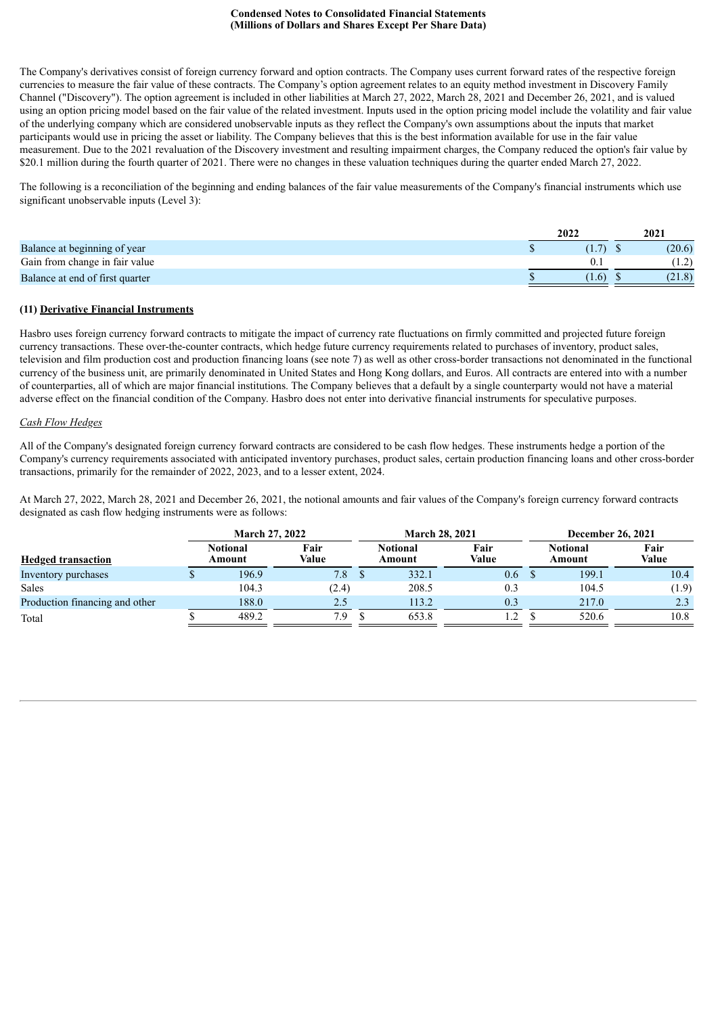The Company's derivatives consist of foreign currency forward and option contracts. The Company uses current forward rates of the respective foreign currencies to measure the fair value of these contracts. The Company's option agreement relates to an equity method investment in Discovery Family Channel ("Discovery"). The option agreement is included in other liabilities at March 27, 2022, March 28, 2021 and December 26, 2021, and is valued using an option pricing model based on the fair value of the related investment. Inputs used in the option pricing model include the volatility and fair value of the underlying company which are considered unobservable inputs as they reflect the Company's own assumptions about the inputs that market participants would use in pricing the asset or liability. The Company believes that this is the best information available for use in the fair value measurement. Due to the 2021 revaluation of the Discovery investment and resulting impairment charges, the Company reduced the option's fair value by \$20.1 million during the fourth quarter of 2021. There were no changes in these valuation techniques during the quarter ended March 27, 2022.

The following is a reconciliation of the beginning and ending balances of the fair value measurements of the Company's financial instruments which use significant unobservable inputs (Level 3):

|                                 | 2022  | 2021   |
|---------------------------------|-------|--------|
| Balance at beginning of year    |       | (20.6) |
| Gain from change in fair value  |       |        |
| Balance at end of first quarter | (1.6) | (21.8) |

### **(11) Derivative Financial Instruments**

Hasbro uses foreign currency forward contracts to mitigate the impact of currency rate fluctuations on firmly committed and projected future foreign currency transactions. These over-the-counter contracts, which hedge future currency requirements related to purchases of inventory, product sales, television and film production cost and production financing loans (see note 7) as well as other cross-border transactions not denominated in the functional currency of the business unit, are primarily denominated in United States and Hong Kong dollars, and Euros. All contracts are entered into with a number of counterparties, all of which are major financial institutions. The Company believes that a default by a single counterparty would not have a material adverse effect on the financial condition of the Company. Hasbro does not enter into derivative financial instruments for speculative purposes.

### *Cash Flow Hedges*

All of the Company's designated foreign currency forward contracts are considered to be cash flow hedges. These instruments hedge a portion of the Company's currency requirements associated with anticipated inventory purchases, product sales, certain production financing loans and other cross-border transactions, primarily for the remainder of 2022, 2023, and to a lesser extent, 2024.

At March 27, 2022, March 28, 2021 and December 26, 2021, the notional amounts and fair values of the Company's foreign currency forward contracts designated as cash flow hedging instruments were as follows:

|                                |  | <b>March 27, 2022</b>     |               |  | <b>March 28, 2021</b>     |               |                           | December 26, 2021 |  |  |  |
|--------------------------------|--|---------------------------|---------------|--|---------------------------|---------------|---------------------------|-------------------|--|--|--|
| <b>Hedged transaction</b>      |  | <b>Notional</b><br>Amount | Fair<br>Value |  | <b>Notional</b><br>Amount | Fair<br>Value | <b>Notional</b><br>Amount | Fair<br>Value     |  |  |  |
| Inventory purchases            |  | 196.9                     | 7.8           |  | 332.1                     | 0.6           | 199.1                     | 10.4              |  |  |  |
| Sales                          |  | 104.3                     | (2.4)         |  | 208.5                     | 0.3           | 104.5                     | (1.9)             |  |  |  |
| Production financing and other |  | 188.0                     | 2.5           |  | 113.2                     | 0.3           | 217.0                     | 2.3               |  |  |  |
| Total                          |  | 489.2                     | 7.9           |  | 653.8                     | 1.2           | 520.6                     | 10.8              |  |  |  |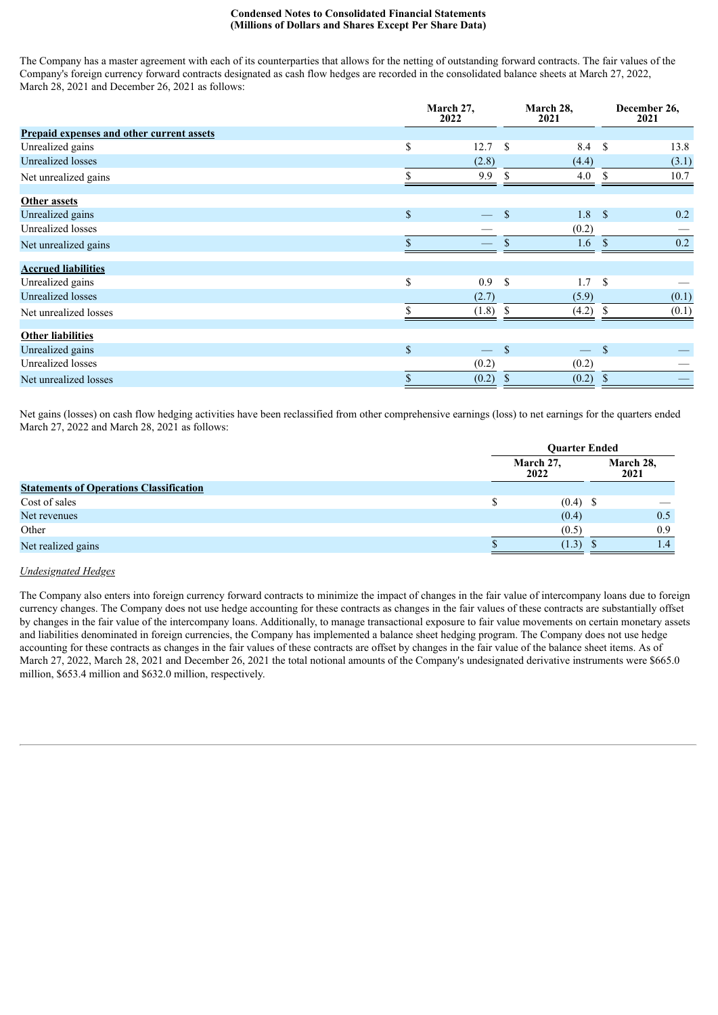The Company has a master agreement with each of its counterparties that allows for the netting of outstanding forward contracts. The fair values of the Company's foreign currency forward contracts designated as cash flow hedges are recorded in the consolidated balance sheets at March 27, 2022, March 28, 2021 and December 26, 2021 as follows:

|                                                  |              | March 27,<br>2022             | March 28,<br>2021 |                     | December 26,<br>2021 |
|--------------------------------------------------|--------------|-------------------------------|-------------------|---------------------|----------------------|
| <b>Prepaid expenses and other current assets</b> |              |                               |                   |                     |                      |
| Unrealized gains                                 | \$           | 12.7                          | <sup>\$</sup>     | - \$<br>8.4         | 13.8                 |
| <b>Unrealized</b> losses                         |              | (2.8)                         |                   | (4.4)               | (3.1)                |
| Net unrealized gains                             |              | 9.9                           | \$                | 4.0                 | \$<br>10.7           |
| Other assets                                     |              |                               |                   |                     |                      |
| Unrealized gains                                 | \$           | $\overbrace{\phantom{12333}}$ | <sup>\$</sup>     | $\mathbf{s}$<br>1.8 | 0.2                  |
| <b>Unrealized losses</b>                         |              |                               |                   | (0.2)               |                      |
| Net unrealized gains                             |              |                               |                   | 1.6                 | 0.2<br>S             |
| <b>Accrued liabilities</b>                       |              |                               |                   |                     |                      |
| Unrealized gains                                 | \$           | 0.9                           | <sup>\$</sup>     | 1.7                 | <sup>\$</sup>        |
| <b>Unrealized losses</b>                         |              | (2.7)                         |                   | (5.9)               | (0.1)                |
| Net unrealized losses                            |              | (1.8)                         | -S                | (4.2)               | \$.<br>(0.1)         |
| <b>Other liabilities</b>                         |              |                               |                   |                     |                      |
| Unrealized gains                                 | $\mathbb{S}$ |                               | \$                |                     | \$                   |
| Unrealized losses                                |              | (0.2)                         |                   | (0.2)               |                      |
| Net unrealized losses                            |              | (0.2)                         | $\mathbf{\$}$     | (0.2)               | <sup>\$</sup>        |

Net gains (losses) on cash flow hedging activities have been reclassified from other comprehensive earnings (loss) to net earnings for the quarters ended March 27, 2022 and March 28, 2021 as follows:

|                                                |                   | <b>Ouarter Ended</b> |                   |  |  |
|------------------------------------------------|-------------------|----------------------|-------------------|--|--|
|                                                | March 27,<br>2022 |                      | March 28,<br>2021 |  |  |
| <b>Statements of Operations Classification</b> |                   |                      |                   |  |  |
| Cost of sales                                  |                   | $(0.4)$ \$           |                   |  |  |
| Net revenues                                   |                   | (0.4)                | 0.5               |  |  |
| Other                                          |                   | (0.5)                | 0.9               |  |  |
| Net realized gains                             |                   | (1.3)                | $\overline{1.4}$  |  |  |

### *Undesignated Hedges*

The Company also enters into foreign currency forward contracts to minimize the impact of changes in the fair value of intercompany loans due to foreign currency changes. The Company does not use hedge accounting for these contracts as changes in the fair values of these contracts are substantially offset by changes in the fair value of the intercompany loans. Additionally, to manage transactional exposure to fair value movements on certain monetary assets and liabilities denominated in foreign currencies, the Company has implemented a balance sheet hedging program. The Company does not use hedge accounting for these contracts as changes in the fair values of these contracts are offset by changes in the fair value of the balance sheet items. As of March 27, 2022, March 28, 2021 and December 26, 2021 the total notional amounts of the Company's undesignated derivative instruments were \$665.0 million, \$653.4 million and \$632.0 million, respectively.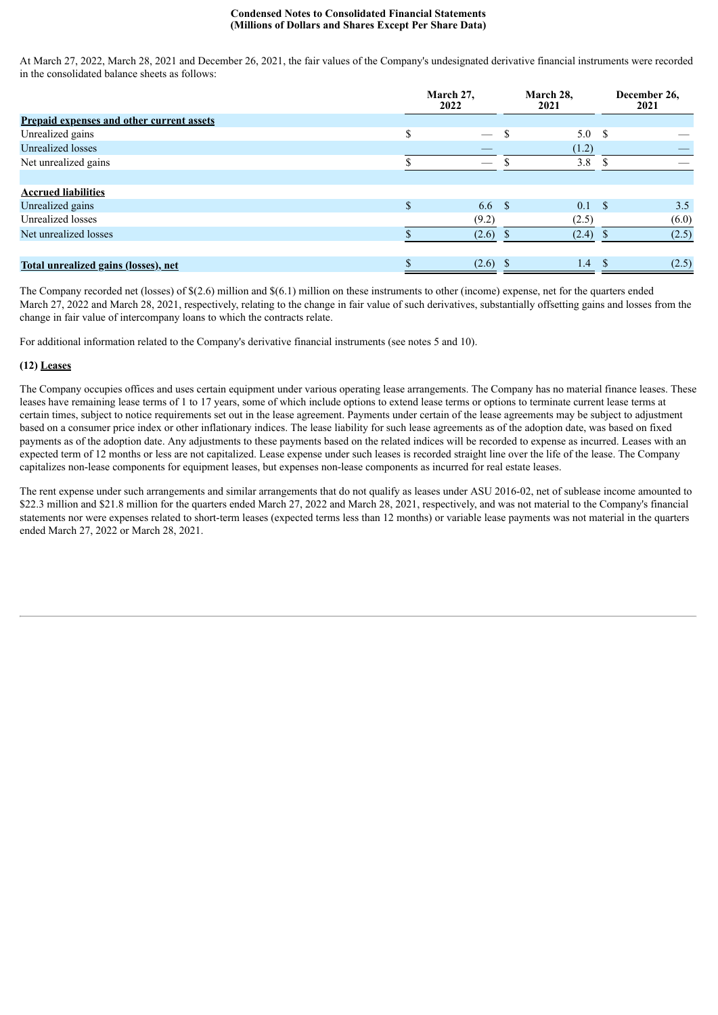At March 27, 2022, March 28, 2021 and December 26, 2021, the fair values of the Company's undesignated derivative financial instruments were recorded in the consolidated balance sheets as follows:

|                                                  | March 27,<br>2022 |                          | March 28,<br>2021 |                  |            | December 26.<br>2021 |
|--------------------------------------------------|-------------------|--------------------------|-------------------|------------------|------------|----------------------|
| <b>Prepaid expenses and other current assets</b> |                   |                          |                   |                  |            |                      |
| Unrealized gains                                 |                   | $\overline{\phantom{0}}$ |                   | 5.0 <sup>°</sup> |            |                      |
| Unrealized losses                                |                   |                          |                   | (1.2)            |            |                      |
| Net unrealized gains                             |                   |                          |                   | 3.8              |            |                      |
|                                                  |                   |                          |                   |                  |            |                      |
| <b>Accrued liabilities</b>                       |                   |                          |                   |                  |            |                      |
| Unrealized gains                                 |                   | 6.6 <sup>°</sup>         |                   | 0.1              | $^{\circ}$ | 3.5                  |
| Unrealized losses                                |                   | (9.2)                    |                   | (2.5)            |            | (6.0)                |
| Net unrealized losses                            |                   | $(2.6)$ \$               |                   | $(2.4)$ \$       |            | (2.5)                |
|                                                  |                   |                          |                   |                  |            |                      |
| Total unrealized gains (losses), net             |                   | $(2.6)$ \$               |                   | 1.4              | S.         | (2.5)                |

The Company recorded net (losses) of \$(2.6) million and \$(6.1) million on these instruments to other (income) expense, net for the quarters ended March 27, 2022 and March 28, 2021, respectively, relating to the change in fair value of such derivatives, substantially offsetting gains and losses from the change in fair value of intercompany loans to which the contracts relate.

For additional information related to the Company's derivative financial instruments (see notes 5 and 10).

# **(12) Leases**

The Company occupies offices and uses certain equipment under various operating lease arrangements. The Company has no material finance leases. These leases have remaining lease terms of 1 to 17 years, some of which include options to extend lease terms or options to terminate current lease terms at certain times, subject to notice requirements set out in the lease agreement. Payments under certain of the lease agreements may be subject to adjustment based on a consumer price index or other inflationary indices. The lease liability for such lease agreements as of the adoption date, was based on fixed payments as of the adoption date. Any adjustments to these payments based on the related indices will be recorded to expense as incurred. Leases with an expected term of 12 months or less are not capitalized. Lease expense under such leases is recorded straight line over the life of the lease. The Company capitalizes non-lease components for equipment leases, but expenses non-lease components as incurred for real estate leases.

The rent expense under such arrangements and similar arrangements that do not qualify as leases under ASU 2016-02, net of sublease income amounted to \$22.3 million and \$21.8 million for the quarters ended March 27, 2022 and March 28, 2021, respectively, and was not material to the Company's financial statements nor were expenses related to short-term leases (expected terms less than 12 months) or variable lease payments was not material in the quarters ended March 27, 2022 or March 28, 2021.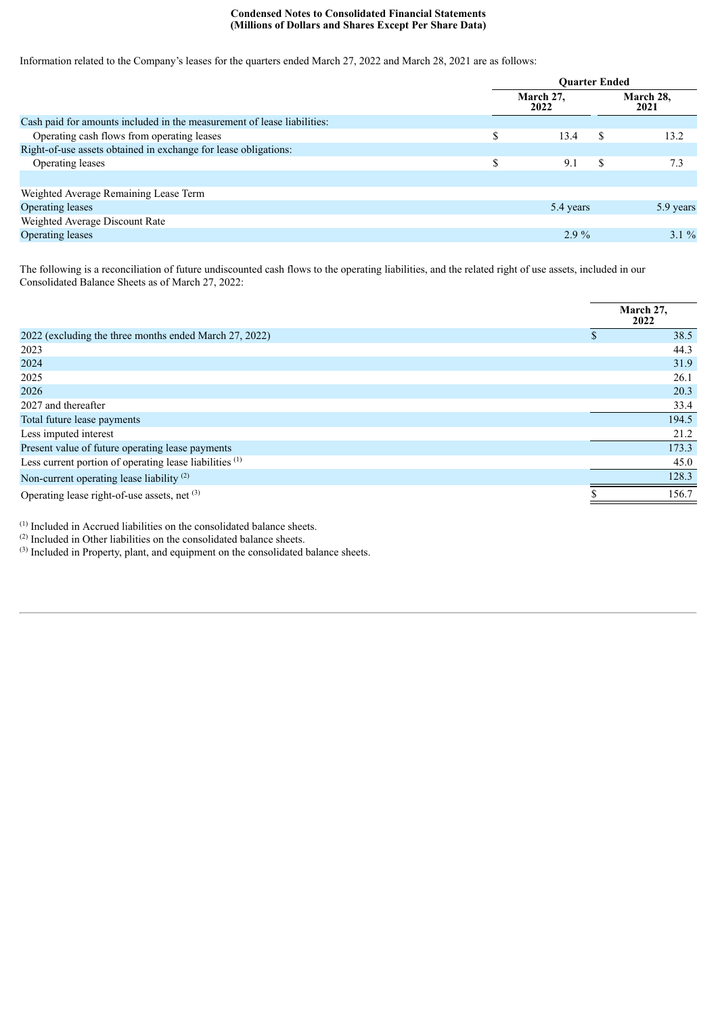Information related to the Company's leases for the quarters ended March 27, 2022 and March 28, 2021 are as follows:

|                                                                         | <b>Ouarter Ended</b> |    |                   |  |
|-------------------------------------------------------------------------|----------------------|----|-------------------|--|
|                                                                         | March 27,<br>2022    |    | March 28,<br>2021 |  |
| Cash paid for amounts included in the measurement of lease liabilities: |                      |    |                   |  |
| Operating cash flows from operating leases                              | \$<br>13.4           | \$ | 13.2              |  |
| Right-of-use assets obtained in exchange for lease obligations:         |                      |    |                   |  |
| Operating leases                                                        | \$<br>9.1            | \$ | 7.3               |  |
|                                                                         |                      |    |                   |  |
| Weighted Average Remaining Lease Term                                   |                      |    |                   |  |
| Operating leases                                                        | 5.4 years            |    | 5.9 years         |  |
| Weighted Average Discount Rate                                          |                      |    |                   |  |
| <b>Operating leases</b>                                                 | $2.9\%$              |    | $3.1\%$           |  |
|                                                                         |                      |    |                   |  |

The following is a reconciliation of future undiscounted cash flows to the operating liabilities, and the related right of use assets, included in our Consolidated Balance Sheets as of March 27, 2022:

|                                                                    | March 27,<br>2022 |
|--------------------------------------------------------------------|-------------------|
| 2022 (excluding the three months ended March 27, 2022)             | 38.5              |
| 2023                                                               | 44.3              |
| 2024                                                               | 31.9              |
| 2025                                                               | 26.1              |
| 2026                                                               | 20.3              |
| 2027 and thereafter                                                | 33.4              |
| Total future lease payments                                        | 194.5             |
| Less imputed interest                                              | 21.2              |
| Present value of future operating lease payments                   | 173.3             |
| Less current portion of operating lease liabilities <sup>(1)</sup> | 45.0              |
| Non-current operating lease liability <sup>(2)</sup>               | 128.3             |
| Operating lease right-of-use assets, net (3)                       | 156.7             |
|                                                                    |                   |

 $<sup>(1)</sup>$  Included in Accrued liabilities on the consolidated balance sheets.</sup>

 $(2)$  Included in Other liabilities on the consolidated balance sheets.

 $(3)$  Included in Property, plant, and equipment on the consolidated balance sheets.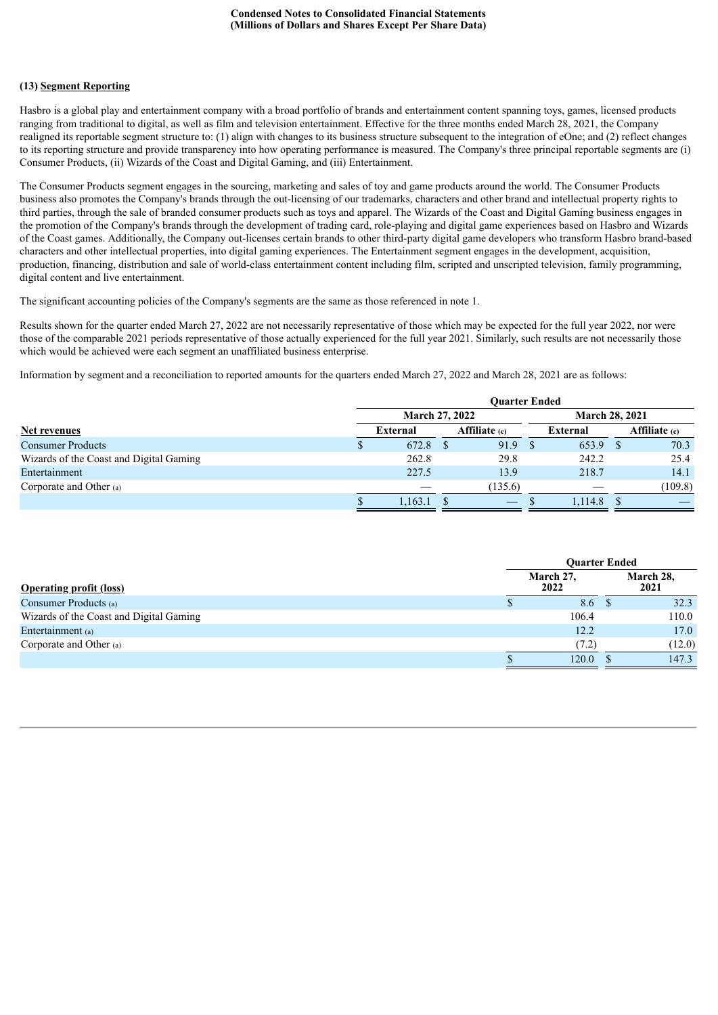### **(13) Segment Reporting**

Hasbro is a global play and entertainment company with a broad portfolio of brands and entertainment content spanning toys, games, licensed products ranging from traditional to digital, as well as film and television entertainment. Effective for the three months ended March 28, 2021, the Company realigned its reportable segment structure to: (1) align with changes to its business structure subsequent to the integration of eOne; and (2) reflect changes to its reporting structure and provide transparency into how operating performance is measured. The Company's three principal reportable segments are (i) Consumer Products, (ii) Wizards of the Coast and Digital Gaming, and (iii) Entertainment.

The Consumer Products segment engages in the sourcing, marketing and sales of toy and game products around the world. The Consumer Products business also promotes the Company's brands through the out-licensing of our trademarks, characters and other brand and intellectual property rights to third parties, through the sale of branded consumer products such as toys and apparel. The Wizards of the Coast and Digital Gaming business engages in the promotion of the Company's brands through the development of trading card, role-playing and digital game experiences based on Hasbro and Wizards of the Coast games. Additionally, the Company out-licenses certain brands to other third-party digital game developers who transform Hasbro brand-based characters and other intellectual properties, into digital gaming experiences. The Entertainment segment engages in the development, acquisition, production, financing, distribution and sale of world-class entertainment content including film, scripted and unscripted television, family programming, digital content and live entertainment.

The significant accounting policies of the Company's segments are the same as those referenced in note 1.

Results shown for the quarter ended March 27, 2022 are not necessarily representative of those which may be expected for the full year 2022, nor were those of the comparable 2021 periods representative of those actually experienced for the full year 2021. Similarly, such results are not necessarily those which would be achieved were each segment an unaffiliated business enterprise.

Information by segment and a reconciliation to reported amounts for the quarters ended March 27, 2022 and March 28, 2021 are as follows:

|                                         | <b>Ouarter Ended</b> |                       |                                 |  |                       |  |                      |
|-----------------------------------------|----------------------|-----------------------|---------------------------------|--|-----------------------|--|----------------------|
|                                         |                      | <b>March 27, 2022</b> |                                 |  | <b>March 28, 2021</b> |  |                      |
| Net revenues                            | <b>External</b>      |                       | <b>Affiliate</b> (c)            |  | External              |  | <b>Affiliate</b> (c) |
| <b>Consumer Products</b>                | 672.8                |                       | 91.9                            |  | 653.9                 |  | 70.3                 |
| Wizards of the Coast and Digital Gaming | 262.8                |                       | 29.8                            |  | 242.2                 |  | 25.4                 |
| Entertainment                           | 227.5                |                       | 13.9                            |  | 218.7                 |  | 14.1                 |
| Corporate and Other (a)                 |                      |                       | (135.6)                         |  |                       |  | (109.8)              |
|                                         | 1,163.1              |                       | $\hspace{0.1mm}-\hspace{0.1mm}$ |  | .114.8                |  |                      |

|                                         | <b>Ouarter Ended</b> |  |                   |  |
|-----------------------------------------|----------------------|--|-------------------|--|
| <b>Operating profit (loss)</b>          | March 27,<br>2022    |  | March 28,<br>2021 |  |
| Consumer Products (a)                   | 8.6                  |  | 32.3              |  |
| Wizards of the Coast and Digital Gaming | 106.4                |  | 110.0             |  |
| Entertainment (a)                       | 12.2                 |  | 17.0              |  |
| Corporate and Other (a)                 | (7.2)                |  | (12.0)            |  |
|                                         | 120.0                |  | 147.3             |  |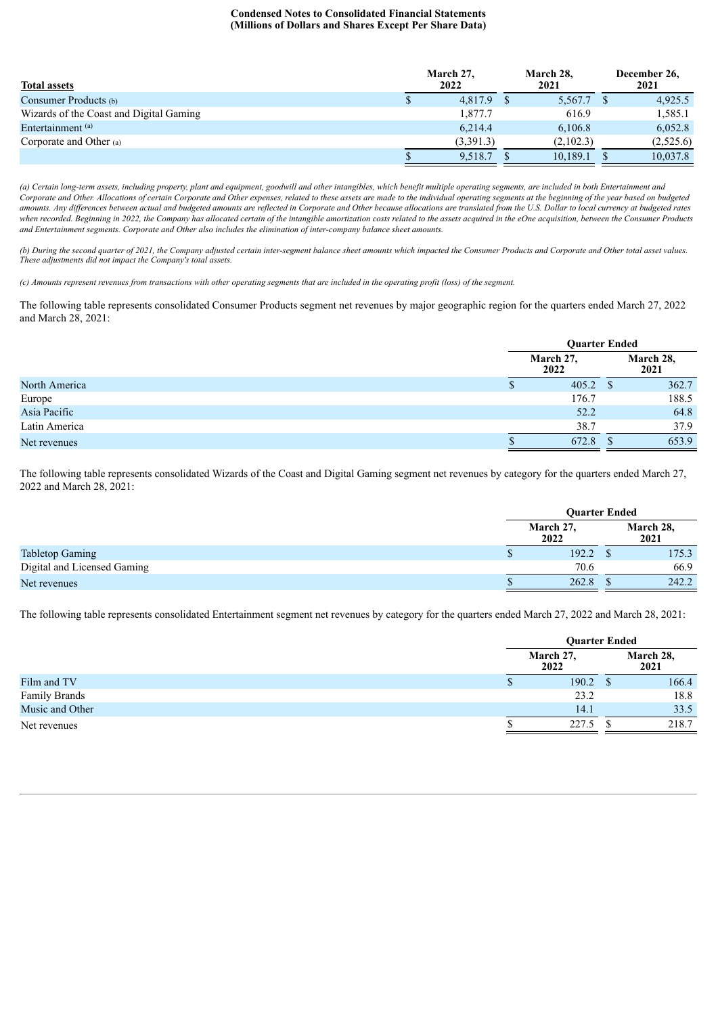| <b>Total assets</b>                     | March 27,<br>2022 | March 28,<br>2021 | December 26,<br>2021 |
|-----------------------------------------|-------------------|-------------------|----------------------|
| Consumer Products (b)                   | 4.817.9 \$        | $5,567.7$ \$      | 4,925.5              |
| Wizards of the Coast and Digital Gaming | 1,877.7           | 616.9             | 1,585.1              |
| Entertainment <sup>(a)</sup>            | 6.214.4           | 6,106.8           | 6,052.8              |
| Corporate and Other $(a)$               | (3,391.3)         | (2,102.3)         | (2,525.6)            |
|                                         | 9.518.7           | 10,189.1          | 10,037.8             |

(a) Certain long-term assets, including property, plant and equipment, goodwill and other intangibles, which benefit multiple operating segments, are included in both Entertainment and Corporate and Other. Allocations of certain Corporate and Other expenses, related to these assets are made to the individual operating segments at the beginning of the year based on budgeted amounts. Any differences between actual and budgeted amounts are reflected in Corporate and Other because allocations are translated from the U.S. Dollar to local currency at budgeted rates when recorded. Beginning in 2022, the Company has allocated certain of the intangible amortization costs related to the assets acquired in the eOne acquisition, between the Consumer Products *and Entertainment segments. Corporate and Other also includes the elimination of inter-company balance sheet amounts.*

(b) During the second quarter of 2021, the Company adjusted certain inter-segment balance sheet amounts which impacted the Consumer Products and Corporate and Other total asset values. *These adjustments did not impact the Company's total assets.*

(c) Amounts represent revenues from transactions with other operating segments that are included in the operating profit (loss) of the segment.

The following table represents consolidated Consumer Products segment net revenues by major geographic region for the quarters ended March 27, 2022 and March 28, 2021:

|               | <b>Ouarter Ended</b> |              |                   |
|---------------|----------------------|--------------|-------------------|
|               | March 27,<br>2022    |              | March 28,<br>2021 |
| North America | 405.2                | <sup>3</sup> | 362.7             |
| Europe        | 176.7                |              | 188.5             |
| Asia Pacific  | 52.2                 |              | 64.8              |
| Latin America | 38.7                 |              | 37.9              |
| Net revenues  | 672.8                |              | 653.9             |

The following table represents consolidated Wizards of the Coast and Digital Gaming segment net revenues by category for the quarters ended March 27, 2022 and March 28, 2021:

|                             |   | <b>Ouarter Ended</b> |  |                   |  |
|-----------------------------|---|----------------------|--|-------------------|--|
|                             |   | March 27,<br>2022    |  | March 28,<br>2021 |  |
| <b>Tabletop Gaming</b>      | Φ | 192.2                |  | 175.3             |  |
| Digital and Licensed Gaming |   | 70.6                 |  | 66.9              |  |
| Net revenues                |   | 262.8                |  | 242.2             |  |
|                             |   |                      |  |                   |  |

The following table represents consolidated Entertainment segment net revenues by category for the quarters ended March 27, 2022 and March 28, 2021:

|                      | <b>Ouarter Ended</b> |  |                   |  |
|----------------------|----------------------|--|-------------------|--|
|                      | March 27,<br>2022    |  | March 28,<br>2021 |  |
| Film and TV          | 190.2                |  | 166.4             |  |
| <b>Family Brands</b> | 23.2                 |  | 18.8              |  |
| Music and Other      | 14.1                 |  | 33.5              |  |
| Net revenues         | 227.5                |  | 218.7             |  |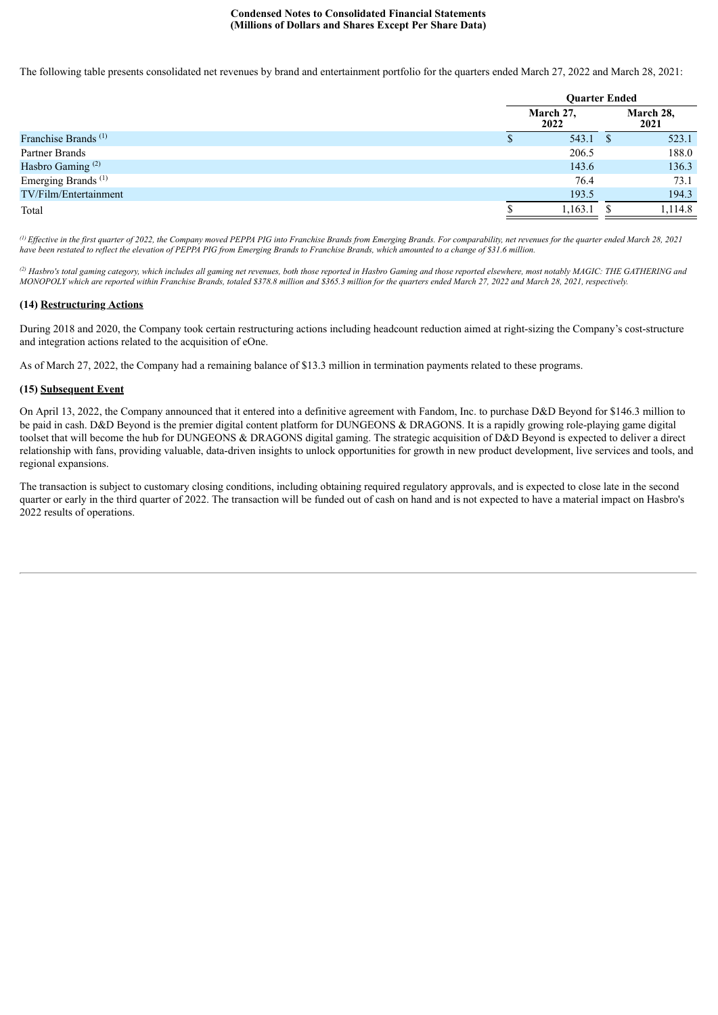The following table presents consolidated net revenues by brand and entertainment portfolio for the quarters ended March 27, 2022 and March 28, 2021:

|                                 | <b>Ouarter Ended</b> |                   |  |  |
|---------------------------------|----------------------|-------------------|--|--|
|                                 | March 27,<br>2022    | March 28,<br>2021 |  |  |
| Franchise Brands <sup>(1)</sup> | 543.1                | 523.1             |  |  |
| Partner Brands                  | 206.5                | 188.0             |  |  |
| Hasbro Gaming <sup>(2)</sup>    | 143.6                | 136.3             |  |  |
| Emerging Brands <sup>(1)</sup>  | 76.4                 | 73.1              |  |  |
| TV/Film/Entertainment           | 193.5                | 194.3             |  |  |
| Total                           | 1,163.1              | 1,114.8           |  |  |

(i) Effective in the first quarter of 2022, the Company moved PEPPA PIG into Franchise Brands from Emerging Brands. For comparability, net revenues for the quarter ended March 28, 2021 have been restated to reflect the elevation of PEPPA PIG from Emerging Brands to Franchise Brands, which amounted to a change of \$31.6 million.

<sup>(2)</sup> Hasbro's total gaming category, which includes all gaming net revenues, both those reported in Hasbro Gaming and those reported elsewhere, most notably MAGIC: THE GATHERING and MONOPOLY which are reported within Franchise Brands, totaled \$378.8 million and \$365.3 million for the quarters ended March 27, 2022 and March 28, 2021, respectively.

## **(14) Restructuring Actions**

During 2018 and 2020, the Company took certain restructuring actions including headcount reduction aimed at right-sizing the Company's cost-structure and integration actions related to the acquisition of eOne.

As of March 27, 2022, the Company had a remaining balance of \$13.3 million in termination payments related to these programs.

# **(15) Subsequent Event**

On April 13, 2022, the Company announced that it entered into a definitive agreement with Fandom, Inc. to purchase D&D Beyond for \$146.3 million to be paid in cash. D&D Beyond is the premier digital content platform for DUNGEONS & DRAGONS. It is a rapidly growing role-playing game digital toolset that will become the hub for DUNGEONS & DRAGONS digital gaming. The strategic acquisition of D&D Beyond is expected to deliver a direct relationship with fans, providing valuable, data-driven insights to unlock opportunities for growth in new product development, live services and tools, and regional expansions.

The transaction is subject to customary closing conditions, including obtaining required regulatory approvals, and is expected to close late in the second quarter or early in the third quarter of 2022. The transaction will be funded out of cash on hand and is not expected to have a material impact on Hasbro's 2022 results of operations.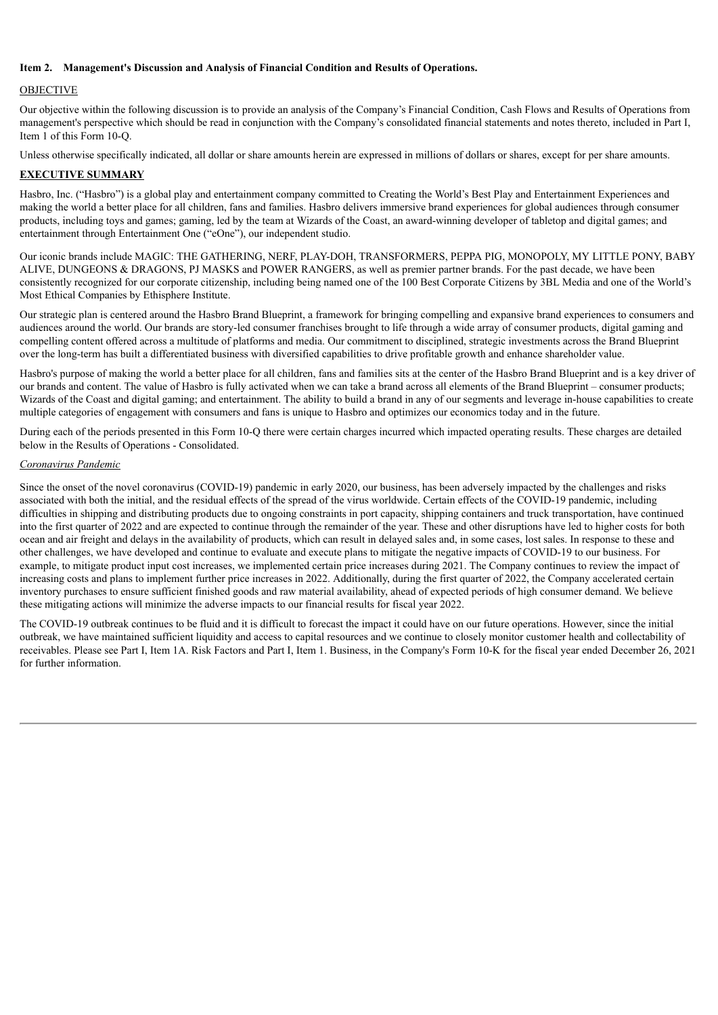### **Item 2. Management's Discussion and Analysis of Financial Condition and Results of Operations.**

# OBJECTIVE

Our objective within the following discussion is to provide an analysis of the Company's Financial Condition, Cash Flows and Results of Operations from management's perspective which should be read in conjunction with the Company's consolidated financial statements and notes thereto, included in Part I, Item 1 of this Form 10-Q.

Unless otherwise specifically indicated, all dollar or share amounts herein are expressed in millions of dollars or shares, except for per share amounts.

# **EXECUTIVE SUMMARY**

Hasbro, Inc. ("Hasbro") is a global play and entertainment company committed to Creating the World's Best Play and Entertainment Experiences and making the world a better place for all children, fans and families. Hasbro delivers immersive brand experiences for global audiences through consumer products, including toys and games; gaming, led by the team at Wizards of the Coast, an award-winning developer of tabletop and digital games; and entertainment through Entertainment One ("eOne"), our independent studio.

Our iconic brands include MAGIC: THE GATHERING, NERF, PLAY-DOH, TRANSFORMERS, PEPPA PIG, MONOPOLY, MY LITTLE PONY, BABY ALIVE, DUNGEONS & DRAGONS, PJ MASKS and POWER RANGERS, as well as premier partner brands. For the past decade, we have been consistently recognized for our corporate citizenship, including being named one of the 100 Best Corporate Citizens by 3BL Media and one of the World's Most Ethical Companies by Ethisphere Institute.

Our strategic plan is centered around the Hasbro Brand Blueprint, a framework for bringing compelling and expansive brand experiences to consumers and audiences around the world. Our brands are story-led consumer franchises brought to life through a wide array of consumer products, digital gaming and compelling content offered across a multitude of platforms and media. Our commitment to disciplined, strategic investments across the Brand Blueprint over the long-term has built a differentiated business with diversified capabilities to drive profitable growth and enhance shareholder value.

Hasbro's purpose of making the world a better place for all children, fans and families sits at the center of the Hasbro Brand Blueprint and is a key driver of our brands and content. The value of Hasbro is fully activated when we can take a brand across all elements of the Brand Blueprint – consumer products; Wizards of the Coast and digital gaming; and entertainment. The ability to build a brand in any of our segments and leverage in-house capabilities to create multiple categories of engagement with consumers and fans is unique to Hasbro and optimizes our economics today and in the future.

During each of the periods presented in this Form 10-Q there were certain charges incurred which impacted operating results. These charges are detailed below in the Results of Operations - Consolidated.

# *Coronavirus Pandemic*

Since the onset of the novel coronavirus (COVID-19) pandemic in early 2020, our business, has been adversely impacted by the challenges and risks associated with both the initial, and the residual effects of the spread of the virus worldwide. Certain effects of the COVID-19 pandemic, including difficulties in shipping and distributing products due to ongoing constraints in port capacity, shipping containers and truck transportation, have continued into the first quarter of 2022 and are expected to continue through the remainder of the year. These and other disruptions have led to higher costs for both ocean and air freight and delays in the availability of products, which can result in delayed sales and, in some cases, lost sales. In response to these and other challenges, we have developed and continue to evaluate and execute plans to mitigate the negative impacts of COVID-19 to our business. For example, to mitigate product input cost increases, we implemented certain price increases during 2021. The Company continues to review the impact of increasing costs and plans to implement further price increases in 2022. Additionally, during the first quarter of 2022, the Company accelerated certain inventory purchases to ensure sufficient finished goods and raw material availability, ahead of expected periods of high consumer demand. We believe these mitigating actions will minimize the adverse impacts to our financial results for fiscal year 2022.

The COVID-19 outbreak continues to be fluid and it is difficult to forecast the impact it could have on our future operations. However, since the initial outbreak, we have maintained sufficient liquidity and access to capital resources and we continue to closely monitor customer health and collectability of receivables. Please see Part I, Item 1A. Risk Factors and Part I, Item 1. Business, in the Company's Form 10-K for the fiscal year ended December 26, 2021 for further information.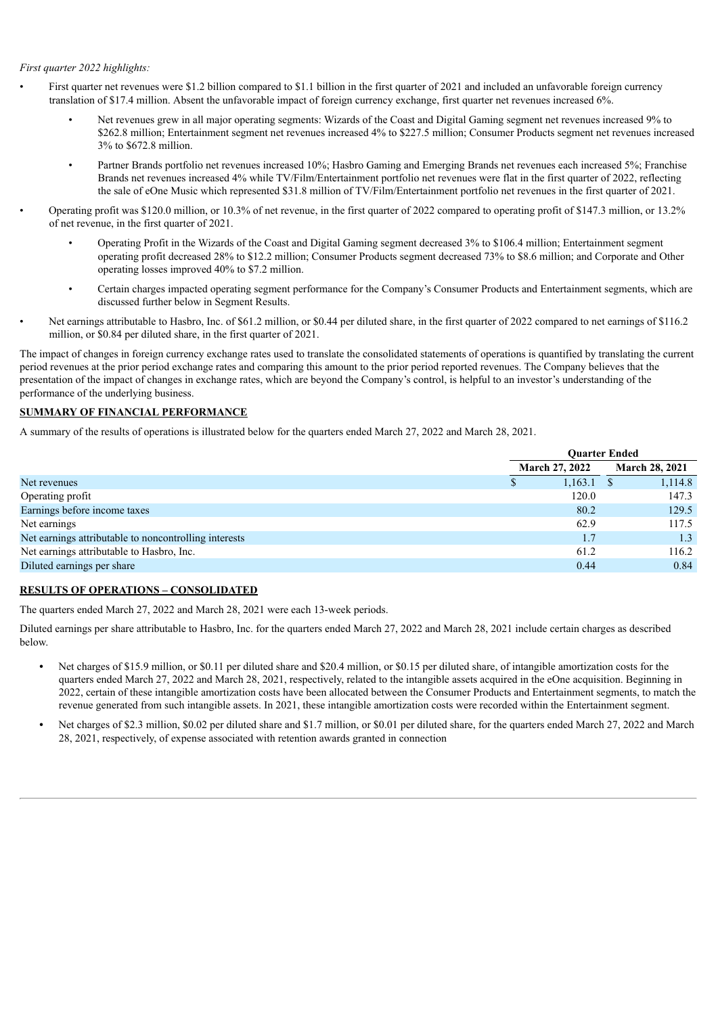### *First quarter 2022 highlights:*

- First quarter net revenues were \$1.2 billion compared to \$1.1 billion in the first quarter of 2021 and included an unfavorable foreign currency translation of \$17.4 million. Absent the unfavorable impact of foreign currency exchange, first quarter net revenues increased 6%.
	- Net revenues grew in all major operating segments: Wizards of the Coast and Digital Gaming segment net revenues increased 9% to \$262.8 million; Entertainment segment net revenues increased 4% to \$227.5 million; Consumer Products segment net revenues increased 3% to \$672.8 million.
	- Partner Brands portfolio net revenues increased 10%; Hasbro Gaming and Emerging Brands net revenues each increased 5%; Franchise Brands net revenues increased 4% while TV/Film/Entertainment portfolio net revenues were flat in the first quarter of 2022, reflecting the sale of eOne Music which represented \$31.8 million of TV/Film/Entertainment portfolio net revenues in the first quarter of 2021.
- Operating profit was \$120.0 million, or 10.3% of net revenue, in the first quarter of 2022 compared to operating profit of \$147.3 million, or 13.2% of net revenue, in the first quarter of 2021.
	- Operating Profit in the Wizards of the Coast and Digital Gaming segment decreased 3% to \$106.4 million; Entertainment segment operating profit decreased 28% to \$12.2 million; Consumer Products segment decreased 73% to \$8.6 million; and Corporate and Other operating losses improved 40% to \$7.2 million.
	- Certain charges impacted operating segment performance for the Company's Consumer Products and Entertainment segments, which are discussed further below in Segment Results.
- Net earnings attributable to Hasbro, Inc. of \$61.2 million, or \$0.44 per diluted share, in the first quarter of 2022 compared to net earnings of \$116.2 million, or \$0.84 per diluted share, in the first quarter of 2021.

The impact of changes in foreign currency exchange rates used to translate the consolidated statements of operations is quantified by translating the current period revenues at the prior period exchange rates and comparing this amount to the prior period reported revenues. The Company believes that the presentation of the impact of changes in exchange rates, which are beyond the Company's control, is helpful to an investor's understanding of the performance of the underlying business.

# **SUMMARY OF FINANCIAL PERFORMANCE**

A summary of the results of operations is illustrated below for the quarters ended March 27, 2022 and March 28, 2021.

|                                                       | <b>Ouarter Ended</b>  |                       |  |
|-------------------------------------------------------|-----------------------|-----------------------|--|
|                                                       | <b>March 27, 2022</b> | <b>March 28, 2021</b> |  |
| Net revenues                                          | 1,163.1<br>D          | 1,114.8               |  |
| Operating profit                                      | 120.0                 | 147.3                 |  |
| Earnings before income taxes                          | 80.2                  | 129.5                 |  |
| Net earnings                                          | 62.9                  | 117.5                 |  |
| Net earnings attributable to noncontrolling interests |                       | 1.3                   |  |
| Net earnings attributable to Hasbro, Inc.             | 61.2                  | 116.2                 |  |
| Diluted earnings per share                            | 0.44                  | 0.84                  |  |

# **RESULTS OF OPERATIONS – CONSOLIDATED**

The quarters ended March 27, 2022 and March 28, 2021 were each 13-week periods.

Diluted earnings per share attributable to Hasbro, Inc. for the quarters ended March 27, 2022 and March 28, 2021 include certain charges as described below.

- Net charges of \$15.9 million, or \$0.11 per diluted share and \$20.4 million, or \$0.15 per diluted share, of intangible amortization costs for the quarters ended March 27, 2022 and March 28, 2021, respectively, related to the intangible assets acquired in the eOne acquisition. Beginning in 2022, certain of these intangible amortization costs have been allocated between the Consumer Products and Entertainment segments, to match the revenue generated from such intangible assets. In 2021, these intangible amortization costs were recorded within the Entertainment segment.
- Net charges of \$2.3 million, \$0.02 per diluted share and \$1.7 million, or \$0.01 per diluted share, for the quarters ended March 27, 2022 and March 28, 2021, respectively, of expense associated with retention awards granted in connection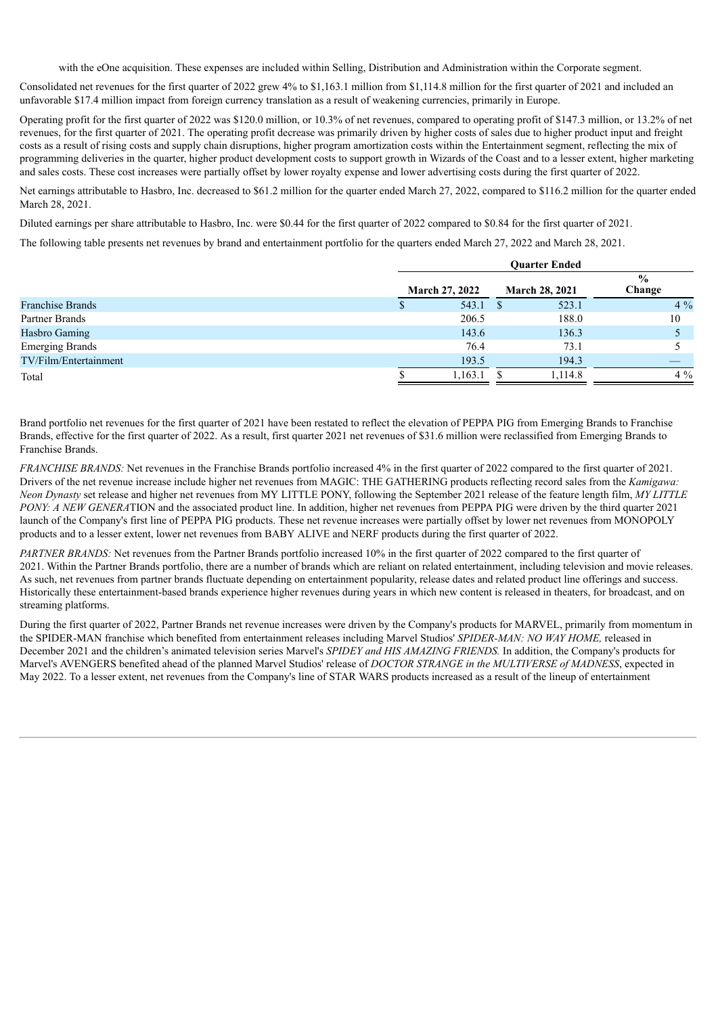with the eOne acquisition. These expenses are included within Selling, Distribution and Administration within the Corporate segment.

Consolidated net revenues for the first quarter of 2022 grew 4% to \$1,163.1 million from \$1,114.8 million for the first quarter of 2021 and included an unfavorable \$17.4 million impact from foreign currency translation as a result of weakening currencies, primarily in Europe.

Operating profit for the first quarter of 2022 was \$120.0 million, or 10.3% of net revenues, compared to operating profit of \$147.3 million, or 13.2% of net revenues, for the first quarter of 2021. The operating profit decrease was primarily driven by higher costs of sales due to higher product input and freight costs as a result of rising costs and supply chain disruptions, higher program amortization costs within the Entertainment segment, reflecting the mix of programming deliveries in the quarter, higher product development costs to support growth in Wizards of the Coast and to a lesser extent, higher marketing and sales costs. These cost increases were partially offset by lower royalty expense and lower advertising costs during the first quarter of 2022.

Net earnings attributable to Hasbro, Inc. decreased to \$61.2 million for the quarter ended March 27, 2022, compared to \$116.2 million for the quarter ended March 28, 2021.

Diluted earnings per share attributable to Hasbro, Inc. were \$0.44 for the first quarter of 2022 compared to \$0.84 for the first quarter of 2021.

The following table presents net revenues by brand and entertainment portfolio for the quarters ended March 27, 2022 and March 28, 2021.

|                         |                       | <b>Ouarter Ended</b> |                       |         |                         |  |
|-------------------------|-----------------------|----------------------|-----------------------|---------|-------------------------|--|
|                         | <b>March 27, 2022</b> |                      | <b>March 28, 2021</b> |         | $\frac{6}{9}$<br>Change |  |
| <b>Franchise Brands</b> |                       | 543.1                |                       | 523.1   | $4\%$                   |  |
| Partner Brands          |                       | 206.5                |                       | 188.0   | 10                      |  |
| Hasbro Gaming           |                       | 143.6                |                       | 136.3   |                         |  |
| <b>Emerging Brands</b>  |                       | 76.4                 |                       | 73.1    |                         |  |
| TV/Film/Entertainment   |                       | 193.5                |                       | 194.3   |                         |  |
| Total                   |                       | 1,163.1              |                       | 1,114.8 | $4\%$                   |  |

Brand portfolio net revenues for the first quarter of 2021 have been restated to reflect the elevation of PEPPA PIG from Emerging Brands to Franchise Brands, effective for the first quarter of 2022. As a result, first quarter 2021 net revenues of \$31.6 million were reclassified from Emerging Brands to Franchise Brands.

*FRANCHISE BRANDS:* Net revenues in the Franchise Brands portfolio increased 4% in the first quarter of 2022 compared to the first quarter of 2021. Drivers of the net revenue increase include higher net revenues from MAGIC: THE GATHERING products reflecting record sales from the *Kamigawa: Neon Dynasty* set release and higher net revenues from MY LITTLE PONY, following the September 2021 release of the feature length film, *MY LITTLE PONY: A NEW GENERA*TION and the associated product line. In addition, higher net revenues from PEPPA PIG were driven by the third quarter 2021 launch of the Company's first line of PEPPA PIG products. These net revenue increases were partially offset by lower net revenues from MONOPOLY products and to a lesser extent, lower net revenues from BABY ALIVE and NERF products during the first quarter of 2022.

*PARTNER BRANDS:* Net revenues from the Partner Brands portfolio increased 10% in the first quarter of 2022 compared to the first quarter of 2021. Within the Partner Brands portfolio, there are a number of brands which are reliant on related entertainment, including television and movie releases. As such, net revenues from partner brands fluctuate depending on entertainment popularity, release dates and related product line offerings and success. Historically these entertainment-based brands experience higher revenues during years in which new content is released in theaters, for broadcast, and on streaming platforms.

During the first quarter of 2022, Partner Brands net revenue increases were driven by the Company's products for MARVEL, primarily from momentum in the SPIDER-MAN franchise which benefited from entertainment releases including Marvel Studios' *SPIDER-MAN: NO WAY HOME,* released in December 2021 and the children's animated television series Marvel's *SPIDEY and HIS AMAZING FRIENDS.* In addition, the Company's products for Marvel's AVENGERS benefited ahead of the planned Marvel Studios' release of *DOCTOR STRANGE in the MULTIVERSE of MADNESS*, expected in May 2022. To a lesser extent, net revenues from the Company's line of STAR WARS products increased as a result of the lineup of entertainment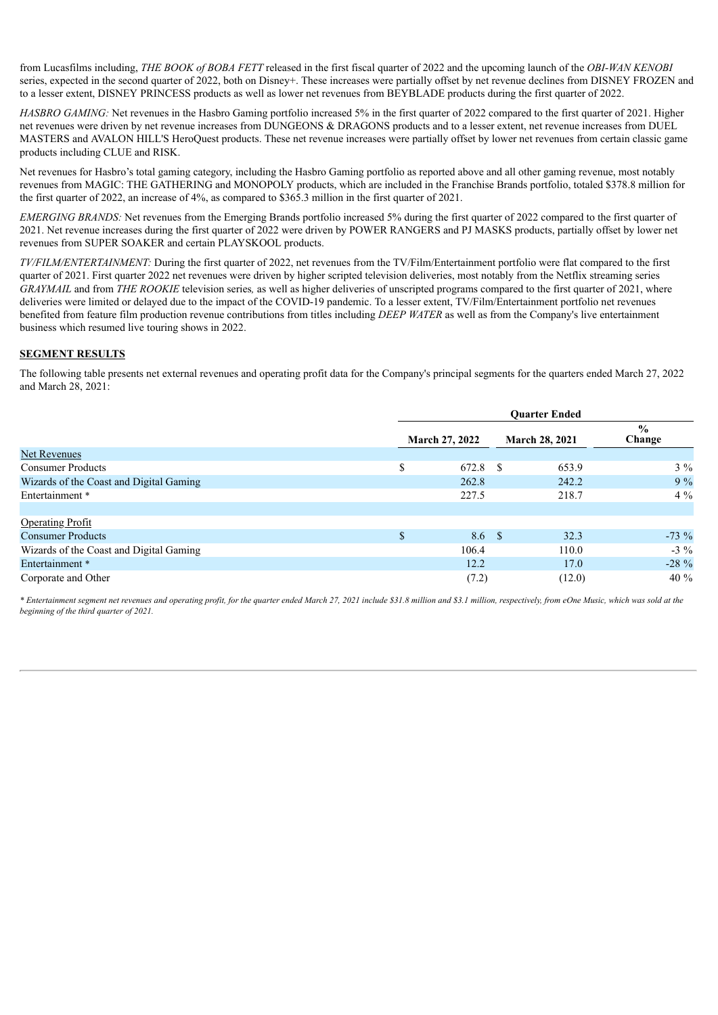from Lucasfilms including, *THE BOOK of BOBA FETT* released in the first fiscal quarter of 2022 and the upcoming launch of the *OBI-WAN KENOBI* series, expected in the second quarter of 2022, both on Disney+. These increases were partially offset by net revenue declines from DISNEY FROZEN and to a lesser extent, DISNEY PRINCESS products as well as lower net revenues from BEYBLADE products during the first quarter of 2022.

*HASBRO GAMING*: Net revenues in the Hasbro Gaming portfolio increased 5% in the first quarter of 2022 compared to the first quarter of 2021. Higher net revenues were driven by net revenue increases from DUNGEONS & DRAGONS products and to a lesser extent, net revenue increases from DUEL MASTERS and AVALON HILL'S HeroQuest products. These net revenue increases were partially offset by lower net revenues from certain classic game products including CLUE and RISK.

Net revenues for Hasbro's total gaming category, including the Hasbro Gaming portfolio as reported above and all other gaming revenue, most notably revenues from MAGIC: THE GATHERING and MONOPOLY products, which are included in the Franchise Brands portfolio, totaled \$378.8 million for the first quarter of 2022, an increase of 4%, as compared to \$365.3 million in the first quarter of 2021.

*EMERGING BRANDS:* Net revenues from the Emerging Brands portfolio increased 5% during the first quarter of 2022 compared to the first quarter of 2021. Net revenue increases during the first quarter of 2022 were driven by POWER RANGERS and PJ MASKS products, partially offset by lower net revenues from SUPER SOAKER and certain PLAYSKOOL products.

*TV/FILM/ENTERTAINMENT:* During the first quarter of 2022, net revenues from the TV/Film/Entertainment portfolio were flat compared to the first quarter of 2021. First quarter 2022 net revenues were driven by higher scripted television deliveries, most notably from the Netflix streaming series *GRAYMAIL* and from *THE ROOKIE* television series*,* as well as higher deliveries of unscripted programs compared to the first quarter of 2021, where deliveries were limited or delayed due to the impact of the COVID-19 pandemic. To a lesser extent, TV/Film/Entertainment portfolio net revenues benefited from feature film production revenue contributions from titles including *DEEP WATER* as well as from the Company's live entertainment business which resumed live touring shows in 2022.

## **SEGMENT RESULTS**

The following table presents net external revenues and operating profit data for the Company's principal segments for the quarters ended March 27, 2022 and March 28, 2021:

|                                         | <b>Ouarter Ended</b>  |    |                       |                         |
|-----------------------------------------|-----------------------|----|-----------------------|-------------------------|
|                                         | <b>March 27, 2022</b> |    | <b>March 28, 2021</b> | $\frac{6}{9}$<br>Change |
| Net Revenues                            |                       |    |                       |                         |
| <b>Consumer Products</b>                | \$<br>672.8           | -S | 653.9                 | $3\%$                   |
| Wizards of the Coast and Digital Gaming | 262.8                 |    | 242.2                 | $9\%$                   |
| Entertainment *                         | 227.5                 |    | 218.7                 | $4\%$                   |
| <b>Operating Profit</b>                 |                       |    |                       |                         |
| <b>Consumer Products</b>                | \$<br>8.6 \$          |    | 32.3                  | $-73 \%$                |
| Wizards of the Coast and Digital Gaming | 106.4                 |    | 110.0                 | $-3\%$                  |
| Entertainment *                         | 12.2                  |    | 17.0                  | $-28\%$                 |
| Corporate and Other                     | (7.2)                 |    | (12.0)                | 40 %                    |

\* Entertainment segment net revenues and operating profit, for the quarter ended March 27, 2021 include \$31.8 million and \$3.1 million, respectively, from eOne Music, which was sold at the *beginning of the third quarter of 2021.*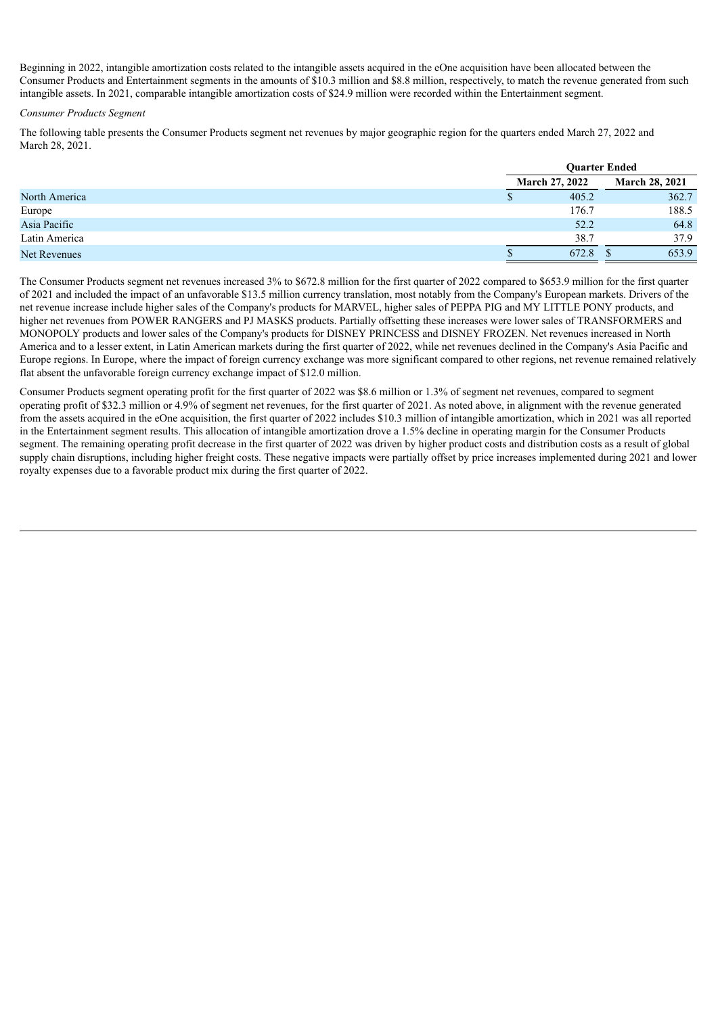Beginning in 2022, intangible amortization costs related to the intangible assets acquired in the eOne acquisition have been allocated between the Consumer Products and Entertainment segments in the amounts of \$10.3 million and \$8.8 million, respectively, to match the revenue generated from such intangible assets. In 2021, comparable intangible amortization costs of \$24.9 million were recorded within the Entertainment segment.

### *Consumer Products Segment*

The following table presents the Consumer Products segment net revenues by major geographic region for the quarters ended March 27, 2022 and March 28, 2021.

|               | <b>Ouarter Ended</b> |                       |  |                       |
|---------------|----------------------|-----------------------|--|-----------------------|
|               |                      | <b>March 27, 2022</b> |  | <b>March 28, 2021</b> |
| North America |                      | 405.2                 |  | 362.7                 |
| Europe        |                      | 176.7                 |  | 188.5                 |
| Asia Pacific  |                      | 52.2                  |  | 64.8                  |
| Latin America |                      | 38.7                  |  | 37.9                  |
| Net Revenues  |                      | 672.8                 |  | 653.9                 |

The Consumer Products segment net revenues increased 3% to \$672.8 million for the first quarter of 2022 compared to \$653.9 million for the first quarter of 2021 and included the impact of an unfavorable \$13.5 million currency translation, most notably from the Company's European markets. Drivers of the net revenue increase include higher sales of the Company's products for MARVEL, higher sales of PEPPA PIG and MY LITTLE PONY products, and higher net revenues from POWER RANGERS and PJ MASKS products. Partially offsetting these increases were lower sales of TRANSFORMERS and MONOPOLY products and lower sales of the Company's products for DISNEY PRINCESS and DISNEY FROZEN. Net revenues increased in North America and to a lesser extent, in Latin American markets during the first quarter of 2022, while net revenues declined in the Company's Asia Pacific and Europe regions. In Europe, where the impact of foreign currency exchange was more significant compared to other regions, net revenue remained relatively flat absent the unfavorable foreign currency exchange impact of \$12.0 million.

Consumer Products segment operating profit for the first quarter of 2022 was \$8.6 million or 1.3% of segment net revenues, compared to segment operating profit of \$32.3 million or 4.9% of segment net revenues, for the first quarter of 2021. As noted above, in alignment with the revenue generated from the assets acquired in the eOne acquisition, the first quarter of 2022 includes \$10.3 million of intangible amortization, which in 2021 was all reported in the Entertainment segment results. This allocation of intangible amortization drove a 1.5% decline in operating margin for the Consumer Products segment. The remaining operating profit decrease in the first quarter of 2022 was driven by higher product costs and distribution costs as a result of global supply chain disruptions, including higher freight costs. These negative impacts were partially offset by price increases implemented during 2021 and lower royalty expenses due to a favorable product mix during the first quarter of 2022.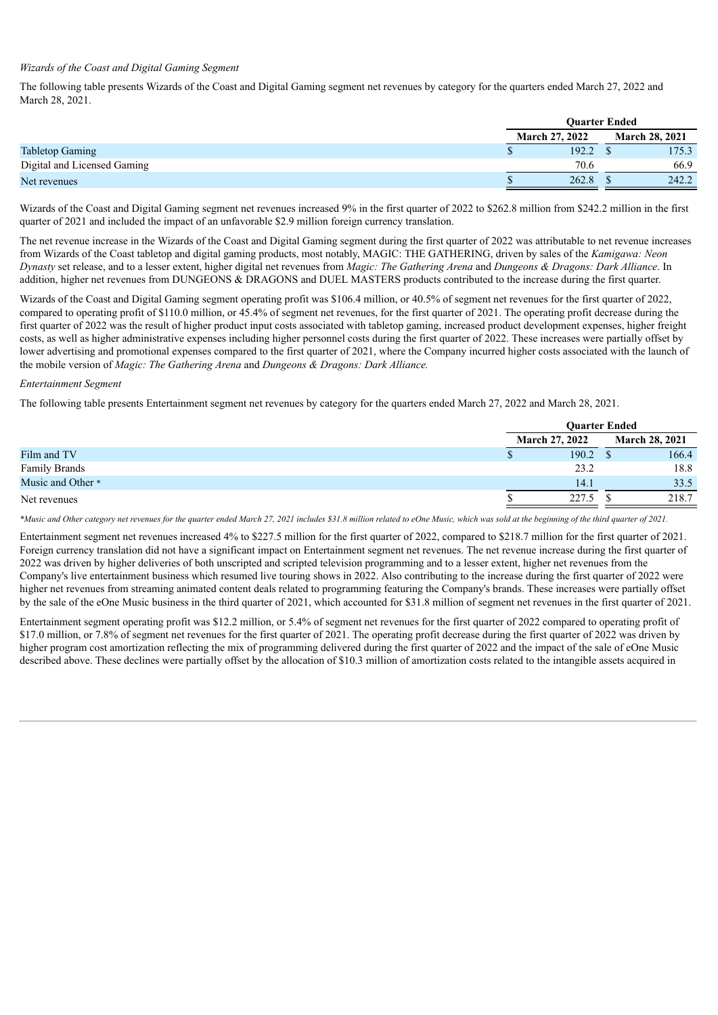### *Wizards of the Coast and Digital Gaming Segment*

The following table presents Wizards of the Coast and Digital Gaming segment net revenues by category for the quarters ended March 27, 2022 and March 28, 2021.

|                             |                       | <b>Ouarter Ended</b> |                       |  |
|-----------------------------|-----------------------|----------------------|-----------------------|--|
|                             | <b>March 27, 2022</b> |                      | <b>March 28, 2021</b> |  |
| <b>Tabletop Gaming</b>      | Φ                     | 192.2                | 175.3                 |  |
| Digital and Licensed Gaming |                       | 70.6                 | 66.9                  |  |
| Net revenues                |                       | 262.8                | 242.2                 |  |

Wizards of the Coast and Digital Gaming segment net revenues increased 9% in the first quarter of 2022 to \$262.8 million from \$242.2 million in the first quarter of 2021 and included the impact of an unfavorable \$2.9 million foreign currency translation.

The net revenue increase in the Wizards of the Coast and Digital Gaming segment during the first quarter of 2022 was attributable to net revenue increases from Wizards of the Coast tabletop and digital gaming products, most notably, MAGIC: THE GATHERING, driven by sales of the *Kamigawa: Neon Dynasty* set release, and to a lesser extent, higher digital net revenues from *Magic: The Gathering Arena* and *Dungeons & Dragons: Dark Alliance*. In addition, higher net revenues from DUNGEONS & DRAGONS and DUEL MASTERS products contributed to the increase during the first quarter.

Wizards of the Coast and Digital Gaming segment operating profit was \$106.4 million, or 40.5% of segment net revenues for the first quarter of 2022, compared to operating profit of \$110.0 million, or 45.4% of segment net revenues, for the first quarter of 2021. The operating profit decrease during the first quarter of 2022 was the result of higher product input costs associated with tabletop gaming, increased product development expenses, higher freight costs, as well as higher administrative expenses including higher personnel costs during the first quarter of 2022. These increases were partially offset by lower advertising and promotional expenses compared to the first quarter of 2021, where the Company incurred higher costs associated with the launch of the mobile version of *Magic: The Gathering Arena* and *Dungeons & Dragons: Dark Alliance.*

#### *Entertainment Segment*

The following table presents Entertainment segment net revenues by category for the quarters ended March 27, 2022 and March 28, 2021.

|                      | <b>Ouarter Ended</b>  |                       |  |
|----------------------|-----------------------|-----------------------|--|
|                      | <b>March 27, 2022</b> | <b>March 28, 2021</b> |  |
| Film and TV          | 190.2                 | 166.4                 |  |
| <b>Family Brands</b> | 23.2                  | 18.8                  |  |
| Music and Other *    | 14.1                  | 33.5                  |  |
| Net revenues         | 227.5                 | 218.7                 |  |

\*Music and Other category net revenues for the quarter ended March 27, 2021 includes \$31.8 million related to eOne Music, which was sold at the beginning of the third quarter of 2021.

Entertainment segment net revenues increased 4% to \$227.5 million for the first quarter of 2022, compared to \$218.7 million for the first quarter of 2021. Foreign currency translation did not have a significant impact on Entertainment segment net revenues. The net revenue increase during the first quarter of 2022 was driven by higher deliveries of both unscripted and scripted television programming and to a lesser extent, higher net revenues from the Company's live entertainment business which resumed live touring shows in 2022. Also contributing to the increase during the first quarter of 2022 were higher net revenues from streaming animated content deals related to programming featuring the Company's brands. These increases were partially offset by the sale of the eOne Music business in the third quarter of 2021, which accounted for \$31.8 million of segment net revenues in the first quarter of 2021.

Entertainment segment operating profit was \$12.2 million, or 5.4% of segment net revenues for the first quarter of 2022 compared to operating profit of \$17.0 million, or 7.8% of segment net revenues for the first quarter of 2021. The operating profit decrease during the first quarter of 2022 was driven by higher program cost amortization reflecting the mix of programming delivered during the first quarter of 2022 and the impact of the sale of eOne Music described above. These declines were partially offset by the allocation of \$10.3 million of amortization costs related to the intangible assets acquired in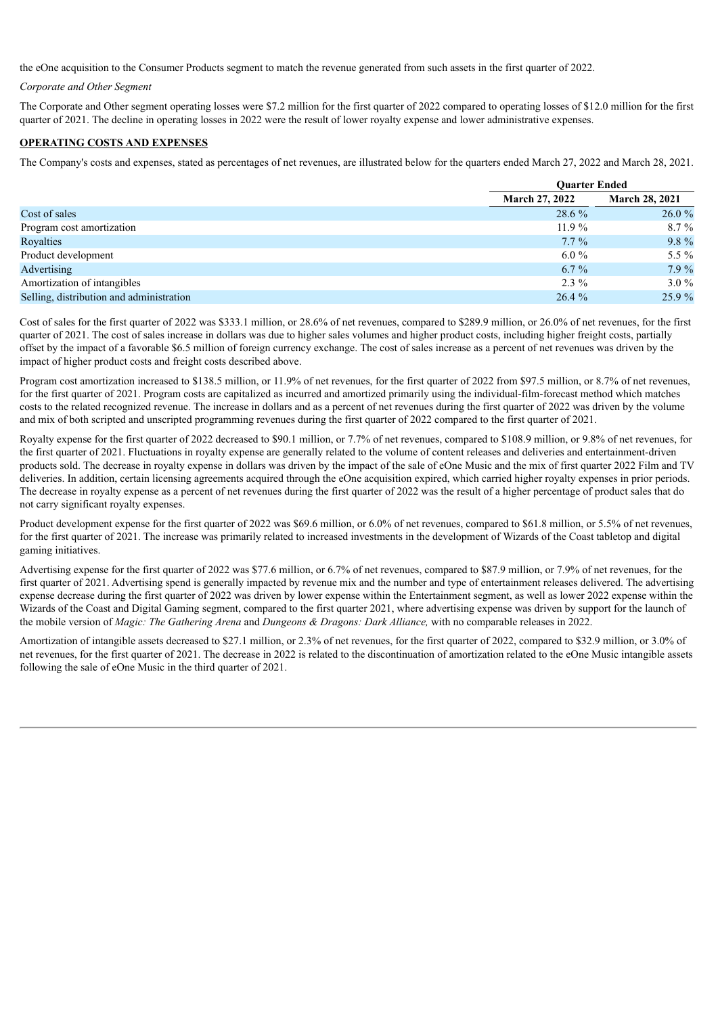the eOne acquisition to the Consumer Products segment to match the revenue generated from such assets in the first quarter of 2022.

## *Corporate and Other Segment*

The Corporate and Other segment operating losses were \$7.2 million for the first quarter of 2022 compared to operating losses of \$12.0 million for the first quarter of 2021. The decline in operating losses in 2022 were the result of lower royalty expense and lower administrative expenses.

## **OPERATING COSTS AND EXPENSES**

The Company's costs and expenses, stated as percentages of net revenues, are illustrated below for the quarters ended March 27, 2022 and March 28, 2021.

|                                          |                       | <b>Ouarter Ended</b>  |  |  |
|------------------------------------------|-----------------------|-----------------------|--|--|
|                                          | <b>March 27, 2022</b> | <b>March 28, 2021</b> |  |  |
| Cost of sales                            | 28.6 %                | 26.0%                 |  |  |
| Program cost amortization                | $11.9\%$              | $8.7\%$               |  |  |
| Royalties                                | $7.7\%$               | 9.8 %                 |  |  |
| Product development                      | $6.0\%$               | 5.5 $\%$              |  |  |
| Advertising                              | $6.7\%$               | $7.9\%$               |  |  |
| Amortization of intangibles              | $2.3\%$               | $3.0\%$               |  |  |
| Selling, distribution and administration | 26.4%                 | 25.9%                 |  |  |

Cost of sales for the first quarter of 2022 was \$333.1 million, or 28.6% of net revenues, compared to \$289.9 million, or 26.0% of net revenues, for the first quarter of 2021. The cost of sales increase in dollars was due to higher sales volumes and higher product costs, including higher freight costs, partially offset by the impact of a favorable \$6.5 million of foreign currency exchange. The cost of sales increase as a percent of net revenues was driven by the impact of higher product costs and freight costs described above.

Program cost amortization increased to \$138.5 million, or 11.9% of net revenues, for the first quarter of 2022 from \$97.5 million, or 8.7% of net revenues, for the first quarter of 2021. Program costs are capitalized as incurred and amortized primarily using the individual-film-forecast method which matches costs to the related recognized revenue. The increase in dollars and as a percent of net revenues during the first quarter of 2022 was driven by the volume and mix of both scripted and unscripted programming revenues during the first quarter of 2022 compared to the first quarter of 2021.

Royalty expense for the first quarter of 2022 decreased to \$90.1 million, or 7.7% of net revenues, compared to \$108.9 million, or 9.8% of net revenues, for the first quarter of 2021. Fluctuations in royalty expense are generally related to the volume of content releases and deliveries and entertainment-driven products sold. The decrease in royalty expense in dollars was driven by the impact of the sale of eOne Music and the mix of first quarter 2022 Film and TV deliveries. In addition, certain licensing agreements acquired through the eOne acquisition expired, which carried higher royalty expenses in prior periods. The decrease in royalty expense as a percent of net revenues during the first quarter of 2022 was the result of a higher percentage of product sales that do not carry significant royalty expenses.

Product development expense for the first quarter of 2022 was \$69.6 million, or 6.0% of net revenues, compared to \$61.8 million, or 5.5% of net revenues, for the first quarter of 2021. The increase was primarily related to increased investments in the development of Wizards of the Coast tabletop and digital gaming initiatives.

Advertising expense for the first quarter of 2022 was \$77.6 million, or 6.7% of net revenues, compared to \$87.9 million, or 7.9% of net revenues, for the first quarter of 2021. Advertising spend is generally impacted by revenue mix and the number and type of entertainment releases delivered. The advertising expense decrease during the first quarter of 2022 was driven by lower expense within the Entertainment segment, as well as lower 2022 expense within the Wizards of the Coast and Digital Gaming segment, compared to the first quarter 2021, where advertising expense was driven by support for the launch of the mobile version of *Magic: The Gathering Arena* and *Dungeons & Dragons: Dark Alliance,* with no comparable releases in 2022.

Amortization of intangible assets decreased to \$27.1 million, or 2.3% of net revenues, for the first quarter of 2022, compared to \$32.9 million, or 3.0% of net revenues, for the first quarter of 2021. The decrease in 2022 is related to the discontinuation of amortization related to the eOne Music intangible assets following the sale of eOne Music in the third quarter of 2021.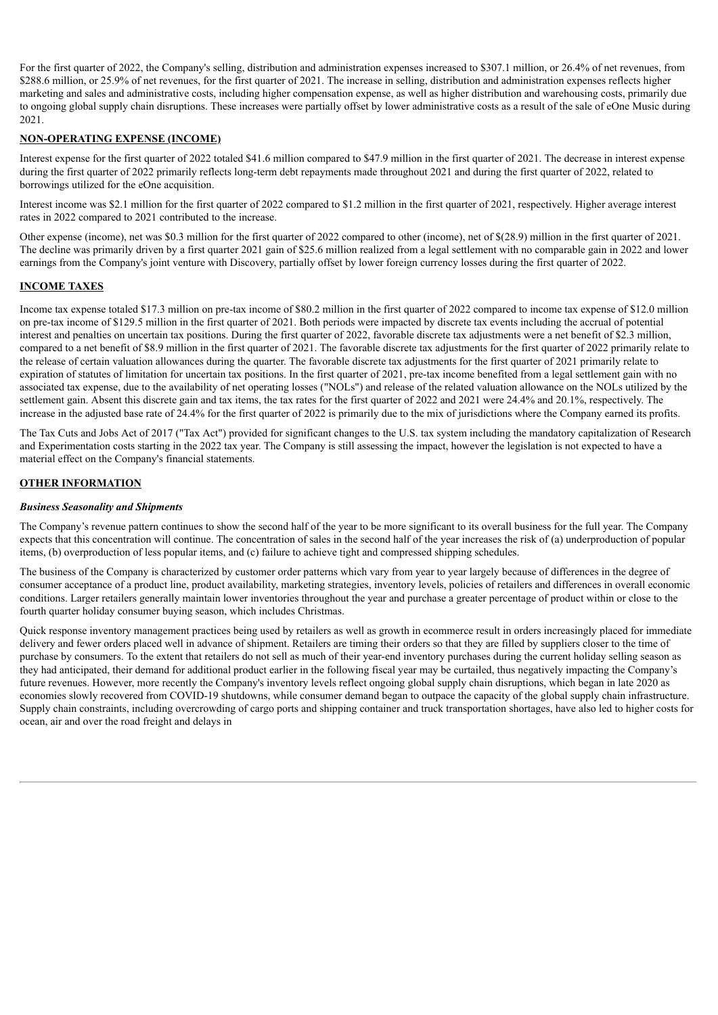For the first quarter of 2022, the Company's selling, distribution and administration expenses increased to \$307.1 million, or 26.4% of net revenues, from \$288.6 million, or 25.9% of net revenues, for the first quarter of 2021. The increase in selling, distribution and administration expenses reflects higher marketing and sales and administrative costs, including higher compensation expense, as well as higher distribution and warehousing costs, primarily due to ongoing global supply chain disruptions. These increases were partially offset by lower administrative costs as a result of the sale of eOne Music during 2021.

# **NON-OPERATING EXPENSE (INCOME)**

Interest expense for the first quarter of 2022 totaled \$41.6 million compared to \$47.9 million in the first quarter of 2021. The decrease in interest expense during the first quarter of 2022 primarily reflects long-term debt repayments made throughout 2021 and during the first quarter of 2022, related to borrowings utilized for the eOne acquisition.

Interest income was \$2.1 million for the first quarter of 2022 compared to \$1.2 million in the first quarter of 2021, respectively. Higher average interest rates in 2022 compared to 2021 contributed to the increase.

Other expense (income), net was \$0.3 million for the first quarter of 2022 compared to other (income), net of \$(28.9) million in the first quarter of 2021. The decline was primarily driven by a first quarter 2021 gain of \$25.6 million realized from a legal settlement with no comparable gain in 2022 and lower earnings from the Company's joint venture with Discovery, partially offset by lower foreign currency losses during the first quarter of 2022.

# **INCOME TAXES**

Income tax expense totaled \$17.3 million on pre-tax income of \$80.2 million in the first quarter of 2022 compared to income tax expense of \$12.0 million on pre-tax income of \$129.5 million in the first quarter of 2021. Both periods were impacted by discrete tax events including the accrual of potential interest and penalties on uncertain tax positions. During the first quarter of 2022, favorable discrete tax adjustments were a net benefit of \$2.3 million, compared to a net benefit of \$8.9 million in the first quarter of 2021. The favorable discrete tax adjustments for the first quarter of 2022 primarily relate to the release of certain valuation allowances during the quarter. The favorable discrete tax adjustments for the first quarter of 2021 primarily relate to expiration of statutes of limitation for uncertain tax positions. In the first quarter of 2021, pre-tax income benefited from a legal settlement gain with no associated tax expense, due to the availability of net operating losses ("NOLs") and release of the related valuation allowance on the NOLs utilized by the settlement gain. Absent this discrete gain and tax items, the tax rates for the first quarter of 2022 and 2021 were 24.4% and 20.1%, respectively. The increase in the adjusted base rate of 24.4% for the first quarter of 2022 is primarily due to the mix of jurisdictions where the Company earned its profits.

The Tax Cuts and Jobs Act of 2017 ("Tax Act") provided for significant changes to the U.S. tax system including the mandatory capitalization of Research and Experimentation costs starting in the 2022 tax year. The Company is still assessing the impact, however the legislation is not expected to have a material effect on the Company's financial statements.

# **OTHER INFORMATION**

## *Business Seasonality and Shipments*

The Company's revenue pattern continues to show the second half of the year to be more significant to its overall business for the full year. The Company expects that this concentration will continue. The concentration of sales in the second half of the year increases the risk of (a) underproduction of popular items, (b) overproduction of less popular items, and (c) failure to achieve tight and compressed shipping schedules.

The business of the Company is characterized by customer order patterns which vary from year to year largely because of differences in the degree of consumer acceptance of a product line, product availability, marketing strategies, inventory levels, policies of retailers and differences in overall economic conditions. Larger retailers generally maintain lower inventories throughout the year and purchase a greater percentage of product within or close to the fourth quarter holiday consumer buying season, which includes Christmas.

Quick response inventory management practices being used by retailers as well as growth in ecommerce result in orders increasingly placed for immediate delivery and fewer orders placed well in advance of shipment. Retailers are timing their orders so that they are filled by suppliers closer to the time of purchase by consumers. To the extent that retailers do not sell as much of their year-end inventory purchases during the current holiday selling season as they had anticipated, their demand for additional product earlier in the following fiscal year may be curtailed, thus negatively impacting the Company's future revenues. However, more recently the Company's inventory levels reflect ongoing global supply chain disruptions, which began in late 2020 as economies slowly recovered from COVID-19 shutdowns, while consumer demand began to outpace the capacity of the global supply chain infrastructure. Supply chain constraints, including overcrowding of cargo ports and shipping container and truck transportation shortages, have also led to higher costs for ocean, air and over the road freight and delays in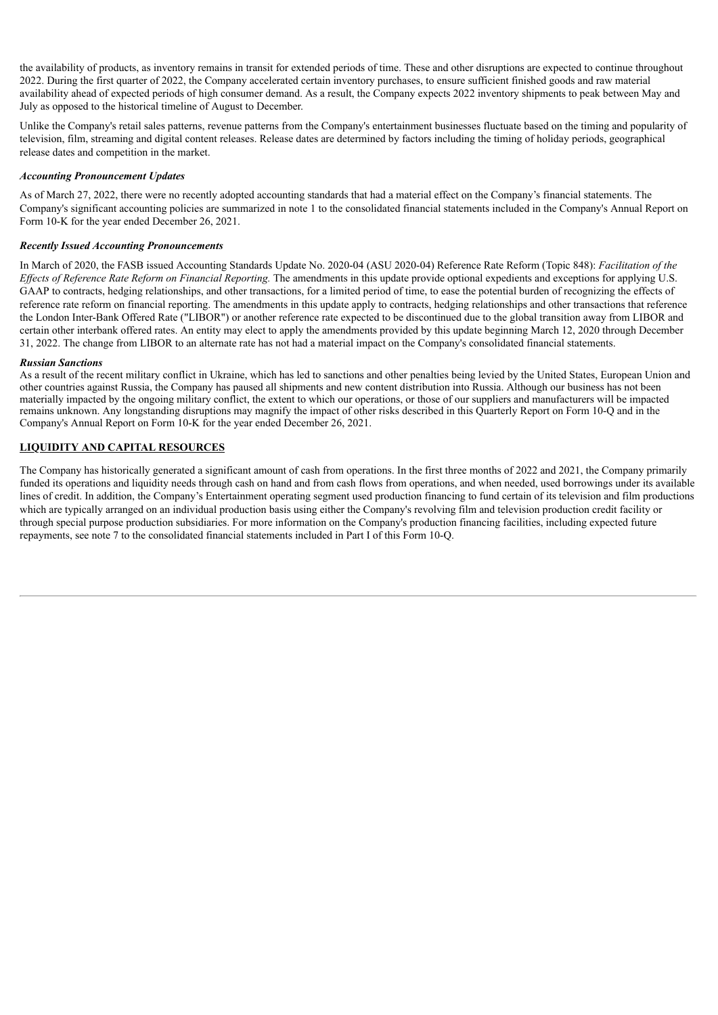the availability of products, as inventory remains in transit for extended periods of time. These and other disruptions are expected to continue throughout 2022. During the first quarter of 2022, the Company accelerated certain inventory purchases, to ensure sufficient finished goods and raw material availability ahead of expected periods of high consumer demand. As a result, the Company expects 2022 inventory shipments to peak between May and July as opposed to the historical timeline of August to December.

Unlike the Company's retail sales patterns, revenue patterns from the Company's entertainment businesses fluctuate based on the timing and popularity of television, film, streaming and digital content releases. Release dates are determined by factors including the timing of holiday periods, geographical release dates and competition in the market.

### *Accounting Pronouncement Updates*

As of March 27, 2022, there were no recently adopted accounting standards that had a material effect on the Company's financial statements. The Company's significant accounting policies are summarized in note 1 to the consolidated financial statements included in the Company's Annual Report on Form 10-K for the year ended December 26, 2021.

### *Recently Issued Accounting Pronouncements*

In March of 2020, the FASB issued Accounting Standards Update No. 2020-04 (ASU 2020-04) Reference Rate Reform (Topic 848): *Facilitation of the Ef ects of Reference Rate Reform on Financial Reporting.* The amendments in this update provide optional expedients and exceptions for applying U.S. GAAP to contracts, hedging relationships, and other transactions, for a limited period of time, to ease the potential burden of recognizing the effects of reference rate reform on financial reporting. The amendments in this update apply to contracts, hedging relationships and other transactions that reference the London Inter-Bank Offered Rate ("LIBOR") or another reference rate expected to be discontinued due to the global transition away from LIBOR and certain other interbank offered rates. An entity may elect to apply the amendments provided by this update beginning March 12, 2020 through December 31, 2022. The change from LIBOR to an alternate rate has not had a material impact on the Company's consolidated financial statements.

#### *Russian Sanctions*

As a result of the recent military conflict in Ukraine, which has led to sanctions and other penalties being levied by the United States, European Union and other countries against Russia, the Company has paused all shipments and new content distribution into Russia. Although our business has not been materially impacted by the ongoing military conflict, the extent to which our operations, or those of our suppliers and manufacturers will be impacted remains unknown. Any longstanding disruptions may magnify the impact of other risks described in this Quarterly Report on Form 10-Q and in the Company's Annual Report on Form 10-K for the year ended December 26, 2021.

### **LIQUIDITY AND CAPITAL RESOURCES**

The Company has historically generated a significant amount of cash from operations. In the first three months of 2022 and 2021, the Company primarily funded its operations and liquidity needs through cash on hand and from cash flows from operations, and when needed, used borrowings under its available lines of credit. In addition, the Company's Entertainment operating segment used production financing to fund certain of its television and film productions which are typically arranged on an individual production basis using either the Company's revolving film and television production credit facility or through special purpose production subsidiaries. For more information on the Company's production financing facilities, including expected future repayments, see note 7 to the consolidated financial statements included in Part I of this Form 10-Q.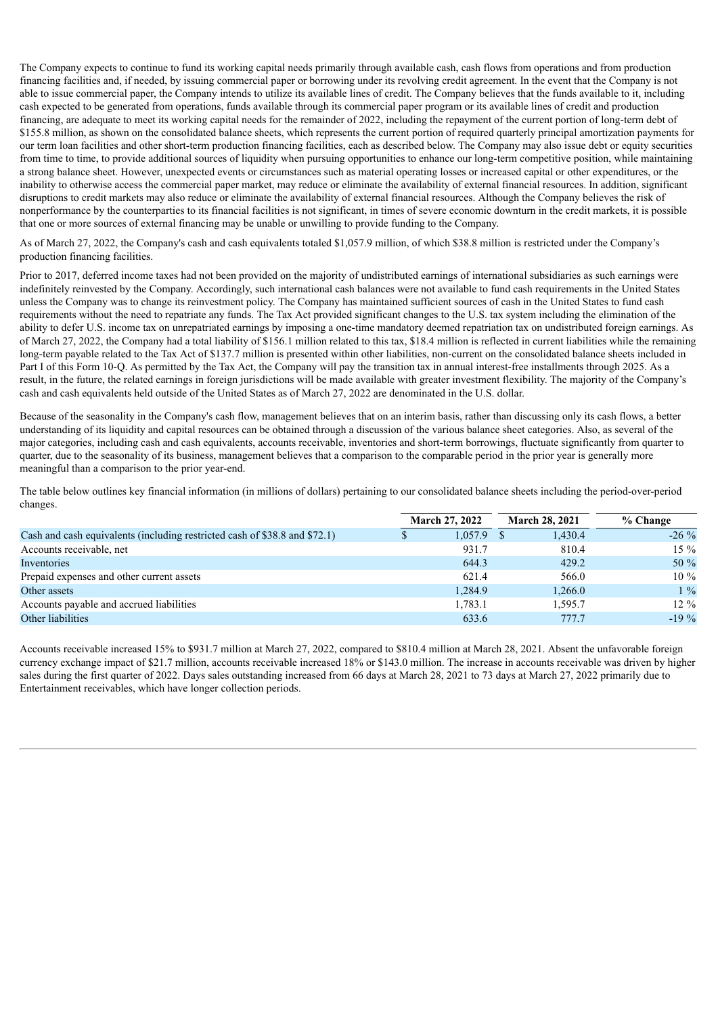The Company expects to continue to fund its working capital needs primarily through available cash, cash flows from operations and from production financing facilities and, if needed, by issuing commercial paper or borrowing under its revolving credit agreement. In the event that the Company is not able to issue commercial paper, the Company intends to utilize its available lines of credit. The Company believes that the funds available to it, including cash expected to be generated from operations, funds available through its commercial paper program or its available lines of credit and production financing, are adequate to meet its working capital needs for the remainder of 2022, including the repayment of the current portion of long-term debt of \$155.8 million, as shown on the consolidated balance sheets, which represents the current portion of required quarterly principal amortization payments for our term loan facilities and other short-term production financing facilities, each as described below. The Company may also issue debt or equity securities from time to time, to provide additional sources of liquidity when pursuing opportunities to enhance our long-term competitive position, while maintaining a strong balance sheet. However, unexpected events or circumstances such as material operating losses or increased capital or other expenditures, or the inability to otherwise access the commercial paper market, may reduce or eliminate the availability of external financial resources. In addition, significant disruptions to credit markets may also reduce or eliminate the availability of external financial resources. Although the Company believes the risk of nonperformance by the counterparties to its financial facilities is not significant, in times of severe economic downturn in the credit markets, it is possible that one or more sources of external financing may be unable or unwilling to provide funding to the Company.

As of March 27, 2022, the Company's cash and cash equivalents totaled \$1,057.9 million, of which \$38.8 million is restricted under the Company's production financing facilities.

Prior to 2017, deferred income taxes had not been provided on the majority of undistributed earnings of international subsidiaries as such earnings were indefinitely reinvested by the Company. Accordingly, such international cash balances were not available to fund cash requirements in the United States unless the Company was to change its reinvestment policy. The Company has maintained sufficient sources of cash in the United States to fund cash requirements without the need to repatriate any funds. The Tax Act provided significant changes to the U.S. tax system including the elimination of the ability to defer U.S. income tax on unrepatriated earnings by imposing a one-time mandatory deemed repatriation tax on undistributed foreign earnings. As of March 27, 2022, the Company had a total liability of \$156.1 million related to this tax, \$18.4 million is reflected in current liabilities while the remaining long-term payable related to the Tax Act of \$137.7 million is presented within other liabilities, non-current on the consolidated balance sheets included in Part I of this Form 10-Q. As permitted by the Tax Act, the Company will pay the transition tax in annual interest-free installments through 2025. As a result, in the future, the related earnings in foreign jurisdictions will be made available with greater investment flexibility. The majority of the Company's cash and cash equivalents held outside of the United States as of March 27, 2022 are denominated in the U.S. dollar.

Because of the seasonality in the Company's cash flow, management believes that on an interim basis, rather than discussing only its cash flows, a better understanding of its liquidity and capital resources can be obtained through a discussion of the various balance sheet categories. Also, as several of the major categories, including cash and cash equivalents, accounts receivable, inventories and short-term borrowings, fluctuate significantly from quarter to quarter, due to the seasonality of its business, management believes that a comparison to the comparable period in the prior year is generally more meaningful than a comparison to the prior year-end.

The table below outlines key financial information (in millions of dollars) pertaining to our consolidated balance sheets including the period-over-period changes.

|                                                                            |   | <b>March 27, 2022</b> | <b>March 28, 2021</b> | % Change |
|----------------------------------------------------------------------------|---|-----------------------|-----------------------|----------|
| Cash and cash equivalents (including restricted cash of \$38.8 and \$72.1) | S | 1,057.9               | 1,430.4               | $-26\%$  |
| Accounts receivable, net                                                   |   | 931.7                 | 810.4                 | $15\%$   |
| Inventories                                                                |   | 644.3                 | 429.2                 | $50\%$   |
| Prepaid expenses and other current assets                                  |   | 621.4                 | 566.0                 | $10\%$   |
| Other assets                                                               |   | 1.284.9               | 1,266.0               | $1\%$    |
| Accounts payable and accrued liabilities                                   |   | 1,783.1               | 1.595.7               | $12\%$   |
| Other liabilities                                                          |   | 633.6                 | 777.7                 | $-19\%$  |

Accounts receivable increased 15% to \$931.7 million at March 27, 2022, compared to \$810.4 million at March 28, 2021. Absent the unfavorable foreign currency exchange impact of \$21.7 million, accounts receivable increased 18% or \$143.0 million. The increase in accounts receivable was driven by higher sales during the first quarter of 2022. Days sales outstanding increased from 66 days at March 28, 2021 to 73 days at March 27, 2022 primarily due to Entertainment receivables, which have longer collection periods.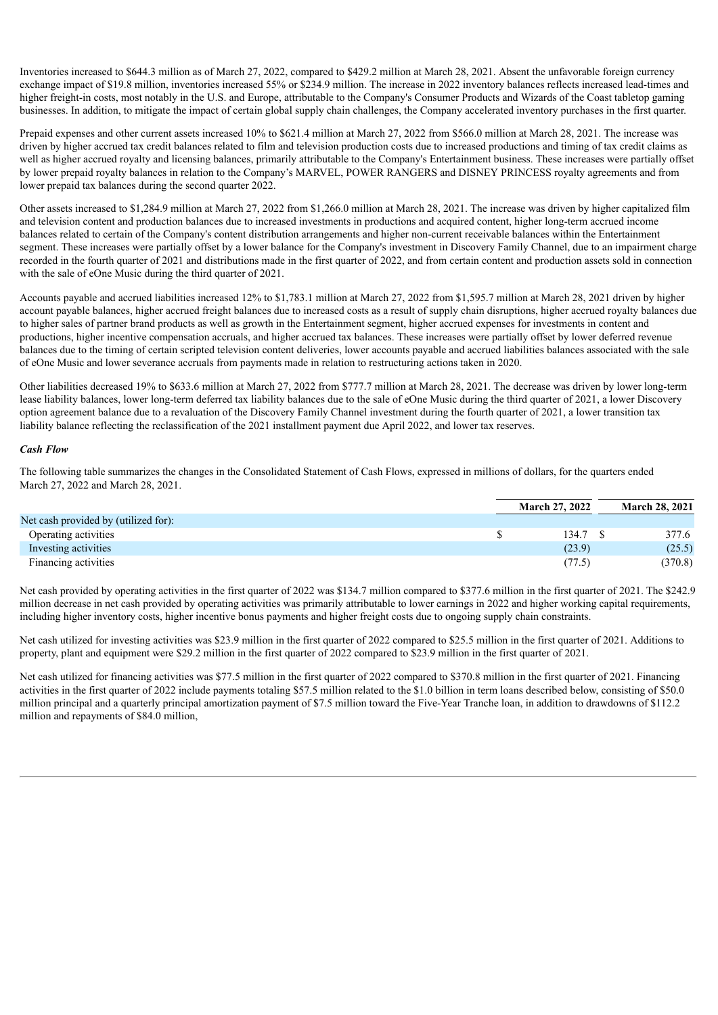Inventories increased to \$644.3 million as of March 27, 2022, compared to \$429.2 million at March 28, 2021. Absent the unfavorable foreign currency exchange impact of \$19.8 million, inventories increased 55% or \$234.9 million. The increase in 2022 inventory balances reflects increased lead-times and higher freight-in costs, most notably in the U.S. and Europe, attributable to the Company's Consumer Products and Wizards of the Coast tabletop gaming businesses. In addition, to mitigate the impact of certain global supply chain challenges, the Company accelerated inventory purchases in the first quarter.

Prepaid expenses and other current assets increased 10% to \$621.4 million at March 27, 2022 from \$566.0 million at March 28, 2021. The increase was driven by higher accrued tax credit balances related to film and television production costs due to increased productions and timing of tax credit claims as well as higher accrued royalty and licensing balances, primarily attributable to the Company's Entertainment business. These increases were partially offset by lower prepaid royalty balances in relation to the Company's MARVEL, POWER RANGERS and DISNEY PRINCESS royalty agreements and from lower prepaid tax balances during the second quarter 2022.

Other assets increased to \$1,284.9 million at March 27, 2022 from \$1,266.0 million at March 28, 2021. The increase was driven by higher capitalized film and television content and production balances due to increased investments in productions and acquired content, higher long-term accrued income balances related to certain of the Company's content distribution arrangements and higher non-current receivable balances within the Entertainment segment. These increases were partially offset by a lower balance for the Company's investment in Discovery Family Channel, due to an impairment charge recorded in the fourth quarter of 2021 and distributions made in the first quarter of 2022, and from certain content and production assets sold in connection with the sale of eOne Music during the third quarter of 2021.

Accounts payable and accrued liabilities increased 12% to \$1,783.1 million at March 27, 2022 from \$1,595.7 million at March 28, 2021 driven by higher account payable balances, higher accrued freight balances due to increased costs as a result of supply chain disruptions, higher accrued royalty balances due to higher sales of partner brand products as well as growth in the Entertainment segment, higher accrued expenses for investments in content and productions, higher incentive compensation accruals, and higher accrued tax balances. These increases were partially offset by lower deferred revenue balances due to the timing of certain scripted television content deliveries, lower accounts payable and accrued liabilities balances associated with the sale of eOne Music and lower severance accruals from payments made in relation to restructuring actions taken in 2020.

Other liabilities decreased 19% to \$633.6 million at March 27, 2022 from \$777.7 million at March 28, 2021. The decrease was driven by lower long-term lease liability balances, lower long-term deferred tax liability balances due to the sale of eOne Music during the third quarter of 2021, a lower Discovery option agreement balance due to a revaluation of the Discovery Family Channel investment during the fourth quarter of 2021, a lower transition tax liability balance reflecting the reclassification of the 2021 installment payment due April 2022, and lower tax reserves.

#### *Cash Flow*

The following table summarizes the changes in the Consolidated Statement of Cash Flows, expressed in millions of dollars, for the quarters ended March 27, 2022 and March 28, 2021.

|                                      | <b>March 27, 2022</b> | <b>March 28, 2021</b> |
|--------------------------------------|-----------------------|-----------------------|
| Net cash provided by (utilized for): |                       |                       |
| Operating activities                 | 134.7                 | 377.6                 |
| Investing activities                 | (23.9)                | (25.5)                |
| Financing activities                 | (77.5)                | (370.8)               |

Net cash provided by operating activities in the first quarter of 2022 was \$134.7 million compared to \$377.6 million in the first quarter of 2021. The \$242.9 million decrease in net cash provided by operating activities was primarily attributable to lower earnings in 2022 and higher working capital requirements, including higher inventory costs, higher incentive bonus payments and higher freight costs due to ongoing supply chain constraints.

Net cash utilized for investing activities was \$23.9 million in the first quarter of 2022 compared to \$25.5 million in the first quarter of 2021. Additions to property, plant and equipment were \$29.2 million in the first quarter of 2022 compared to \$23.9 million in the first quarter of 2021.

Net cash utilized for financing activities was \$77.5 million in the first quarter of 2022 compared to \$370.8 million in the first quarter of 2021. Financing activities in the first quarter of 2022 include payments totaling \$57.5 million related to the \$1.0 billion in term loans described below, consisting of \$50.0 million principal and a quarterly principal amortization payment of \$7.5 million toward the Five-Year Tranche loan, in addition to drawdowns of \$112.2 million and repayments of \$84.0 million,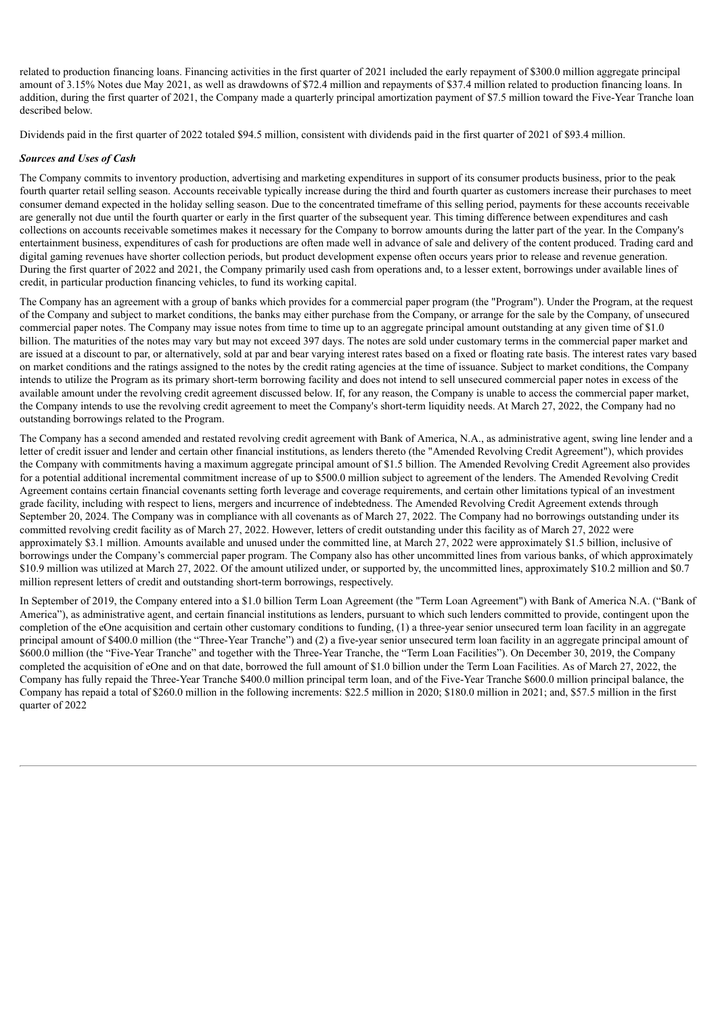related to production financing loans. Financing activities in the first quarter of 2021 included the early repayment of \$300.0 million aggregate principal amount of 3.15% Notes due May 2021, as well as drawdowns of \$72.4 million and repayments of \$37.4 million related to production financing loans. In addition, during the first quarter of 2021, the Company made a quarterly principal amortization payment of \$7.5 million toward the Five-Year Tranche loan described below.

Dividends paid in the first quarter of 2022 totaled \$94.5 million, consistent with dividends paid in the first quarter of 2021 of \$93.4 million.

## *Sources and Uses of Cash*

The Company commits to inventory production, advertising and marketing expenditures in support of its consumer products business, prior to the peak fourth quarter retail selling season. Accounts receivable typically increase during the third and fourth quarter as customers increase their purchases to meet consumer demand expected in the holiday selling season. Due to the concentrated timeframe of this selling period, payments for these accounts receivable are generally not due until the fourth quarter or early in the first quarter of the subsequent year. This timing difference between expenditures and cash collections on accounts receivable sometimes makes it necessary for the Company to borrow amounts during the latter part of the year. In the Company's entertainment business, expenditures of cash for productions are often made well in advance of sale and delivery of the content produced. Trading card and digital gaming revenues have shorter collection periods, but product development expense often occurs years prior to release and revenue generation. During the first quarter of 2022 and 2021, the Company primarily used cash from operations and, to a lesser extent, borrowings under available lines of credit, in particular production financing vehicles, to fund its working capital.

The Company has an agreement with a group of banks which provides for a commercial paper program (the "Program"). Under the Program, at the request of the Company and subject to market conditions, the banks may either purchase from the Company, or arrange for the sale by the Company, of unsecured commercial paper notes. The Company may issue notes from time to time up to an aggregate principal amount outstanding at any given time of \$1.0 billion. The maturities of the notes may vary but may not exceed 397 days. The notes are sold under customary terms in the commercial paper market and are issued at a discount to par, or alternatively, sold at par and bear varying interest rates based on a fixed or floating rate basis. The interest rates vary based on market conditions and the ratings assigned to the notes by the credit rating agencies at the time of issuance. Subject to market conditions, the Company intends to utilize the Program as its primary short-term borrowing facility and does not intend to sell unsecured commercial paper notes in excess of the available amount under the revolving credit agreement discussed below. If, for any reason, the Company is unable to access the commercial paper market, the Company intends to use the revolving credit agreement to meet the Company's short-term liquidity needs. At March 27, 2022, the Company had no outstanding borrowings related to the Program.

The Company has a second amended and restated revolving credit agreement with Bank of America, N.A., as administrative agent, swing line lender and a letter of credit issuer and lender and certain other financial institutions, as lenders thereto (the "Amended Revolving Credit Agreement"), which provides the Company with commitments having a maximum aggregate principal amount of \$1.5 billion. The Amended Revolving Credit Agreement also provides for a potential additional incremental commitment increase of up to \$500.0 million subject to agreement of the lenders. The Amended Revolving Credit Agreement contains certain financial covenants setting forth leverage and coverage requirements, and certain other limitations typical of an investment grade facility, including with respect to liens, mergers and incurrence of indebtedness. The Amended Revolving Credit Agreement extends through September 20, 2024. The Company was in compliance with all covenants as of March 27, 2022. The Company had no borrowings outstanding under its committed revolving credit facility as of March 27, 2022. However, letters of credit outstanding under this facility as of March 27, 2022 were approximately \$3.1 million. Amounts available and unused under the committed line, at March 27, 2022 were approximately \$1.5 billion, inclusive of borrowings under the Company's commercial paper program. The Company also has other uncommitted lines from various banks, of which approximately \$10.9 million was utilized at March 27, 2022. Of the amount utilized under, or supported by, the uncommitted lines, approximately \$10.2 million and \$0.7 million represent letters of credit and outstanding short-term borrowings, respectively.

In September of 2019, the Company entered into a \$1.0 billion Term Loan Agreement (the "Term Loan Agreement") with Bank of America N.A. ("Bank of America"), as administrative agent, and certain financial institutions as lenders, pursuant to which such lenders committed to provide, contingent upon the completion of the eOne acquisition and certain other customary conditions to funding, (1) a three-year senior unsecured term loan facility in an aggregate principal amount of \$400.0 million (the "Three-Year Tranche") and (2) a five-year senior unsecured term loan facility in an aggregate principal amount of \$600.0 million (the "Five-Year Tranche" and together with the Three-Year Tranche, the "Term Loan Facilities"). On December 30, 2019, the Company completed the acquisition of eOne and on that date, borrowed the full amount of \$1.0 billion under the Term Loan Facilities. As of March 27, 2022, the Company has fully repaid the Three-Year Tranche \$400.0 million principal term loan, and of the Five-Year Tranche \$600.0 million principal balance, the Company has repaid a total of \$260.0 million in the following increments: \$22.5 million in 2020; \$180.0 million in 2021; and, \$57.5 million in the first quarter of 2022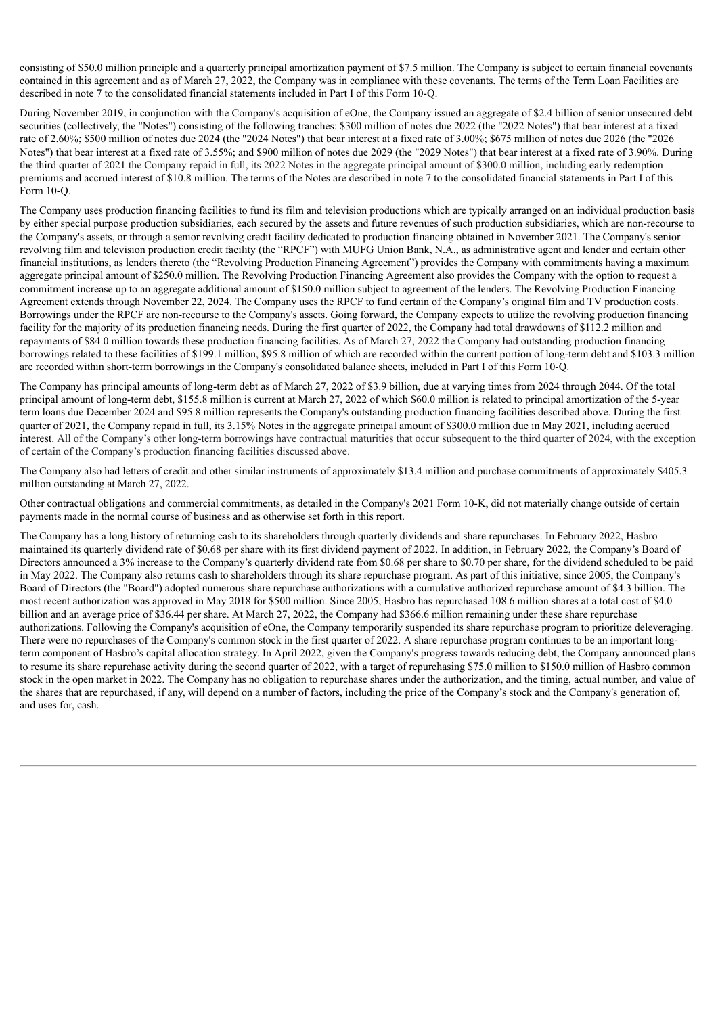consisting of \$50.0 million principle and a quarterly principal amortization payment of \$7.5 million. The Company is subject to certain financial covenants contained in this agreement and as of March 27, 2022, the Company was in compliance with these covenants. The terms of the Term Loan Facilities are described in note 7 to the consolidated financial statements included in Part I of this Form 10-Q.

During November 2019, in conjunction with the Company's acquisition of eOne, the Company issued an aggregate of \$2.4 billion of senior unsecured debt securities (collectively, the "Notes") consisting of the following tranches: \$300 million of notes due 2022 (the "2022 Notes") that bear interest at a fixed rate of 2.60%; \$500 million of notes due 2024 (the "2024 Notes") that bear interest at a fixed rate of 3.00%; \$675 million of notes due 2026 (the "2026 Notes") that bear interest at a fixed rate of 3.55%; and \$900 million of notes due 2029 (the "2029 Notes") that bear interest at a fixed rate of 3.90%. During the third quarter of 2021 the Company repaid in full, its 2022 Notes in the aggregate principal amount of \$300.0 million, including early redemption premiums and accrued interest of \$10.8 million. The terms of the Notes are described in note 7 to the consolidated financial statements in Part I of this Form 10-Q.

The Company uses production financing facilities to fund its film and television productions which are typically arranged on an individual production basis by either special purpose production subsidiaries, each secured by the assets and future revenues of such production subsidiaries, which are non-recourse to the Company's assets, or through a senior revolving credit facility dedicated to production financing obtained in November 2021. The Company's senior revolving film and television production credit facility (the "RPCF") with MUFG Union Bank, N.A., as administrative agent and lender and certain other financial institutions, as lenders thereto (the "Revolving Production Financing Agreement") provides the Company with commitments having a maximum aggregate principal amount of \$250.0 million. The Revolving Production Financing Agreement also provides the Company with the option to request a commitment increase up to an aggregate additional amount of \$150.0 million subject to agreement of the lenders. The Revolving Production Financing Agreement extends through November 22, 2024. The Company uses the RPCF to fund certain of the Company's original film and TV production costs. Borrowings under the RPCF are non-recourse to the Company's assets. Going forward, the Company expects to utilize the revolving production financing facility for the majority of its production financing needs. During the first quarter of 2022, the Company had total drawdowns of \$112.2 million and repayments of \$84.0 million towards these production financing facilities. As of March 27, 2022 the Company had outstanding production financing borrowings related to these facilities of \$199.1 million, \$95.8 million of which are recorded within the current portion of long-term debt and \$103.3 million are recorded within short-term borrowings in the Company's consolidated balance sheets, included in Part I of this Form 10-Q.

The Company has principal amounts of long-term debt as of March 27, 2022 of \$3.9 billion, due at varying times from 2024 through 2044. Of the total principal amount of long-term debt, \$155.8 million is current at March 27, 2022 of which \$60.0 million is related to principal amortization of the 5-year term loans due December 2024 and \$95.8 million represents the Company's outstanding production financing facilities described above. During the first quarter of 2021, the Company repaid in full, its 3.15% Notes in the aggregate principal amount of \$300.0 million due in May 2021, including accrued interest. All of the Company's other long-term borrowings have contractual maturities that occur subsequent to the third quarter of 2024, with the exception of certain of the Company's production financing facilities discussed above.

The Company also had letters of credit and other similar instruments of approximately \$13.4 million and purchase commitments of approximately \$405.3 million outstanding at March 27, 2022.

Other contractual obligations and commercial commitments, as detailed in the Company's 2021 Form 10-K, did not materially change outside of certain payments made in the normal course of business and as otherwise set forth in this report.

The Company has a long history of returning cash to its shareholders through quarterly dividends and share repurchases. In February 2022, Hasbro maintained its quarterly dividend rate of \$0.68 per share with its first dividend payment of 2022. In addition, in February 2022, the Company's Board of Directors announced a 3% increase to the Company's quarterly dividend rate from \$0.68 per share to \$0.70 per share, for the dividend scheduled to be paid in May 2022. The Company also returns cash to shareholders through its share repurchase program. As part of this initiative, since 2005, the Company's Board of Directors (the "Board") adopted numerous share repurchase authorizations with a cumulative authorized repurchase amount of \$4.3 billion. The most recent authorization was approved in May 2018 for \$500 million. Since 2005, Hasbro has repurchased 108.6 million shares at a total cost of \$4.0 billion and an average price of \$36.44 per share. At March 27, 2022, the Company had \$366.6 million remaining under these share repurchase authorizations. Following the Company's acquisition of eOne, the Company temporarily suspended its share repurchase program to prioritize deleveraging. There were no repurchases of the Company's common stock in the first quarter of 2022. A share repurchase program continues to be an important longterm component of Hasbro's capital allocation strategy. In April 2022, given the Company's progress towards reducing debt, the Company announced plans to resume its share repurchase activity during the second quarter of 2022, with a target of repurchasing \$75.0 million to \$150.0 million of Hasbro common stock in the open market in 2022. The Company has no obligation to repurchase shares under the authorization, and the timing, actual number, and value of the shares that are repurchased, if any, will depend on a number of factors, including the price of the Company's stock and the Company's generation of, and uses for, cash.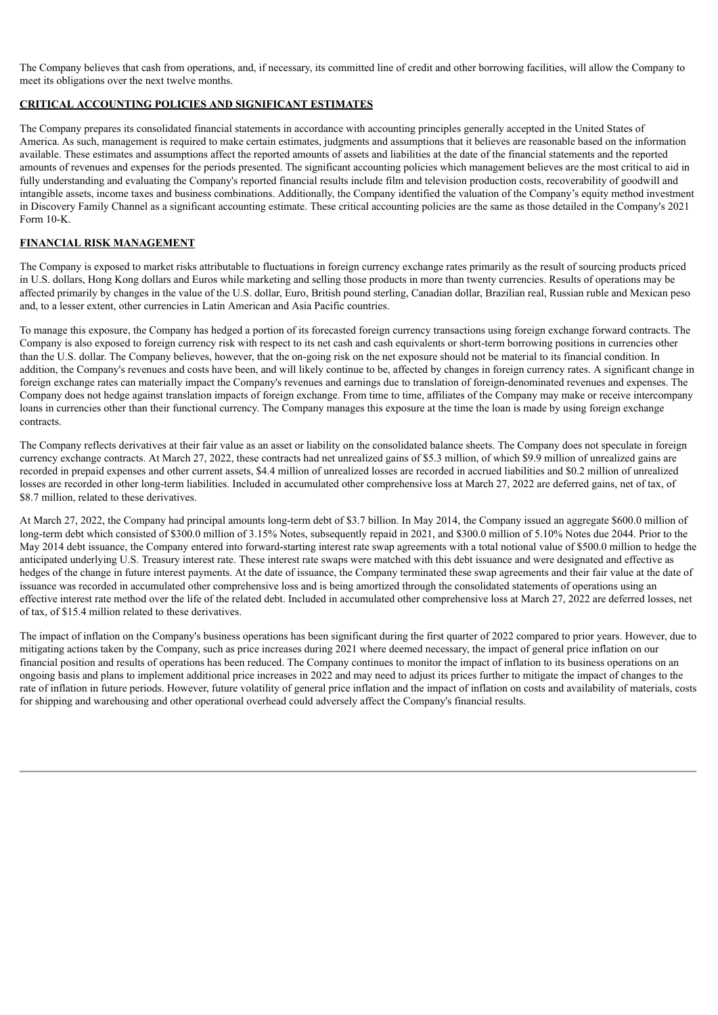The Company believes that cash from operations, and, if necessary, its committed line of credit and other borrowing facilities, will allow the Company to meet its obligations over the next twelve months.

## **CRITICAL ACCOUNTING POLICIES AND SIGNIFICANT ESTIMATES**

The Company prepares its consolidated financial statements in accordance with accounting principles generally accepted in the United States of America. As such, management is required to make certain estimates, judgments and assumptions that it believes are reasonable based on the information available. These estimates and assumptions affect the reported amounts of assets and liabilities at the date of the financial statements and the reported amounts of revenues and expenses for the periods presented. The significant accounting policies which management believes are the most critical to aid in fully understanding and evaluating the Company's reported financial results include film and television production costs, recoverability of goodwill and intangible assets, income taxes and business combinations. Additionally, the Company identified the valuation of the Company's equity method investment in Discovery Family Channel as a significant accounting estimate. These critical accounting policies are the same as those detailed in the Company's 2021 Form 10-K.

## **FINANCIAL RISK MANAGEMENT**

The Company is exposed to market risks attributable to fluctuations in foreign currency exchange rates primarily as the result of sourcing products priced in U.S. dollars, Hong Kong dollars and Euros while marketing and selling those products in more than twenty currencies. Results of operations may be affected primarily by changes in the value of the U.S. dollar, Euro, British pound sterling, Canadian dollar, Brazilian real, Russian ruble and Mexican peso and, to a lesser extent, other currencies in Latin American and Asia Pacific countries.

To manage this exposure, the Company has hedged a portion of its forecasted foreign currency transactions using foreign exchange forward contracts. The Company is also exposed to foreign currency risk with respect to its net cash and cash equivalents or short-term borrowing positions in currencies other than the U.S. dollar. The Company believes, however, that the on-going risk on the net exposure should not be material to its financial condition. In addition, the Company's revenues and costs have been, and will likely continue to be, affected by changes in foreign currency rates. A significant change in foreign exchange rates can materially impact the Company's revenues and earnings due to translation of foreign-denominated revenues and expenses. The Company does not hedge against translation impacts of foreign exchange. From time to time, affiliates of the Company may make or receive intercompany loans in currencies other than their functional currency. The Company manages this exposure at the time the loan is made by using foreign exchange contracts.

The Company reflects derivatives at their fair value as an asset or liability on the consolidated balance sheets. The Company does not speculate in foreign currency exchange contracts. At March 27, 2022, these contracts had net unrealized gains of \$5.3 million, of which \$9.9 million of unrealized gains are recorded in prepaid expenses and other current assets, \$4.4 million of unrealized losses are recorded in accrued liabilities and \$0.2 million of unrealized losses are recorded in other long-term liabilities. Included in accumulated other comprehensive loss at March 27, 2022 are deferred gains, net of tax, of \$8.7 million, related to these derivatives.

At March 27, 2022, the Company had principal amounts long-term debt of \$3.7 billion. In May 2014, the Company issued an aggregate \$600.0 million of long-term debt which consisted of \$300.0 million of 3.15% Notes, subsequently repaid in 2021, and \$300.0 million of 5.10% Notes due 2044. Prior to the May 2014 debt issuance, the Company entered into forward-starting interest rate swap agreements with a total notional value of \$500.0 million to hedge the anticipated underlying U.S. Treasury interest rate. These interest rate swaps were matched with this debt issuance and were designated and effective as hedges of the change in future interest payments. At the date of issuance, the Company terminated these swap agreements and their fair value at the date of issuance was recorded in accumulated other comprehensive loss and is being amortized through the consolidated statements of operations using an effective interest rate method over the life of the related debt. Included in accumulated other comprehensive loss at March 27, 2022 are deferred losses, net of tax, of \$15.4 million related to these derivatives.

The impact of inflation on the Company's business operations has been significant during the first quarter of 2022 compared to prior years. However, due to mitigating actions taken by the Company, such as price increases during 2021 where deemed necessary, the impact of general price inflation on our financial position and results of operations has been reduced. The Company continues to monitor the impact of inflation to its business operations on an ongoing basis and plans to implement additional price increases in 2022 and may need to adjust its prices further to mitigate the impact of changes to the rate of inflation in future periods. However, future volatility of general price inflation and the impact of inflation on costs and availability of materials, costs for shipping and warehousing and other operational overhead could adversely affect the Company's financial results.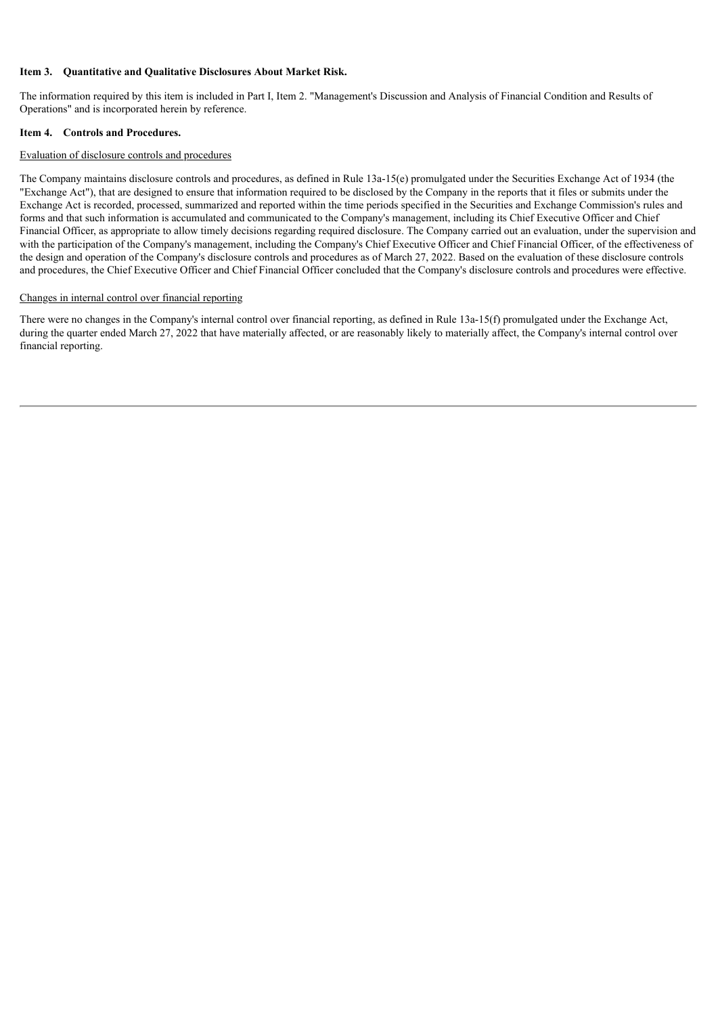## **Item 3. Quantitative and Qualitative Disclosures About Market Risk.**

The information required by this item is included in Part I, Item 2. "Management's Discussion and Analysis of Financial Condition and Results of Operations" and is incorporated herein by reference.

#### **Item 4. Controls and Procedures.**

#### Evaluation of disclosure controls and procedures

The Company maintains disclosure controls and procedures, as defined in Rule 13a-15(e) promulgated under the Securities Exchange Act of 1934 (the "Exchange Act"), that are designed to ensure that information required to be disclosed by the Company in the reports that it files or submits under the Exchange Act is recorded, processed, summarized and reported within the time periods specified in the Securities and Exchange Commission's rules and forms and that such information is accumulated and communicated to the Company's management, including its Chief Executive Officer and Chief Financial Officer, as appropriate to allow timely decisions regarding required disclosure. The Company carried out an evaluation, under the supervision and with the participation of the Company's management, including the Company's Chief Executive Officer and Chief Financial Officer, of the effectiveness of the design and operation of the Company's disclosure controls and procedures as of March 27, 2022. Based on the evaluation of these disclosure controls and procedures, the Chief Executive Officer and Chief Financial Officer concluded that the Company's disclosure controls and procedures were effective.

#### Changes in internal control over financial reporting

There were no changes in the Company's internal control over financial reporting, as defined in Rule 13a-15(f) promulgated under the Exchange Act, during the quarter ended March 27, 2022 that have materially affected, or are reasonably likely to materially affect, the Company's internal control over financial reporting.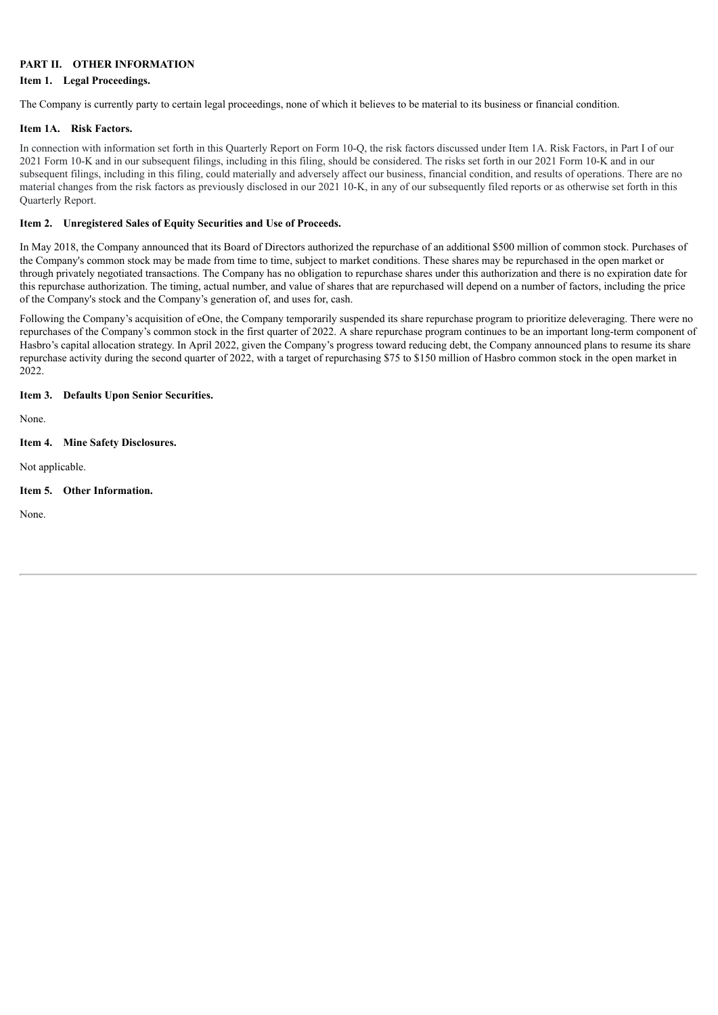#### **PART II. OTHER INFORMATION**

#### **Item 1. Legal Proceedings.**

The Company is currently party to certain legal proceedings, none of which it believes to be material to its business or financial condition.

#### **Item 1A. Risk Factors.**

In connection with information set forth in this Quarterly Report on Form 10-Q, the risk factors discussed under Item 1A. Risk Factors, in Part I of our 2021 Form 10-K and in our subsequent filings, including in this filing, should be considered. The risks set forth in our 2021 Form 10-K and in our subsequent filings, including in this filing, could materially and adversely affect our business, financial condition, and results of operations. There are no material changes from the risk factors as previously disclosed in our 2021 10-K, in any of our subsequently filed reports or as otherwise set forth in this Quarterly Report.

## **Item 2. Unregistered Sales of Equity Securities and Use of Proceeds.**

In May 2018, the Company announced that its Board of Directors authorized the repurchase of an additional \$500 million of common stock. Purchases of the Company's common stock may be made from time to time, subject to market conditions. These shares may be repurchased in the open market or through privately negotiated transactions. The Company has no obligation to repurchase shares under this authorization and there is no expiration date for this repurchase authorization. The timing, actual number, and value of shares that are repurchased will depend on a number of factors, including the price of the Company's stock and the Company's generation of, and uses for, cash.

Following the Company's acquisition of eOne, the Company temporarily suspended its share repurchase program to prioritize deleveraging. There were no repurchases of the Company's common stock in the first quarter of 2022. A share repurchase program continues to be an important long-term component of Hasbro's capital allocation strategy. In April 2022, given the Company's progress toward reducing debt, the Company announced plans to resume its share repurchase activity during the second quarter of 2022, with a target of repurchasing \$75 to \$150 million of Hasbro common stock in the open market in 2022.

## **Item 3. Defaults Upon Senior Securities.**

None.

## **Item 4. Mine Safety Disclosures.**

Not applicable.

## **Item 5. Other Information.**

None.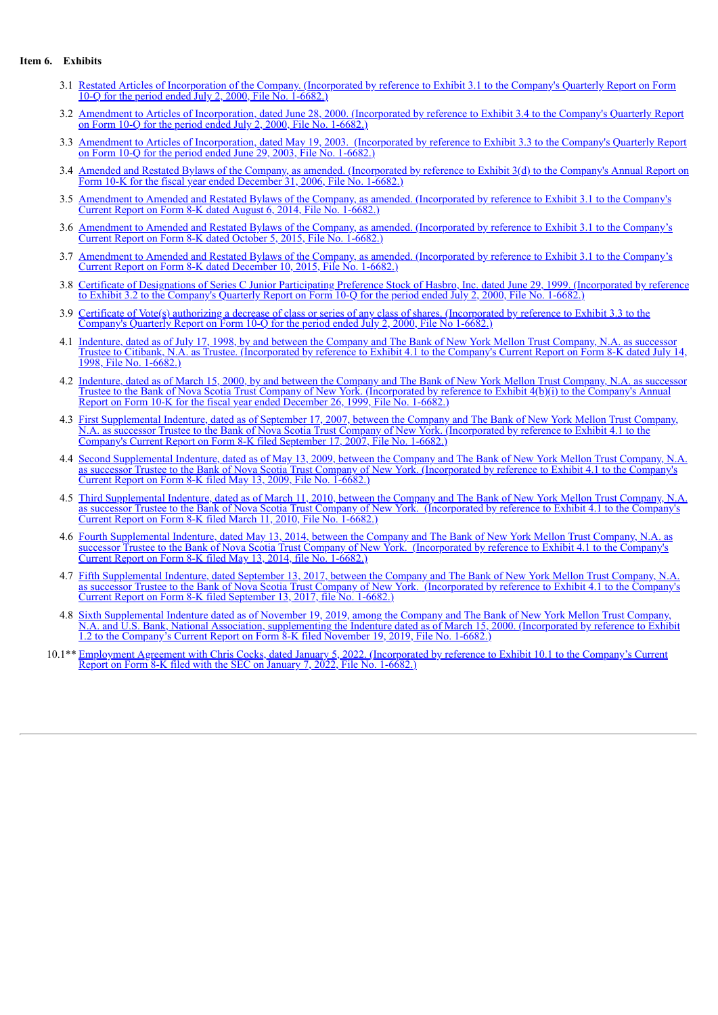#### **Item 6. Exhibits**

- 3.1 Restated Articles of [Incorporation](http://www.sec.gov/Archives/edgar/data/46080/000004608000000013/0000046080-00-000013-0002.txt) of the Company. (Incorporated by reference to Exhibit 3.1 to the Company's Quarterly Report on Form 10-Q for the period ended July 2, 2000, File No. 1-6682.)
- 3.2 Amendment to Articles of [Incorporation,](http://www.sec.gov/Archives/edgar/data/46080/000004608000000013/0000046080-00-000013-0005.txt) dated June 28, 2000. (Incorporated by reference to Exhibit 3.4 to the Company's Quarterly Report on Form 10-Q for the period ended July 2, 2000, File No. 1-6682.)
- 3.3 Amendment to Articles of [Incorporation,](http://www.sec.gov/Archives/edgar/data/46080/000004608003000022/ex3-3q203.htm) dated May 19, 2003. (Incorporated by reference to Exhibit 3.3 to the Company's Quarterly Report on Form 10-Q for the period ended June 29, 2003, File No. 1-6682.)
- 3.4 Amended and Restated Bylaws of the Company, as amended. [\(Incorporated](http://www.sec.gov/Archives/edgar/data/46080/000095013507001259/b63637hoexv3wxdy.txt) by reference to Exhibit 3(d) to the Company's Annual Report on Form 10-K for the fiscal year ended December 31, 2006, File No. 1-6682.)
- 3.5 Amendment to Amended and Restated Bylaws of the Company, as amended. [\(Incorporated](http://www.sec.gov/Archives/edgar/data/46080/000004608014000081/exhibit31.htm) by reference to Exhibit 3.1 to the Company's Current Report on Form 8-K dated August 6, 2014, File No. 1-6682.)
- 3.6 Amendment to Amended and Restated Bylaws of the Company, as amended. [\(Incorporated](http://www.sec.gov/Archives/edgar/data/46080/000004608015000093/exhibit31.htm) by reference to Exhibit 3.1 to the Company's Current Report on Form 8-K dated October 5, 2015, File No. 1-6682.)
- 3.7 Amendment to Amended and Restated Bylaws of the Company, as amended. [\(Incorporated](http://www.sec.gov/Archives/edgar/data/46080/000004608015000101/exhibit31.htm) by reference to Exhibit 3.1 to the Company's Current Report on Form 8-K dated December 10, 2015, File No. 1-6682.)
- 3.8 Certificate of Designations of Series C Junior Participating Preference Stock of Hasbro, Inc. dated June 29, 1999. [\(Incorporated](http://www.sec.gov/Archives/edgar/data/46080/000004608000000013/0000046080-00-000013-0003.txt) by reference to Exhibit 3.2 to the Company's Quarterly Report on Form 10-Q for the period ended July 2, 2000, File No. 1-6682.)
- 3.9 Certificate of Vote(s) authorizing a decrease of class or series of any class of shares. [\(Incorporated](http://www.sec.gov/Archives/edgar/data/46080/000004608000000013/0000046080-00-000013-0004.txt) by reference to Exhibit 3.3 to the Company's Quarterly Report on Form 10-Q for the period ended July 2, 2000, File No 1-6682.)
- 4.1 Indenture, dated as of July 17, 1998, by and between the Company and The Bank of New York Mellon Trust Company, N.A. as successor Trustee to Citibank, N.A. as Trustee. [\(Incorporated](http://www.sec.gov/Archives/edgar/data/46080/0000950172-98-000702.txt) by reference to Exhibit 4.1 to the Company's Current Report on Form 8-K dated July 14, 1998, File No. 1-6682.)
- 4.2 Indenture, dated as of March 15, 2000, by and between the Company and The Bank of New York Mellon Trust Company, N.A. as successor Trustee to the Bank of Nova Scotia Trust Company of New York. [\(Incorporated](http://www.sec.gov/Archives/edgar/data/46080/000004608000000003/0000046080-00-000003.txt) by reference to Exhibit 4(b)(i) to the Company's Annual Report on Form 10-K for the fiscal year ended December 26, 1999, File No. 1-6682.)
- 4.3 First [Supplemental](http://www.sec.gov/Archives/edgar/data/46080/000095013507005709/b66906hbexv4w1.htm) Indenture, dated as of September 17, 2007, between the Company and The Bank of New York Mellon Trust Company, N.A. as successor Trustee to the Bank of Nova Scotia Trust Company of New York. (Incorporated by reference to Exhibit 4.1 to the Company's Current Report on Form 8-K filed September 17, 2007, File No. 1-6682.)
- 4.4 Second [Supplemental](http://www.sec.gov/Archives/edgar/data/46080/000095013509003948/b75462hiexv4w1.htm) Indenture, dated as of May 13, 2009, between the Company and The Bank of New York Mellon Trust Company, N.A. as successor Trustee to the Bank of Nova Scotia Trust Company of New York. (Incorporated by reference to Exhibit 4.1 to the Company's Current Report on Form 8-K filed May 13, 2009, File No. 1-6682.)
- 4.5 Third [Supplemental](http://www.sec.gov/Archives/edgar/data/46080/000095012310023420/b80058exv4w1.htm) Indenture, dated as of March 11, 2010, between the Company and The Bank of New York Mellon Trust Company, N.A. as successor Trustee to the Bank of Nova Scotia Trust Company of New York. (Incorporated by reference to Exhibit 4.1 to the Company's Current Report on Form 8-K filed March 11, 2010, File No. 1-6682.)
- 4.6 Fourth [Supplemental](http://www.sec.gov/Archives/edgar/data/46080/000119312514196726/d727293dex41.htm) Indenture, dated May 13, 2014, between the Company and The Bank of New York Mellon Trust Company, N.A. as successor Trustee to the Bank of Nova Scotia Trust Company of New York. (Incorporated by reference to Exhibit 4.1 to the Company's Current Report on Form 8-K filed May 13, 2014, file No. 1-6682.)
- 4.7 Fifth [Supplemental](http://www.sec.gov/Archives/edgar/data/46080/000119312517283854/d456734dex41.htm) Indenture, dated September 13, 2017, between the Company and The Bank of New York Mellon Trust Company, N.A. as successor Trustee to the Bank of Nova Scotia Trust Company of New York. (Incorporated by reference to Exhibit 4.1 to the Company's Current Report on Form 8-K filed September 13, 2017, file No. 1-6682.)
- 4.8 Sixth Supplemental Indenture dated as of November 19, 2019, among the Company and The Bank of New York Mellon Trust Company, N.A. and U.S. Bank, National Association, [supplementing](http://www.sec.gov/Archives/edgar/data/46080/000119312519295544/d822953dex12.htm) the Indenture dated as of March 15, 2000. (Incorporated by reference to Exhibit 1.2 to the Company's Current Report on Form 8-K filed November 19, 2019, File No. 1-6682.)
- 10.1<sup>\*\*</sup> [Employment](#page-46-0) Agreement with Chris Cocks, dated January 5, 2022. [\(Incorporated](#page-46-0) by reference to Exhibit 10.1 to the Company's Current Report on Form 8-K filed with the SEC on January 7, 2022, File No. 1-6682.)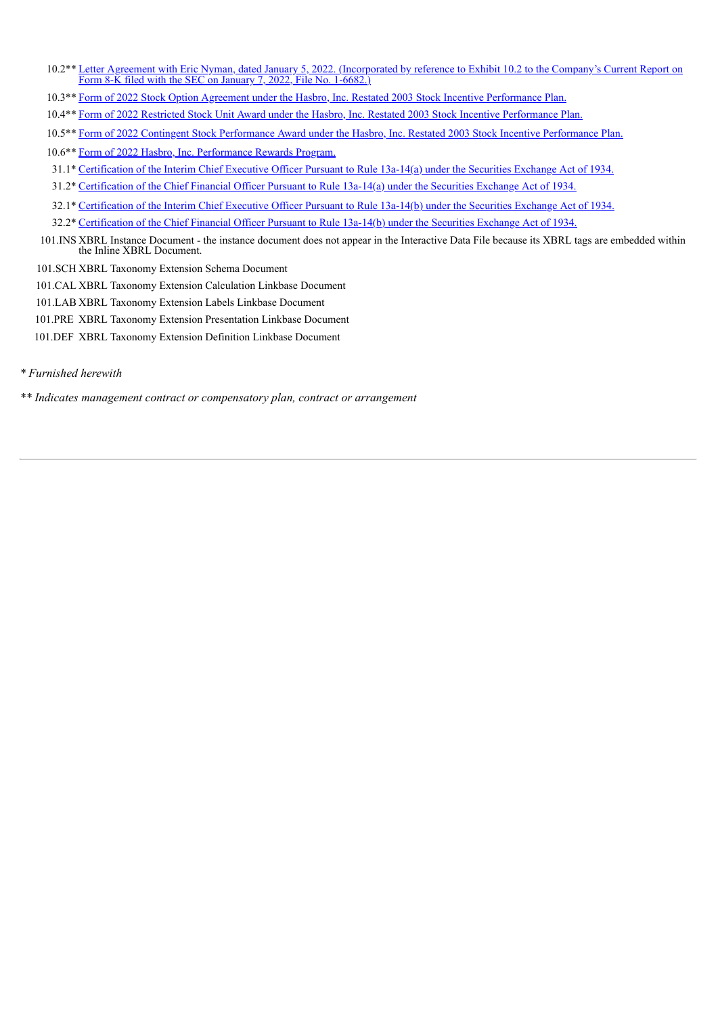- 10.2<sup>\*\*</sup> Letter Agreement with Eric Nyman, dated January 5, 2022. [\(Incorporated](#page-65-0) by reference to Exhibit 10.2 to the Company's Current Report on Form 8-K filed with the SEC on January 7, 2022, File No. 1-6682.)
- 10.3\*\* Form of 2022 Stock Option Agreement under the Hasbro, Inc. Restated 2003 Stock Incentive [Performance](#page-70-0) Plan.
- 10.4\*\* Form of 2022 Restricted Stock Unit Award under the Hasbro, Inc. Restated 2003 Stock Incentive [Performance](#page-79-0) Plan.
- 10.5\*\* Form of 2022 Contingent Stock [Performance](#page-86-0) Award under the Hasbro, Inc. Restated 2003 Stock Incentive Performance Plan.
- 10.6\*\* Form of 2022 Hasbro, Inc. [Performance](#page-97-0) Rewards Program.
- 31.1\* [Certification](#page-107-0) of the Interim Chief Executive Officer Pursuant to Rule 13a-14(a) under the Securities Exchange Act of 1934.
- 31.2\* [Certification](#page-108-0) of the Chief Financial Officer Pursuant to Rule 13a-14(a) under the Securities Exchange Act of 1934.
- 32.1\* [Certification](#page-109-0) of the Interim Chief Executive Officer Pursuant to Rule 13a-14(b) under the Securities Exchange Act of 1934.
- 32.2\* [Certification](#page-110-0) of the Chief Financial Officer Pursuant to Rule 13a-14(b) under the Securities Exchange Act of 1934.
- 101.INS XBRL Instance Document the instance document does not appear in the Interactive Data File because its XBRL tags are embedded within the Inline XBRL Document.
- 101.SCH XBRL Taxonomy Extension Schema Document
- 101.CAL XBRL Taxonomy Extension Calculation Linkbase Document
- 101.LAB XBRL Taxonomy Extension Labels Linkbase Document
- 101.PRE XBRL Taxonomy Extension Presentation Linkbase Document
- 101.DEF XBRL Taxonomy Extension Definition Linkbase Document
- *\* Furnished herewith*
- *\*\* Indicates management contract or compensatory plan, contract or arrangement*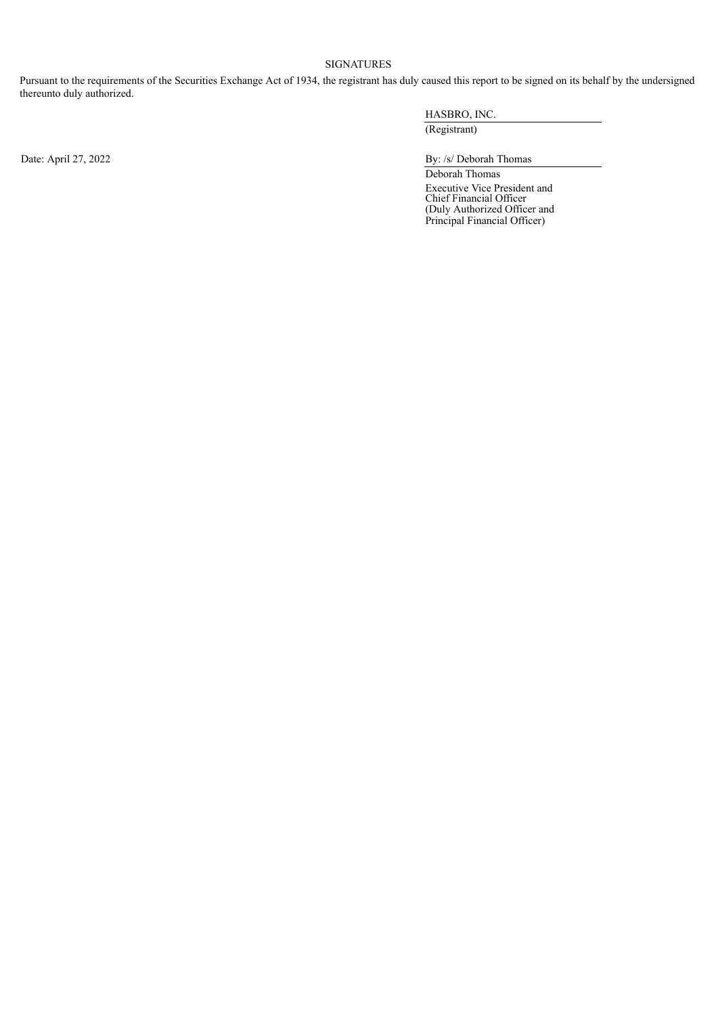## SIGNATURES

Pursuant to the requirements of the Securities Exchange Act of 1934, the registrant has duly caused this report to be signed on its behalf by the undersigned thereunto duly authorized.

HASBRO, INC. (Registrant)

Date: April 27, 2022 By: /s/ Deborah Thomas

Deborah Thomas Executive Vice President and Chief Financial Officer (Duly Authorized Officer and Principal Financial Officer)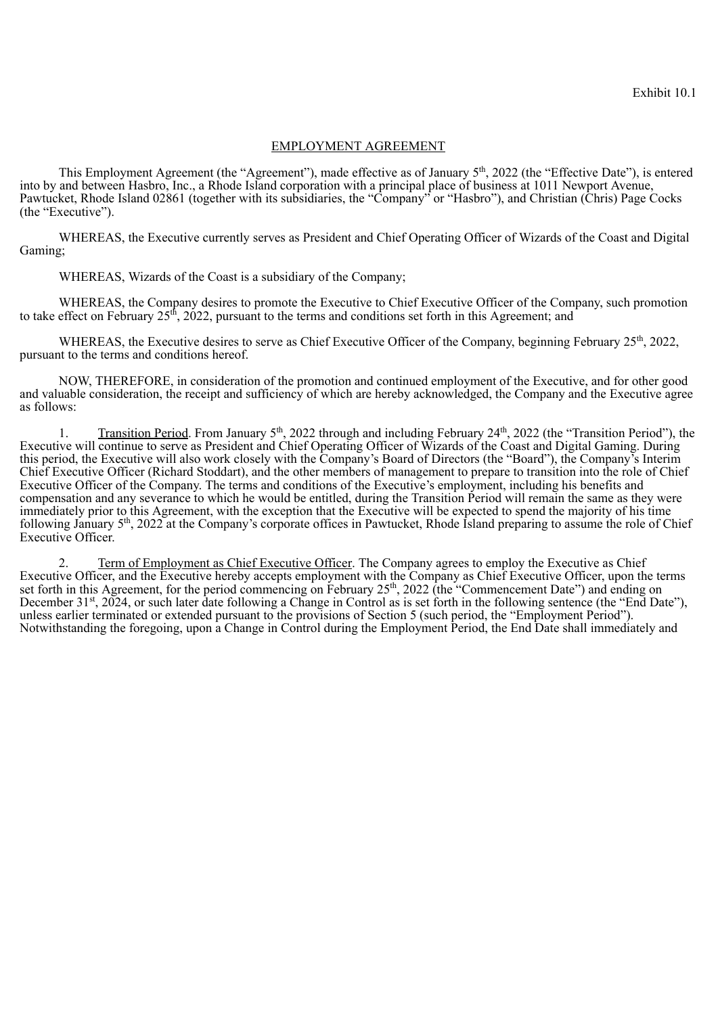## EMPLOYMENT AGREEMENT

<span id="page-46-0"></span>This Employment Agreement (the "Agreement"), made effective as of January 5<sup>th</sup>, 2022 (the "Effective Date"), is entered into by and between Hasbro, Inc., a Rhode Island corporation with a principal place of business at 1011 Newport Avenue, Pawtucket, Rhode Island 02861 (together with its subsidiaries, the "Company" or "Hasbro"), and Christian (Chris) Page Cocks (the "Executive").

WHEREAS, the Executive currently serves as President and Chief Operating Officer of Wizards of the Coast and Digital Gaming;

WHEREAS, Wizards of the Coast is a subsidiary of the Company;

WHEREAS, the Company desires to promote the Executive to Chief Executive Officer of the Company, such promotion to take effect on February 25<sup>th</sup>, 2022, pursuant to the terms and conditions set forth in this Agreement; and

WHEREAS, the Executive desires to serve as Chief Executive Officer of the Company, beginning February 25<sup>th</sup>, 2022, pursuant to the terms and conditions hereof.

NOW, THEREFORE, in consideration of the promotion and continued employment of the Executive, and for other good and valuable consideration, the receipt and sufficiency of which are hereby acknowledged, the Company and the Executive agree as follows:

1. Transition Period. From January  $5<sup>th</sup>$ , 2022 through and including February 24<sup>th</sup>, 2022 (the "Transition Period"), the Executive will continue to serve as President and Chief Operating Officer of Wizards of the Coast and Digital Gaming. During this period, the Executive will also work closely with the Company's Board of Directors (the "Board"), the Company's Interim Chief Executive Officer (Richard Stoddart), and the other members of management to prepare to transition into the role of Chief Executive Officer of the Company. The terms and conditions of the Executive's employment, including his benefits and compensation and any severance to which he would be entitled, during the Transition Period will remain the same as they were immediately prior to this Agreement, with the exception that the Executive will be expected to spend the majority of his time following January 5<sup>th</sup>, 2022 at the Company's corporate offices in Pawtucket, Rhode Island preparing to assume the role of Chief Executive Officer.  $th$  2022 through and including February  $24$ <sup>th</sup>

2. Term of Employment as Chief Executive Officer. The Company agrees to employ the Executive as Chief Executive Officer, and the Executive hereby accepts employment with the Company as Chief Executive Officer, upon the terms set forth in this Agreement, for the period commencing on February 25<sup>th</sup>, 2022 (the "Commencement Date") and ending on December 31<sup>st</sup>, 2024, or such later date following a Change in Control as is set forth in the following sentence (the "End Date"), unless earlier terminated or extended pursuant to the provisions of Section 5 (such period, the "Employment Period"). Notwithstanding the foregoing, upon a Change in Control during the Employment Period, the End Date shall immediately and th st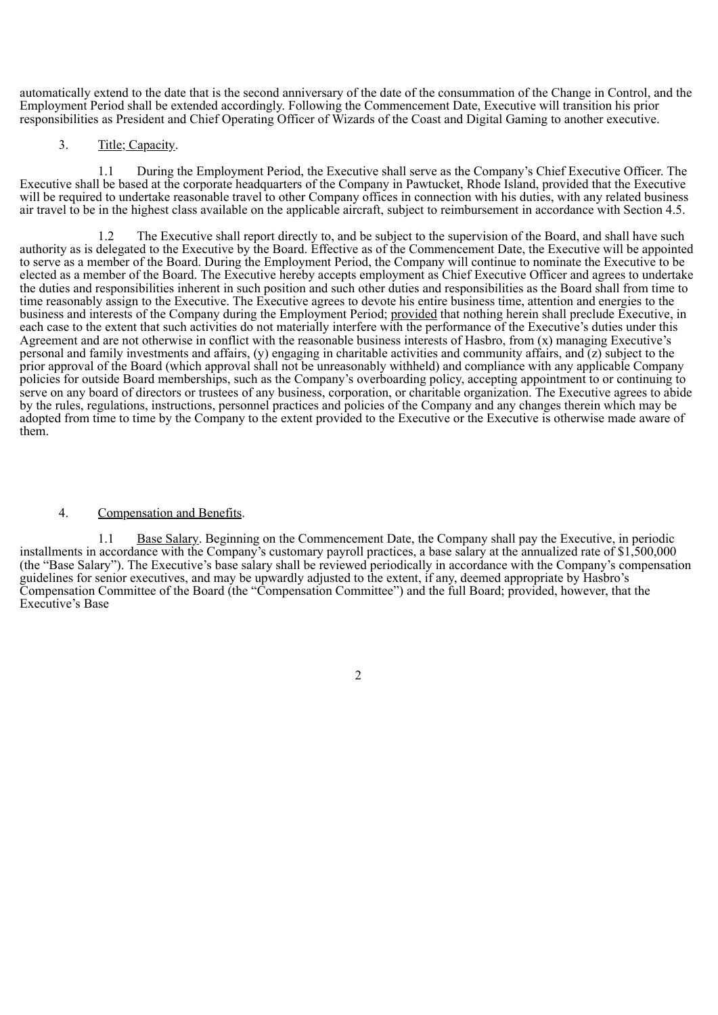automatically extend to the date that is the second anniversary of the date of the consummation of the Change in Control, and the Employment Period shall be extended accordingly. Following the Commencement Date, Executive will transition his prior responsibilities as President and Chief Operating Officer of Wizards of the Coast and Digital Gaming to another executive.

## 3. Title; Capacity.

1.1 During the Employment Period, the Executive shall serve as the Company's Chief Executive Officer. The Executive shall be based at the corporate headquarters of the Company in Pawtucket, Rhode Island, provided that the Executive will be required to undertake reasonable travel to other Company offices in connection with his duties, with any related business air travel to be in the highest class available on the applicable aircraft, subject to reimbursement in accordance with Section 4.5.

1.2 The Executive shall report directly to, and be subject to the supervision of the Board, and shall have such authority as is delegated to the Executive by the Board. Effective as of the Commencement Date, the Executive will be appointed to serve as a member of the Board. During the Employment Period, the Company will continue to nominate the Executive to be elected as a member of the Board. The Executive hereby accepts employment as Chief Executive Officer and agrees to undertake the duties and responsibilities inherent in such position and such other duties and responsibilities as the Board shall from time to time reasonably assign to the Executive. The Executive agrees to devote his entire business time, attention and energies to the business and interests of the Company during the Employment Period; provided that nothing herein shall preclude Executive, in each case to the extent that such activities do not materially interfere with the performance of the Executive's duties under this Agreement and are not otherwise in conflict with the reasonable business interests of Hasbro, from (x) managing Executive's personal and family investments and affairs, (y) engaging in charitable activities and community affairs, and (z) subject to the prior approval of the Board (which approval shall not be unreasonably withheld) and compliance with any applicable Company policies for outside Board memberships, such as the Company's overboarding policy, accepting appointment to or continuing to serve on any board of directors or trustees of any business, corporation, or charitable organization. The Executive agrees to abide by the rules, regulations, instructions, personnel practices and policies of the Company and any changes therein which may be adopted from time to time by the Company to the extent provided to the Executive or the Executive is otherwise made aware of them.

## 4. Compensation and Benefits.

1.1 Base Salary. Beginning on the Commencement Date, the Company shall pay the Executive, in periodic installments in accordance with the Company's customary payroll practices, a base salary at the annualized rate of \$1,500,000 (the "Base Salary"). The Executive's base salary shall be reviewed periodically in accordance with the Company's compensation guidelines for senior executives, and may be upwardly adjusted to the extent, if any, deemed appropriate by Hasbro's Compensation Committee of the Board (the "Compensation Committee") and the full Board; provided, however, that the Executive's Base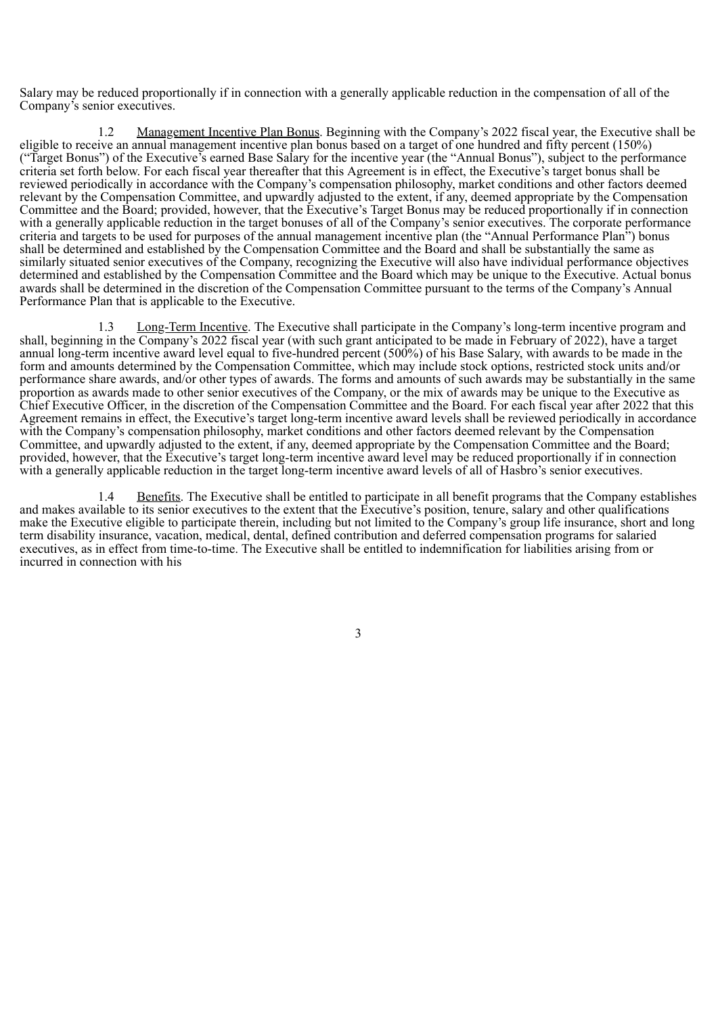Salary may be reduced proportionally if in connection with a generally applicable reduction in the compensation of all of the Company's senior executives.

1.2 Management Incentive Plan Bonus. Beginning with the Company's 2022 fiscal year, the Executive shall be eligible to receive an annual management incentive plan bonus based on a target of one hundred and fifty percent (150%) ("Target Bonus") of the Executive's earned Base Salary for the incentive year (the "Annual Bonus"), subject to the performance criteria set forth below. For each fiscal year thereafter that this Agreement is in effect, the Executive's target bonus shall be reviewed periodically in accordance with the Company's compensation philosophy, market conditions and other factors deemed relevant by the Compensation Committee, and upwardly adjusted to the extent, if any, deemed appropriate by the Compensation Committee and the Board; provided, however, that the Executive's Target Bonus may be reduced proportionally if in connection with a generally applicable reduction in the target bonuses of all of the Company's senior executives. The corporate performance criteria and targets to be used for purposes of the annual management incentive plan (the "Annual Performance Plan") bonus shall be determined and established by the Compensation Committee and the Board and shall be substantially the same as similarly situated senior executives of the Company, recognizing the Executive will also have individual performance objectives determined and established by the Compensation Committee and the Board which may be unique to the Executive. Actual bonus awards shall be determined in the discretion of the Compensation Committee pursuant to the terms of the Company's Annual Performance Plan that is applicable to the Executive.

1.3 Long-Term Incentive. The Executive shall participate in the Company's long-term incentive program and shall, beginning in the Company's 2022 fiscal year (with such grant anticipated to be made in February of 2022), have a target annual long-term incentive award level equal to five-hundred percent (500%) of his Base Salary, with awards to be made in the form and amounts determined by the Compensation Committee, which may include stock options, restricted stock units and/or performance share awards, and/or other types of awards. The forms and amounts of such awards may be substantially in the same proportion as awards made to other senior executives of the Company, or the mix of awards may be unique to the Executive as Chief Executive Officer, in the discretion of the Compensation Committee and the Board. For each fiscal year after 2022 that this Agreement remains in effect, the Executive's target long-term incentive award levels shall be reviewed periodically in accordance with the Company's compensation philosophy, market conditions and other factors deemed relevant by the Compensation Committee, and upwardly adjusted to the extent, if any, deemed appropriate by the Compensation Committee and the Board; provided, however, that the Executive's target long-term incentive award level may be reduced proportionally if in connection with a generally applicable reduction in the target long-term incentive award levels of all of Hasbro's senior executives.

1.4 Benefits. The Executive shall be entitled to participate in all benefit programs that the Company establishes and makes available to its senior executives to the extent that the Executive's position, tenure, salary and other qualifications make the Executive eligible to participate therein, including but not limited to the Company's group life insurance, short and long term disability insurance, vacation, medical, dental, defined contribution and deferred compensation programs for salaried executives, as in effect from time-to-time. The Executive shall be entitled to indemnification for liabilities arising from or incurred in connection with his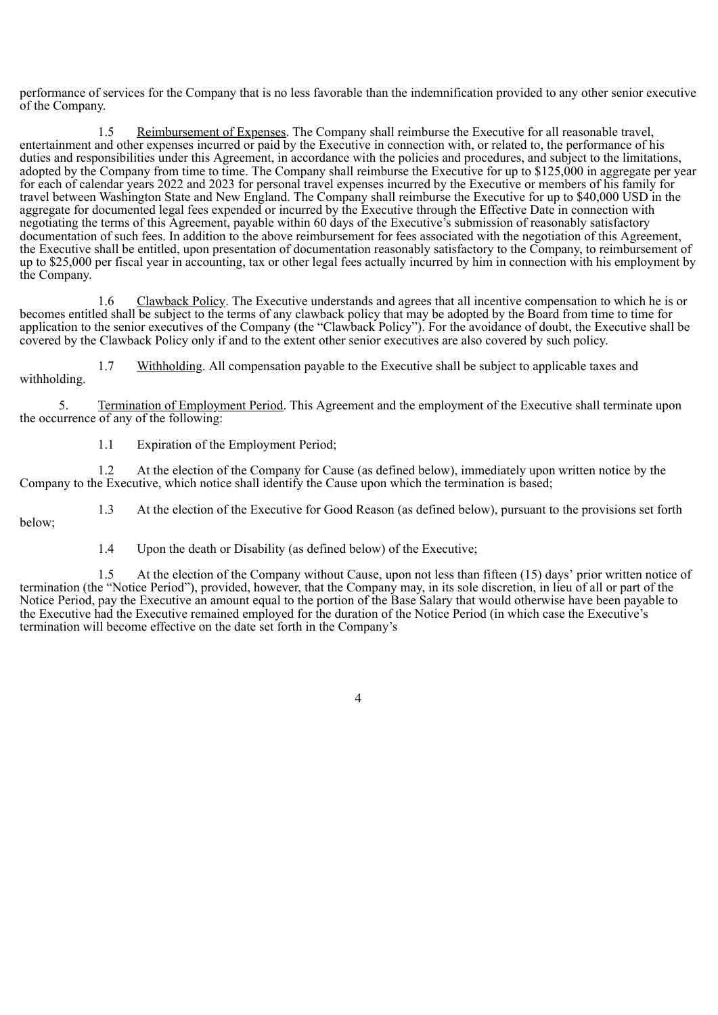performance of services for the Company that is no less favorable than the indemnification provided to any other senior executive of the Company.

Reimbursement of Expenses. The Company shall reimburse the Executive for all reasonable travel, entertainment and other expenses incurred or paid by the Executive in connection with, or related to, the performance of his duties and responsibilities under this Agreement, in accordance with the policies and procedures, and subject to the limitations, adopted by the Company from time to time. The Company shall reimburse the Executive for up to \$125,000 in aggregate per year for each of calendar years 2022 and 2023 for personal travel expenses incurred by the Executive or members of his family for travel between Washington State and New England. The Company shall reimburse the Executive for up to \$40,000 USD in the aggregate for documented legal fees expended or incurred by the Executive through the Effective Date in connection with negotiating the terms of this Agreement, payable within 60 days of the Executive's submission of reasonably satisfactory documentation of such fees. In addition to the above reimbursement for fees associated with the negotiation of this Agreement, the Executive shall be entitled, upon presentation of documentation reasonably satisfactory to the Company, to reimbursement of up to \$25,000 per fiscal year in accounting, tax or other legal fees actually incurred by him in connection with his employment by the Company.

1.6 Clawback Policy. The Executive understands and agrees that all incentive compensation to which he is or becomes entitled shall be subject to the terms of any clawback policy that may be adopted by the Board from time to time for application to the senior executives of the Company (the "Clawback Policy"). For the avoidance of doubt, the Executive shall be covered by the Clawback Policy only if and to the extent other senior executives are also covered by such policy.

1.7 Withholding. All compensation payable to the Executive shall be subject to applicable taxes and withholding.

5. Termination of Employment Period. This Agreement and the employment of the Executive shall terminate upon the occurrence of any of the following:

1.1 Expiration of the Employment Period;

1.2 At the election of the Company for Cause (as defined below), immediately upon written notice by the Company to the Executive, which notice shall identify the Cause upon which the termination is based;

1.3 At the election of the Executive for Good Reason (as defined below), pursuant to the provisions set forth below;

1.4 Upon the death or Disability (as defined below) of the Executive;

1.5 At the election of the Company without Cause, upon not less than fifteen (15) days' prior written notice of termination (the "Notice Period"), provided, however, that the Company may, in its sole discretion, in lieu of all or part of the Notice Period, pay the Executive an amount equal to the portion of the Base Salary that would otherwise have been payable to the Executive had the Executive remained employed for the duration of the Notice Period (in which case the Executive's termination will become effective on the date set forth in the Company's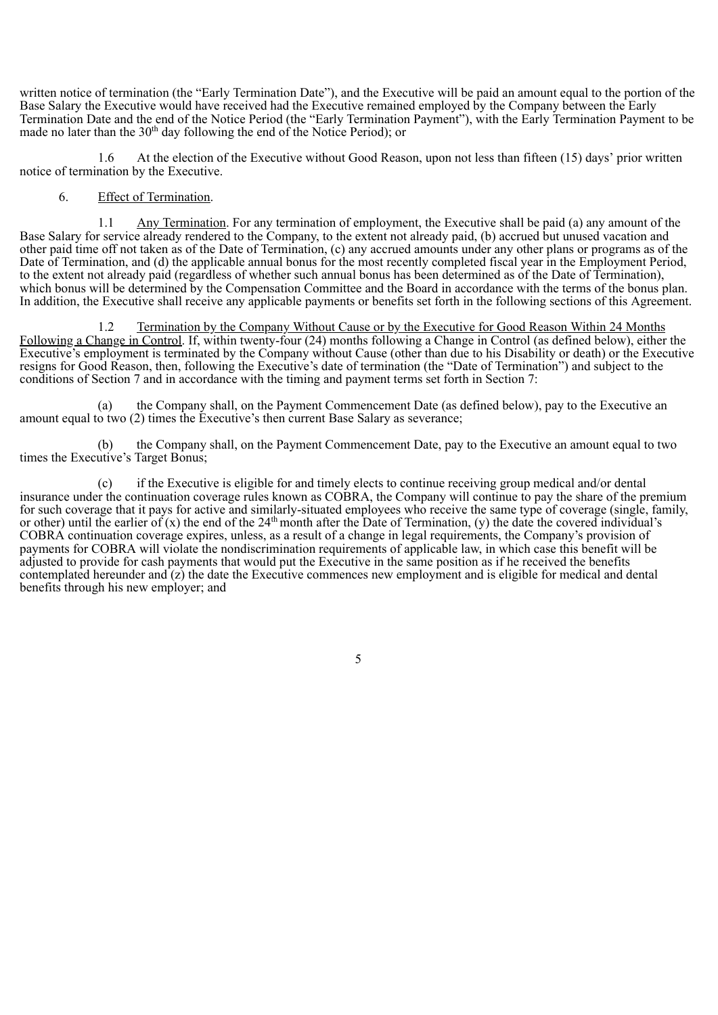written notice of termination (the "Early Termination Date"), and the Executive will be paid an amount equal to the portion of the Base Salary the Executive would have received had the Executive remained employed by the Company between the Early Termination Date and the end of the Notice Period (the "Early Termination Payment"), with the Early Termination Payment to be made no later than the  $30<sup>th</sup>$  day following the end of the Notice Period); or

1.6 At the election of the Executive without Good Reason, upon not less than fifteen (15) days' prior written notice of termination by the Executive.

## 6. Effect of Termination.

1.1 Any Termination. For any termination of employment, the Executive shall be paid (a) any amount of the Base Salary for service already rendered to the Company, to the extent not already paid, (b) accrued but unused vacation and other paid time off not taken as of the Date of Termination, (c) any accrued amounts under any other plans or programs as of the Date of Termination, and (d) the applicable annual bonus for the most recently completed fiscal year in the Employment Period, to the extent not already paid (regardless of whether such annual bonus has been determined as of the Date of Termination), which bonus will be determined by the Compensation Committee and the Board in accordance with the terms of the bonus plan. In addition, the Executive shall receive any applicable payments or benefits set forth in the following sections of this Agreement.

1.2 Termination by the Company Without Cause or by the Executive for Good Reason Within 24 Months Following a Change in Control. If, within twenty-four (24) months following a Change in Control (as defined below), either the Executive's employment is terminated by the Company without Cause (other than due to his Disability or death) or the Executive resigns for Good Reason, then, following the Executive's date of termination (the "Date of Termination") and subject to the conditions of Section 7 and in accordance with the timing and payment terms set forth in Section 7:

(a) the Company shall, on the Payment Commencement Date (as defined below), pay to the Executive an amount equal to two (2) times the Executive's then current Base Salary as severance;

(b) the Company shall, on the Payment Commencement Date, pay to the Executive an amount equal to two times the Executive's Target Bonus;

(c) if the Executive is eligible for and timely elects to continue receiving group medical and/or dental insurance under the continuation coverage rules known as COBRA, the Company will continue to pay the share of the premium for such coverage that it pays for active and similarly-situated employees who receive the same type of coverage (single, family, or other) until the earlier of  $(x)$  the end of the 24<sup>th</sup> month after the Date of Termination, (y) the date the covered individual's COBRA continuation coverage expires, unless, as a result of a change in legal requirements, the Company's provision of payments for COBRA will violate the nondiscrimination requirements of applicable law, in which case this benefit will be adjusted to provide for cash payments that would put the Executive in the same position as if he received the benefits contemplated hereunder and  $(z)$  the date the Executive commences new employment and is eligible for medical and dental benefits through his new employer; and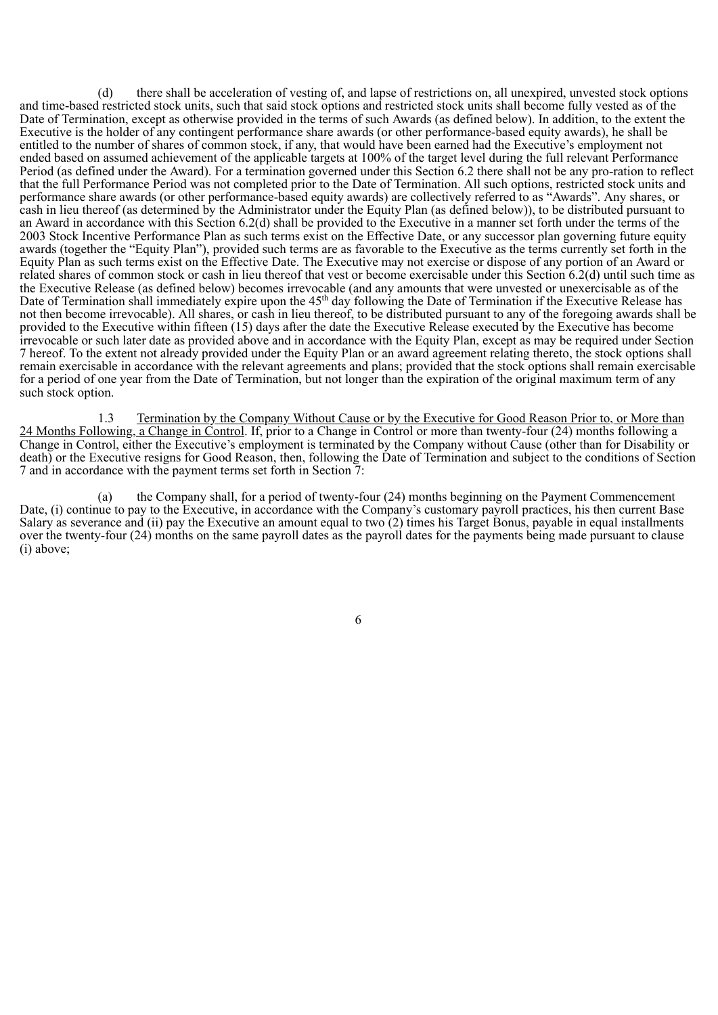(d) there shall be acceleration of vesting of, and lapse of restrictions on, all unexpired, unvested stock options and time-based restricted stock units, such that said stock options and restricted stock units shall become fully vested as of the Date of Termination, except as otherwise provided in the terms of such Awards (as defined below). In addition, to the extent the Executive is the holder of any contingent performance share awards (or other performance-based equity awards), he shall be entitled to the number of shares of common stock, if any, that would have been earned had the Executive's employment not ended based on assumed achievement of the applicable targets at 100% of the target level during the full relevant Performance Period (as defined under the Award). For a termination governed under this Section 6.2 there shall not be any pro-ration to reflect that the full Performance Period was not completed prior to the Date of Termination. All such options, restricted stock units and performance share awards (or other performance-based equity awards) are collectively referred to as "Awards". Any shares, or cash in lieu thereof (as determined by the Administrator under the Equity Plan (as defined below)), to be distributed pursuant to an Award in accordance with this Section 6.2(d) shall be provided to the Executive in a manner set forth under the terms of the 2003 Stock Incentive Performance Plan as such terms exist on the Effective Date, or any successor plan governing future equity awards (together the "Equity Plan"), provided such terms are as favorable to the Executive as the terms currently set forth in the Equity Plan as such terms exist on the Effective Date. The Executive may not exercise or dispose of any portion of an Award or related shares of common stock or cash in lieu thereof that vest or become exercisable under this Section 6.2(d) until such time as the Executive Release (as defined below) becomes irrevocable (and any amounts that were unvested or unexercisable as of the Date of Termination shall immediately expire upon the 45<sup>th</sup> day following the Date of Termination if the Executive Release has not then become irrevocable). All shares, or cash in lieu thereof, to be distributed pursuant to any of the foregoing awards shall be provided to the Executive within fifteen (15) days after the date the Executive Release executed by the Executive has become irrevocable or such later date as provided above and in accordance with the Equity Plan, except as may be required under Section 7 hereof. To the extent not already provided under the Equity Plan or an award agreement relating thereto, the stock options shall remain exercisable in accordance with the relevant agreements and plans; provided that the stock options shall remain exercisable for a period of one year from the Date of Termination, but not longer than the expiration of the original maximum term of any such stock option.

1.3 Termination by the Company Without Cause or by the Executive for Good Reason Prior to, or More than 24 Months Following, a Change in Control. If, prior to a Change in Control or more than twenty-four (24) months following a Change in Control, either the Executive's employment is terminated by the Company without Cause (other than for Disability or death) or the Executive resigns for Good Reason, then, following the Date of Termination and subject to the conditions of Section 7 and in accordance with the payment terms set forth in Section 7:

(a) the Company shall, for a period of twenty-four (24) months beginning on the Payment Commencement Date, (i) continue to pay to the Executive, in accordance with the Company's customary payroll practices, his then current Base Salary as severance and (ii) pay the Executive an amount equal to two (2) times his Target Bonus, payable in equal installments over the twenty-four (24) months on the same payroll dates as the payroll dates for the payments being made pursuant to clause (i) above;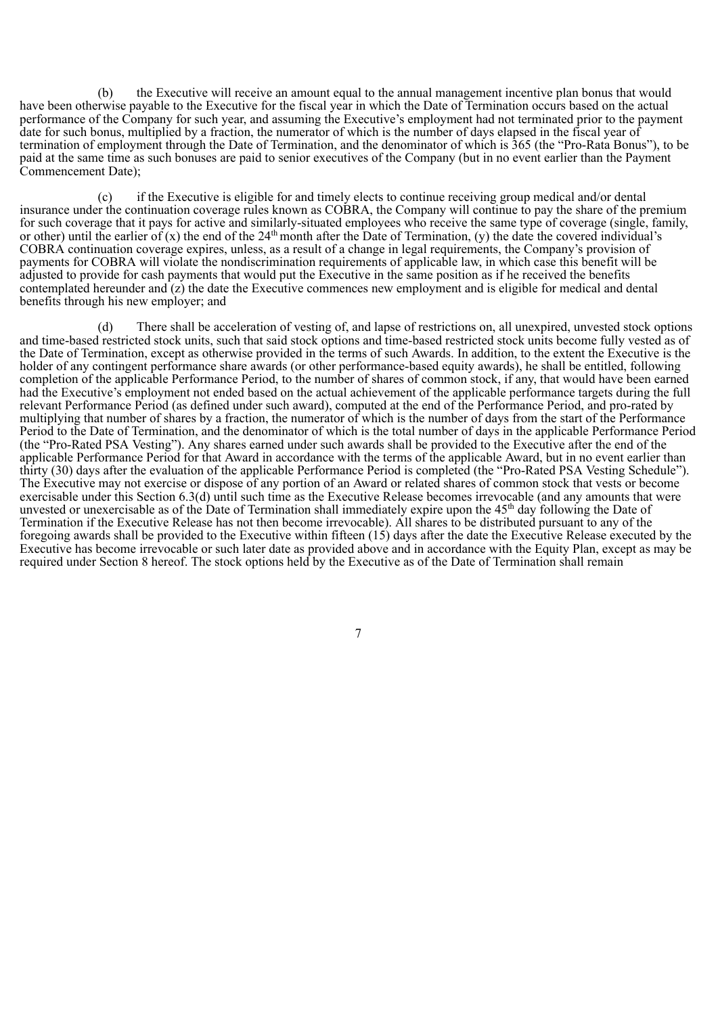(b) the Executive will receive an amount equal to the annual management incentive plan bonus that would have been otherwise payable to the Executive for the fiscal year in which the Date of Termination occurs based on the actual performance of the Company for such year, and assuming the Executive's employment had not terminated prior to the payment date for such bonus, multiplied by a fraction, the numerator of which is the number of days elapsed in the fiscal year of termination of employment through the Date of Termination, and the denominator of which is 365 (the "Pro-Rata Bonus"), to be paid at the same time as such bonuses are paid to senior executives of the Company (but in no event earlier than the Payment Commencement Date);

(c) if the Executive is eligible for and timely elects to continue receiving group medical and/or dental insurance under the continuation coverage rules known as COBRA, the Company will continue to pay the share of the premium for such coverage that it pays for active and similarly-situated employees who receive the same type of coverage (single, family, or other) until the earlier of  $(x)$  the end of the 24<sup>th</sup> month after the Date of Termination, (y) the date the covered individual's COBRA continuation coverage expires, unless, as a result of a change in legal requirements, the Company's provision of payments for COBRA will violate the nondiscrimination requirements of applicable law, in which case this benefit will be adjusted to provide for cash payments that would put the Executive in the same position as if he received the benefits contemplated hereunder and (z) the date the Executive commences new employment and is eligible for medical and dental benefits through his new employer; and

(d) There shall be acceleration of vesting of, and lapse of restrictions on, all unexpired, unvested stock options and time-based restricted stock units, such that said stock options and time-based restricted stock units become fully vested as of the Date of Termination, except as otherwise provided in the terms of such Awards. In addition, to the extent the Executive is the holder of any contingent performance share awards (or other performance-based equity awards), he shall be entitled, following completion of the applicable Performance Period, to the number of shares of common stock, if any, that would have been earned had the Executive's employment not ended based on the actual achievement of the applicable performance targets during the full relevant Performance Period (as defined under such award), computed at the end of the Performance Period, and pro-rated by multiplying that number of shares by a fraction, the numerator of which is the number of days from the start of the Performance Period to the Date of Termination, and the denominator of which is the total number of days in the applicable Performance Period (the "Pro-Rated PSA Vesting"). Any shares earned under such awards shall be provided to the Executive after the end of the applicable Performance Period for that Award in accordance with the terms of the applicable Award, but in no event earlier than thirty (30) days after the evaluation of the applicable Performance Period is completed (the "Pro-Rated PSA Vesting Schedule"). The Executive may not exercise or dispose of any portion of an Award or related shares of common stock that vests or become exercisable under this Section 6.3(d) until such time as the Executive Release becomes irrevocable (and any amounts that were unvested or unexercisable as of the Date of Termination shall immediately expire upon the  $45<sup>th</sup>$  day following the Date of Termination if the Executive Release has not then become irrevocable). All shares to be distributed pursuant to any of the foregoing awards shall be provided to the Executive within fifteen (15) days after the date the Executive Release executed by the Executive has become irrevocable or such later date as provided above and in accordance with the Equity Plan, except as may be required under Section 8 hereof. The stock options held by the Executive as of the Date of Termination shall remain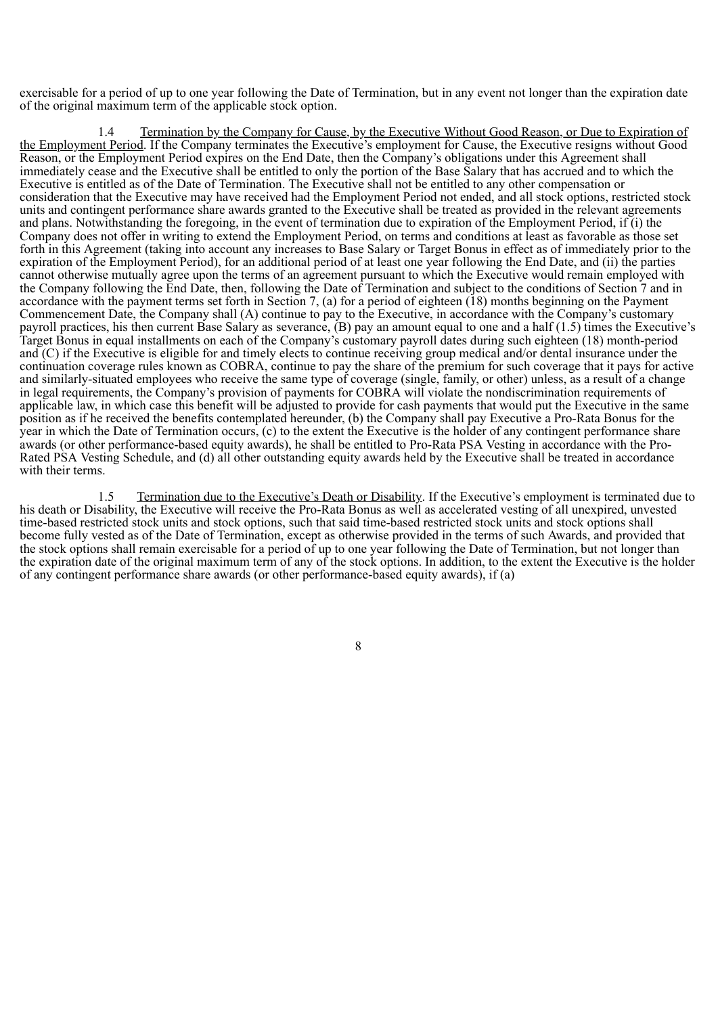exercisable for a period of up to one year following the Date of Termination, but in any event not longer than the expiration date of the original maximum term of the applicable stock option.

Termination by the Company for Cause, by the Executive Without Good Reason, or Due to Expiration of the Employment Period. If the Company terminates the Executive's employment for Cause, the Executive resigns without Good Reason, or the Employment Period expires on the End Date, then the Company's obligations under this Agreement shall immediately cease and the Executive shall be entitled to only the portion of the Base Salary that has accrued and to which the Executive is entitled as of the Date of Termination. The Executive shall not be entitled to any other compensation or consideration that the Executive may have received had the Employment Period not ended, and all stock options, restricted stock units and contingent performance share awards granted to the Executive shall be treated as provided in the relevant agreements and plans. Notwithstanding the foregoing, in the event of termination due to expiration of the Employment Period, if (i) the Company does not offer in writing to extend the Employment Period, on terms and conditions at least as favorable as those set forth in this Agreement (taking into account any increases to Base Salary or Target Bonus in effect as of immediately prior to the expiration of the Employment Period), for an additional period of at least one year following the End Date, and (ii) the parties cannot otherwise mutually agree upon the terms of an agreement pursuant to which the Executive would remain employed with the Company following the End Date, then, following the Date of Termination and subject to the conditions of Section 7 and in accordance with the payment terms set forth in Section 7, (a) for a period of eighteen (18) months beginning on the Payment Commencement Date, the Company shall (A) continue to pay to the Executive, in accordance with the Company's customary payroll practices, his then current Base Salary as severance, (B) pay an amount equal to one and a half (1.5) times the Executive's Target Bonus in equal installments on each of the Company's customary payroll dates during such eighteen (18) month-period and (C) if the Executive is eligible for and timely elects to continue receiving group medical and/or dental insurance under the continuation coverage rules known as COBRA, continue to pay the share of the premium for such coverage that it pays for active and similarly-situated employees who receive the same type of coverage (single, family, or other) unless, as a result of a change in legal requirements, the Company's provision of payments for COBRA will violate the nondiscrimination requirements of applicable law, in which case this benefit will be adjusted to provide for cash payments that would put the Executive in the same position as if he received the benefits contemplated hereunder, (b) the Company shall pay Executive a Pro-Rata Bonus for the year in which the Date of Termination occurs, (c) to the extent the Executive is the holder of any contingent performance share awards (or other performance-based equity awards), he shall be entitled to Pro-Rata PSA Vesting in accordance with the Pro-Rated PSA Vesting Schedule, and (d) all other outstanding equity awards held by the Executive shall be treated in accordance with their terms.

1.5 Termination due to the Executive's Death or Disability. If the Executive's employment is terminated due to his death or Disability, the Executive will receive the Pro-Rata Bonus as well as accelerated vesting of all unexpired, unvested time-based restricted stock units and stock options, such that said time-based restricted stock units and stock options shall become fully vested as of the Date of Termination, except as otherwise provided in the terms of such Awards, and provided that the stock options shall remain exercisable for a period of up to one year following the Date of Termination, but not longer than the expiration date of the original maximum term of any of the stock options. In addition, to the extent the Executive is the holder of any contingent performance share awards (or other performance-based equity awards), if (a)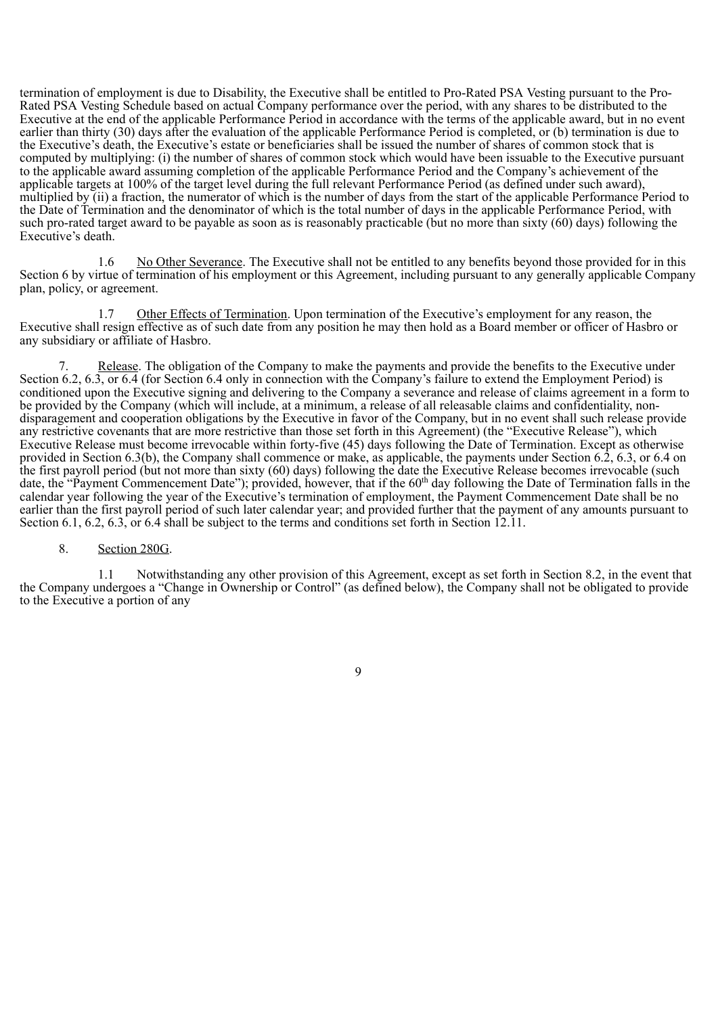termination of employment is due to Disability, the Executive shall be entitled to Pro-Rated PSA Vesting pursuant to the Pro-Rated PSA Vesting Schedule based on actual Company performance over the period, with any shares to be distributed to the Executive at the end of the applicable Performance Period in accordance with the terms of the applicable award, but in no event earlier than thirty (30) days after the evaluation of the applicable Performance Period is completed, or (b) termination is due to the Executive's death, the Executive's estate or beneficiaries shall be issued the number of shares of common stock that is computed by multiplying: (i) the number of shares of common stock which would have been issuable to the Executive pursuant to the applicable award assuming completion of the applicable Performance Period and the Company's achievement of the applicable targets at 100% of the target level during the full relevant Performance Period (as defined under such award), multiplied by (ii) a fraction, the numerator of which is the number of days from the start of the applicable Performance Period to the Date of Termination and the denominator of which is the total number of days in the applicable Performance Period, with such pro-rated target award to be payable as soon as is reasonably practicable (but no more than sixty (60) days) following the Executive's death.

1.6 No Other Severance. The Executive shall not be entitled to any benefits beyond those provided for in this Section 6 by virtue of termination of his employment or this Agreement, including pursuant to any generally applicable Company plan, policy, or agreement.

1.7 Other Effects of Termination. Upon termination of the Executive's employment for any reason, the Executive shall resign effective as of such date from any position he may then hold as a Board member or officer of Hasbro or any subsidiary or affiliate of Hasbro.

Release. The obligation of the Company to make the payments and provide the benefits to the Executive under Section 6.2, 6.3, or 6.4 (for Section 6.4 only in connection with the Company's failure to extend the Employment Period) is conditioned upon the Executive signing and delivering to the Company a severance and release of claims agreement in a form to be provided by the Company (which will include, at a minimum, a release of all releasable claims and confidentiality, nondisparagement and cooperation obligations by the Executive in favor of the Company, but in no event shall such release provide any restrictive covenants that are more restrictive than those set forth in this Agreement) (the "Executive Release"), which Executive Release must become irrevocable within forty-five (45) days following the Date of Termination. Except as otherwise provided in Section 6.3(b), the Company shall commence or make, as applicable, the payments under Section 6.2, 6.3, or 6.4 on the first payroll period (but not more than sixty (60) days) following the date the Executive Release becomes irrevocable (such date, the "Payment Commencement Date"); provided, however, that if the 60<sup>th</sup> day following the Date of Termination falls in the calendar year following the year of the Executive's termination of employment, the Payment Commencement Date shall be no earlier than the first payroll period of such later calendar year; and provided further that the payment of any amounts pursuant to Section 6.1, 6.2, 6.3, or 6.4 shall be subject to the terms and conditions set forth in Section 12.11.

# 8. Section 280G.

1.1 Notwithstanding any other provision of this Agreement, except as set forth in Section 8.2, in the event that the Company undergoes a "Change in Ownership or Control" (as defined below), the Company shall not be obligated to provide to the Executive a portion of any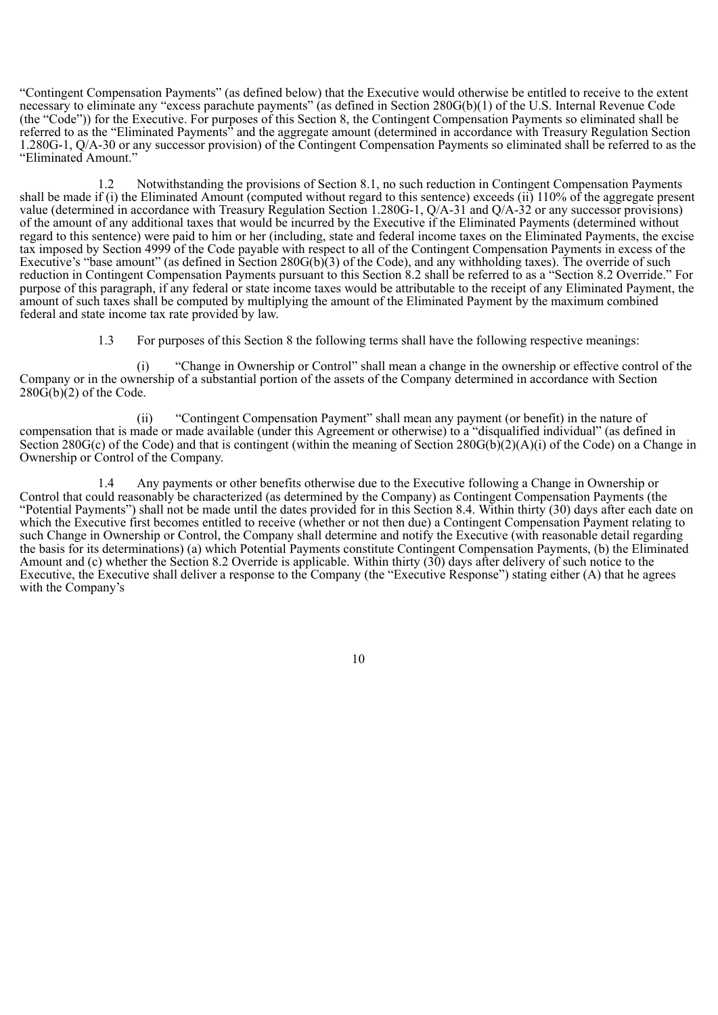"Contingent Compensation Payments" (as defined below) that the Executive would otherwise be entitled to receive to the extent necessary to eliminate any "excess parachute payments" (as defined in Section 280G(b)(1) of the U.S. Internal Revenue Code (the "Code")) for the Executive. For purposes of this Section 8, the Contingent Compensation Payments so eliminated shall be referred to as the "Eliminated Payments" and the aggregate amount (determined in accordance with Treasury Regulation Section 1.280G-1, Q/A-30 or any successor provision) of the Contingent Compensation Payments so eliminated shall be referred to as the "Eliminated Amount."

1.2 Notwithstanding the provisions of Section 8.1, no such reduction in Contingent Compensation Payments shall be made if (i) the Eliminated Amount (computed without regard to this sentence) exceeds (ii) 110% of the aggregate present value (determined in accordance with Treasury Regulation Section 1.280G-1, Q/A-31 and Q/A-32 or any successor provisions) of the amount of any additional taxes that would be incurred by the Executive if the Eliminated Payments (determined without regard to this sentence) were paid to him or her (including, state and federal income taxes on the Eliminated Payments, the excise tax imposed by Section 4999 of the Code payable with respect to all of the Contingent Compensation Payments in excess of the Executive's "base amount" (as defined in Section 280G(b)(3) of the Code), and any withholding taxes). The override of such reduction in Contingent Compensation Payments pursuant to this Section 8.2 shall be referred to as a "Section 8.2 Override." For purpose of this paragraph, if any federal or state income taxes would be attributable to the receipt of any Eliminated Payment, the amount of such taxes shall be computed by multiplying the amount of the Eliminated Payment by the maximum combined federal and state income tax rate provided by law.

1.3 For purposes of this Section 8 the following terms shall have the following respective meanings:

(i) "Change in Ownership or Control" shall mean a change in the ownership or effective control of the Company or in the ownership of a substantial portion of the assets of the Company determined in accordance with Section  $280\overline{G(b)}(2)$  of the Code.

(ii) "Contingent Compensation Payment" shall mean any payment (or benefit) in the nature of compensation that is made or made available (under this Agreement or otherwise) to a "disqualified individual" (as defined in Section 280G(c) of the Code) and that is contingent (within the meaning of Section 280G(b)(2)(A)(i) of the Code) on a Change in Ownership or Control of the Company.

1.4 Any payments or other benefits otherwise due to the Executive following a Change in Ownership or Control that could reasonably be characterized (as determined by the Company) as Contingent Compensation Payments (the "Potential Payments") shall not be made until the dates provided for in this Section 8.4. Within thirty (30) days after each date on which the Executive first becomes entitled to receive (whether or not then due) a Contingent Compensation Payment relating to such Change in Ownership or Control, the Company shall determine and notify the Executive (with reasonable detail regarding the basis for its determinations) (a) which Potential Payments constitute Contingent Compensation Payments, (b) the Eliminated Amount and (c) whether the Section 8.2 Override is applicable. Within thirty (30) days after delivery of such notice to the Executive, the Executive shall deliver a response to the Company (the "Executive Response") stating either (A) that he agrees with the Company's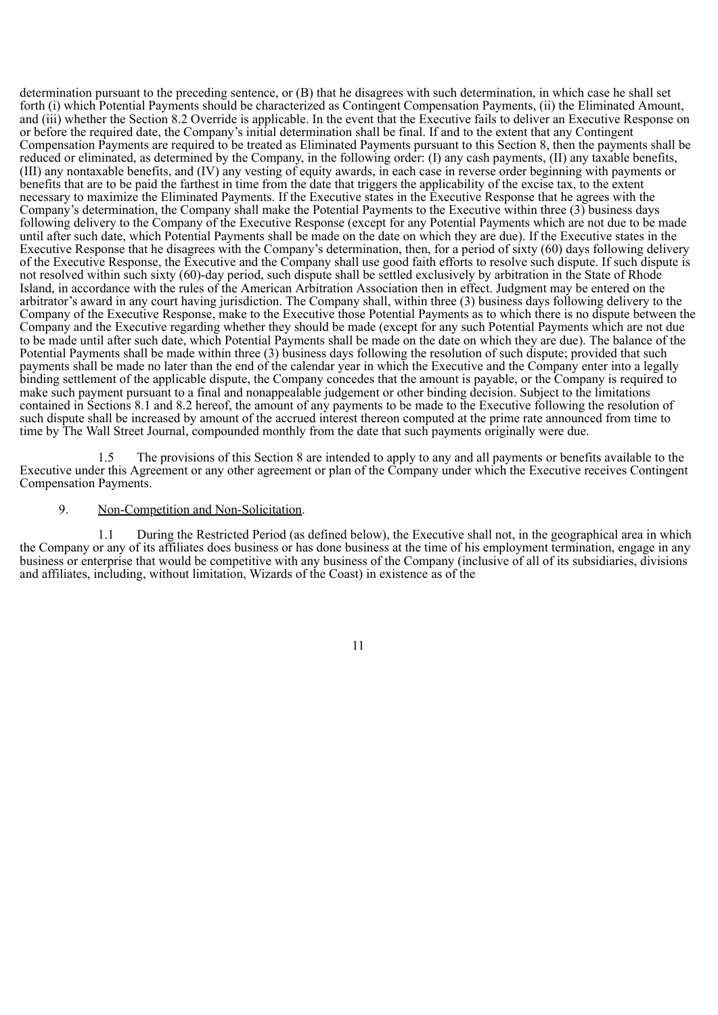determination pursuant to the preceding sentence, or (B) that he disagrees with such determination, in which case he shall set forth (i) which Potential Payments should be characterized as Contingent Compensation Payments, (ii) the Eliminated Amount, and (iii) whether the Section 8.2 Override is applicable. In the event that the Executive fails to deliver an Executive Response on or before the required date, the Company's initial determination shall be final. If and to the extent that any Contingent Compensation Payments are required to be treated as Eliminated Payments pursuant to this Section 8, then the payments shall be reduced or eliminated, as determined by the Company, in the following order: (I) any cash payments, (II) any taxable benefits, (III) any nontaxable benefits, and (IV) any vesting of equity awards, in each case in reverse order beginning with payments or benefits that are to be paid the farthest in time from the date that triggers the applicability of the excise tax, to the extent necessary to maximize the Eliminated Payments. If the Executive states in the Executive Response that he agrees with the Company's determination, the Company shall make the Potential Payments to the Executive within three (3) business days following delivery to the Company of the Executive Response (except for any Potential Payments which are not due to be made until after such date, which Potential Payments shall be made on the date on which they are due). If the Executive states in the Executive Response that he disagrees with the Company's determination, then, for a period of sixty (60) days following delivery of the Executive Response, the Executive and the Company shall use good faith efforts to resolve such dispute. If such dispute is not resolved within such sixty (60)-day period, such dispute shall be settled exclusively by arbitration in the State of Rhode Island, in accordance with the rules of the American Arbitration Association then in effect. Judgment may be entered on the arbitrator's award in any court having jurisdiction. The Company shall, within three (3) business days following delivery to the Company of the Executive Response, make to the Executive those Potential Payments as to which there is no dispute between the Company and the Executive regarding whether they should be made (except for any such Potential Payments which are not due to be made until after such date, which Potential Payments shall be made on the date on which they are due). The balance of the Potential Payments shall be made within three (3) business days following the resolution of such dispute; provided that such payments shall be made no later than the end of the calendar year in which the Executive and the Company enter into a legally binding settlement of the applicable dispute, the Company concedes that the amount is payable, or the Company is required to make such payment pursuant to a final and nonappealable judgement or other binding decision. Subject to the limitations contained in Sections 8.1 and 8.2 hereof, the amount of any payments to be made to the Executive following the resolution of such dispute shall be increased by amount of the accrued interest thereon computed at the prime rate announced from time to time by The Wall Street Journal, compounded monthly from the date that such payments originally were due.

1.5 The provisions of this Section 8 are intended to apply to any and all payments or benefits available to the Executive under this Agreement or any other agreement or plan of the Company under which the Executive receives Contingent Compensation Payments.

## 9. Non-Competition and Non-Solicitation.

1.1 During the Restricted Period (as defined below), the Executive shall not, in the geographical area in which the Company or any of its affiliates does business or has done business at the time of his employment termination, engage in any business or enterprise that would be competitive with any business of the Company (inclusive of all of its subsidiaries, divisions and affiliates, including, without limitation, Wizards of the Coast) in existence as of the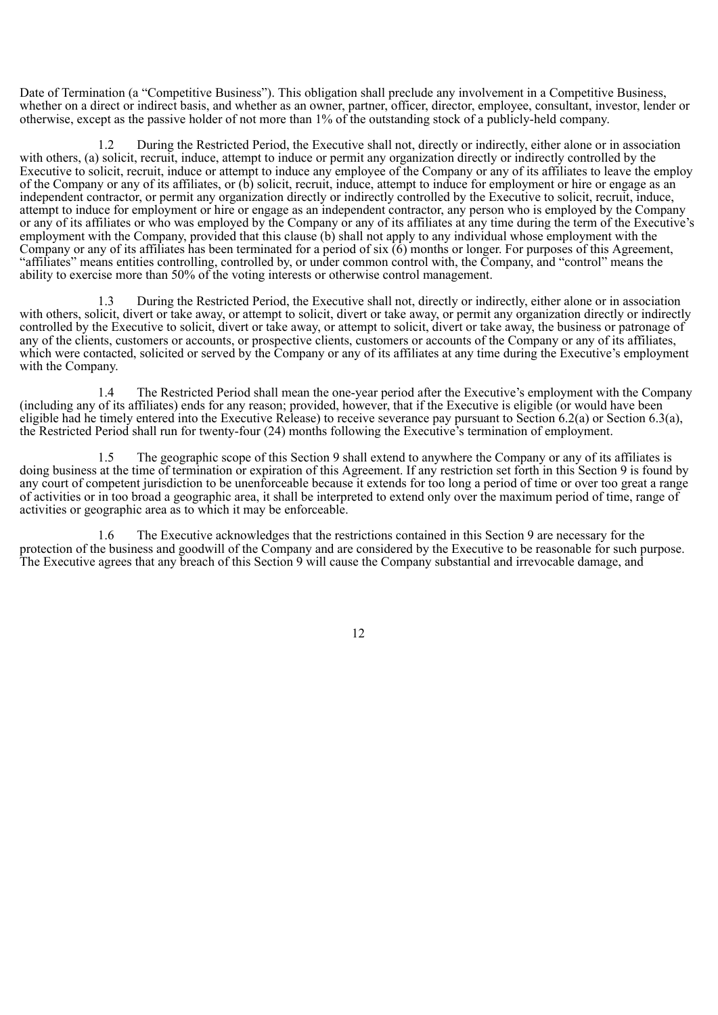Date of Termination (a "Competitive Business"). This obligation shall preclude any involvement in a Competitive Business, whether on a direct or indirect basis, and whether as an owner, partner, officer, director, employee, consultant, investor, lender or otherwise, except as the passive holder of not more than 1% of the outstanding stock of a publicly-held company.

1.2 During the Restricted Period, the Executive shall not, directly or indirectly, either alone or in association with others, (a) solicit, recruit, induce, attempt to induce or permit any organization directly or indirectly controlled by the Executive to solicit, recruit, induce or attempt to induce any employee of the Company or any of its affiliates to leave the employ of the Company or any of its affiliates, or (b) solicit, recruit, induce, attempt to induce for employment or hire or engage as an independent contractor, or permit any organization directly or indirectly controlled by the Executive to solicit, recruit, induce, attempt to induce for employment or hire or engage as an independent contractor, any person who is employed by the Company or any of its affiliates or who was employed by the Company or any of its affiliates at any time during the term of the Executive's employment with the Company, provided that this clause (b) shall not apply to any individual whose employment with the Company or any of its affiliates has been terminated for a period of six  $(6)$  months or longer. For purposes of this Agreement, "affiliates" means entities controlling, controlled by, or under common control with, the Company, and "control" means the ability to exercise more than 50% of the voting interests or otherwise control management.

1.3 During the Restricted Period, the Executive shall not, directly or indirectly, either alone or in association with others, solicit, divert or take away, or attempt to solicit, divert or take away, or permit any organization directly or indirectly controlled by the Executive to solicit, divert or take away, or attempt to solicit, divert or take away, the business or patronage of any of the clients, customers or accounts, or prospective clients, customers or accounts of the Company or any of its affiliates, which were contacted, solicited or served by the Company or any of its affiliates at any time during the Executive's employment with the Company.

1.4 The Restricted Period shall mean the one-year period after the Executive's employment with the Company (including any of its affiliates) ends for any reason; provided, however, that if the Executive is eligible (or would have been eligible had he timely entered into the Executive Release) to receive severance pay pursuant to Section 6.2(a) or Section 6.3(a), the Restricted Period shall run for twenty-four (24) months following the Executive's termination of employment.

1.5 The geographic scope of this Section 9 shall extend to anywhere the Company or any of its affiliates is doing business at the time of termination or expiration of this Agreement. If any restriction set forth in this Section 9 is found by any court of competent jurisdiction to be unenforceable because it extends for too long a period of time or over too great a range of activities or in too broad a geographic area, it shall be interpreted to extend only over the maximum period of time, range of activities or geographic area as to which it may be enforceable.

1.6 The Executive acknowledges that the restrictions contained in this Section 9 are necessary for the protection of the business and goodwill of the Company and are considered by the Executive to be reasonable for such purpose. The Executive agrees that any breach of this Section 9 will cause the Company substantial and irrevocable damage, and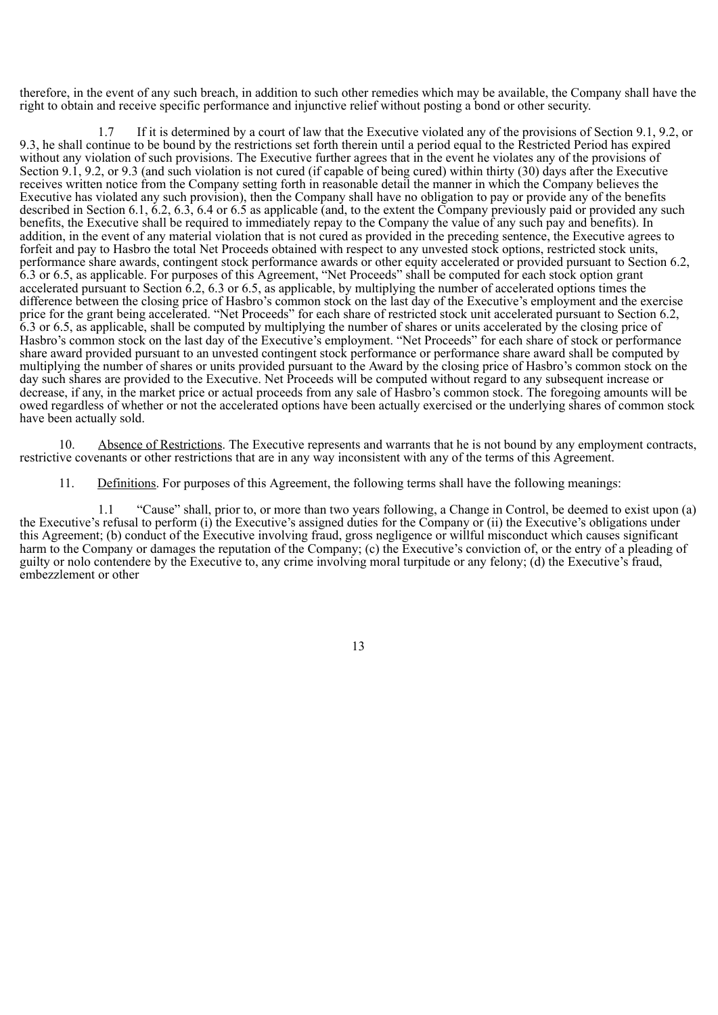therefore, in the event of any such breach, in addition to such other remedies which may be available, the Company shall have the right to obtain and receive specific performance and injunctive relief without posting a bond or other security.

1.7 If it is determined by a court of law that the Executive violated any of the provisions of Section 9.1, 9.2, or 9.3, he shall continue to be bound by the restrictions set forth therein until a period equal to the Restricted Period has expired without any violation of such provisions. The Executive further agrees that in the event he violates any of the provisions of Section 9.1, 9.2, or 9.3 (and such violation is not cured (if capable of being cured) within thirty (30) days after the Executive receives written notice from the Company setting forth in reasonable detail the manner in which the Company believes the Executive has violated any such provision), then the Company shall have no obligation to pay or provide any of the benefits described in Section 6.1, 6.2, 6.3, 6.4 or 6.5 as applicable (and, to the extent the Company previously paid or provided any such benefits, the Executive shall be required to immediately repay to the Company the value of any such pay and benefits). In addition, in the event of any material violation that is not cured as provided in the preceding sentence, the Executive agrees to forfeit and pay to Hasbro the total Net Proceeds obtained with respect to any unvested stock options, restricted stock units, performance share awards, contingent stock performance awards or other equity accelerated or provided pursuant to Section 6.2, 6.3 or 6.5, as applicable. For purposes of this Agreement, "Net Proceeds" shall be computed for each stock option grant accelerated pursuant to Section 6.2, 6.3 or 6.5, as applicable, by multiplying the number of accelerated options times the difference between the closing price of Hasbro's common stock on the last day of the Executive's employment and the exercise price for the grant being accelerated. "Net Proceeds" for each share of restricted stock unit accelerated pursuant to Section 6.2, 6.3 or 6.5, as applicable, shall be computed by multiplying the number of shares or units accelerated by the closing price of Hasbro's common stock on the last day of the Executive's employment. "Net Proceeds" for each share of stock or performance share award provided pursuant to an unvested contingent stock performance or performance share award shall be computed by multiplying the number of shares or units provided pursuant to the Award by the closing price of Hasbro's common stock on the day such shares are provided to the Executive. Net Proceeds will be computed without regard to any subsequent increase or decrease, if any, in the market price or actual proceeds from any sale of Hasbro's common stock. The foregoing amounts will be owed regardless of whether or not the accelerated options have been actually exercised or the underlying shares of common stock have been actually sold.

10. Absence of Restrictions. The Executive represents and warrants that he is not bound by any employment contracts, restrictive covenants or other restrictions that are in any way inconsistent with any of the terms of this Agreement.

11. Definitions. For purposes of this Agreement, the following terms shall have the following meanings:

1.1 "Cause" shall, prior to, or more than two years following, a Change in Control, be deemed to exist upon (a) the Executive's refusal to perform (i) the Executive's assigned duties for the Company or (ii) the Executive's obligations under this Agreement; (b) conduct of the Executive involving fraud, gross negligence or willful misconduct which causes significant harm to the Company or damages the reputation of the Company; (c) the Executive's conviction of, or the entry of a pleading of guilty or nolo contendere by the Executive to, any crime involving moral turpitude or any felony; (d) the Executive's fraud, embezzlement or other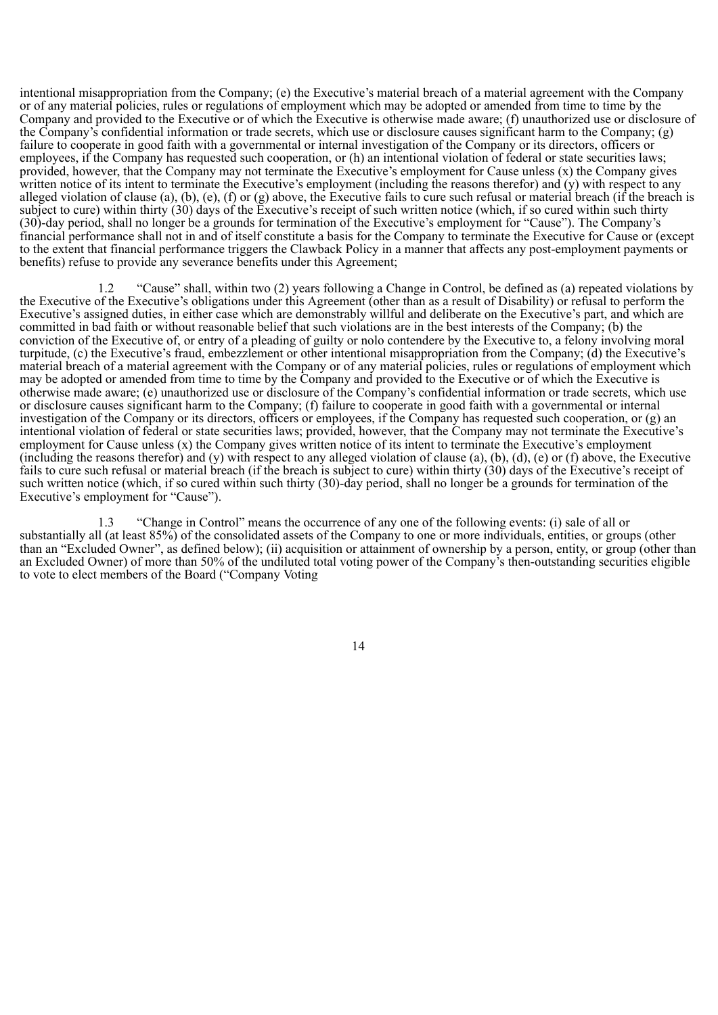intentional misappropriation from the Company; (e) the Executive's material breach of a material agreement with the Company or of any material policies, rules or regulations of employment which may be adopted or amended from time to time by the Company and provided to the Executive or of which the Executive is otherwise made aware; (f) unauthorized use or disclosure of the Company's confidential information or trade secrets, which use or disclosure causes significant harm to the Company; (g) failure to cooperate in good faith with a governmental or internal investigation of the Company or its directors, officers or employees, if the Company has requested such cooperation, or (h) an intentional violation of federal or state securities laws; provided, however, that the Company may not terminate the Executive's employment for Cause unless (x) the Company gives written notice of its intent to terminate the Executive's employment (including the reasons therefor) and (y) with respect to any alleged violation of clause (a), (b), (e), (f) or (g) above, the Executive fails to cure such refusal or material breach (if the breach is subject to cure) within thirty (30) days of the Executive's receipt of such written notice (which, if so cured within such thirty (30)-day period, shall no longer be a grounds for termination of the Executive's employment for "Cause"). The Company's financial performance shall not in and of itself constitute a basis for the Company to terminate the Executive for Cause or (except to the extent that financial performance triggers the Clawback Policy in a manner that affects any post-employment payments or benefits) refuse to provide any severance benefits under this Agreement;

1.2 "Cause" shall, within two (2) years following a Change in Control, be defined as (a) repeated violations by the Executive of the Executive's obligations under this Agreement (other than as a result of Disability) or refusal to perform the Executive's assigned duties, in either case which are demonstrably willful and deliberate on the Executive's part, and which are committed in bad faith or without reasonable belief that such violations are in the best interests of the Company; (b) the conviction of the Executive of, or entry of a pleading of guilty or nolo contendere by the Executive to, a felony involving moral turpitude, (c) the Executive's fraud, embezzlement or other intentional misappropriation from the Company; (d) the Executive's material breach of a material agreement with the Company or of any material policies, rules or regulations of employment which may be adopted or amended from time to time by the Company and provided to the Executive or of which the Executive is otherwise made aware; (e) unauthorized use or disclosure of the Company's confidential information or trade secrets, which use or disclosure causes significant harm to the Company; (f) failure to cooperate in good faith with a governmental or internal investigation of the Company or its directors, officers or employees, if the Company has requested such cooperation, or (g) an intentional violation of federal or state securities laws; provided, however, that the Company may not terminate the Executive's employment for Cause unless (x) the Company gives written notice of its intent to terminate the Executive's employment (including the reasons therefor) and (y) with respect to any alleged violation of clause (a), (b), (d), (e) or (f) above, the Executive fails to cure such refusal or material breach (if the breach is subject to cure) within thirty (30) days of the Executive's receipt of such written notice (which, if so cured within such thirty (30)-day period, shall no longer be a grounds for termination of the Executive's employment for "Cause").

1.3 "Change in Control" means the occurrence of any one of the following events: (i) sale of all or substantially all (at least 85%) of the consolidated assets of the Company to one or more individuals, entities, or groups (other than an "Excluded Owner", as defined below); (ii) acquisition or attainment of ownership by a person, entity, or group (other than an Excluded Owner) of more than 50% of the undiluted total voting power of the Company's then-outstanding securities eligible to vote to elect members of the Board ("Company Voting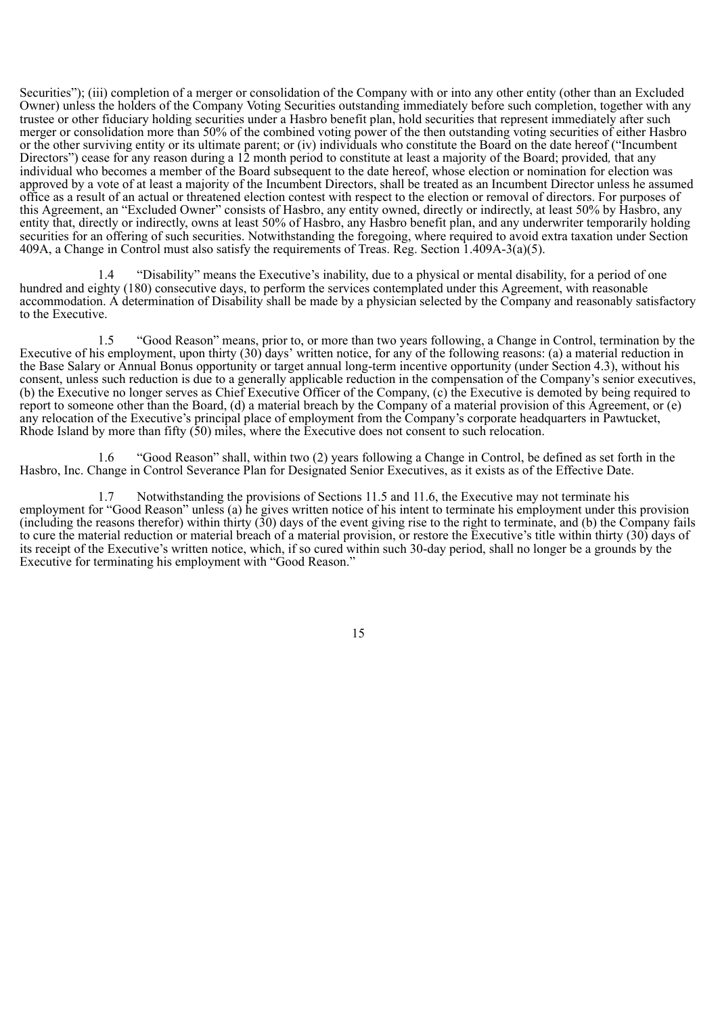Securities"); (iii) completion of a merger or consolidation of the Company with or into any other entity (other than an Excluded Owner) unless the holders of the Company Voting Securities outstanding immediately before such completion, together with any trustee or other fiduciary holding securities under a Hasbro benefit plan, hold securities that represent immediately after such merger or consolidation more than 50% of the combined voting power of the then outstanding voting securities of either Hasbro or the other surviving entity or its ultimate parent; or (iv) individuals who constitute the Board on the date hereof ("Incumbent Directors") cease for any reason during a 12 month period to constitute at least a majority of the Board; provided*,* that any individual who becomes a member of the Board subsequent to the date hereof, whose election or nomination for election was approved by a vote of at least a majority of the Incumbent Directors, shall be treated as an Incumbent Director unless he assumed office as a result of an actual or threatened election contest with respect to the election or removal of directors. For purposes of this Agreement, an "Excluded Owner" consists of Hasbro, any entity owned, directly or indirectly, at least 50% by Hasbro, any entity that, directly or indirectly, owns at least 50% of Hasbro, any Hasbro benefit plan, and any underwriter temporarily holding securities for an offering of such securities. Notwithstanding the foregoing, where required to avoid extra taxation under Section 409A, a Change in Control must also satisfy the requirements of Treas. Reg. Section 1.409A-3(a)(5).

1.4 "Disability" means the Executive's inability, due to a physical or mental disability, for a period of one hundred and eighty (180) consecutive days, to perform the services contemplated under this Agreement, with reasonable accommodation. A determination of Disability shall be made by a physician selected by the Company and reasonably satisfactory to the Executive.

1.5 "Good Reason" means, prior to, or more than two years following, a Change in Control, termination by the Executive of his employment, upon thirty (30) days' written notice, for any of the following reasons: (a) a material reduction in the Base Salary or Annual Bonus opportunity or target annual long-term incentive opportunity (under Section 4.3), without his consent, unless such reduction is due to a generally applicable reduction in the compensation of the Company's senior executives, (b) the Executive no longer serves as Chief Executive Officer of the Company, (c) the Executive is demoted by being required to report to someone other than the Board, (d) a material breach by the Company of a material provision of this Agreement, or (e) any relocation of the Executive's principal place of employment from the Company's corporate headquarters in Pawtucket, Rhode Island by more than fifty (50) miles, where the Executive does not consent to such relocation.

1.6 "Good Reason" shall, within two (2) years following a Change in Control, be defined as set forth in the Hasbro, Inc. Change in Control Severance Plan for Designated Senior Executives, as it exists as of the Effective Date.

1.7 Notwithstanding the provisions of Sections 11.5 and 11.6, the Executive may not terminate his employment for "Good Reason" unless (a) he gives written notice of his intent to terminate his employment under this provision (including the reasons therefor) within thirty  $(30)$  days of the event giving rise to the right to terminate, and (b) the Company fails to cure the material reduction or material breach of a material provision, or restore the Executive's title within thirty (30) days of its receipt of the Executive's written notice, which, if so cured within such 30-day period, shall no longer be a grounds by the Executive for terminating his employment with "Good Reason."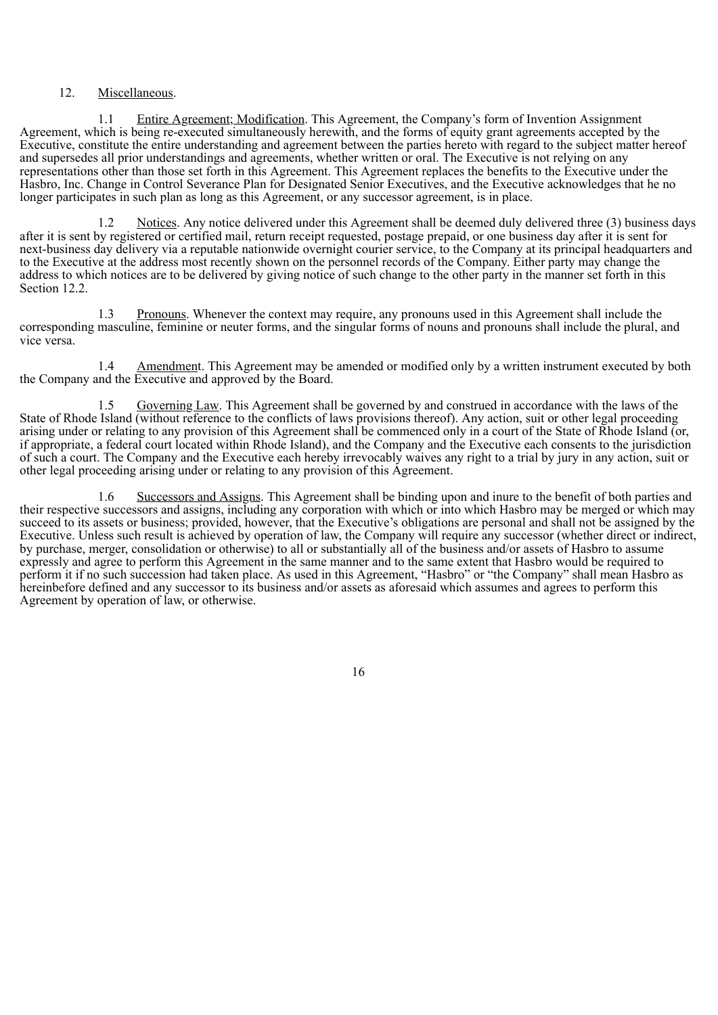## 12. Miscellaneous.

1.1 Entire Agreement; Modification. This Agreement, the Company's form of Invention Assignment Agreement, which is being re-executed simultaneously herewith, and the forms of equity grant agreements accepted by the Executive, constitute the entire understanding and agreement between the parties hereto with regard to the subject matter hereof and supersedes all prior understandings and agreements, whether written or oral. The Executive is not relying on any representations other than those set forth in this Agreement. This Agreement replaces the benefits to the Executive under the Hasbro, Inc. Change in Control Severance Plan for Designated Senior Executives, and the Executive acknowledges that he no longer participates in such plan as long as this Agreement, or any successor agreement, is in place.

1.2 Notices. Any notice delivered under this Agreement shall be deemed duly delivered three (3) business days after it is sent by registered or certified mail, return receipt requested, postage prepaid, or one business day after it is sent for next-business day delivery via a reputable nationwide overnight courier service, to the Company at its principal headquarters and to the Executive at the address most recently shown on the personnel records of the Company. Either party may change the address to which notices are to be delivered by giving notice of such change to the other party in the manner set forth in this Section 12.2.

1.3 Pronouns. Whenever the context may require, any pronouns used in this Agreement shall include the corresponding masculine, feminine or neuter forms, and the singular forms of nouns and pronouns shall include the plural, and vice versa.

1.4 Amendment. This Agreement may be amended or modified only by a written instrument executed by both the Company and the Executive and approved by the Board.

1.5 Governing Law. This Agreement shall be governed by and construed in accordance with the laws of the State of Rhode Island (without reference to the conflicts of laws provisions thereof). Any action, suit or other legal proceeding arising under or relating to any provision of this Agreement shall be commenced only in a court of the State of Rhode Island (or, if appropriate, a federal court located within Rhode Island), and the Company and the Executive each consents to the jurisdiction of such a court. The Company and the Executive each hereby irrevocably waives any right to a trial by jury in any action, suit or other legal proceeding arising under or relating to any provision of this Agreement.

1.6 Successors and Assigns. This Agreement shall be binding upon and inure to the benefit of both parties and their respective successors and assigns, including any corporation with which or into which Hasbro may be merged or which may succeed to its assets or business; provided, however, that the Executive's obligations are personal and shall not be assigned by the Executive. Unless such result is achieved by operation of law, the Company will require any successor (whether direct or indirect, by purchase, merger, consolidation or otherwise) to all or substantially all of the business and/or assets of Hasbro to assume expressly and agree to perform this Agreement in the same manner and to the same extent that Hasbro would be required to perform it if no such succession had taken place. As used in this Agreement, "Hasbro" or "the Company" shall mean Hasbro as hereinbefore defined and any successor to its business and/or assets as aforesaid which assumes and agrees to perform this Agreement by operation of law, or otherwise.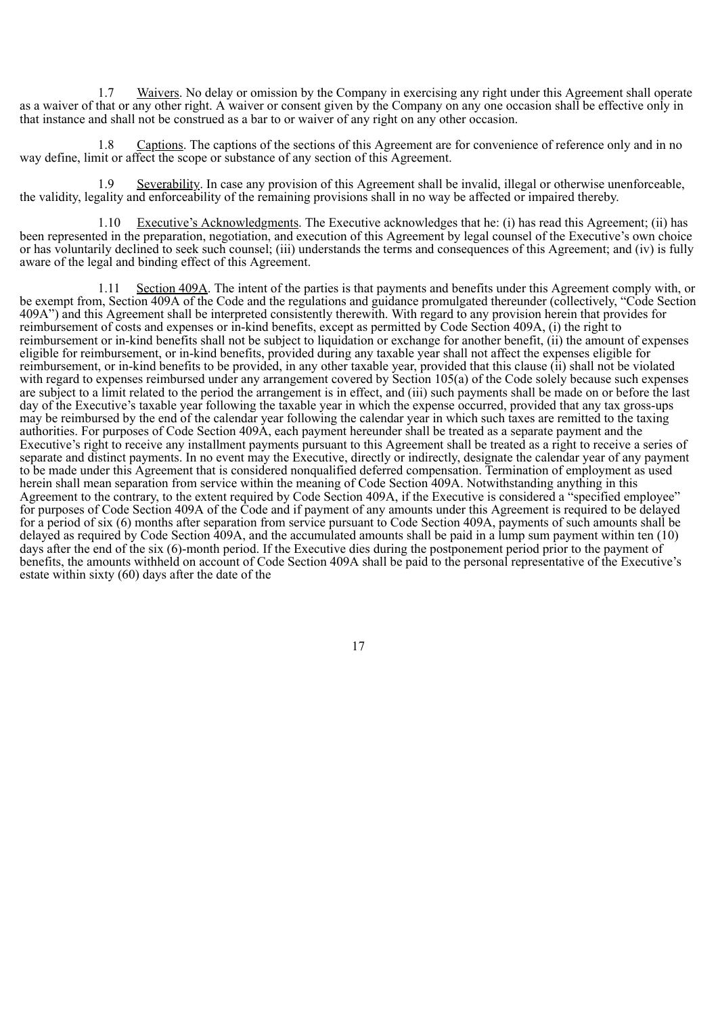1.7 Waivers. No delay or omission by the Company in exercising any right under this Agreement shall operate as a waiver of that or any other right. A waiver or consent given by the Company on any one occasion shall be effective only in that instance and shall not be construed as a bar to or waiver of any right on any other occasion.

1.8 Captions. The captions of the sections of this Agreement are for convenience of reference only and in no way define, limit or affect the scope or substance of any section of this Agreement.

1.9 Severability. In case any provision of this Agreement shall be invalid, illegal or otherwise unenforceable, the validity, legality and enforceability of the remaining provisions shall in no way be affected or impaired thereby.

1.10 Executive's Acknowledgments. The Executive acknowledges that he: (i) has read this Agreement; (ii) has been represented in the preparation, negotiation, and execution of this Agreement by legal counsel of the Executive's own choice or has voluntarily declined to seek such counsel; (iii) understands the terms and consequences of this Agreement; and (iv) is fully aware of the legal and binding effect of this Agreement.

1.11 Section 409A. The intent of the parties is that payments and benefits under this Agreement comply with, or be exempt from, Section 409A of the Code and the regulations and guidance promulgated thereunder (collectively, "Code Section 409A") and this Agreement shall be interpreted consistently therewith. With regard to any provision herein that provides for reimbursement of costs and expenses or in-kind benefits, except as permitted by Code Section 409A, (i) the right to reimbursement or in-kind benefits shall not be subject to liquidation or exchange for another benefit, (ii) the amount of expenses eligible for reimbursement, or in-kind benefits, provided during any taxable year shall not affect the expenses eligible for reimbursement, or in-kind benefits to be provided, in any other taxable year, provided that this clause (ii) shall not be violated with regard to expenses reimbursed under any arrangement covered by Section 105(a) of the Code solely because such expenses are subject to a limit related to the period the arrangement is in effect, and (iii) such payments shall be made on or before the last day of the Executive's taxable year following the taxable year in which the expense occurred, provided that any tax gross-ups may be reimbursed by the end of the calendar year following the calendar year in which such taxes are remitted to the taxing authorities. For purposes of Code Section 409A, each payment hereunder shall be treated as a separate payment and the Executive's right to receive any installment payments pursuant to this Agreement shall be treated as a right to receive a series of separate and distinct payments. In no event may the Executive, directly or indirectly, designate the calendar year of any payment to be made under this Agreement that is considered nonqualified deferred compensation. Termination of employment as used herein shall mean separation from service within the meaning of Code Section 409A. Notwithstanding anything in this Agreement to the contrary, to the extent required by Code Section 409A, if the Executive is considered a "specified employee" for purposes of Code Section 409A of the Code and if payment of any amounts under this Agreement is required to be delayed for a period of six (6) months after separation from service pursuant to Code Section 409A, payments of such amounts shall be delayed as required by Code Section 409A, and the accumulated amounts shall be paid in a lump sum payment within ten (10) days after the end of the six (6)-month period. If the Executive dies during the postponement period prior to the payment of benefits, the amounts withheld on account of Code Section 409A shall be paid to the personal representative of the Executive's estate within sixty (60) days after the date of the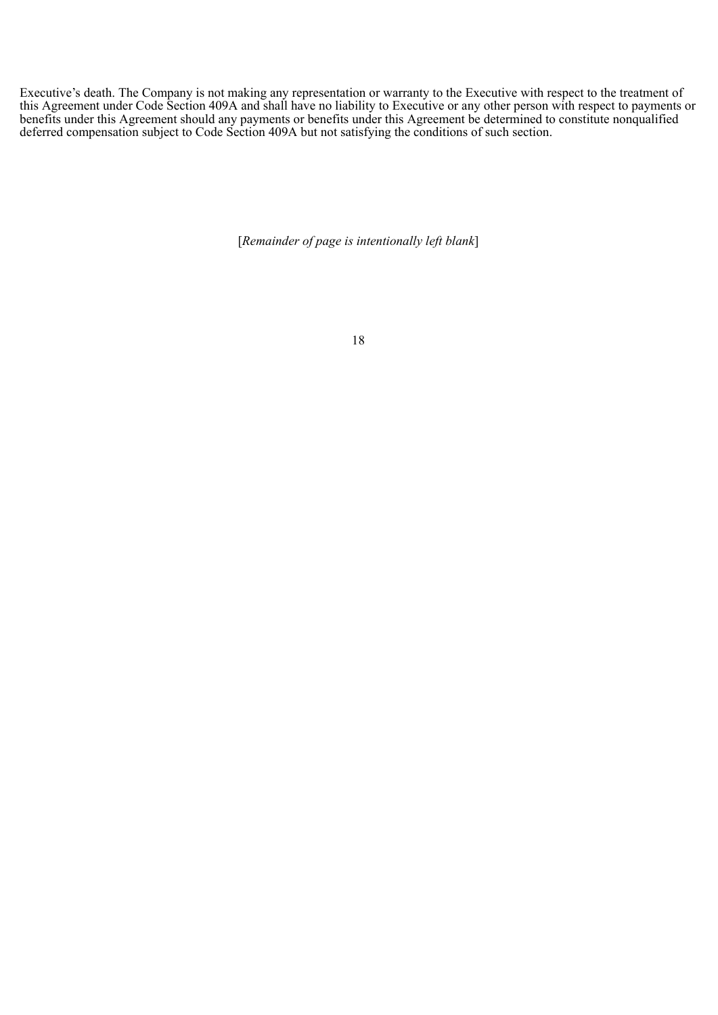Executive's death. The Company is not making any representation or warranty to the Executive with respect to the treatment of this Agreement under Code Section 409A and shall have no liability to Executive or any other person with respect to payments or benefits under this Agreement should any payments or benefits under this Agreement be determined to constitute nonqualified deferred compensation subject to Code Section 409A but not satisfying the conditions of such section.

[*Remainder of page is intentionally left blank*]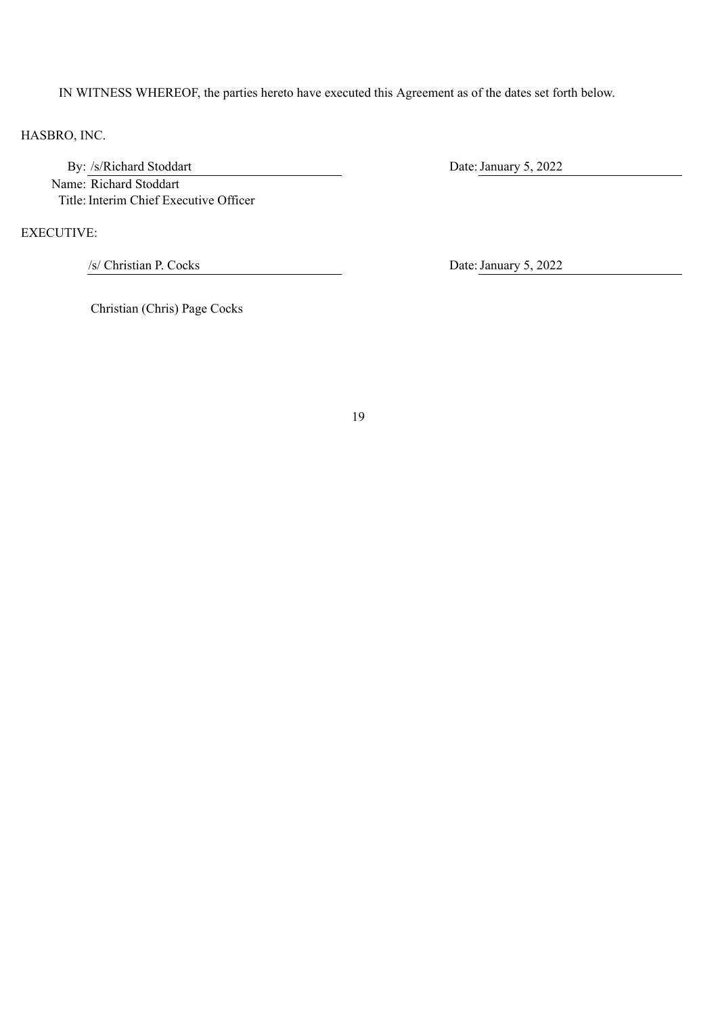IN WITNESS WHEREOF, the parties hereto have executed this Agreement as of the dates set forth below.

HASBRO, INC.

By: /s/Richard Stoddart Date: January 5, 2022 Name: Richard Stoddart Title: Interim Chief Executive Officer

EXECUTIVE:

/s/ Christian P. Cocks Date:January 5, 2022

Christian (Chris) Page Cocks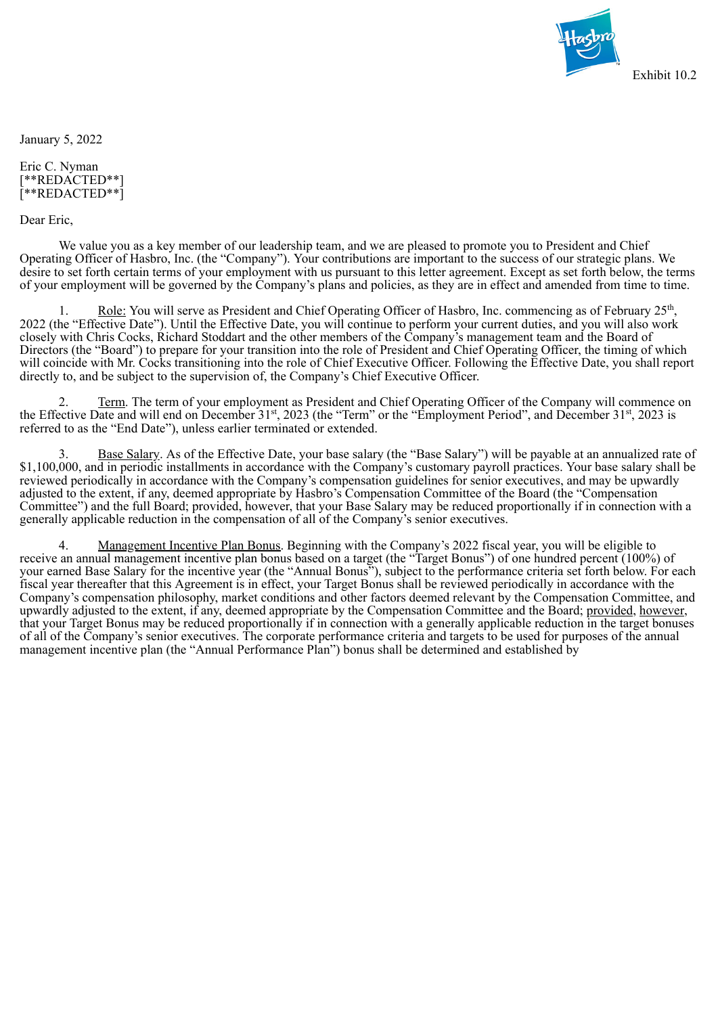

<span id="page-65-0"></span>January 5, 2022

Eric C. Nyman [\*\*REDACTED\*\*] [\*\*REDACTED\*\*]

Dear Eric,

We value you as a key member of our leadership team, and we are pleased to promote you to President and Chief Operating Officer of Hasbro, Inc. (the "Company"). Your contributions are important to the success of our strategic plans. We desire to set forth certain terms of your employment with us pursuant to this letter agreement. Except as set forth below, the terms of your employment will be governed by the Company's plans and policies, as they are in effect and amended from time to time.

1. Role: You will serve as President and Chief Operating Officer of Hasbro, Inc. commencing as of February 25<sup>th</sup>, 2022 (the "Effective Date"). Until the Effective Date, you will continue to perform your current duties, and you will also work closely with Chris Cocks, Richard Stoddart and the other members of the Company's management team and the Board of Directors (the "Board") to prepare for your transition into the role of President and Chief Operating Officer, the timing of which will coincide with Mr. Cocks transitioning into the role of Chief Executive Officer. Following the Effective Date, you shall report directly to, and be subject to the supervision of, the Company's Chief Executive Officer.

2. Term. The term of your employment as President and Chief Operating Officer of the Company will commence on the Effective Date and will end on December 31<sup>st</sup>, 2023 (the "Term" or the "Employment Period", and December 31<sup>st</sup>, 2023 is referred to as the "End Date"), unless earlier terminated or extended.

Base Salary. As of the Effective Date, your base salary (the "Base Salary") will be payable at an annualized rate of \$1,100,000, and in periodic installments in accordance with the Company's customary payroll practices. Your base salary shall be reviewed periodically in accordance with the Company's compensation guidelines for senior executives, and may be upwardly adjusted to the extent, if any, deemed appropriate by Hasbro's Compensation Committee of the Board (the "Compensation Committee") and the full Board; provided, however, that your Base Salary may be reduced proportionally if in connection with a generally applicable reduction in the compensation of all of the Company's senior executives.

4. Management Incentive Plan Bonus. Beginning with the Company's 2022 fiscal year, you will be eligible to receive an annual management incentive plan bonus based on a target (the "Target Bonus") of one hundred percent (100%) of your earned Base Salary for the incentive year (the "Annual Bonus"), subject to the performance criteria set forth below. For each fiscal year thereafter that this Agreement is in effect, your Target Bonus shall be reviewed periodically in accordance with the Company's compensation philosophy, market conditions and other factors deemed relevant by the Compensation Committee, and upwardly adjusted to the extent, if any, deemed appropriate by the Compensation Committee and the Board; provided, however, that your Target Bonus may be reduced proportionally if in connection with a generally applicable reduction in the target bonuses of all of the Company's senior executives. The corporate performance criteria and targets to be used for purposes of the annual management incentive plan (the "Annual Performance Plan") bonus shall be determined and established by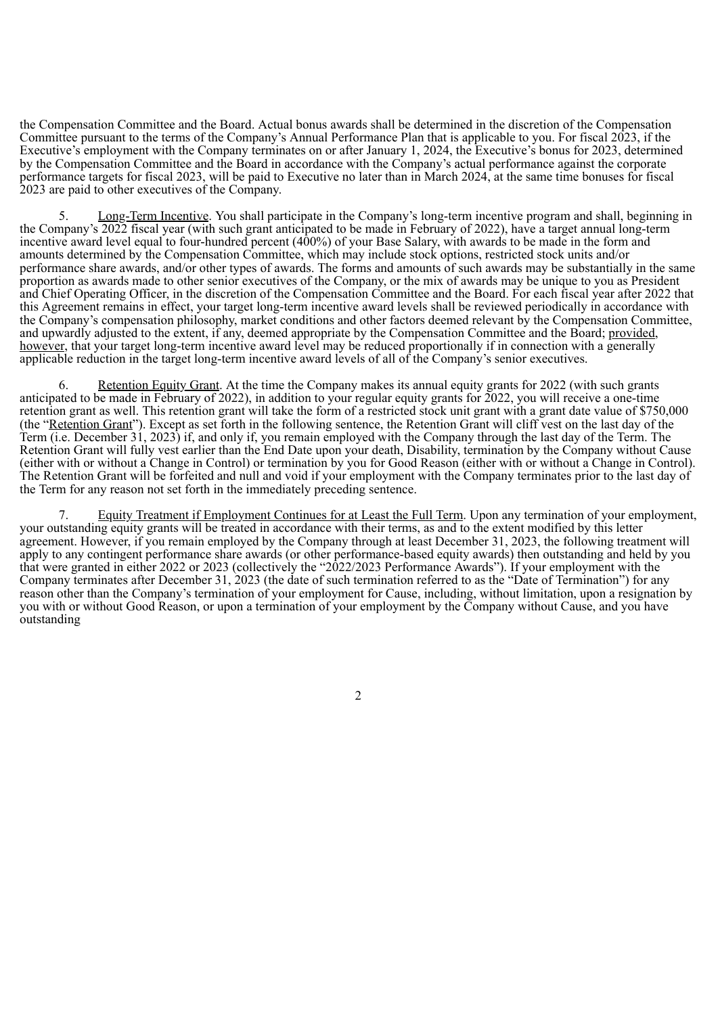the Compensation Committee and the Board. Actual bonus awards shall be determined in the discretion of the Compensation Committee pursuant to the terms of the Company's Annual Performance Plan that is applicable to you. For fiscal 2023, if the Executive's employment with the Company terminates on or after January 1, 2024, the Executive's bonus for 2023, determined by the Compensation Committee and the Board in accordance with the Company's actual performance against the corporate performance targets for fiscal 2023, will be paid to Executive no later than in March 2024, at the same time bonuses for fiscal 2023 are paid to other executives of the Company.

5. Long-Term Incentive. You shall participate in the Company's long-term incentive program and shall, beginning in the Company's 2022 fiscal year (with such grant anticipated to be made in February of 2022), have a target annual long-term incentive award level equal to four-hundred percent (400%) of your Base Salary, with awards to be made in the form and amounts determined by the Compensation Committee, which may include stock options, restricted stock units and/or performance share awards, and/or other types of awards. The forms and amounts of such awards may be substantially in the same proportion as awards made to other senior executives of the Company, or the mix of awards may be unique to you as President and Chief Operating Officer, in the discretion of the Compensation Committee and the Board. For each fiscal year after 2022 that this Agreement remains in effect, your target long-term incentive award levels shall be reviewed periodically in accordance with the Company's compensation philosophy, market conditions and other factors deemed relevant by the Compensation Committee, and upwardly adjusted to the extent, if any, deemed appropriate by the Compensation Committee and the Board; provided, however, that your target long-term incentive award level may be reduced proportionally if in connection with a generally applicable reduction in the target long-term incentive award levels of all of the Company's senior executives.

6. Retention Equity Grant. At the time the Company makes its annual equity grants for 2022 (with such grants anticipated to be made in February of 2022), in addition to your regular equity grants for 2022, you will receive a one-time retention grant as well. This retention grant will take the form of a restricted stock unit grant with a grant date value of \$750,000 (the "Retention Grant"). Except as set forth in the following sentence, the Retention Grant will cliff vest on the last day of the Term (i.e. December 31, 2023) if, and only if, you remain employed with the Company through the last day of the Term. The Retention Grant will fully vest earlier than the End Date upon your death, Disability, termination by the Company without Cause (either with or without a Change in Control) or termination by you for Good Reason (either with or without a Change in Control). The Retention Grant will be forfeited and null and void if your employment with the Company terminates prior to the last day of the Term for any reason not set forth in the immediately preceding sentence.

7. Equity Treatment if Employment Continues for at Least the Full Term. Upon any termination of your employment, your outstanding equity grants will be treated in accordance with their terms, as and to the extent modified by this letter agreement. However, if you remain employed by the Company through at least December 31, 2023, the following treatment will apply to any contingent performance share awards (or other performance-based equity awards) then outstanding and held by you that were granted in either 2022 or 2023 (collectively the "2022/2023 Performance Awards"). If your employment with the Company terminates after December 31, 2023 (the date of such termination referred to as the "Date of Termination") for any reason other than the Company's termination of your employment for Cause, including, without limitation, upon a resignation by you with or without Good Reason, or upon a termination of your employment by the Company without Cause, and you have outstanding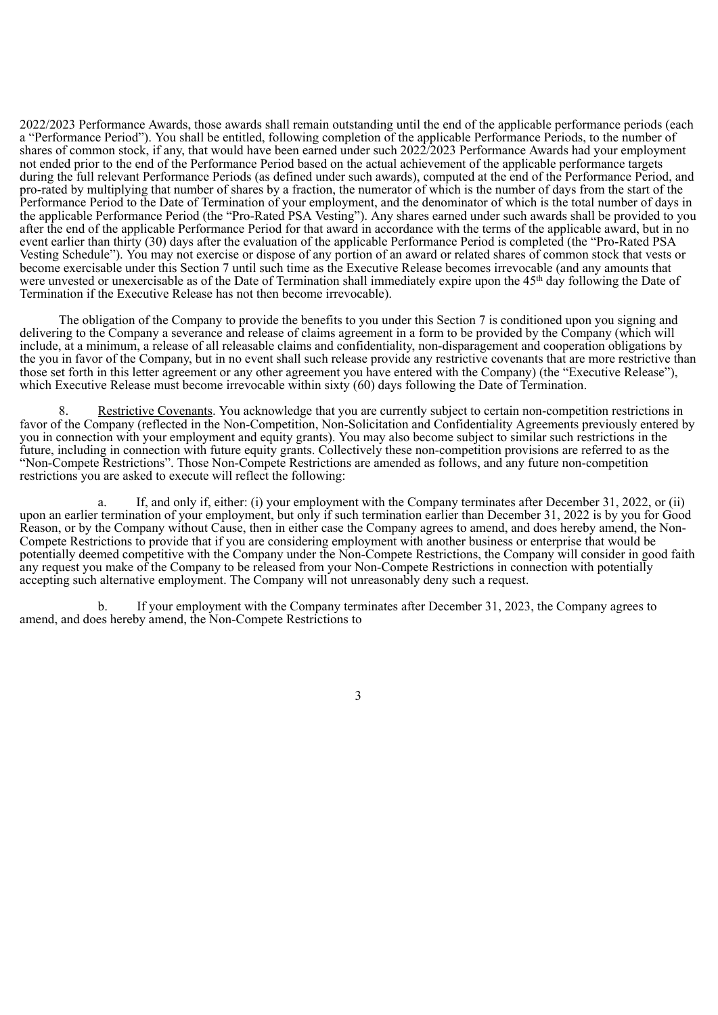2022/2023 Performance Awards, those awards shall remain outstanding until the end of the applicable performance periods (each a "Performance Period"). You shall be entitled, following completion of the applicable Performance Periods, to the number of shares of common stock, if any, that would have been earned under such 2022/2023 Performance Awards had your employment not ended prior to the end of the Performance Period based on the actual achievement of the applicable performance targets during the full relevant Performance Periods (as defined under such awards), computed at the end of the Performance Period, and pro-rated by multiplying that number of shares by a fraction, the numerator of which is the number of days from the start of the Performance Period to the Date of Termination of your employment, and the denominator of which is the total number of days in the applicable Performance Period (the "Pro-Rated PSA Vesting"). Any shares earned under such awards shall be provided to you after the end of the applicable Performance Period for that award in accordance with the terms of the applicable award, but in no event earlier than thirty (30) days after the evaluation of the applicable Performance Period is completed (the "Pro-Rated PSA Vesting Schedule"). You may not exercise or dispose of any portion of an award or related shares of common stock that vests or become exercisable under this Section 7 until such time as the Executive Release becomes irrevocable (and any amounts that were unvested or unexercisable as of the Date of Termination shall immediately expire upon the 45<sup>th</sup> day following the Date of Termination if the Executive Release has not then become irrevocable).

The obligation of the Company to provide the benefits to you under this Section 7 is conditioned upon you signing and delivering to the Company a severance and release of claims agreement in a form to be provided by the Company (which will include, at a minimum, a release of all releasable claims and confidentiality, non-disparagement and cooperation obligations by the you in favor of the Company, but in no event shall such release provide any restrictive covenants that are more restrictive than those set forth in this letter agreement or any other agreement you have entered with the Company) (the "Executive Release"), which Executive Release must become irrevocable within sixty (60) days following the Date of Termination.

Restrictive Covenants. You acknowledge that you are currently subject to certain non-competition restrictions in favor of the Company (reflected in the Non-Competition, Non-Solicitation and Confidentiality Agreements previously entered by you in connection with your employment and equity grants). You may also become subject to similar such restrictions in the future, including in connection with future equity grants. Collectively these non-competition provisions are referred to as the "Non-Compete Restrictions". Those Non-Compete Restrictions are amended as follows, and any future non-competition restrictions you are asked to execute will reflect the following:

a. If, and only if, either: (i) your employment with the Company terminates after December 31, 2022, or (ii) upon an earlier termination of your employment, but only if such termination earlier than December 31, 2022 is by you for Good Reason, or by the Company without Cause, then in either case the Company agrees to amend, and does hereby amend, the Non-Compete Restrictions to provide that if you are considering employment with another business or enterprise that would be potentially deemed competitive with the Company under the Non-Compete Restrictions, the Company will consider in good faith any request you make of the Company to be released from your Non-Compete Restrictions in connection with potentially accepting such alternative employment. The Company will not unreasonably deny such a request.

b. If your employment with the Company terminates after December 31, 2023, the Company agrees to amend, and does hereby amend, the Non-Compete Restrictions to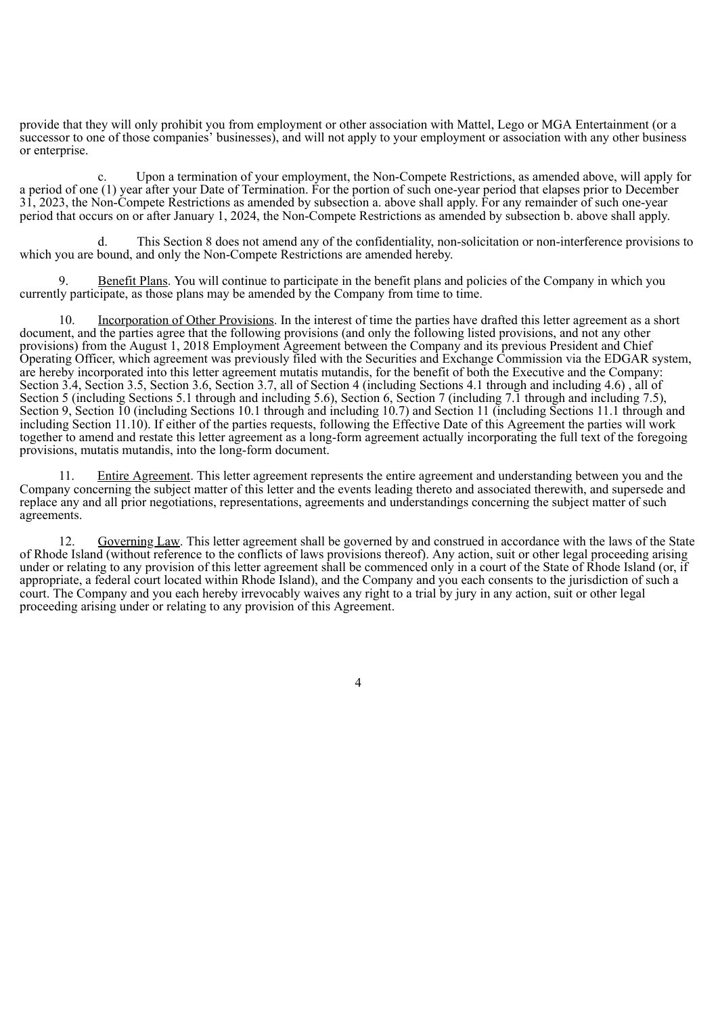provide that they will only prohibit you from employment or other association with Mattel, Lego or MGA Entertainment (or a successor to one of those companies' businesses), and will not apply to your employment or association with any other business or enterprise.

c. Upon a termination of your employment, the Non-Compete Restrictions, as amended above, will apply for a period of one (1) year after your Date of Termination. For the portion of such one-year period that elapses prior to December 31, 2023, the Non-Compete Restrictions as amended by subsection a. above shall apply. For any remainder of such one-year period that occurs on or after January 1, 2024, the Non-Compete Restrictions as amended by subsection b. above shall apply.

d. This Section 8 does not amend any of the confidentiality, non-solicitation or non-interference provisions to which you are bound, and only the Non-Compete Restrictions are amended hereby.

9. Benefit Plans. You will continue to participate in the benefit plans and policies of the Company in which you currently participate, as those plans may be amended by the Company from time to time.

Incorporation of Other Provisions. In the interest of time the parties have drafted this letter agreement as a short document, and the parties agree that the following provisions (and only the following listed provisions, and not any other provisions) from the August 1, 2018 Employment Agreement between the Company and its previous President and Chief Operating Officer, which agreement was previously filed with the Securities and Exchange Commission via the EDGAR system, are hereby incorporated into this letter agreement mutatis mutandis, for the benefit of both the Executive and the Company: Section 3.4, Section 3.5, Section 3.6, Section 3.7, all of Section 4 (including Sections 4.1 through and including 4.6) , all of Section 5 (including Sections 5.1 through and including 5.6), Section 6, Section 7 (including 7.1 through and including 7.5), Section 9, Section 10 (including Sections 10.1 through and including 10.7) and Section 11 (including Sections 11.1 through and including Section 11.10). If either of the parties requests, following the Effective Date of this Agreement the parties will work together to amend and restate this letter agreement as a long-form agreement actually incorporating the full text of the foregoing provisions, mutatis mutandis, into the long-form document.

11. Entire Agreement. This letter agreement represents the entire agreement and understanding between you and the Company concerning the subject matter of this letter and the events leading thereto and associated therewith, and supersede and replace any and all prior negotiations, representations, agreements and understandings concerning the subject matter of such agreements.

12. Governing Law. This letter agreement shall be governed by and construed in accordance with the laws of the State of Rhode Island (without reference to the conflicts of laws provisions thereof). Any action, suit or other legal proceeding arising under or relating to any provision of this letter agreement shall be commenced only in a court of the State of Rhode Island (or, if appropriate, a federal court located within Rhode Island), and the Company and you each consents to the jurisdiction of such a court. The Company and you each hereby irrevocably waives any right to a trial by jury in any action, suit or other legal proceeding arising under or relating to any provision of this Agreement.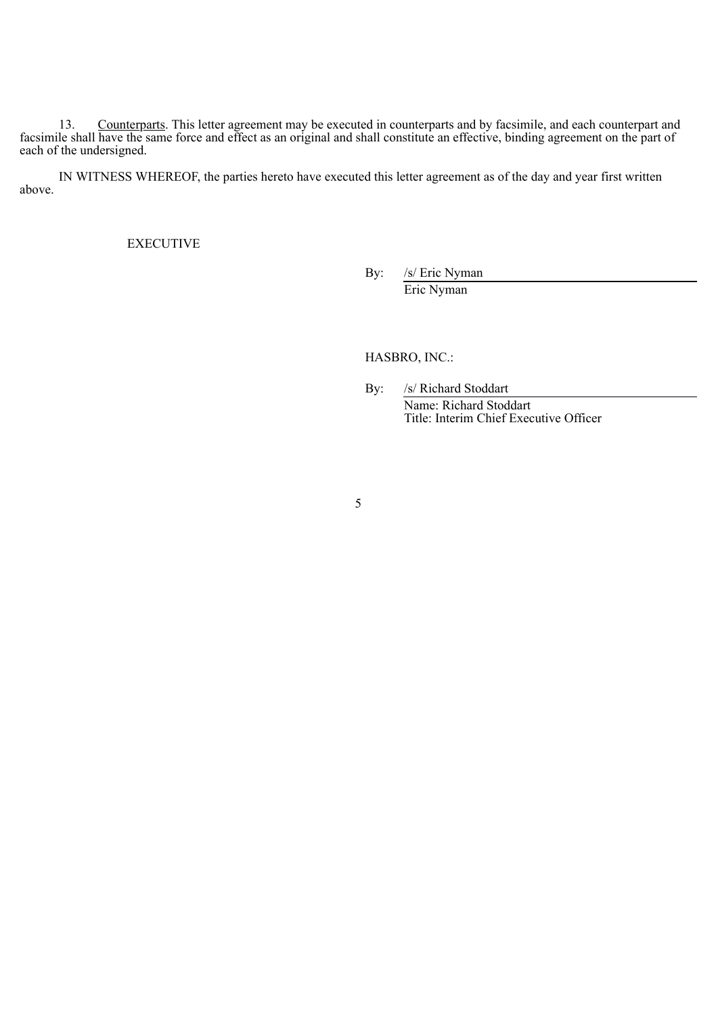13. Counterparts. This letter agreement may be executed in counterparts and by facsimile, and each counterpart and facsimile shall have the same force and effect as an original and shall constitute an effective, binding agreement on the part of each of the undersigned.

IN WITNESS WHEREOF, the parties hereto have executed this letter agreement as of the day and year first written above.

EXECUTIVE

By: /s/ Eric Nyman

Eric Nyman

HASBRO, INC.:

By: /s/ Richard Stoddart

Name: Richard Stoddart Title: Interim Chief Executive Officer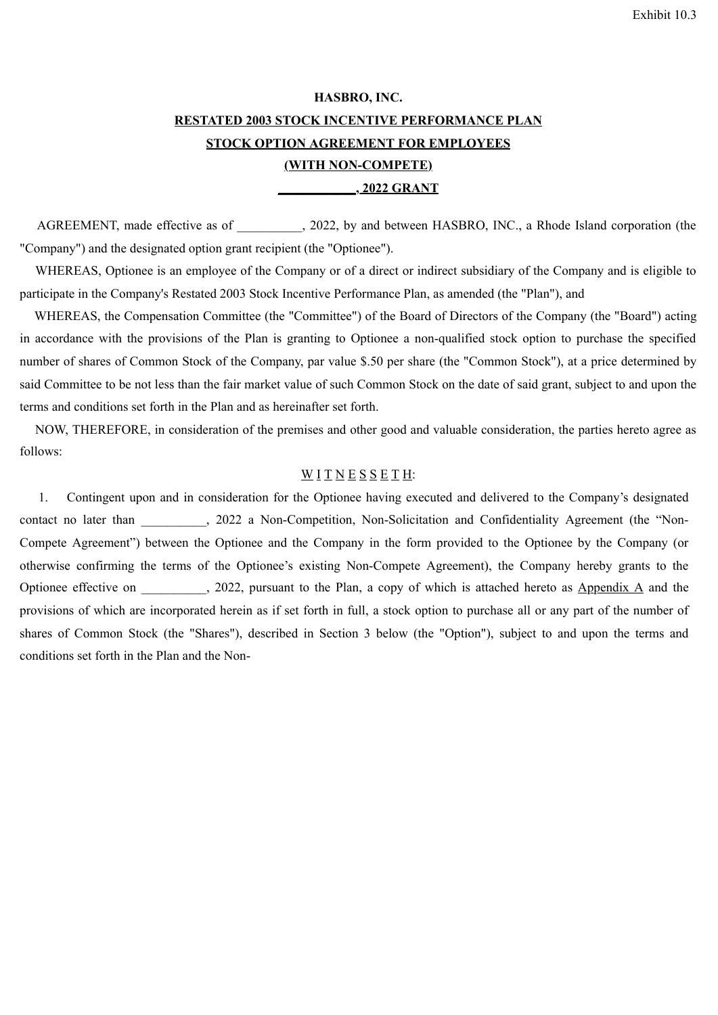# <span id="page-70-0"></span>**HASBRO, INC. RESTATED 2003 STOCK INCENTIVE PERFORMANCE PLAN STOCK OPTION AGREEMENT FOR EMPLOYEES (WITH NON-COMPETE) \_\_\_\_\_\_\_\_\_\_\_\_, 2022 GRANT**

AGREEMENT, made effective as of  $\qquad \qquad$ , 2022, by and between HASBRO, INC., a Rhode Island corporation (the "Company") and the designated option grant recipient (the "Optionee").

WHEREAS, Optionee is an employee of the Company or of a direct or indirect subsidiary of the Company and is eligible to participate in the Company's Restated 2003 Stock Incentive Performance Plan, as amended (the "Plan"), and

WHEREAS, the Compensation Committee (the "Committee") of the Board of Directors of the Company (the "Board") acting in accordance with the provisions of the Plan is granting to Optionee a non-qualified stock option to purchase the specified number of shares of Common Stock of the Company, par value \$.50 per share (the "Common Stock"), at a price determined by said Committee to be not less than the fair market value of such Common Stock on the date of said grant, subject to and upon the terms and conditions set forth in the Plan and as hereinafter set forth.

NOW, THEREFORE, in consideration of the premises and other good and valuable consideration, the parties hereto agree as follows:

# $\underline{W} I T N E S S E T H$ :

1. Contingent upon and in consideration for the Optionee having executed and delivered to the Company's designated contact no later than \_\_\_\_\_\_\_, 2022 a Non-Competition, Non-Solicitation and Confidentiality Agreement (the "Non-Compete Agreement") between the Optionee and the Company in the form provided to the Optionee by the Company (or otherwise confirming the terms of the Optionee's existing Non-Compete Agreement), the Company hereby grants to the Optionee effective on  $.2022$ , pursuant to the Plan, a copy of which is attached hereto as Appendix A and the provisions of which are incorporated herein as if set forth in full, a stock option to purchase all or any part of the number of shares of Common Stock (the "Shares"), described in Section 3 below (the "Option"), subject to and upon the terms and conditions set forth in the Plan and the Non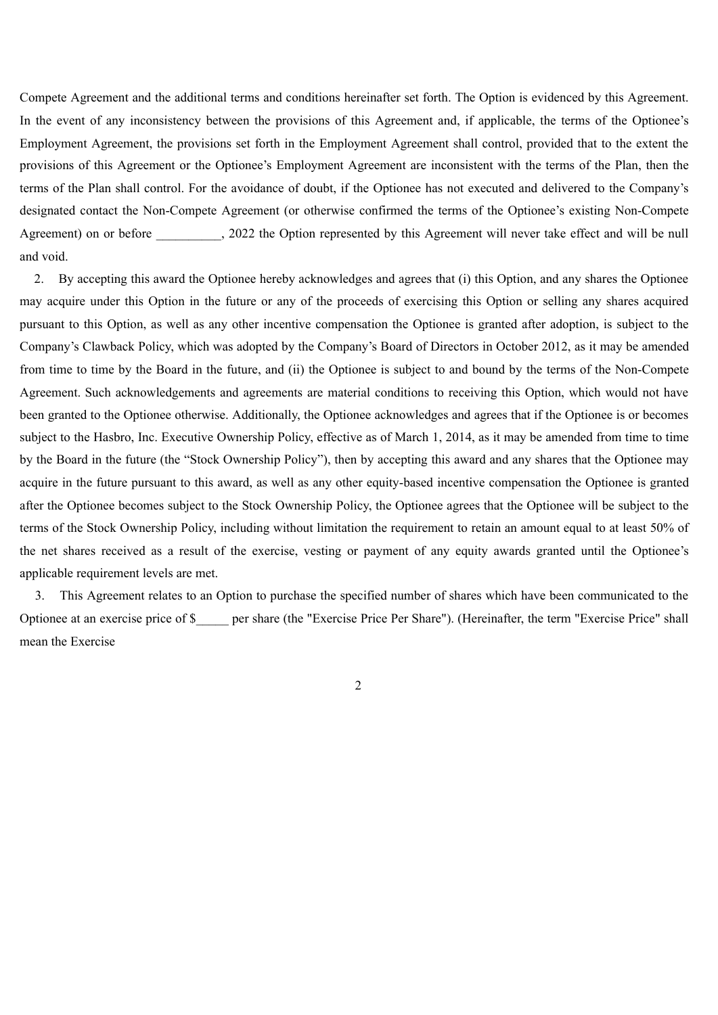Compete Agreement and the additional terms and conditions hereinafter set forth. The Option is evidenced by this Agreement. In the event of any inconsistency between the provisions of this Agreement and, if applicable, the terms of the Optionee's Employment Agreement, the provisions set forth in the Employment Agreement shall control, provided that to the extent the provisions of this Agreement or the Optionee's Employment Agreement are inconsistent with the terms of the Plan, then the terms of the Plan shall control. For the avoidance of doubt, if the Optionee has not executed and delivered to the Company's designated contact the Non-Compete Agreement (or otherwise confirmed the terms of the Optionee's existing Non-Compete Agreement) on or before  $\qquad \qquad$ , 2022 the Option represented by this Agreement will never take effect and will be null and void.

2. By accepting this award the Optionee hereby acknowledges and agrees that (i) this Option, and any shares the Optionee may acquire under this Option in the future or any of the proceeds of exercising this Option or selling any shares acquired pursuant to this Option, as well as any other incentive compensation the Optionee is granted after adoption, is subject to the Company's Clawback Policy, which was adopted by the Company's Board of Directors in October 2012, as it may be amended from time to time by the Board in the future, and (ii) the Optionee is subject to and bound by the terms of the Non-Compete Agreement. Such acknowledgements and agreements are material conditions to receiving this Option, which would not have been granted to the Optionee otherwise. Additionally, the Optionee acknowledges and agrees that if the Optionee is or becomes subject to the Hasbro, Inc. Executive Ownership Policy, effective as of March 1, 2014, as it may be amended from time to time by the Board in the future (the "Stock Ownership Policy"), then by accepting this award and any shares that the Optionee may acquire in the future pursuant to this award, as well as any other equity-based incentive compensation the Optionee is granted after the Optionee becomes subject to the Stock Ownership Policy, the Optionee agrees that the Optionee will be subject to the terms of the Stock Ownership Policy, including without limitation the requirement to retain an amount equal to at least 50% of the net shares received as a result of the exercise, vesting or payment of any equity awards granted until the Optionee's applicable requirement levels are met.

3. This Agreement relates to an Option to purchase the specified number of shares which have been communicated to the Optionee at an exercise price of \$\_\_\_\_\_ per share (the "Exercise Price Per Share"). (Hereinafter, the term "Exercise Price" shall mean the Exercise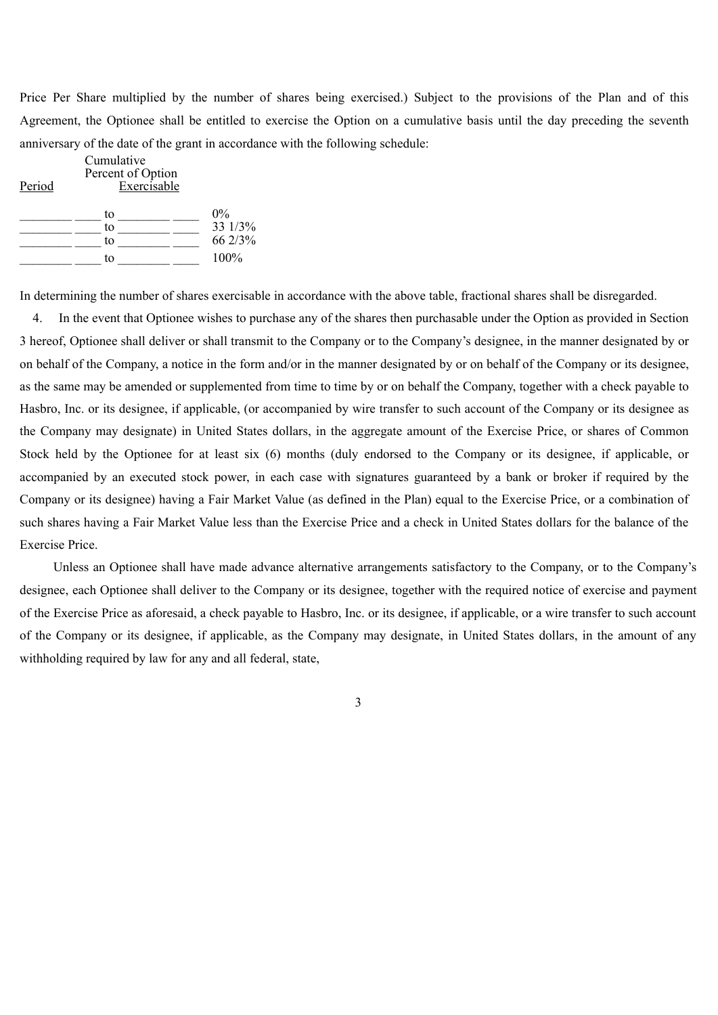Price Per Share multiplied by the number of shares being exercised.) Subject to the provisions of the Plan and of this Agreement, the Optionee shall be entitled to exercise the Option on a cumulative basis until the day preceding the seventh anniversary of the date of the grant in accordance with the following schedule:

| Period | Cumulative<br>Percent of Option<br>Exercisable |                                     |  |
|--------|------------------------------------------------|-------------------------------------|--|
|        | to<br>to<br>to<br>to                           | $0\%$<br>33 1/3%<br>66 2/3%<br>100% |  |

In determining the number of shares exercisable in accordance with the above table, fractional shares shall be disregarded.

4. In the event that Optionee wishes to purchase any of the shares then purchasable under the Option as provided in Section 3 hereof, Optionee shall deliver or shall transmit to the Company or to the Company's designee, in the manner designated by or on behalf of the Company, a notice in the form and/or in the manner designated by or on behalf of the Company or its designee, as the same may be amended or supplemented from time to time by or on behalf the Company, together with a check payable to Hasbro, Inc. or its designee, if applicable, (or accompanied by wire transfer to such account of the Company or its designee as the Company may designate) in United States dollars, in the aggregate amount of the Exercise Price, or shares of Common Stock held by the Optionee for at least six (6) months (duly endorsed to the Company or its designee, if applicable, or accompanied by an executed stock power, in each case with signatures guaranteed by a bank or broker if required by the Company or its designee) having a Fair Market Value (as defined in the Plan) equal to the Exercise Price, or a combination of such shares having a Fair Market Value less than the Exercise Price and a check in United States dollars for the balance of the Exercise Price.

Unless an Optionee shall have made advance alternative arrangements satisfactory to the Company, or to the Company's designee, each Optionee shall deliver to the Company or its designee, together with the required notice of exercise and payment of the Exercise Price as aforesaid, a check payable to Hasbro, Inc. or its designee, if applicable, or a wire transfer to such account of the Company or its designee, if applicable, as the Company may designate, in United States dollars, in the amount of any withholding required by law for any and all federal, state,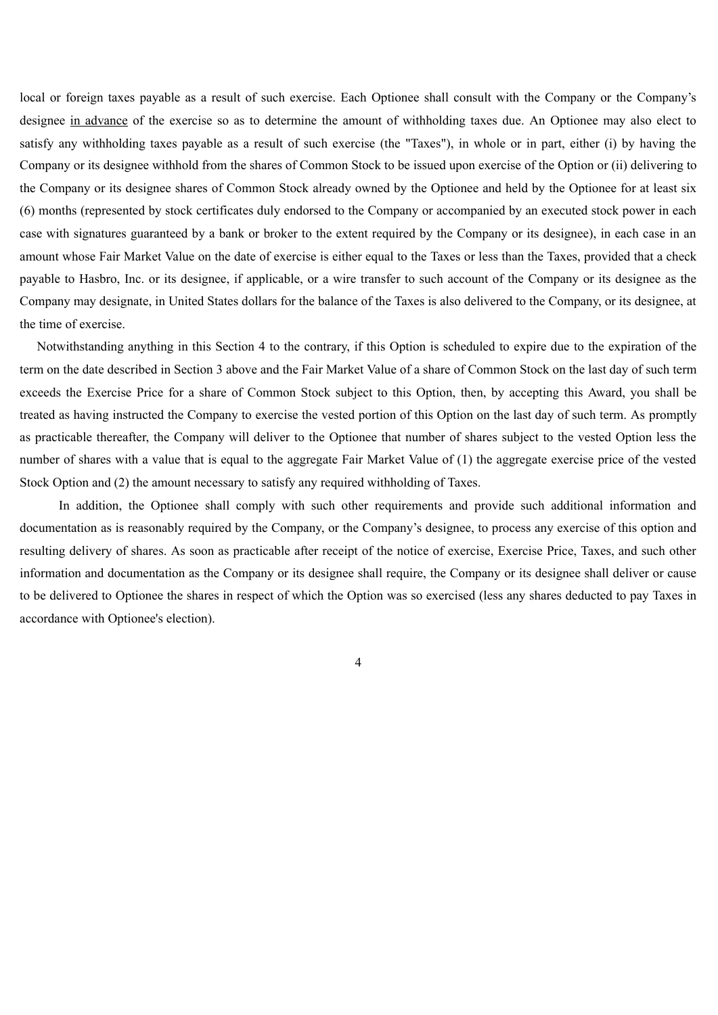local or foreign taxes payable as a result of such exercise. Each Optionee shall consult with the Company or the Company's designee in advance of the exercise so as to determine the amount of withholding taxes due. An Optionee may also elect to satisfy any withholding taxes payable as a result of such exercise (the "Taxes"), in whole or in part, either (i) by having the Company or its designee withhold from the shares of Common Stock to be issued upon exercise of the Option or (ii) delivering to the Company or its designee shares of Common Stock already owned by the Optionee and held by the Optionee for at least six (6) months (represented by stock certificates duly endorsed to the Company or accompanied by an executed stock power in each case with signatures guaranteed by a bank or broker to the extent required by the Company or its designee), in each case in an amount whose Fair Market Value on the date of exercise is either equal to the Taxes or less than the Taxes, provided that a check payable to Hasbro, Inc. or its designee, if applicable, or a wire transfer to such account of the Company or its designee as the Company may designate, in United States dollars for the balance of the Taxes is also delivered to the Company, or its designee, at the time of exercise.

Notwithstanding anything in this Section 4 to the contrary, if this Option is scheduled to expire due to the expiration of the term on the date described in Section 3 above and the Fair Market Value of a share of Common Stock on the last day of such term exceeds the Exercise Price for a share of Common Stock subject to this Option, then, by accepting this Award, you shall be treated as having instructed the Company to exercise the vested portion of this Option on the last day of such term. As promptly as practicable thereafter, the Company will deliver to the Optionee that number of shares subject to the vested Option less the number of shares with a value that is equal to the aggregate Fair Market Value of (1) the aggregate exercise price of the vested Stock Option and (2) the amount necessary to satisfy any required withholding of Taxes.

In addition, the Optionee shall comply with such other requirements and provide such additional information and documentation as is reasonably required by the Company, or the Company's designee, to process any exercise of this option and resulting delivery of shares. As soon as practicable after receipt of the notice of exercise, Exercise Price, Taxes, and such other information and documentation as the Company or its designee shall require, the Company or its designee shall deliver or cause to be delivered to Optionee the shares in respect of which the Option was so exercised (less any shares deducted to pay Taxes in accordance with Optionee's election).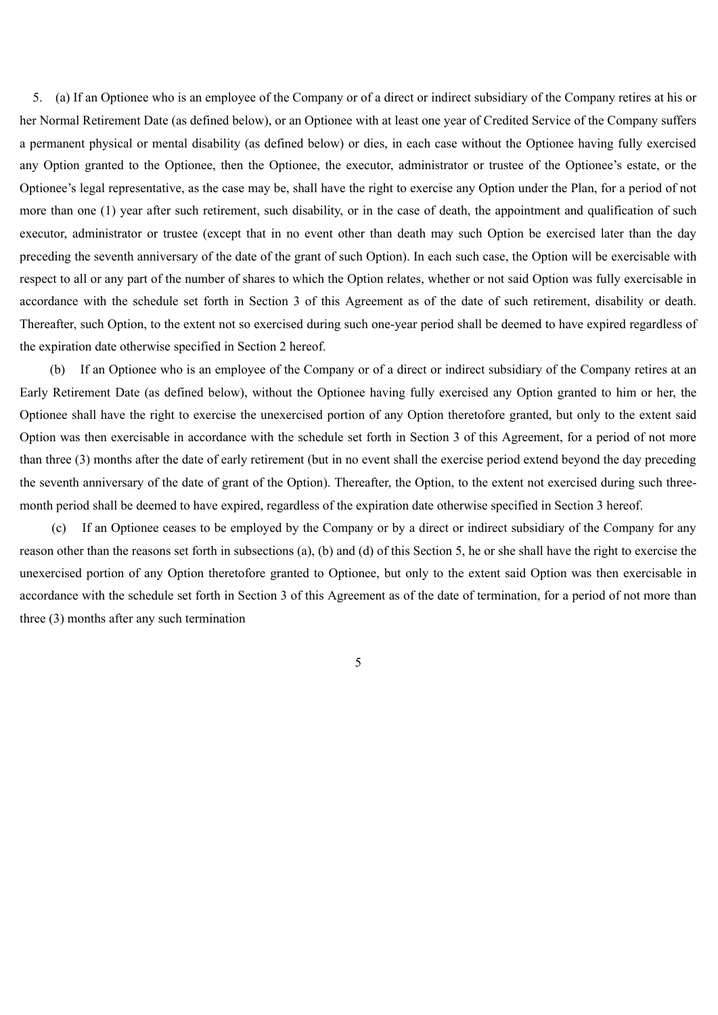5. (a) If an Optionee who is an employee of the Company or of a direct or indirect subsidiary of the Company retires at his or her Normal Retirement Date (as defined below), or an Optionee with at least one year of Credited Service of the Company suffers a permanent physical or mental disability (as defined below) or dies, in each case without the Optionee having fully exercised any Option granted to the Optionee, then the Optionee, the executor, administrator or trustee of the Optionee's estate, or the Optionee's legal representative, as the case may be, shall have the right to exercise any Option under the Plan, for a period of not more than one (1) year after such retirement, such disability, or in the case of death, the appointment and qualification of such executor, administrator or trustee (except that in no event other than death may such Option be exercised later than the day preceding the seventh anniversary of the date of the grant of such Option). In each such case, the Option will be exercisable with respect to all or any part of the number of shares to which the Option relates, whether or not said Option was fully exercisable in accordance with the schedule set forth in Section 3 of this Agreement as of the date of such retirement, disability or death. Thereafter, such Option, to the extent not so exercised during such one-year period shall be deemed to have expired regardless of the expiration date otherwise specified in Section 2 hereof.

(b) If an Optionee who is an employee of the Company or of a direct or indirect subsidiary of the Company retires at an Early Retirement Date (as defined below), without the Optionee having fully exercised any Option granted to him or her, the Optionee shall have the right to exercise the unexercised portion of any Option theretofore granted, but only to the extent said Option was then exercisable in accordance with the schedule set forth in Section 3 of this Agreement, for a period of not more than three (3) months after the date of early retirement (but in no event shall the exercise period extend beyond the day preceding the seventh anniversary of the date of grant of the Option). Thereafter, the Option, to the extent not exercised during such threemonth period shall be deemed to have expired, regardless of the expiration date otherwise specified in Section 3 hereof.

(c) If an Optionee ceases to be employed by the Company or by a direct or indirect subsidiary of the Company for any reason other than the reasons set forth in subsections (a), (b) and (d) of this Section 5, he or she shall have the right to exercise the unexercised portion of any Option theretofore granted to Optionee, but only to the extent said Option was then exercisable in accordance with the schedule set forth in Section 3 of this Agreement as of the date of termination, for a period of not more than three (3) months after any such termination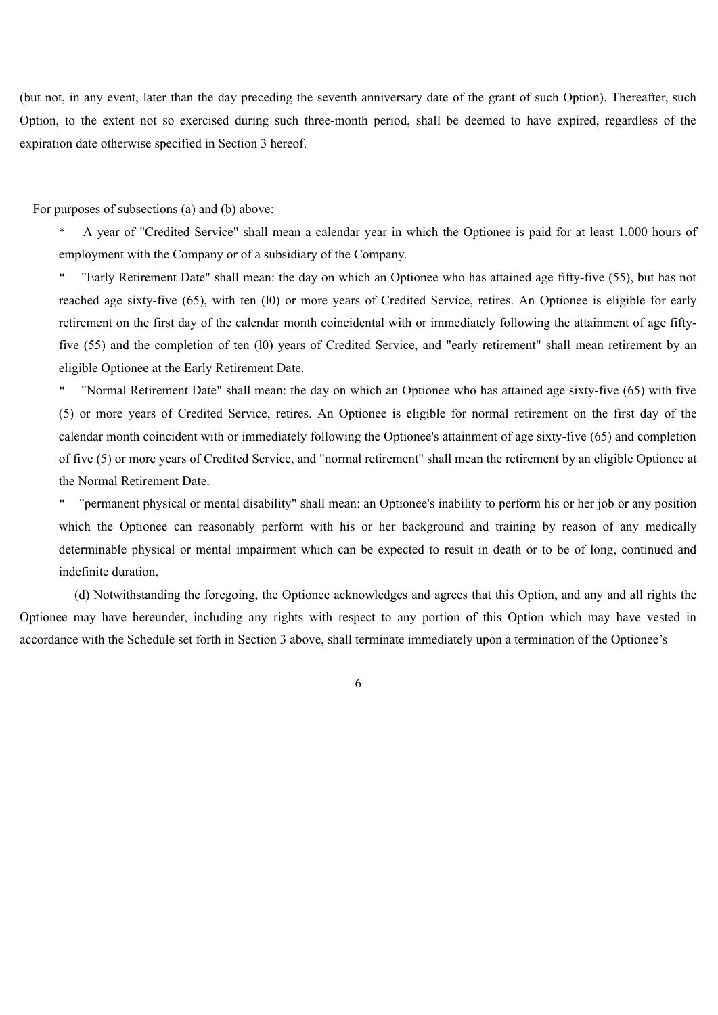(but not, in any event, later than the day preceding the seventh anniversary date of the grant of such Option). Thereafter, such Option, to the extent not so exercised during such three-month period, shall be deemed to have expired, regardless of the expiration date otherwise specified in Section 3 hereof.

For purposes of subsections (a) and (b) above:

A year of "Credited Service" shall mean a calendar year in which the Optionee is paid for at least 1,000 hours of employment with the Company or of a subsidiary of the Company.

\* "Early Retirement Date" shall mean: the day on which an Optionee who has attained age fifty-five (55), but has not reached age sixty-five (65), with ten (l0) or more years of Credited Service, retires. An Optionee is eligible for early retirement on the first day of the calendar month coincidental with or immediately following the attainment of age fiftyfive (55) and the completion of ten (l0) years of Credited Service, and "early retirement" shall mean retirement by an eligible Optionee at the Early Retirement Date.

\* "Normal Retirement Date" shall mean: the day on which an Optionee who has attained age sixty-five (65) with five (5) or more years of Credited Service, retires. An Optionee is eligible for normal retirement on the first day of the calendar month coincident with or immediately following the Optionee's attainment of age sixty-five (65) and completion of five (5) or more years of Credited Service, and "normal retirement" shall mean the retirement by an eligible Optionee at the Normal Retirement Date.

\* "permanent physical or mental disability" shall mean: an Optionee's inability to perform his or her job or any position which the Optionee can reasonably perform with his or her background and training by reason of any medically determinable physical or mental impairment which can be expected to result in death or to be of long, continued and indefinite duration.

(d) Notwithstanding the foregoing, the Optionee acknowledges and agrees that this Option, and any and all rights the Optionee may have hereunder, including any rights with respect to any portion of this Option which may have vested in accordance with the Schedule set forth in Section 3 above, shall terminate immediately upon a termination of the Optionee's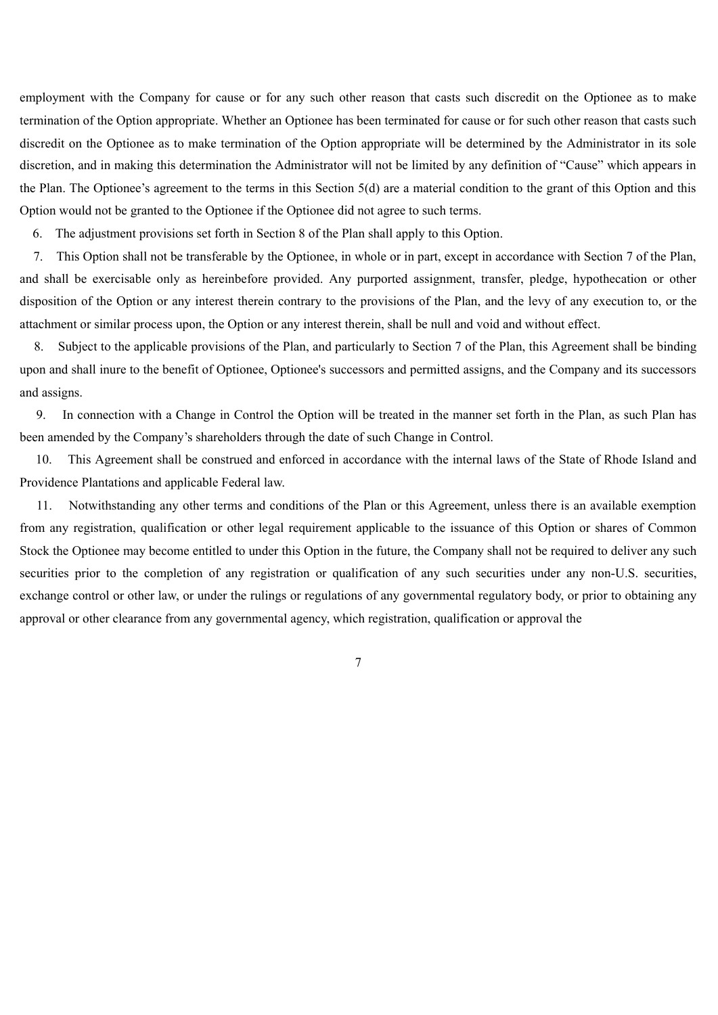employment with the Company for cause or for any such other reason that casts such discredit on the Optionee as to make termination of the Option appropriate. Whether an Optionee has been terminated for cause or for such other reason that casts such discredit on the Optionee as to make termination of the Option appropriate will be determined by the Administrator in its sole discretion, and in making this determination the Administrator will not be limited by any definition of "Cause" which appears in the Plan. The Optionee's agreement to the terms in this Section 5(d) are a material condition to the grant of this Option and this Option would not be granted to the Optionee if the Optionee did not agree to such terms.

6. The adjustment provisions set forth in Section 8 of the Plan shall apply to this Option.

7. This Option shall not be transferable by the Optionee, in whole or in part, except in accordance with Section 7 of the Plan, and shall be exercisable only as hereinbefore provided. Any purported assignment, transfer, pledge, hypothecation or other disposition of the Option or any interest therein contrary to the provisions of the Plan, and the levy of any execution to, or the attachment or similar process upon, the Option or any interest therein, shall be null and void and without effect.

8. Subject to the applicable provisions of the Plan, and particularly to Section 7 of the Plan, this Agreement shall be binding upon and shall inure to the benefit of Optionee, Optionee's successors and permitted assigns, and the Company and its successors and assigns.

9. In connection with a Change in Control the Option will be treated in the manner set forth in the Plan, as such Plan has been amended by the Company's shareholders through the date of such Change in Control.

10. This Agreement shall be construed and enforced in accordance with the internal laws of the State of Rhode Island and Providence Plantations and applicable Federal law.

11. Notwithstanding any other terms and conditions of the Plan or this Agreement, unless there is an available exemption from any registration, qualification or other legal requirement applicable to the issuance of this Option or shares of Common Stock the Optionee may become entitled to under this Option in the future, the Company shall not be required to deliver any such securities prior to the completion of any registration or qualification of any such securities under any non-U.S. securities, exchange control or other law, or under the rulings or regulations of any governmental regulatory body, or prior to obtaining any approval or other clearance from any governmental agency, which registration, qualification or approval the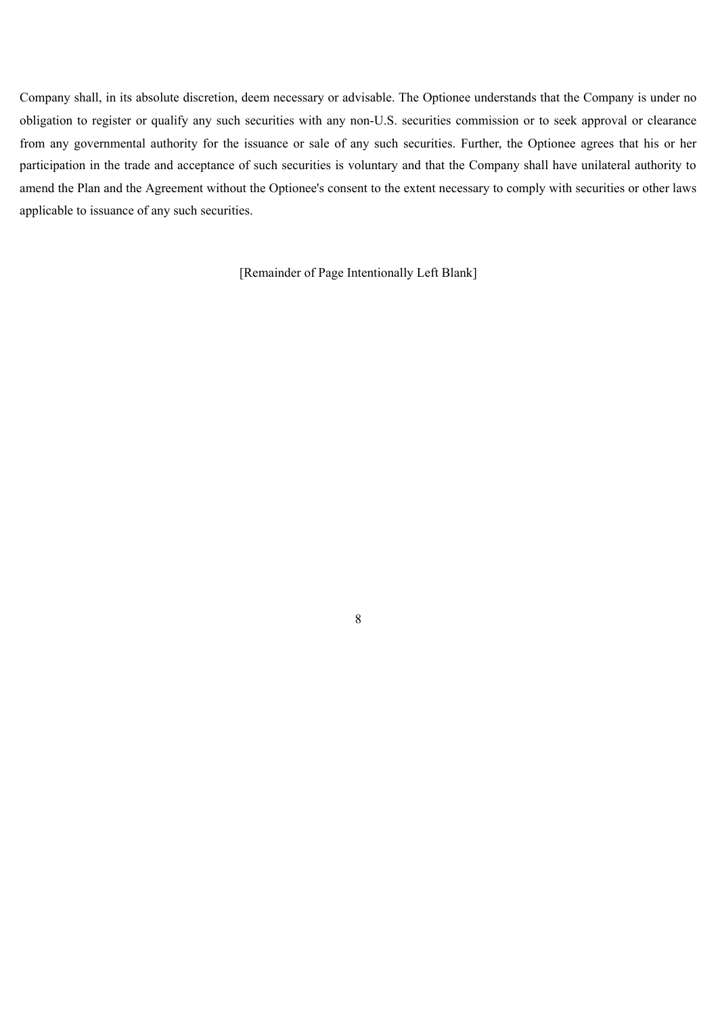Company shall, in its absolute discretion, deem necessary or advisable. The Optionee understands that the Company is under no obligation to register or qualify any such securities with any non-U.S. securities commission or to seek approval or clearance from any governmental authority for the issuance or sale of any such securities. Further, the Optionee agrees that his or her participation in the trade and acceptance of such securities is voluntary and that the Company shall have unilateral authority to amend the Plan and the Agreement without the Optionee's consent to the extent necessary to comply with securities or other laws applicable to issuance of any such securities.

[Remainder of Page Intentionally Left Blank]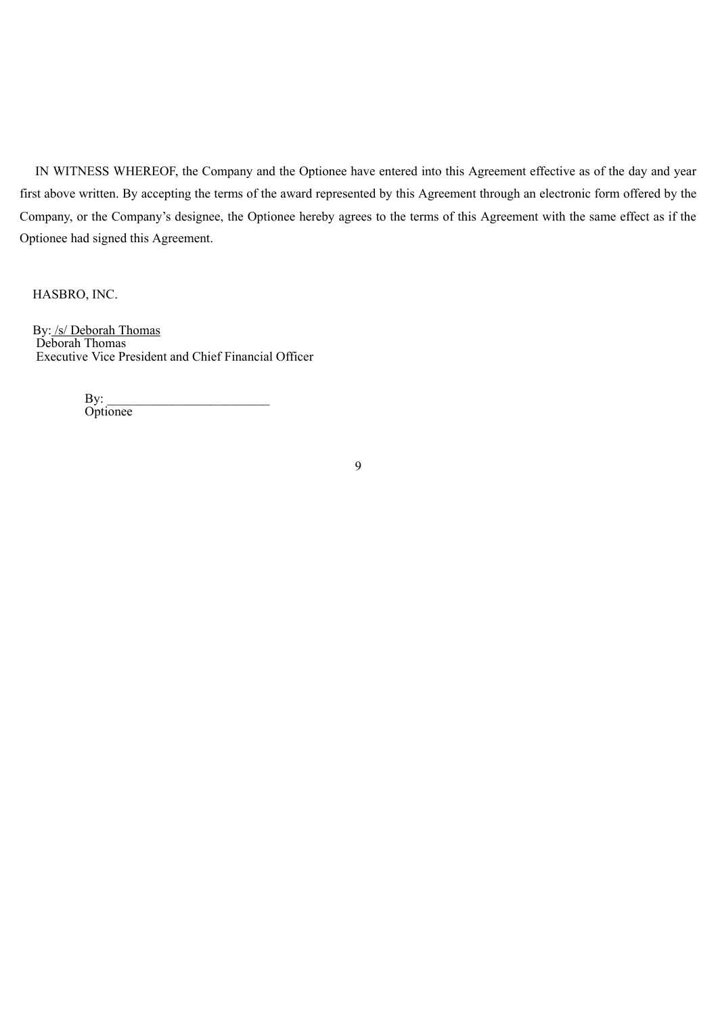IN WITNESS WHEREOF, the Company and the Optionee have entered into this Agreement effective as of the day and year first above written. By accepting the terms of the award represented by this Agreement through an electronic form offered by the Company, or the Company's designee, the Optionee hereby agrees to the terms of this Agreement with the same effect as if the Optionee had signed this Agreement.

HASBRO, INC.

By: /s/ Deborah Thomas Deborah Thomas Executive Vice President and Chief Financial Officer

> $\mathbf{By:}$ **Optionee**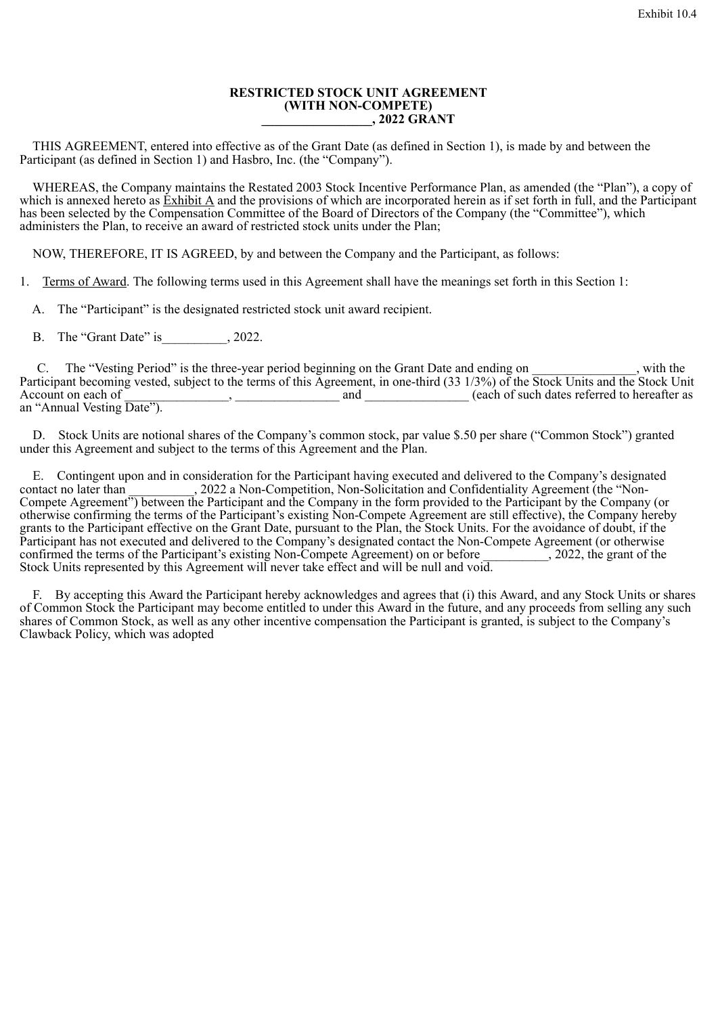#### **RESTRICTED STOCK UNIT AGREEMENT (WITH NON-COMPETE) \_\_\_\_\_\_\_\_\_\_\_\_\_\_\_\_\_, 2022 GRANT**

THIS AGREEMENT, entered into effective as of the Grant Date (as defined in Section 1), is made by and between the Participant (as defined in Section 1) and Hasbro, Inc. (the "Company").

WHEREAS, the Company maintains the Restated 2003 Stock Incentive Performance Plan, as amended (the "Plan"), a copy of which is annexed hereto as Exhibit A and the provisions of which are incorporated herein as if set forth in full, and the Participant has been selected by the Compensation Committee of the Board of Directors of the Company (the "Committee"), which administers the Plan, to receive an award of restricted stock units under the Plan;

NOW, THEREFORE, IT IS AGREED, by and between the Company and the Participant, as follows:

1. Terms of Award. The following terms used in this Agreement shall have the meanings set forth in this Section 1:

A. The "Participant" is the designated restricted stock unit award recipient.

B. The "Grant Date" is  $, 2022$ .

C. The "Vesting Period" is the three-year period beginning on the Grant Date and ending on with the Participant becoming vested, subject to the terms of this Agreement, in one-third (33 1/3%) of the Stock Units and the Stock Unit Account on each of \_\_\_\_\_\_\_\_\_\_\_\_\_\_\_\_, \_\_\_\_\_\_\_\_\_\_\_\_\_\_\_\_ and \_\_\_\_\_\_\_\_\_\_\_\_\_\_\_\_ (each of such dates referred to hereafter as an "Annual Vesting Date").

D. Stock Units are notional shares of the Company's common stock, par value \$.50 per share ("Common Stock") granted under this Agreement and subject to the terms of this Agreement and the Plan.

E. Contingent upon and in consideration for the Participant having executed and delivered to the Company's designated contact no later than 2022 a Non-Competition, Non-Solicitation and Confidentiality Agreement (the "Non-, 2022 a Non-Competition, Non-Solicitation and Confidentiality Agreement (the "Non-Compete Agreement") between the Participant and the Company in the form provided to the Participant by the Company (or otherwise confirming the terms of the Participant's existing Non-Compete Agreement are still effective), the Company hereby grants to the Participant effective on the Grant Date, pursuant to the Plan, the Stock Units. For the avoidance of doubt, if the Participant has not executed and delivered to the Company's designated contact the Non-Compete Agreement (or otherwise confirmed the terms of the Participant's existing Non-Compete Agreement) on or before 2022, the grant o confirmed the terms of the Participant's existing Non-Compete Agreement) on or before  $\sim$ , 2022, the grant of the Stock Units represented by this Agreement will never take effect and will be null and void.

F. By accepting this Award the Participant hereby acknowledges and agrees that (i) this Award, and any Stock Units or shares of Common Stock the Participant may become entitled to under this Award in the future, and any proceeds from selling any such shares of Common Stock, as well as any other incentive compensation the Participant is granted, is subject to the Company's Clawback Policy, which was adopted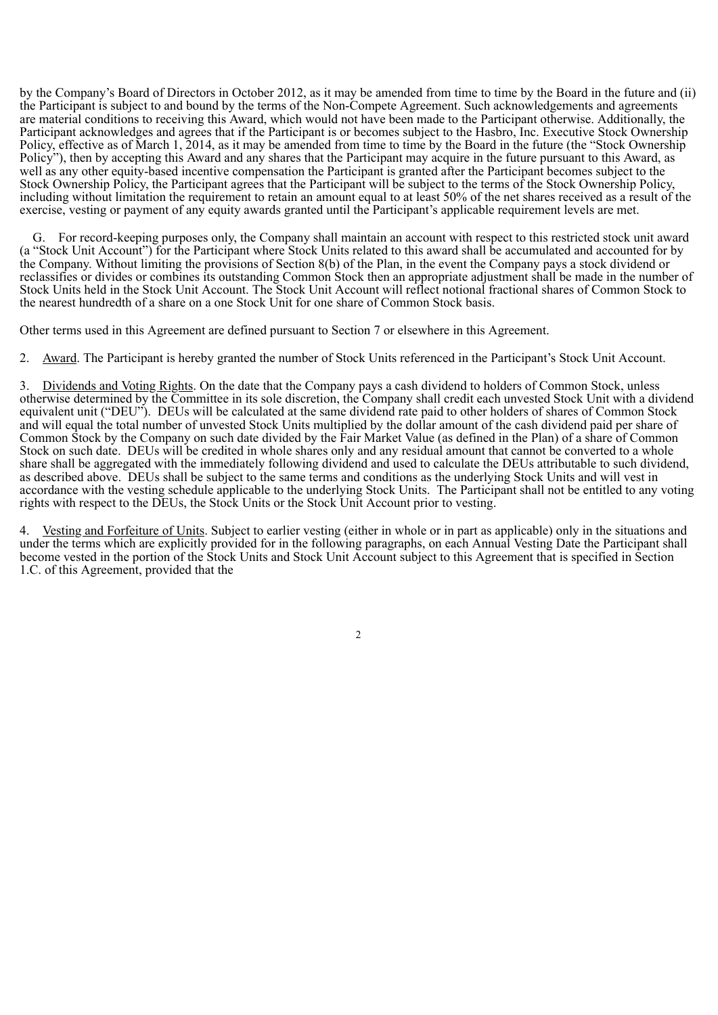by the Company's Board of Directors in October 2012, as it may be amended from time to time by the Board in the future and (ii) the Participant is subject to and bound by the terms of the Non-Compete Agreement. Such acknowledgements and agreements are material conditions to receiving this Award, which would not have been made to the Participant otherwise. Additionally, the Participant acknowledges and agrees that if the Participant is or becomes subject to the Hasbro, Inc. Executive Stock Ownership Policy, effective as of March 1, 2014, as it may be amended from time to time by the Board in the future (the "Stock Ownership" Policy"), then by accepting this Award and any shares that the Participant may acquire in the future pursuant to this Award, as well as any other equity-based incentive compensation the Participant is granted after the Participant becomes subject to the Stock Ownership Policy, the Participant agrees that the Participant will be subject to the terms of the Stock Ownership Policy, including without limitation the requirement to retain an amount equal to at least 50% of the net shares received as a result of the exercise, vesting or payment of any equity awards granted until the Participant's applicable requirement levels are met.

For record-keeping purposes only, the Company shall maintain an account with respect to this restricted stock unit award (a "Stock Unit Account") for the Participant where Stock Units related to this award shall be accumulated and accounted for by the Company. Without limiting the provisions of Section 8(b) of the Plan, in the event the Company pays a stock dividend or reclassifies or divides or combines its outstanding Common Stock then an appropriate adjustment shall be made in the number of Stock Units held in the Stock Unit Account. The Stock Unit Account will reflect notional fractional shares of Common Stock to the nearest hundredth of a share on a one Stock Unit for one share of Common Stock basis.

Other terms used in this Agreement are defined pursuant to Section 7 or elsewhere in this Agreement.

2. Award. The Participant is hereby granted the number of Stock Units referenced in the Participant's Stock Unit Account.

3. Dividends and Voting Rights. On the date that the Company pays a cash dividend to holders of Common Stock, unless otherwise determined by the Committee in its sole discretion, the Company shall credit each unvested Stock Unit with a dividend equivalent unit ("DEU"). DEUs will be calculated at the same dividend rate paid to other holders of shares of Common Stock and will equal the total number of unvested Stock Units multiplied by the dollar amount of the cash dividend paid per share of Common Stock by the Company on such date divided by the Fair Market Value (as defined in the Plan) of a share of Common Stock on such date. DEUs will be credited in whole shares only and any residual amount that cannot be converted to a whole share shall be aggregated with the immediately following dividend and used to calculate the DEUs attributable to such dividend, as described above. DEUs shall be subject to the same terms and conditions as the underlying Stock Units and will vest in accordance with the vesting schedule applicable to the underlying Stock Units. The Participant shall not be entitled to any voting rights with respect to the DEUs, the Stock Units or the Stock Unit Account prior to vesting.

4. Vesting and Forfeiture of Units. Subject to earlier vesting (either in whole or in part as applicable) only in the situations and under the terms which are explicitly provided for in the following paragraphs, on each Annual Vesting Date the Participant shall become vested in the portion of the Stock Units and Stock Unit Account subject to this Agreement that is specified in Section 1.C. of this Agreement, provided that the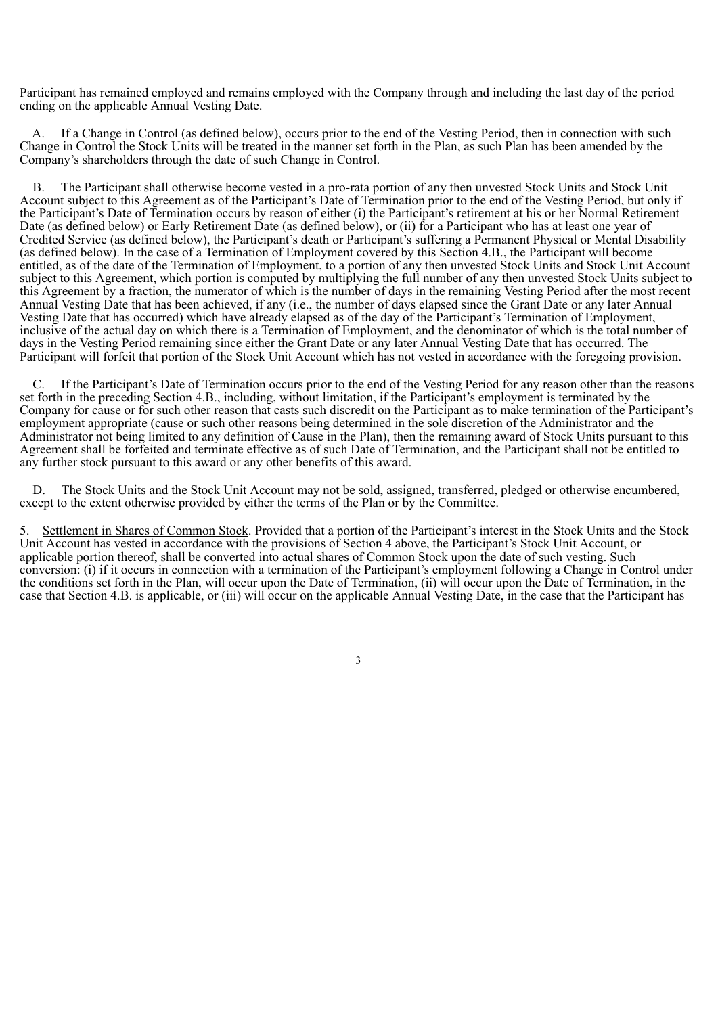Participant has remained employed and remains employed with the Company through and including the last day of the period ending on the applicable Annual Vesting Date.

If a Change in Control (as defined below), occurs prior to the end of the Vesting Period, then in connection with such Change in Control the Stock Units will be treated in the manner set forth in the Plan, as such Plan has been amended by the Company's shareholders through the date of such Change in Control.

B. The Participant shall otherwise become vested in a pro-rata portion of any then unvested Stock Units and Stock Unit Account subject to this Agreement as of the Participant's Date of Termination prior to the end of the Vesting Period, but only if the Participant's Date of Termination occurs by reason of either (i) the Participant's retirement at his or her Normal Retirement Date (as defined below) or Early Retirement Date (as defined below), or (ii) for a Participant who has at least one year of Credited Service (as defined below), the Participant's death or Participant's suffering a Permanent Physical or Mental Disability (as defined below). In the case of a Termination of Employment covered by this Section 4.B., the Participant will become entitled, as of the date of the Termination of Employment, to a portion of any then unvested Stock Units and Stock Unit Account subject to this Agreement, which portion is computed by multiplying the full number of any then unvested Stock Units subject to this Agreement by a fraction, the numerator of which is the number of days in the remaining Vesting Period after the most recent Annual Vesting Date that has been achieved, if any (i.e., the number of days elapsed since the Grant Date or any later Annual Vesting Date that has occurred) which have already elapsed as of the day of the Participant's Termination of Employment, inclusive of the actual day on which there is a Termination of Employment, and the denominator of which is the total number of days in the Vesting Period remaining since either the Grant Date or any later Annual Vesting Date that has occurred. The Participant will forfeit that portion of the Stock Unit Account which has not vested in accordance with the foregoing provision.

If the Participant's Date of Termination occurs prior to the end of the Vesting Period for any reason other than the reasons set forth in the preceding Section 4.B., including, without limitation, if the Participant's employment is terminated by the Company for cause or for such other reason that casts such discredit on the Participant as to make termination of the Participant's employment appropriate (cause or such other reasons being determined in the sole discretion of the Administrator and the Administrator not being limited to any definition of Cause in the Plan), then the remaining award of Stock Units pursuant to this Agreement shall be forfeited and terminate effective as of such Date of Termination, and the Participant shall not be entitled to any further stock pursuant to this award or any other benefits of this award.

D. The Stock Units and the Stock Unit Account may not be sold, assigned, transferred, pledged or otherwise encumbered, except to the extent otherwise provided by either the terms of the Plan or by the Committee.

5. Settlement in Shares of Common Stock. Provided that a portion of the Participant's interest in the Stock Units and the Stock Unit Account has vested in accordance with the provisions of Section 4 above, the Participant's Stock Unit Account, or applicable portion thereof, shall be converted into actual shares of Common Stock upon the date of such vesting. Such conversion: (i) if it occurs in connection with a termination of the Participant's employment following a Change in Control under the conditions set forth in the Plan, will occur upon the Date of Termination, (ii) will occur upon the Date of Termination, in the case that Section 4.B. is applicable, or (iii) will occur on the applicable Annual Vesting Date, in the case that the Participant has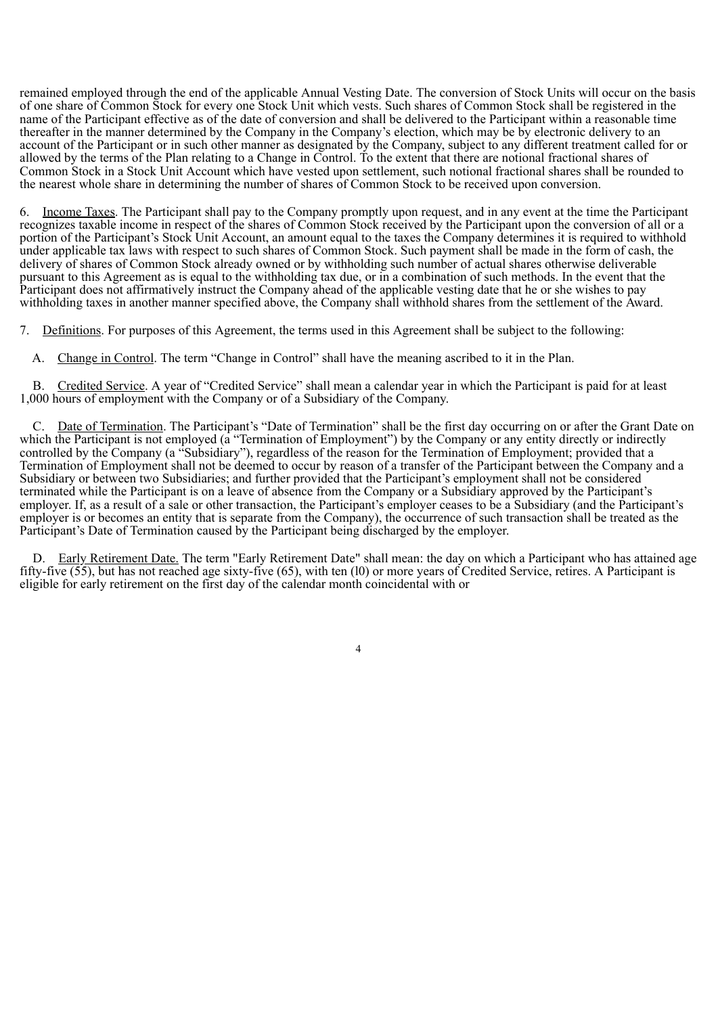remained employed through the end of the applicable Annual Vesting Date. The conversion of Stock Units will occur on the basis of one share of Common Stock for every one Stock Unit which vests. Such shares of Common Stock shall be registered in the name of the Participant effective as of the date of conversion and shall be delivered to the Participant within a reasonable time thereafter in the manner determined by the Company in the Company's election, which may be by electronic delivery to an account of the Participant or in such other manner as designated by the Company, subject to any different treatment called for or allowed by the terms of the Plan relating to a Change in Control. To the extent that there are notional fractional shares of Common Stock in a Stock Unit Account which have vested upon settlement, such notional fractional shares shall be rounded to the nearest whole share in determining the number of shares of Common Stock to be received upon conversion.

6. Income Taxes. The Participant shall pay to the Company promptly upon request, and in any event at the time the Participant recognizes taxable income in respect of the shares of Common Stock received by the Participant upon the conversion of all or a portion of the Participant's Stock Unit Account, an amount equal to the taxes the Company determines it is required to withhold under applicable tax laws with respect to such shares of Common Stock. Such payment shall be made in the form of cash, the delivery of shares of Common Stock already owned or by withholding such number of actual shares otherwise deliverable pursuant to this Agreement as is equal to the withholding tax due, or in a combination of such methods. In the event that the Participant does not affirmatively instruct the Company ahead of the applicable vesting date that he or she wishes to pay withholding taxes in another manner specified above, the Company shall withhold shares from the settlement of the Award.

7. Definitions. For purposes of this Agreement, the terms used in this Agreement shall be subject to the following:

A. Change in Control. The term "Change in Control" shall have the meaning ascribed to it in the Plan.

B. Credited Service. A year of "Credited Service" shall mean a calendar year in which the Participant is paid for at least 1,000 hours of employment with the Company or of a Subsidiary of the Company.

C. Date of Termination. The Participant's "Date of Termination" shall be the first day occurring on or after the Grant Date on which the Participant is not employed (a "Termination of Employment") by the Company or any entity directly or indirectly controlled by the Company (a "Subsidiary"), regardless of the reason for the Termination of Employment; provided that a Termination of Employment shall not be deemed to occur by reason of a transfer of the Participant between the Company and a Subsidiary or between two Subsidiaries; and further provided that the Participant's employment shall not be considered terminated while the Participant is on a leave of absence from the Company or a Subsidiary approved by the Participant's employer. If, as a result of a sale or other transaction, the Participant's employer ceases to be a Subsidiary (and the Participant's employer is or becomes an entity that is separate from the Company), the occurrence of such transaction shall be treated as the Participant's Date of Termination caused by the Participant being discharged by the employer.

D. Early Retirement Date. The term "Early Retirement Date" shall mean: the day on which a Participant who has attained age fifty-five (55), but has not reached age sixty-five (65), with ten (l0) or more years of Credited Service, retires. A Participant is eligible for early retirement on the first day of the calendar month coincidental with or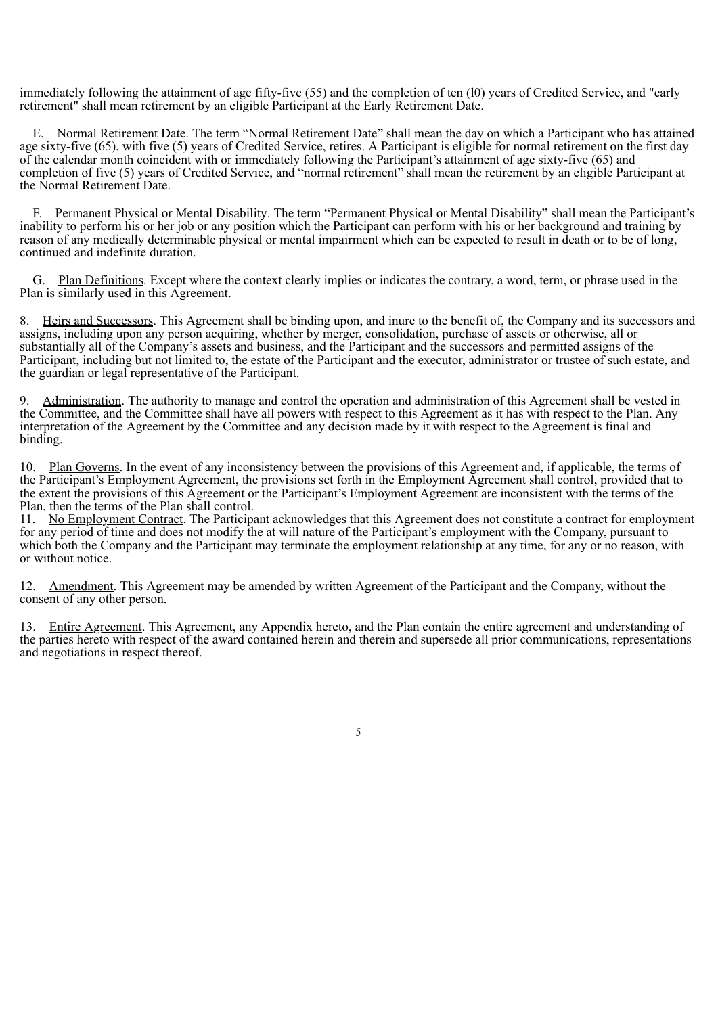immediately following the attainment of age fifty-five (55) and the completion of ten (l0) years of Credited Service, and "early retirement" shall mean retirement by an eligible Participant at the Early Retirement Date.

E. Normal Retirement Date. The term "Normal Retirement Date" shall mean the day on which a Participant who has attained age sixty-five (65), with five (5) years of Credited Service, retires. A Participant is eligible for normal retirement on the first day of the calendar month coincident with or immediately following the Participant's attainment of age sixty-five (65) and completion of five (5) years of Credited Service, and "normal retirement" shall mean the retirement by an eligible Participant at the Normal Retirement Date.

Permanent Physical or Mental Disability. The term "Permanent Physical or Mental Disability" shall mean the Participant's inability to perform his or her job or any position which the Participant can perform with his or her background and training by reason of any medically determinable physical or mental impairment which can be expected to result in death or to be of long, continued and indefinite duration.

G. Plan Definitions. Except where the context clearly implies or indicates the contrary, a word, term, or phrase used in the Plan is similarly used in this Agreement.

Heirs and Successors. This Agreement shall be binding upon, and inure to the benefit of, the Company and its successors and assigns, including upon any person acquiring, whether by merger, consolidation, purchase of assets or otherwise, all or substantially all of the Company's assets and business, and the Participant and the successors and permitted assigns of the Participant, including but not limited to, the estate of the Participant and the executor, administrator or trustee of such estate, and the guardian or legal representative of the Participant.

9. Administration. The authority to manage and control the operation and administration of this Agreement shall be vested in the Committee, and the Committee shall have all powers with respect to this Agreement as it has with respect to the Plan. Any interpretation of the Agreement by the Committee and any decision made by it with respect to the Agreement is final and binding.

10. Plan Governs. In the event of any inconsistency between the provisions of this Agreement and, if applicable, the terms of the Participant's Employment Agreement, the provisions set forth in the Employment Agreement shall control, provided that to the extent the provisions of this Agreement or the Participant's Employment Agreement are inconsistent with the terms of the Plan, then the terms of the Plan shall control.

11. No Employment Contract. The Participant acknowledges that this Agreement does not constitute a contract for employment for any period of time and does not modify the at will nature of the Participant's employment with the Company, pursuant to which both the Company and the Participant may terminate the employment relationship at any time, for any or no reason, with or without notice.

12. Amendment. This Agreement may be amended by written Agreement of the Participant and the Company, without the consent of any other person.

13. Entire Agreement. This Agreement, any Appendix hereto, and the Plan contain the entire agreement and understanding of the parties hereto with respect of the award contained herein and therein and supersede all prior communications, representations and negotiations in respect thereof.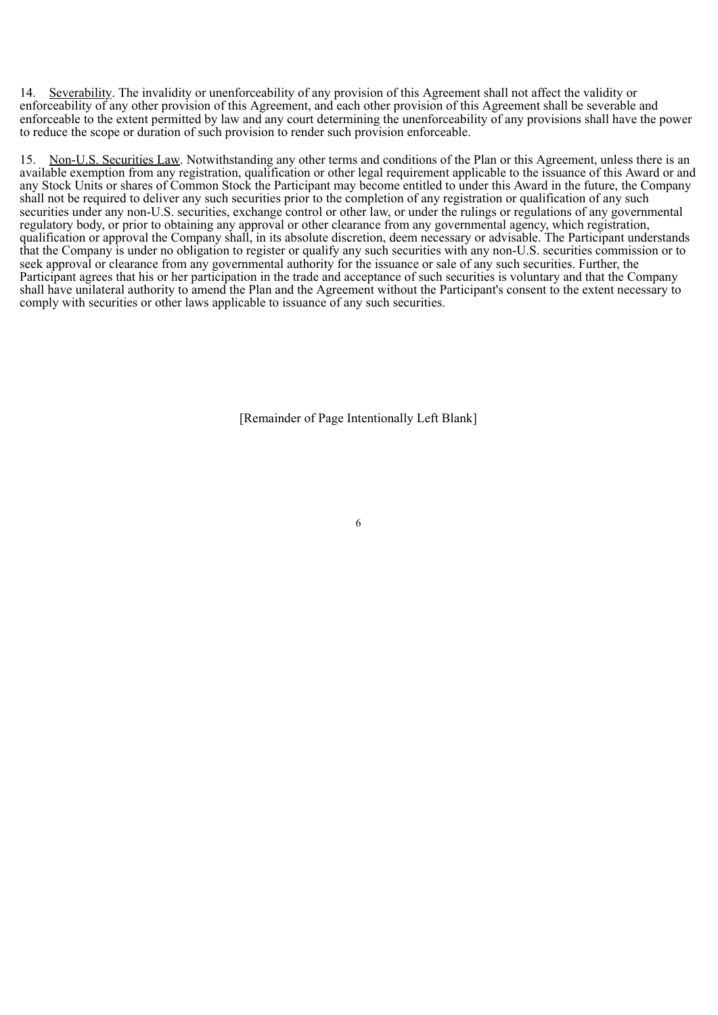14. Severability. The invalidity or unenforceability of any provision of this Agreement shall not affect the validity or enforceability of any other provision of this Agreement, and each other provision of this Agreement shall be severable and enforceable to the extent permitted by law and any court determining the unenforceability of any provisions shall have the power to reduce the scope or duration of such provision to render such provision enforceable.

15. Non-U.S. Securities Law. Notwithstanding any other terms and conditions of the Plan or this Agreement, unless there is an available exemption from any registration, qualification or other legal requirement applicable to the issuance of this Award or and any Stock Units or shares of Common Stock the Participant may become entitled to under this Award in the future, the Company shall not be required to deliver any such securities prior to the completion of any registration or qualification of any such securities under any non-U.S. securities, exchange control or other law, or under the rulings or regulations of any governmental regulatory body, or prior to obtaining any approval or other clearance from any governmental agency, which registration, qualification or approval the Company shall, in its absolute discretion, deem necessary or advisable. The Participant understands that the Company is under no obligation to register or qualify any such securities with any non-U.S. securities commission or to seek approval or clearance from any governmental authority for the issuance or sale of any such securities. Further, the Participant agrees that his or her participation in the trade and acceptance of such securities is voluntary and that the Company shall have unilateral authority to amend the Plan and the Agreement without the Participant's consent to the extent necessary to comply with securities or other laws applicable to issuance of any such securities.

[Remainder of Page Intentionally Left Blank]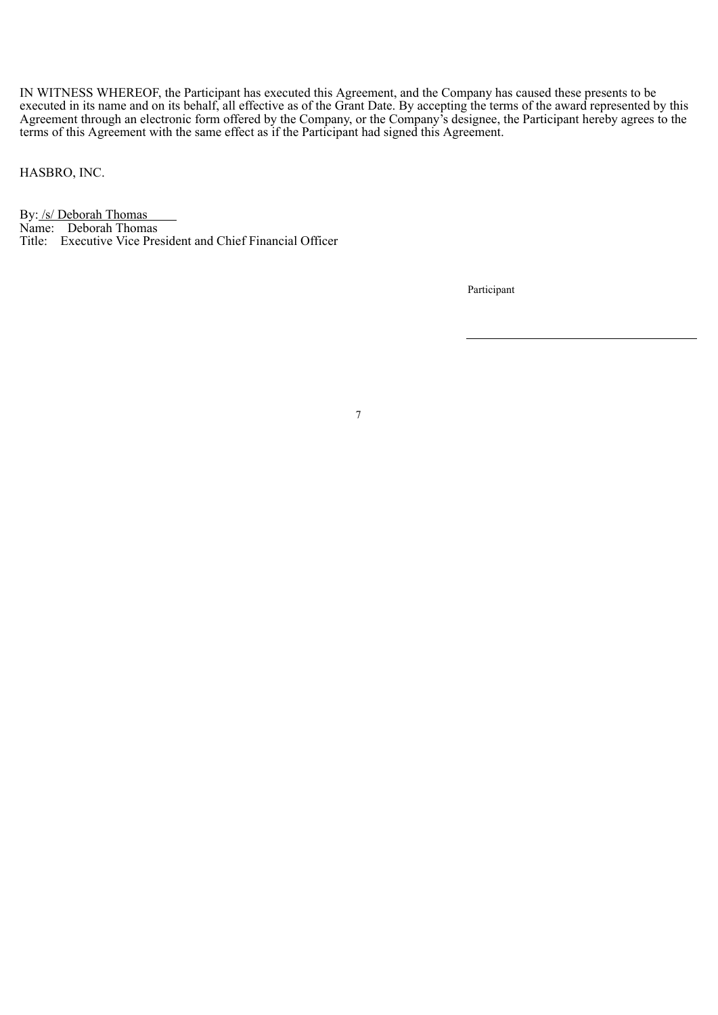IN WITNESS WHEREOF, the Participant has executed this Agreement, and the Company has caused these presents to be executed in its name and on its behalf, all effective as of the Grant Date. By accepting the terms of the award represented by this Agreement through an electronic form offered by the Company, or the Company's designee, the Participant hereby agrees to the terms of this Agreement with the same effect as if the Participant had signed this Agreement.

7

HASBRO, INC.

By: /s/ Deborah Thomas Name: Deborah Thomas Title: Executive Vice President and Chief Financial Officer

Participant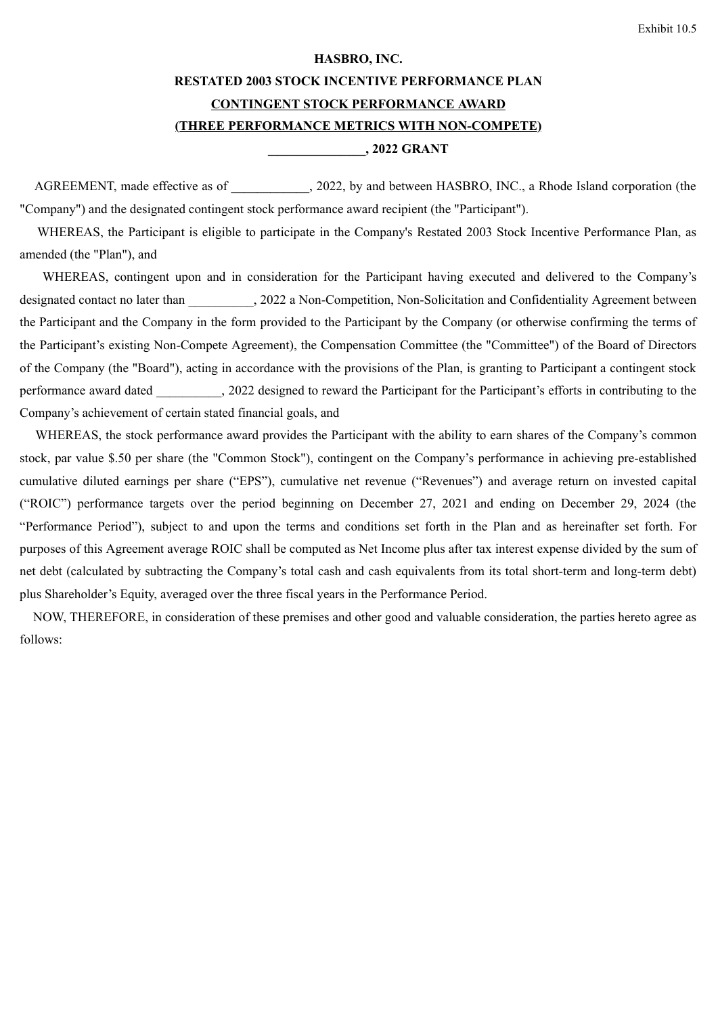#### **HASBRO, INC.**

## **RESTATED 2003 STOCK INCENTIVE PERFORMANCE PLAN**

#### **CONTINGENT STOCK PERFORMANCE AWARD**

## **(THREE PERFORMANCE METRICS WITH NON-COMPETE)**

## **\_\_\_\_\_\_\_\_\_\_\_\_\_\_\_, 2022 GRANT**

AGREEMENT, made effective as of  $\qquad \qquad$ , 2022, by and between HASBRO, INC., a Rhode Island corporation (the "Company") and the designated contingent stock performance award recipient (the "Participant").

WHEREAS, the Participant is eligible to participate in the Company's Restated 2003 Stock Incentive Performance Plan, as amended (the "Plan"), and

WHEREAS, contingent upon and in consideration for the Participant having executed and delivered to the Company's designated contact no later than  $.2022$  a Non-Competition, Non-Solicitation and Confidentiality Agreement between the Participant and the Company in the form provided to the Participant by the Company (or otherwise confirming the terms of the Participant's existing Non-Compete Agreement), the Compensation Committee (the "Committee") of the Board of Directors of the Company (the "Board"), acting in accordance with the provisions of the Plan, is granting to Participant a contingent stock performance award dated 2022 designed to reward the Participant for the Participant's efforts in contributing to the Company's achievement of certain stated financial goals, and

WHEREAS, the stock performance award provides the Participant with the ability to earn shares of the Company's common stock, par value \$.50 per share (the "Common Stock"), contingent on the Company's performance in achieving pre-established cumulative diluted earnings per share ("EPS"), cumulative net revenue ("Revenues") and average return on invested capital ("ROIC") performance targets over the period beginning on December 27, 2021 and ending on December 29, 2024 (the "Performance Period"), subject to and upon the terms and conditions set forth in the Plan and as hereinafter set forth. For purposes of this Agreement average ROIC shall be computed as Net Income plus after tax interest expense divided by the sum of net debt (calculated by subtracting the Company's total cash and cash equivalents from its total short-term and long-term debt) plus Shareholder's Equity, averaged over the three fiscal years in the Performance Period.

NOW, THEREFORE, in consideration of these premises and other good and valuable consideration, the parties hereto agree as follows: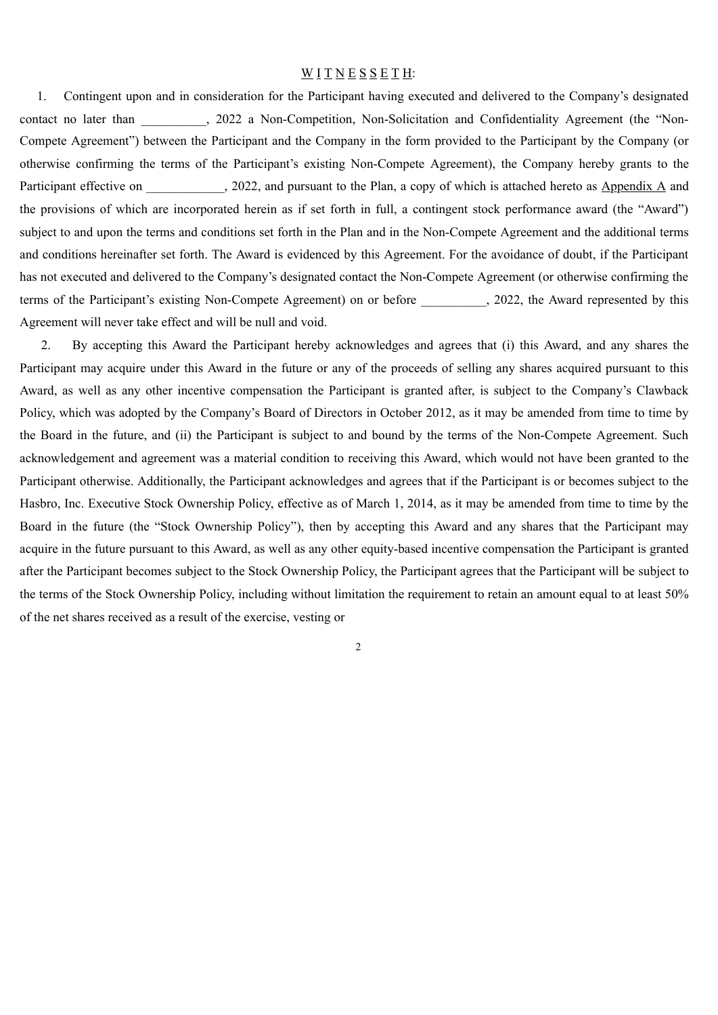#### WITNESSETH:

1. Contingent upon and in consideration for the Participant having executed and delivered to the Company's designated contact no later than \_\_\_\_\_\_\_\_, 2022 a Non-Competition, Non-Solicitation and Confidentiality Agreement (the "Non-Compete Agreement") between the Participant and the Company in the form provided to the Participant by the Company (or otherwise confirming the terms of the Participant's existing Non-Compete Agreement), the Company hereby grants to the Participant effective on 2022, and pursuant to the Plan, a copy of which is attached hereto as Appendix A and the provisions of which are incorporated herein as if set forth in full, a contingent stock performance award (the "Award") subject to and upon the terms and conditions set forth in the Plan and in the Non-Compete Agreement and the additional terms and conditions hereinafter set forth. The Award is evidenced by this Agreement. For the avoidance of doubt, if the Participant has not executed and delivered to the Company's designated contact the Non-Compete Agreement (or otherwise confirming the terms of the Participant's existing Non-Compete Agreement) on or before , 2022, the Award represented by this Agreement will never take effect and will be null and void.

2. By accepting this Award the Participant hereby acknowledges and agrees that (i) this Award, and any shares the Participant may acquire under this Award in the future or any of the proceeds of selling any shares acquired pursuant to this Award, as well as any other incentive compensation the Participant is granted after, is subject to the Company's Clawback Policy, which was adopted by the Company's Board of Directors in October 2012, as it may be amended from time to time by the Board in the future, and (ii) the Participant is subject to and bound by the terms of the Non-Compete Agreement. Such acknowledgement and agreement was a material condition to receiving this Award, which would not have been granted to the Participant otherwise. Additionally, the Participant acknowledges and agrees that if the Participant is or becomes subject to the Hasbro, Inc. Executive Stock Ownership Policy, effective as of March 1, 2014, as it may be amended from time to time by the Board in the future (the "Stock Ownership Policy"), then by accepting this Award and any shares that the Participant may acquire in the future pursuant to this Award, as well as any other equity-based incentive compensation the Participant is granted after the Participant becomes subject to the Stock Ownership Policy, the Participant agrees that the Participant will be subject to the terms of the Stock Ownership Policy, including without limitation the requirement to retain an amount equal to at least 50% of the net shares received as a result of the exercise, vesting or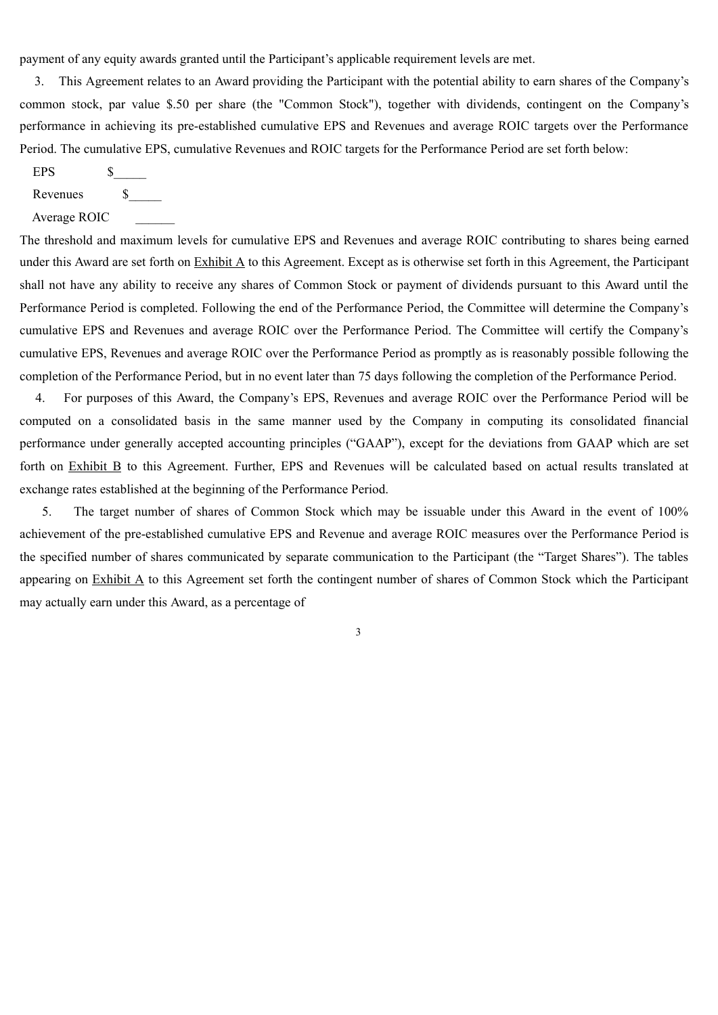payment of any equity awards granted until the Participant's applicable requirement levels are met.

3. This Agreement relates to an Award providing the Participant with the potential ability to earn shares of the Company's common stock, par value \$.50 per share (the "Common Stock"), together with dividends, contingent on the Company's performance in achieving its pre-established cumulative EPS and Revenues and average ROIC targets over the Performance Period. The cumulative EPS, cumulative Revenues and ROIC targets for the Performance Period are set forth below:

EPS \$

Revenues  $\sim$  \$

Average ROIC

The threshold and maximum levels for cumulative EPS and Revenues and average ROIC contributing to shares being earned under this Award are set forth on Exhibit A to this Agreement. Except as is otherwise set forth in this Agreement, the Participant shall not have any ability to receive any shares of Common Stock or payment of dividends pursuant to this Award until the Performance Period is completed. Following the end of the Performance Period, the Committee will determine the Company's cumulative EPS and Revenues and average ROIC over the Performance Period. The Committee will certify the Company's cumulative EPS, Revenues and average ROIC over the Performance Period as promptly as is reasonably possible following the completion of the Performance Period, but in no event later than 75 days following the completion of the Performance Period.

4. For purposes of this Award, the Company's EPS, Revenues and average ROIC over the Performance Period will be computed on a consolidated basis in the same manner used by the Company in computing its consolidated financial performance under generally accepted accounting principles ("GAAP"), except for the deviations from GAAP which are set forth on Exhibit B to this Agreement. Further, EPS and Revenues will be calculated based on actual results translated at exchange rates established at the beginning of the Performance Period.

5. The target number of shares of Common Stock which may be issuable under this Award in the event of 100% achievement of the pre-established cumulative EPS and Revenue and average ROIC measures over the Performance Period is the specified number of shares communicated by separate communication to the Participant (the "Target Shares"). The tables appearing on Exhibit A to this Agreement set forth the contingent number of shares of Common Stock which the Participant may actually earn under this Award, as a percentage of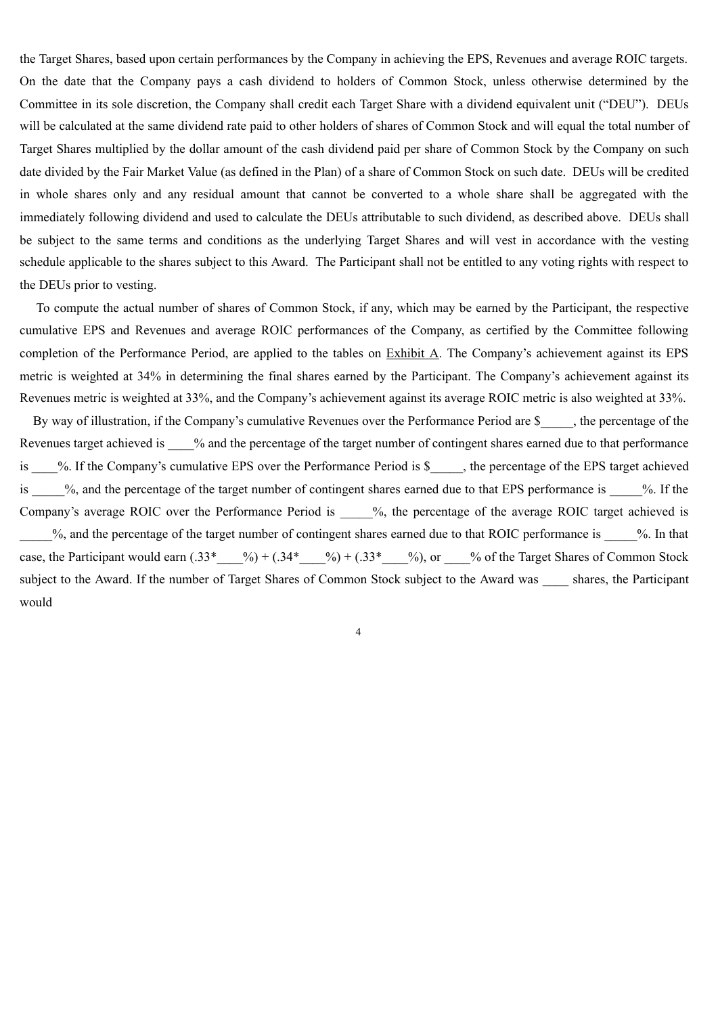the Target Shares, based upon certain performances by the Company in achieving the EPS, Revenues and average ROIC targets. On the date that the Company pays a cash dividend to holders of Common Stock, unless otherwise determined by the Committee in its sole discretion, the Company shall credit each Target Share with a dividend equivalent unit ("DEU"). DEUs will be calculated at the same dividend rate paid to other holders of shares of Common Stock and will equal the total number of Target Shares multiplied by the dollar amount of the cash dividend paid per share of Common Stock by the Company on such date divided by the Fair Market Value (as defined in the Plan) of a share of Common Stock on such date. DEUs will be credited in whole shares only and any residual amount that cannot be converted to a whole share shall be aggregated with the immediately following dividend and used to calculate the DEUs attributable to such dividend, as described above. DEUs shall be subject to the same terms and conditions as the underlying Target Shares and will vest in accordance with the vesting schedule applicable to the shares subject to this Award. The Participant shall not be entitled to any voting rights with respect to the DEUs prior to vesting.

To compute the actual number of shares of Common Stock, if any, which may be earned by the Participant, the respective cumulative EPS and Revenues and average ROIC performances of the Company, as certified by the Committee following completion of the Performance Period, are applied to the tables on Exhibit A. The Company's achievement against its EPS metric is weighted at 34% in determining the final shares earned by the Participant. The Company's achievement against its Revenues metric is weighted at 33%, and the Company's achievement against its average ROIC metric is also weighted at 33%.

By way of illustration, if the Company's cumulative Revenues over the Performance Period are \$, the percentage of the Revenues target achieved is  $\%$  and the percentage of the target number of contingent shares earned due to that performance is %. If the Company's cumulative EPS over the Performance Period is \$\_\_\_\_, the percentage of the EPS target achieved is  $\%$ , and the percentage of the target number of contingent shares earned due to that EPS performance is  $\%$ . If the Company's average ROIC over the Performance Period is  $\%$ , the percentage of the average ROIC target achieved is %, and the percentage of the target number of contingent shares earned due to that ROIC performance is  $\%$ . In that case, the Participant would earn  $(.33^*$  ( $\frac{9}{6}) + (.34^*$   $\frac{9}{2}) + (.33^*$   $\frac{9}{2})$ , or  $\frac{9}{2}$  of the Target Shares of Common Stock subject to the Award. If the number of Target Shares of Common Stock subject to the Award was shares, the Participant would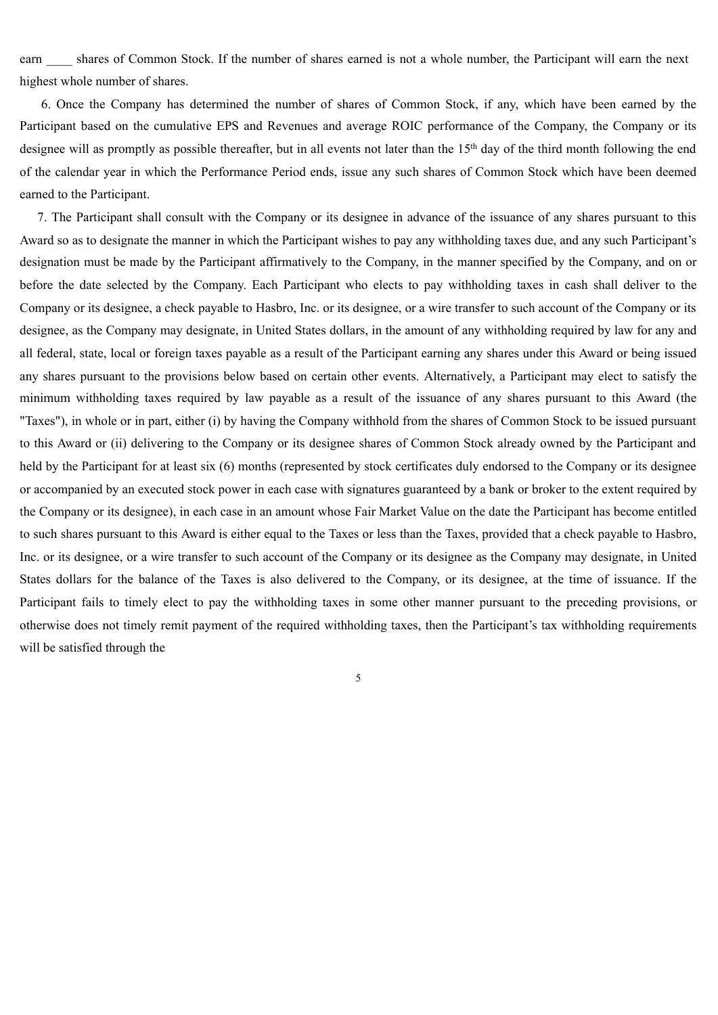earn shares of Common Stock. If the number of shares earned is not a whole number, the Participant will earn the next highest whole number of shares.

6. Once the Company has determined the number of shares of Common Stock, if any, which have been earned by the Participant based on the cumulative EPS and Revenues and average ROIC performance of the Company, the Company or its designee will as promptly as possible thereafter, but in all events not later than the 15<sup>th</sup> day of the third month following the end of the calendar year in which the Performance Period ends, issue any such shares of Common Stock which have been deemed earned to the Participant.

7. The Participant shall consult with the Company or its designee in advance of the issuance of any shares pursuant to this Award so as to designate the manner in which the Participant wishes to pay any withholding taxes due, and any such Participant's designation must be made by the Participant affirmatively to the Company, in the manner specified by the Company, and on or before the date selected by the Company. Each Participant who elects to pay withholding taxes in cash shall deliver to the Company or its designee, a check payable to Hasbro, Inc. or its designee, or a wire transfer to such account of the Company or its designee, as the Company may designate, in United States dollars, in the amount of any withholding required by law for any and all federal, state, local or foreign taxes payable as a result of the Participant earning any shares under this Award or being issued any shares pursuant to the provisions below based on certain other events. Alternatively, a Participant may elect to satisfy the minimum withholding taxes required by law payable as a result of the issuance of any shares pursuant to this Award (the "Taxes"), in whole or in part, either (i) by having the Company withhold from the shares of Common Stock to be issued pursuant to this Award or (ii) delivering to the Company or its designee shares of Common Stock already owned by the Participant and held by the Participant for at least six (6) months (represented by stock certificates duly endorsed to the Company or its designee or accompanied by an executed stock power in each case with signatures guaranteed by a bank or broker to the extent required by the Company or its designee), in each case in an amount whose Fair Market Value on the date the Participant has become entitled to such shares pursuant to this Award is either equal to the Taxes or less than the Taxes, provided that a check payable to Hasbro, Inc. or its designee, or a wire transfer to such account of the Company or its designee as the Company may designate, in United States dollars for the balance of the Taxes is also delivered to the Company, or its designee, at the time of issuance. If the Participant fails to timely elect to pay the withholding taxes in some other manner pursuant to the preceding provisions, or otherwise does not timely remit payment of the required withholding taxes, then the Participant's tax withholding requirements will be satisfied through the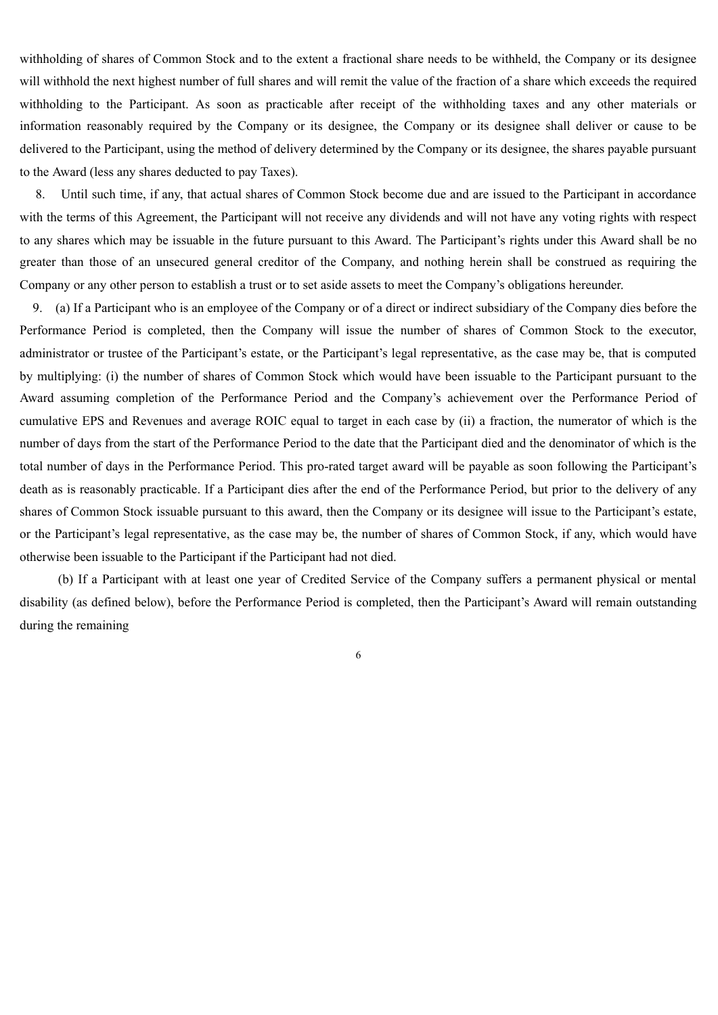withholding of shares of Common Stock and to the extent a fractional share needs to be withheld, the Company or its designee will withhold the next highest number of full shares and will remit the value of the fraction of a share which exceeds the required withholding to the Participant. As soon as practicable after receipt of the withholding taxes and any other materials or information reasonably required by the Company or its designee, the Company or its designee shall deliver or cause to be delivered to the Participant, using the method of delivery determined by the Company or its designee, the shares payable pursuant to the Award (less any shares deducted to pay Taxes).

8. Until such time, if any, that actual shares of Common Stock become due and are issued to the Participant in accordance with the terms of this Agreement, the Participant will not receive any dividends and will not have any voting rights with respect to any shares which may be issuable in the future pursuant to this Award. The Participant's rights under this Award shall be no greater than those of an unsecured general creditor of the Company, and nothing herein shall be construed as requiring the Company or any other person to establish a trust or to set aside assets to meet the Company's obligations hereunder.

9. (a) If a Participant who is an employee of the Company or of a direct or indirect subsidiary of the Company dies before the Performance Period is completed, then the Company will issue the number of shares of Common Stock to the executor, administrator or trustee of the Participant's estate, or the Participant's legal representative, as the case may be, that is computed by multiplying: (i) the number of shares of Common Stock which would have been issuable to the Participant pursuant to the Award assuming completion of the Performance Period and the Company's achievement over the Performance Period of cumulative EPS and Revenues and average ROIC equal to target in each case by (ii) a fraction, the numerator of which is the number of days from the start of the Performance Period to the date that the Participant died and the denominator of which is the total number of days in the Performance Period. This pro-rated target award will be payable as soon following the Participant's death as is reasonably practicable. If a Participant dies after the end of the Performance Period, but prior to the delivery of any shares of Common Stock issuable pursuant to this award, then the Company or its designee will issue to the Participant's estate, or the Participant's legal representative, as the case may be, the number of shares of Common Stock, if any, which would have otherwise been issuable to the Participant if the Participant had not died.

(b) If a Participant with at least one year of Credited Service of the Company suffers a permanent physical or mental disability (as defined below), before the Performance Period is completed, then the Participant's Award will remain outstanding during the remaining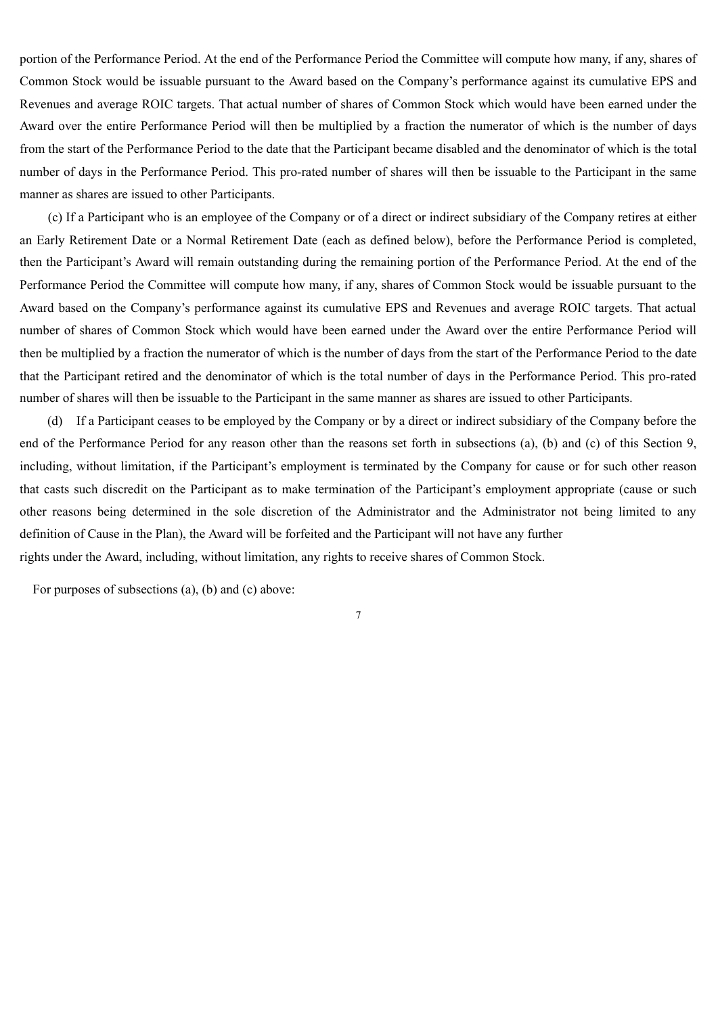portion of the Performance Period. At the end of the Performance Period the Committee will compute how many, if any, shares of Common Stock would be issuable pursuant to the Award based on the Company's performance against its cumulative EPS and Revenues and average ROIC targets. That actual number of shares of Common Stock which would have been earned under the Award over the entire Performance Period will then be multiplied by a fraction the numerator of which is the number of days from the start of the Performance Period to the date that the Participant became disabled and the denominator of which is the total number of days in the Performance Period. This pro-rated number of shares will then be issuable to the Participant in the same manner as shares are issued to other Participants.

(c) If a Participant who is an employee of the Company or of a direct or indirect subsidiary of the Company retires at either an Early Retirement Date or a Normal Retirement Date (each as defined below), before the Performance Period is completed, then the Participant's Award will remain outstanding during the remaining portion of the Performance Period. At the end of the Performance Period the Committee will compute how many, if any, shares of Common Stock would be issuable pursuant to the Award based on the Company's performance against its cumulative EPS and Revenues and average ROIC targets. That actual number of shares of Common Stock which would have been earned under the Award over the entire Performance Period will then be multiplied by a fraction the numerator of which is the number of days from the start of the Performance Period to the date that the Participant retired and the denominator of which is the total number of days in the Performance Period. This pro-rated number of shares will then be issuable to the Participant in the same manner as shares are issued to other Participants.

(d) If a Participant ceases to be employed by the Company or by a direct or indirect subsidiary of the Company before the end of the Performance Period for any reason other than the reasons set forth in subsections (a), (b) and (c) of this Section 9, including, without limitation, if the Participant's employment is terminated by the Company for cause or for such other reason that casts such discredit on the Participant as to make termination of the Participant's employment appropriate (cause or such other reasons being determined in the sole discretion of the Administrator and the Administrator not being limited to any definition of Cause in the Plan), the Award will be forfeited and the Participant will not have any further rights under the Award, including, without limitation, any rights to receive shares of Common Stock.

7

For purposes of subsections (a), (b) and (c) above: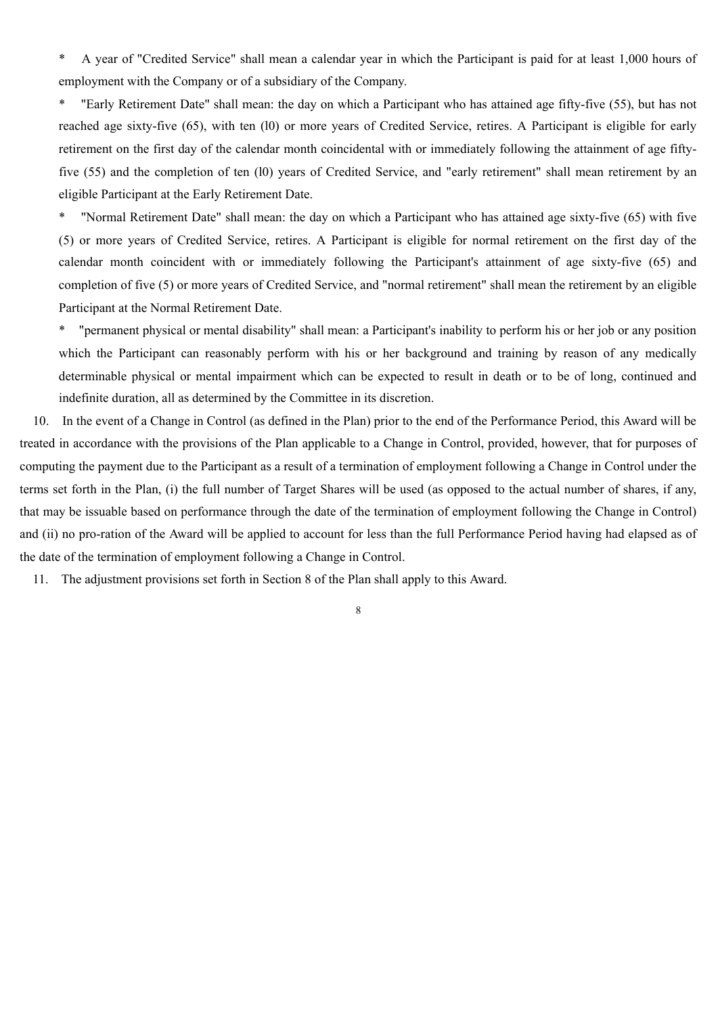\* A year of "Credited Service" shall mean a calendar year in which the Participant is paid for at least 1,000 hours of employment with the Company or of a subsidiary of the Company.

\* "Early Retirement Date" shall mean: the day on which a Participant who has attained age fifty-five (55), but has not reached age sixty-five (65), with ten (l0) or more years of Credited Service, retires. A Participant is eligible for early retirement on the first day of the calendar month coincidental with or immediately following the attainment of age fiftyfive (55) and the completion of ten (l0) years of Credited Service, and "early retirement" shall mean retirement by an eligible Participant at the Early Retirement Date.

\* "Normal Retirement Date" shall mean: the day on which a Participant who has attained age sixty-five (65) with five (5) or more years of Credited Service, retires. A Participant is eligible for normal retirement on the first day of the calendar month coincident with or immediately following the Participant's attainment of age sixty-five (65) and completion of five (5) or more years of Credited Service, and "normal retirement" shall mean the retirement by an eligible Participant at the Normal Retirement Date.

\* "permanent physical or mental disability" shall mean: a Participant's inability to perform his or her job or any position which the Participant can reasonably perform with his or her background and training by reason of any medically determinable physical or mental impairment which can be expected to result in death or to be of long, continued and indefinite duration, all as determined by the Committee in its discretion.

10. In the event of a Change in Control (as defined in the Plan) prior to the end of the Performance Period, this Award will be treated in accordance with the provisions of the Plan applicable to a Change in Control, provided, however, that for purposes of computing the payment due to the Participant as a result of a termination of employment following a Change in Control under the terms set forth in the Plan, (i) the full number of Target Shares will be used (as opposed to the actual number of shares, if any, that may be issuable based on performance through the date of the termination of employment following the Change in Control) and (ii) no pro-ration of the Award will be applied to account for less than the full Performance Period having had elapsed as of the date of the termination of employment following a Change in Control.

11. The adjustment provisions set forth in Section 8 of the Plan shall apply to this Award.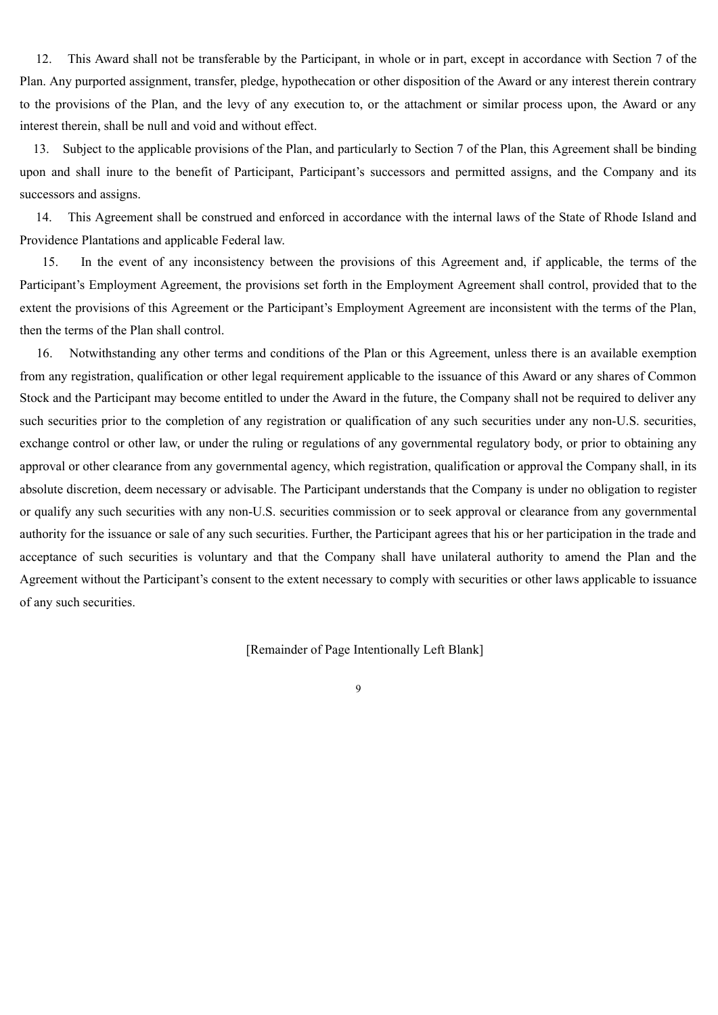12. This Award shall not be transferable by the Participant, in whole or in part, except in accordance with Section 7 of the Plan. Any purported assignment, transfer, pledge, hypothecation or other disposition of the Award or any interest therein contrary to the provisions of the Plan, and the levy of any execution to, or the attachment or similar process upon, the Award or any interest therein, shall be null and void and without effect.

13. Subject to the applicable provisions of the Plan, and particularly to Section 7 of the Plan, this Agreement shall be binding upon and shall inure to the benefit of Participant, Participant's successors and permitted assigns, and the Company and its successors and assigns.

14. This Agreement shall be construed and enforced in accordance with the internal laws of the State of Rhode Island and Providence Plantations and applicable Federal law.

15. In the event of any inconsistency between the provisions of this Agreement and, if applicable, the terms of the Participant's Employment Agreement, the provisions set forth in the Employment Agreement shall control, provided that to the extent the provisions of this Agreement or the Participant's Employment Agreement are inconsistent with the terms of the Plan, then the terms of the Plan shall control.

16. Notwithstanding any other terms and conditions of the Plan or this Agreement, unless there is an available exemption from any registration, qualification or other legal requirement applicable to the issuance of this Award or any shares of Common Stock and the Participant may become entitled to under the Award in the future, the Company shall not be required to deliver any such securities prior to the completion of any registration or qualification of any such securities under any non-U.S. securities, exchange control or other law, or under the ruling or regulations of any governmental regulatory body, or prior to obtaining any approval or other clearance from any governmental agency, which registration, qualification or approval the Company shall, in its absolute discretion, deem necessary or advisable. The Participant understands that the Company is under no obligation to register or qualify any such securities with any non-U.S. securities commission or to seek approval or clearance from any governmental authority for the issuance or sale of any such securities. Further, the Participant agrees that his or her participation in the trade and acceptance of such securities is voluntary and that the Company shall have unilateral authority to amend the Plan and the Agreement without the Participant's consent to the extent necessary to comply with securities or other laws applicable to issuance of any such securities.

[Remainder of Page Intentionally Left Blank]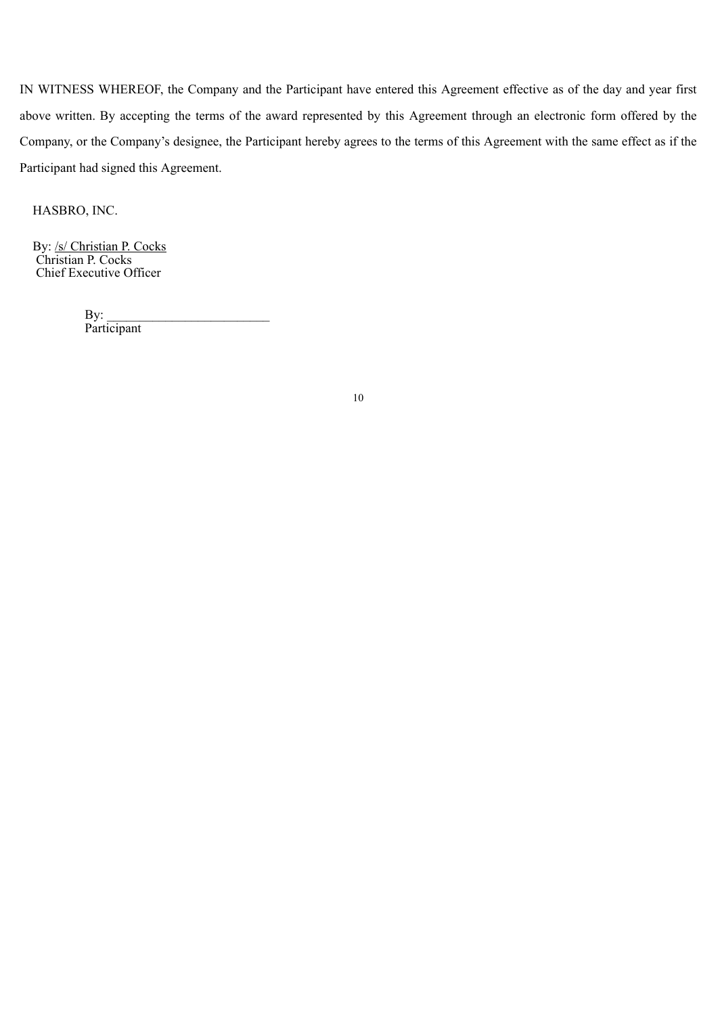IN WITNESS WHEREOF, the Company and the Participant have entered this Agreement effective as of the day and year first above written. By accepting the terms of the award represented by this Agreement through an electronic form offered by the Company, or the Company's designee, the Participant hereby agrees to the terms of this Agreement with the same effect as if the Participant had signed this Agreement.

HASBRO, INC.

By: /s/ Christian P. Cocks Christian P. Cocks Chief Executive Officer

> $By$ : Participant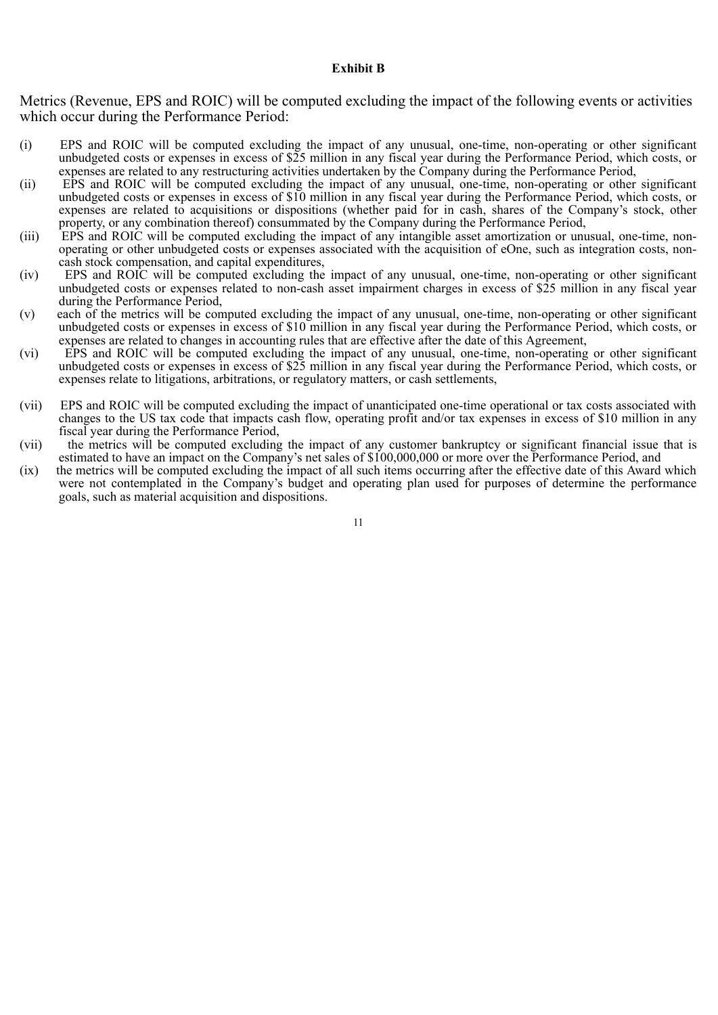#### **Exhibit B**

Metrics (Revenue, EPS and ROIC) will be computed excluding the impact of the following events or activities which occur during the Performance Period:

- (i) EPS and ROIC will be computed excluding the impact of any unusual, one-time, non-operating or other significant unbudgeted costs or expenses in excess of \$25 million in any fiscal year during the Performance Period, which costs, or expenses are related to any restructuring activities undertaken by the Company during the Performance Period,
- (ii) EPS and ROIC will be computed excluding the impact of any unusual, one-time, non-operating or other significant unbudgeted costs or expenses in excess of \$10 million in any fiscal year during the Performance Period, which costs, or expenses are related to acquisitions or dispositions (whether paid for in cash, shares of the Company's stock, other property, or any combination thereof) consummated by the Company during the Performance Period,
- (iii) EPS and ROIC will be computed excluding the impact of any intangible asset amortization or unusual, one-time, nonoperating or other unbudgeted costs or expenses associated with the acquisition of eOne, such as integration costs, noncash stock compensation, and capital expenditures,
- (iv) EPS and ROIC will be computed excluding the impact of any unusual, one-time, non-operating or other significant unbudgeted costs or expenses related to non-cash asset impairment charges in excess of \$25 million in any fiscal year during the Performance Period,
- (v) each of the metrics will be computed excluding the impact of any unusual, one-time, non-operating or other significant unbudgeted costs or expenses in excess of \$10 million in any fiscal year during the Performance Period, which costs, or expenses are related to changes in accounting rules that are effective after the date of this Agreement,
- (vi) EPS and ROIC will be computed excluding the impact of any unusual, one-time, non-operating or other significant unbudgeted costs or expenses in excess of \$25 million in any fiscal year during the Performance Period, which costs, or expenses relate to litigations, arbitrations, or regulatory matters, or cash settlements,
- (vii) EPS and ROIC will be computed excluding the impact of unanticipated one-time operational or tax costs associated with changes to the US tax code that impacts cash flow, operating profit and/or tax expenses in excess of \$10 million in any fiscal year during the Performance Period,
- (vii) the metrics will be computed excluding the impact of any customer bankruptcy or significant financial issue that is estimated to have an impact on the Company's net sales of \$100,000,000 or more over the Performance Period, and
- (ix) the metrics will be computed excluding the impact of all such items occurring after the effective date of this Award which were not contemplated in the Company's budget and operating plan used for purposes of determine the performance goals, such as material acquisition and dispositions.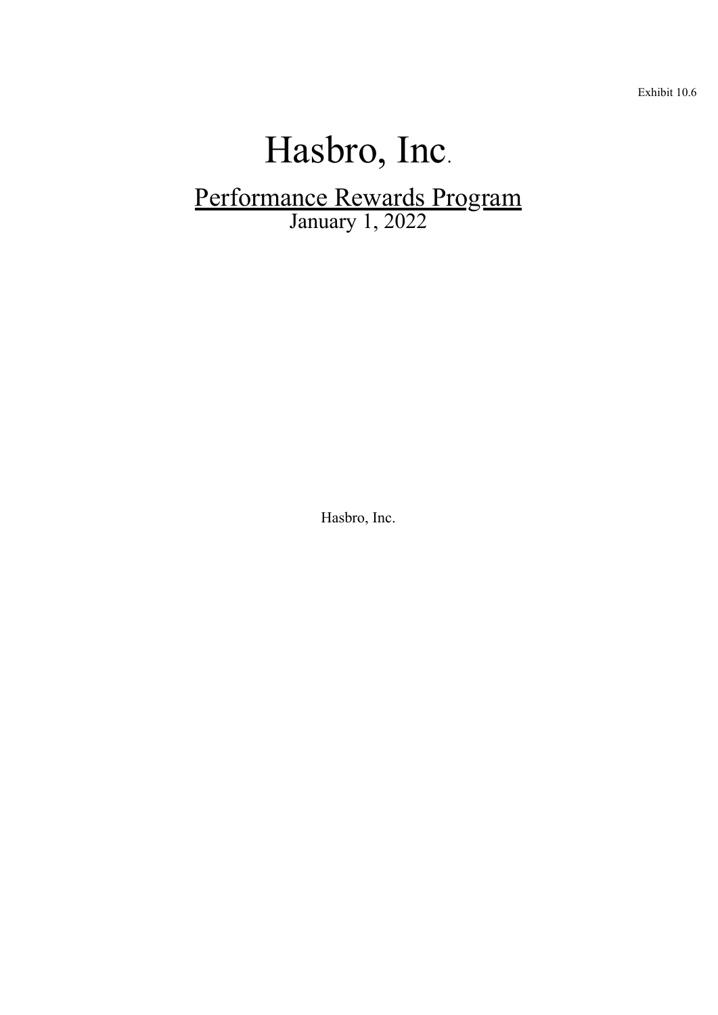Exhibit 10.6

# Hasbro, Inc. Performance Rewards Program January 1, 2022

Hasbro, Inc.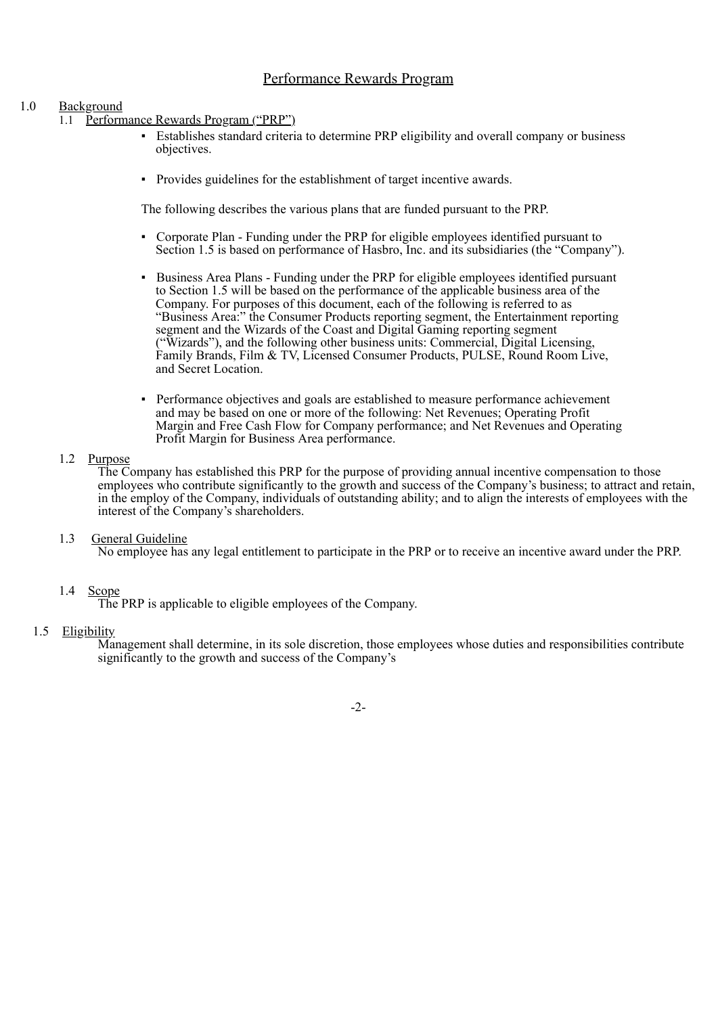# Performance Rewards Program

## 1.0 Background

- 1.1 Performance Rewards Program ("PRP")
	- Establishes standard criteria to determine PRP eligibility and overall company or business objectives.
	- Provides guidelines for the establishment of target incentive awards.

The following describes the various plans that are funded pursuant to the PRP.

- Corporate Plan Funding under the PRP for eligible employees identified pursuant to Section 1.5 is based on performance of Hasbro, Inc. and its subsidiaries (the "Company").
- Business Area Plans Funding under the PRP for eligible employees identified pursuant to Section 1.5 will be based on the performance of the applicable business area of the Company. For purposes of this document, each of the following is referred to as "Business Area:" the Consumer Products reporting segment, the Entertainment reporting segment and the Wizards of the Coast and Digital Gaming reporting segment ("Wizards"), and the following other business units: Commercial, Digital Licensing, Family Brands, Film & TV, Licensed Consumer Products, PULSE, Round Room Live, and Secret Location.
- Performance objectives and goals are established to measure performance achievement and may be based on one or more of the following: Net Revenues; Operating Profit Margin and Free Cash Flow for Company performance; and Net Revenues and Operating Profit Margin for Business Area performance.

#### 1.2 Purpose

The Company has established this PRP for the purpose of providing annual incentive compensation to those employees who contribute significantly to the growth and success of the Company's business; to attract and retain, in the employ of the Company, individuals of outstanding ability; and to align the interests of employees with the interest of the Company's shareholders.

1.3 General Guideline

No employee has any legal entitlement to participate in the PRP or to receive an incentive award under the PRP.

## 1.4 Scope

The PRP is applicable to eligible employees of the Company.

## 1.5 Eligibility

Management shall determine, in its sole discretion, those employees whose duties and responsibilities contribute significantly to the growth and success of the Company's

-2-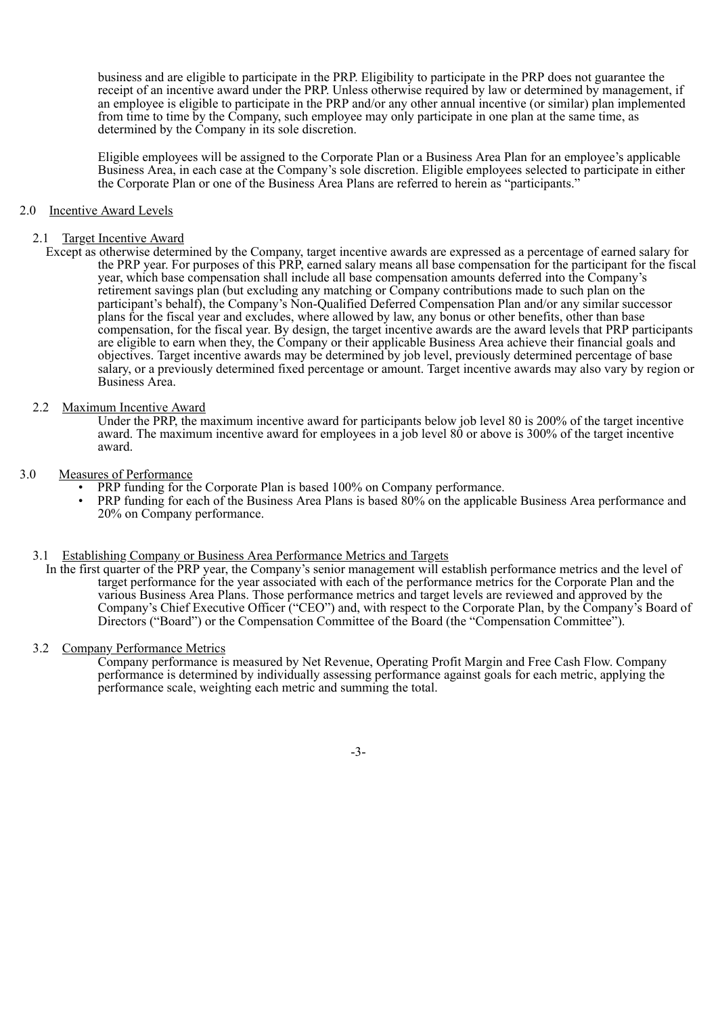business and are eligible to participate in the PRP. Eligibility to participate in the PRP does not guarantee the receipt of an incentive award under the PRP. Unless otherwise required by law or determined by management, if an employee is eligible to participate in the PRP and/or any other annual incentive (or similar) plan implemented from time to time by the Company, such employee may only participate in one plan at the same time, as determined by the Company in its sole discretion.

Eligible employees will be assigned to the Corporate Plan or a Business Area Plan for an employee's applicable Business Area, in each case at the Company's sole discretion. Eligible employees selected to participate in either the Corporate Plan or one of the Business Area Plans are referred to herein as "participants."

#### 2.0 Incentive Award Levels

#### 2.1 Target Incentive Award

Except as otherwise determined by the Company, target incentive awards are expressed as a percentage of earned salary for the PRP year. For purposes of this PRP, earned salary means all base compensation for the participant for the fiscal year, which base compensation shall include all base compensation amounts deferred into the Company's retirement savings plan (but excluding any matching or Company contributions made to such plan on the participant's behalf), the Company's Non-Qualified Deferred Compensation Plan and/or any similar successor plans for the fiscal year and excludes, where allowed by law, any bonus or other benefits, other than base compensation, for the fiscal year. By design, the target incentive awards are the award levels that PRP participants are eligible to earn when they, the Company or their applicable Business Area achieve their financial goals and objectives. Target incentive awards may be determined by job level, previously determined percentage of base salary, or a previously determined fixed percentage or amount. Target incentive awards may also vary by region or Business Area.

#### 2.2 Maximum Incentive Award

Under the PRP, the maximum incentive award for participants below job level 80 is 200% of the target incentive award. The maximum incentive award for employees in a job level 80 or above is 300% of the target incentive award.

#### 3.0 Measures of Performance

- PRP funding for the Corporate Plan is based 100% on Company performance.
- PRP funding for each of the Business Area Plans is based 80% on the applicable Business Area performance and 20% on Company performance.

#### 3.1 Establishing Company or Business Area Performance Metrics and Targets

In the first quarter of the PRP year, the Company's senior management will establish performance metrics and the level of target performance for the year associated with each of the performance metrics for the Corporate Plan and the various Business Area Plans. Those performance metrics and target levels are reviewed and approved by the Company's Chief Executive Officer ("CEO") and, with respect to the Corporate Plan, by the Company's Board of Directors ("Board") or the Compensation Committee of the Board (the "Compensation Committee").

#### 3.2 Company Performance Metrics

Company performance is measured by Net Revenue, Operating Profit Margin and Free Cash Flow. Company performance is determined by individually assessing performance against goals for each metric, applying the performance scale, weighting each metric and summing the total.

-3-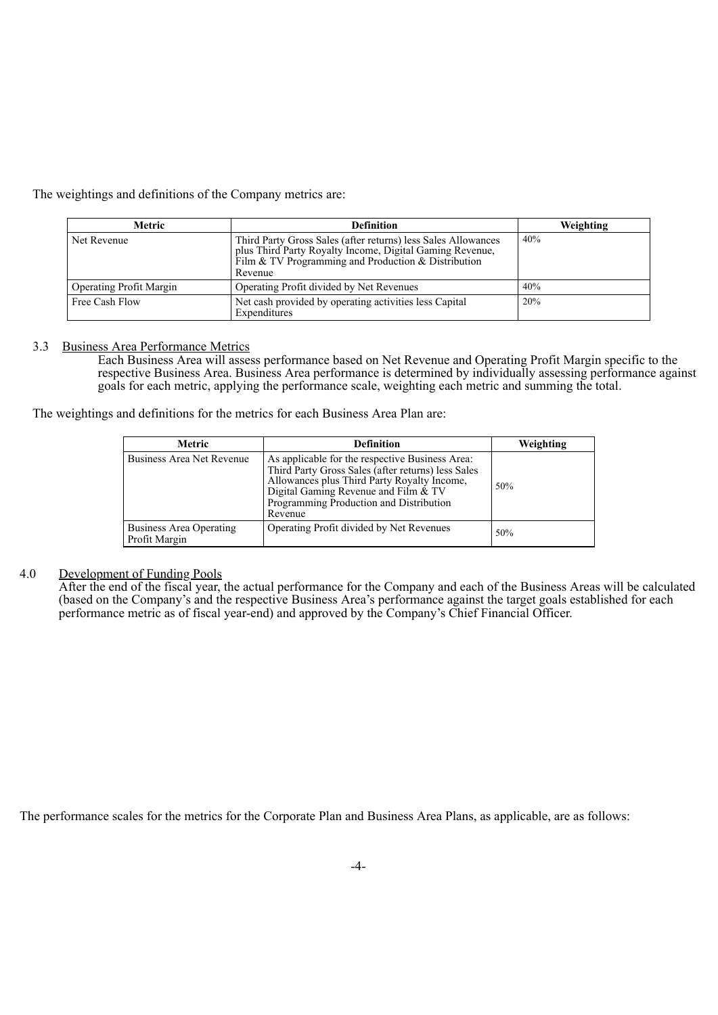The weightings and definitions of the Company metrics are:

| Metric                         | <b>Definition</b>                                                                                                                                                                           | Weighting |
|--------------------------------|---------------------------------------------------------------------------------------------------------------------------------------------------------------------------------------------|-----------|
| Net Revenue                    | Third Party Gross Sales (after returns) less Sales Allowances<br>plus Third Party Royalty Income, Digital Gaming Revenue,<br>Film & TV Programming and Production & Distribution<br>Revenue | 40%       |
| <b>Operating Profit Margin</b> | Operating Profit divided by Net Revenues                                                                                                                                                    | 40%       |
| Free Cash Flow                 | Net cash provided by operating activities less Capital<br>Expenditures                                                                                                                      | 20%       |

#### 3.3 Business Area Performance Metrics

Each Business Area will assess performance based on Net Revenue and Operating Profit Margin specific to the respective Business Area. Business Area performance is determined by individually assessing performance against goals for each metric, applying the performance scale, weighting each metric and summing the total.

The weightings and definitions for the metrics for each Business Area Plan are:

| <b>Metric</b>                            | <b>Definition</b>                                                                                                                                                                                                                                  | Weighting |
|------------------------------------------|----------------------------------------------------------------------------------------------------------------------------------------------------------------------------------------------------------------------------------------------------|-----------|
| Business Area Net Revenue                | As applicable for the respective Business Area:<br>Third Party Gross Sales (after returns) less Sales<br>Allowances plus Third Party Royalty Income,<br>Digital Gaming Revenue and Film & TV<br>Programming Production and Distribution<br>Revenue | 50%       |
| Business Area Operating<br>Profit Margin | Operating Profit divided by Net Revenues                                                                                                                                                                                                           | 50%       |

## 4.0 Development of Funding Pools

After the end of the fiscal year, the actual performance for the Company and each of the Business Areas will be calculated (based on the Company's and the respective Business Area's performance against the target goals established for each performance metric as of fiscal year-end) and approved by the Company's Chief Financial Officer.

The performance scales for the metrics for the Corporate Plan and Business Area Plans, as applicable, are as follows: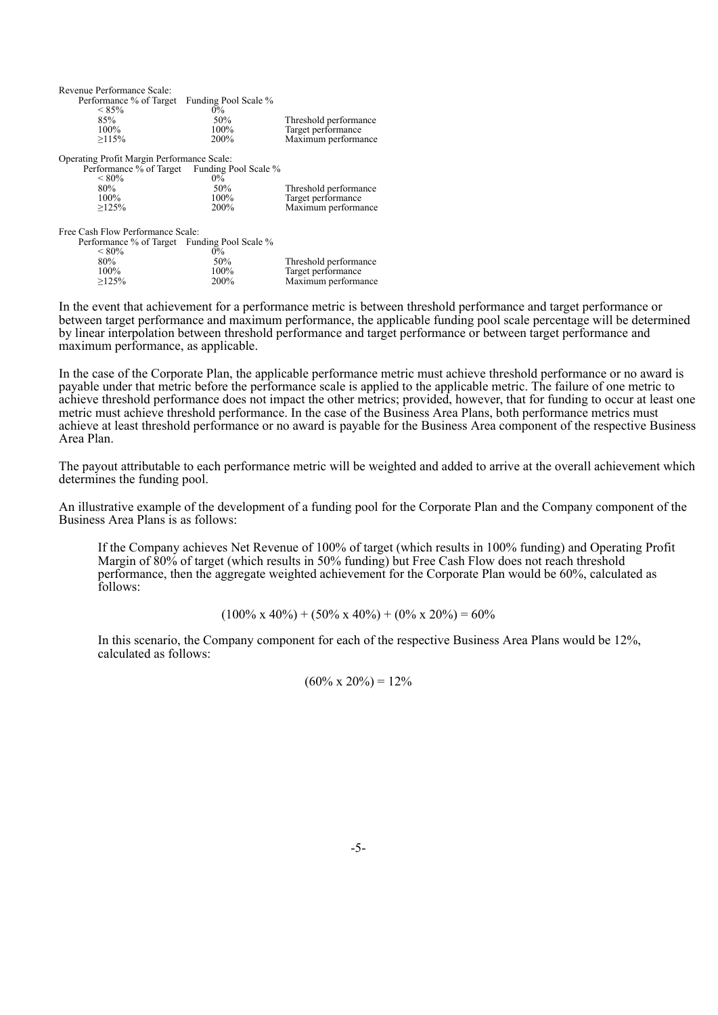| Revenue Performance Scale:                   |                      |                       |  |  |  |  |
|----------------------------------------------|----------------------|-----------------------|--|--|--|--|
| Performance % of Target                      | Funding Pool Scale % |                       |  |  |  |  |
| $< 85\%$                                     | $0\%$                |                       |  |  |  |  |
| 85%                                          | 50%                  | Threshold performance |  |  |  |  |
| 100%                                         | $100\%$              | Target performance    |  |  |  |  |
| >115%                                        | 200%                 | Maximum performance   |  |  |  |  |
| Operating Profit Margin Performance Scale:   |                      |                       |  |  |  |  |
| Performance % of Target Funding Pool Scale % |                      |                       |  |  |  |  |
| ${}<\,80\%$                                  | $0\%$                |                       |  |  |  |  |
| 80%                                          | 50%                  | Threshold performance |  |  |  |  |
| 100%                                         | 100%                 | Target performance    |  |  |  |  |
| >125%                                        | 200%                 | Maximum performance   |  |  |  |  |
| Free Cash Flow Performance Scale:            |                      |                       |  |  |  |  |
| Performance % of Target Funding Pool Scale % |                      |                       |  |  |  |  |
| ${}_{\leq80\%}$                              | $0\%$                |                       |  |  |  |  |
| 80%                                          | 50%                  | Threshold performance |  |  |  |  |
| 100%                                         | 100%                 | Target performance    |  |  |  |  |
| >125%                                        | 200%                 | Maximum performance   |  |  |  |  |

In the event that achievement for a performance metric is between threshold performance and target performance or between target performance and maximum performance, the applicable funding pool scale percentage will be determined by linear interpolation between threshold performance and target performance or between target performance and maximum performance, as applicable.

In the case of the Corporate Plan, the applicable performance metric must achieve threshold performance or no award is payable under that metric before the performance scale is applied to the applicable metric. The failure of one metric to achieve threshold performance does not impact the other metrics; provided, however, that for funding to occur at least one metric must achieve threshold performance. In the case of the Business Area Plans, both performance metrics must achieve at least threshold performance or no award is payable for the Business Area component of the respective Business Area Plan.

The payout attributable to each performance metric will be weighted and added to arrive at the overall achievement which determines the funding pool.

An illustrative example of the development of a funding pool for the Corporate Plan and the Company component of the Business Area Plans is as follows:

If the Company achieves Net Revenue of 100% of target (which results in 100% funding) and Operating Profit Margin of 80% of target (which results in 50% funding) but Free Cash Flow does not reach threshold performance, then the aggregate weighted achievement for the Corporate Plan would be 60%, calculated as follows:

$$
(100\% \times 40\%) + (50\% \times 40\%) + (0\% \times 20\%) = 60\%
$$

In this scenario, the Company component for each of the respective Business Area Plans would be 12%, calculated as follows:

 $(60\% \times 20\%) = 12\%$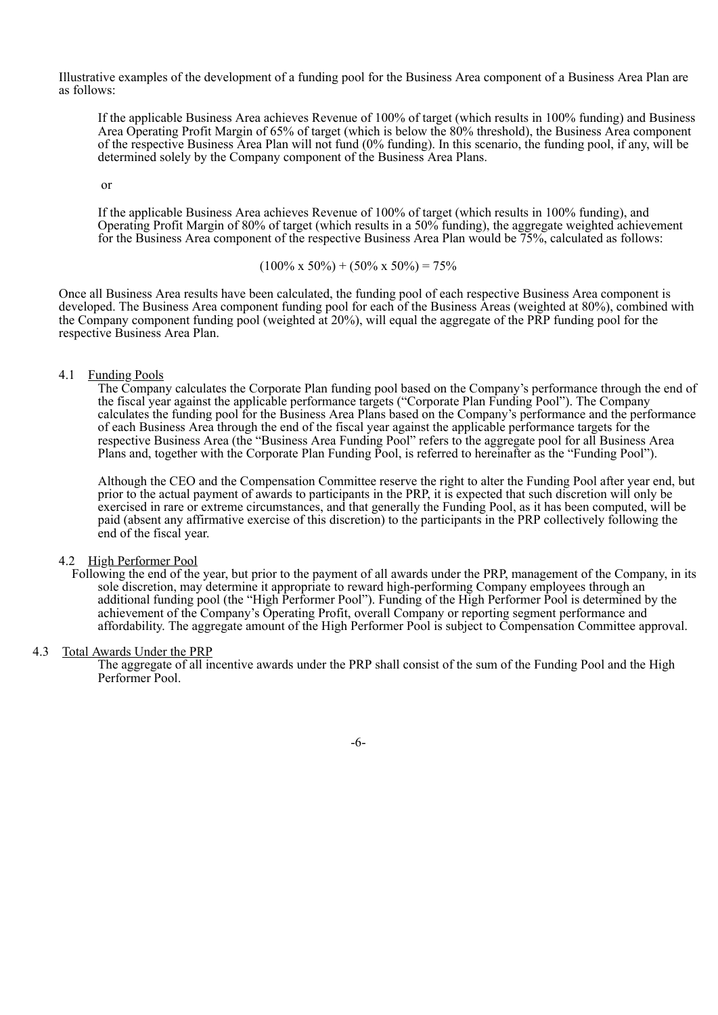Illustrative examples of the development of a funding pool for the Business Area component of a Business Area Plan are as follows:

If the applicable Business Area achieves Revenue of 100% of target (which results in 100% funding) and Business Area Operating Profit Margin of 65% of target (which is below the 80% threshold), the Business Area component of the respective Business Area Plan will not fund (0% funding). In this scenario, the funding pool, if any, will be determined solely by the Company component of the Business Area Plans.

or

If the applicable Business Area achieves Revenue of 100% of target (which results in 100% funding), and Operating Profit Margin of 80% of target (which results in a 50% funding), the aggregate weighted achievement for the Business Area component of the respective Business Area Plan would be 75%, calculated as follows:

$$
(100\% \times 50\%) + (50\% \times 50\%) = 75\%
$$

Once all Business Area results have been calculated, the funding pool of each respective Business Area component is developed. The Business Area component funding pool for each of the Business Areas (weighted at 80%), combined with the Company component funding pool (weighted at 20%), will equal the aggregate of the PRP funding pool for the respective Business Area Plan.

4.1 Funding Pools

The Company calculates the Corporate Plan funding pool based on the Company's performance through the end of the fiscal year against the applicable performance targets ("Corporate Plan Funding Pool"). The Company calculates the funding pool for the Business Area Plans based on the Company's performance and the performance of each Business Area through the end of the fiscal year against the applicable performance targets for the respective Business Area (the "Business Area Funding Pool" refers to the aggregate pool for all Business Area Plans and, together with the Corporate Plan Funding Pool, is referred to hereinafter as the "Funding Pool").

Although the CEO and the Compensation Committee reserve the right to alter the Funding Pool after year end, but prior to the actual payment of awards to participants in the PRP, it is expected that such discretion will only be exercised in rare or extreme circumstances, and that generally the Funding Pool, as it has been computed, will be paid (absent any affirmative exercise of this discretion) to the participants in the PRP collectively following the end of the fiscal year.

#### 4.2 High Performer Pool

Following the end of the year, but prior to the payment of all awards under the PRP, management of the Company, in its sole discretion, may determine it appropriate to reward high-performing Company employees through an additional funding pool (the "High Performer Pool"). Funding of the High Performer Pool is determined by the achievement of the Company's Operating Profit, overall Company or reporting segment performance and affordability. The aggregate amount of the High Performer Pool is subject to Compensation Committee approval.

#### 4.3 Total Awards Under the PRP

The aggregate of all incentive awards under the PRP shall consist of the sum of the Funding Pool and the High Performer Pool.

-6-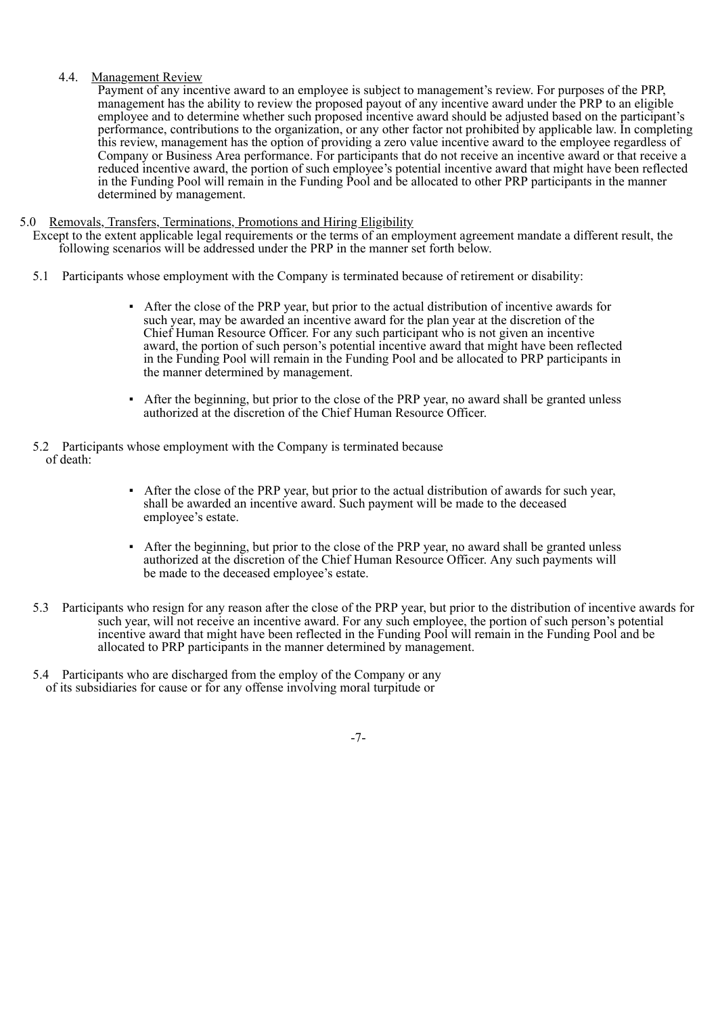### 4.4. Management Review

Payment of any incentive award to an employee is subject to management's review. For purposes of the PRP, management has the ability to review the proposed payout of any incentive award under the PRP to an eligible employee and to determine whether such proposed incentive award should be adjusted based on the participant's performance, contributions to the organization, or any other factor not prohibited by applicable law. In completing this review, management has the option of providing a zero value incentive award to the employee regardless of Company or Business Area performance. For participants that do not receive an incentive award or that receive a reduced incentive award, the portion of such employee's potential incentive award that might have been reflected in the Funding Pool will remain in the Funding Pool and be allocated to other PRP participants in the manner determined by management.

#### 5.0 Removals, Transfers, Terminations, Promotions and Hiring Eligibility

Except to the extent applicable legal requirements or the terms of an employment agreement mandate a different result, the following scenarios will be addressed under the PRP in the manner set forth below.

- 5.1 Participants whose employment with the Company is terminated because of retirement or disability:
	- After the close of the PRP year, but prior to the actual distribution of incentive awards for such year, may be awarded an incentive award for the plan year at the discretion of the Chief Human Resource Officer. For any such participant who is not given an incentive award, the portion of such person's potential incentive award that might have been reflected in the Funding Pool will remain in the Funding Pool and be allocated to PRP participants in the manner determined by management.
	- After the beginning, but prior to the close of the PRP year, no award shall be granted unless authorized at the discretion of the Chief Human Resource Officer.
- 5.2 Participants whose employment with the Company is terminated because of death:
	- After the close of the PRP year, but prior to the actual distribution of awards for such year, shall be awarded an incentive award. Such payment will be made to the deceased employee's estate.
	- After the beginning, but prior to the close of the PRP year, no award shall be granted unless authorized at the discretion of the Chief Human Resource Officer. Any such payments will be made to the deceased employee's estate.
- 5.3 Participants who resign for any reason after the close of the PRP year, but prior to the distribution of incentive awards for such year, will not receive an incentive award. For any such employee, the portion of such person's potential incentive award that might have been reflected in the Funding Pool will remain in the Funding Pool and be allocated to PRP participants in the manner determined by management.
- 5.4 Participants who are discharged from the employ of the Company or any of its subsidiaries for cause or for any offense involving moral turpitude or

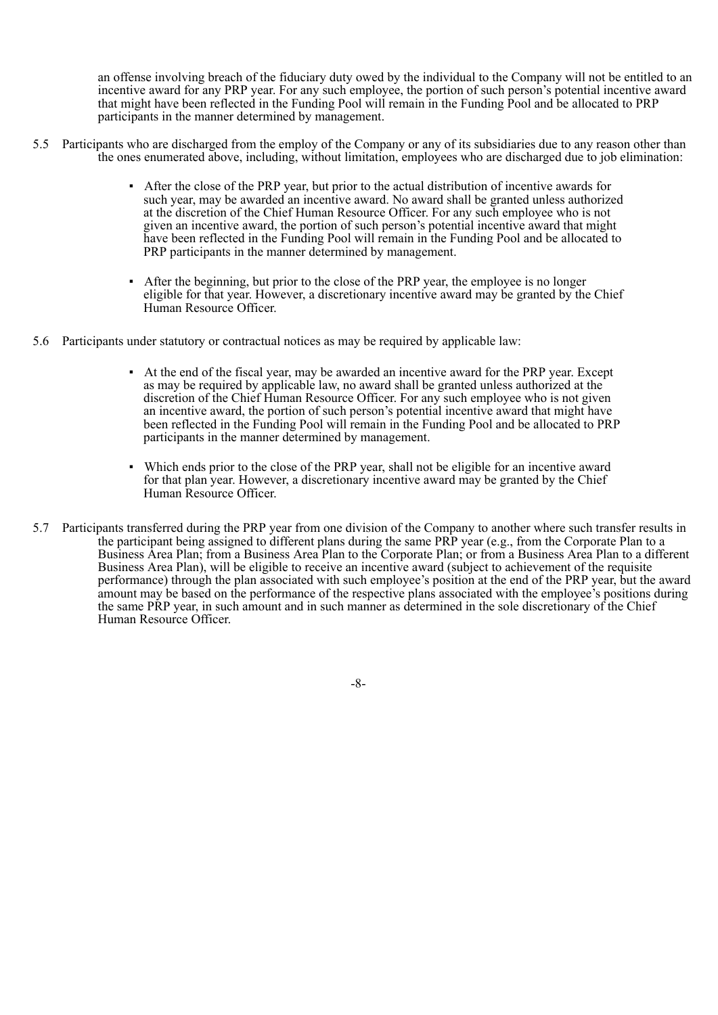an offense involving breach of the fiduciary duty owed by the individual to the Company will not be entitled to an incentive award for any PRP year. For any such employee, the portion of such person's potential incentive award that might have been reflected in the Funding Pool will remain in the Funding Pool and be allocated to PRP participants in the manner determined by management.

- 5.5 Participants who are discharged from the employ of the Company or any of its subsidiaries due to any reason other than the ones enumerated above, including, without limitation, employees who are discharged due to job elimination:
	- After the close of the PRP year, but prior to the actual distribution of incentive awards for such year, may be awarded an incentive award. No award shall be granted unless authorized at the discretion of the Chief Human Resource Officer. For any such employee who is not given an incentive award, the portion of such person's potential incentive award that might have been reflected in the Funding Pool will remain in the Funding Pool and be allocated to PRP participants in the manner determined by management.
	- After the beginning, but prior to the close of the PRP year, the employee is no longer eligible for that year. However, a discretionary incentive award may be granted by the Chief Human Resource Officer.
- 5.6 Participants under statutory or contractual notices as may be required by applicable law:
	- At the end of the fiscal year, may be awarded an incentive award for the PRP year. Except as may be required by applicable law, no award shall be granted unless authorized at the discretion of the Chief Human Resource Officer. For any such employee who is not given an incentive award, the portion of such person's potential incentive award that might have been reflected in the Funding Pool will remain in the Funding Pool and be allocated to PRP participants in the manner determined by management.
	- Which ends prior to the close of the PRP year, shall not be eligible for an incentive award for that plan year. However, a discretionary incentive award may be granted by the Chief Human Resource Officer.
- 5.7 Participants transferred during the PRP year from one division of the Company to another where such transfer results in the participant being assigned to different plans during the same PRP year (e.g., from the Corporate Plan to a Business Area Plan; from a Business Area Plan to the Corporate Plan; or from a Business Area Plan to a different Business Area Plan), will be eligible to receive an incentive award (subject to achievement of the requisite performance) through the plan associated with such employee's position at the end of the PRP year, but the award amount may be based on the performance of the respective plans associated with the employee's positions during the same PRP year, in such amount and in such manner as determined in the sole discretionary of the Chief Human Resource Officer.

-8-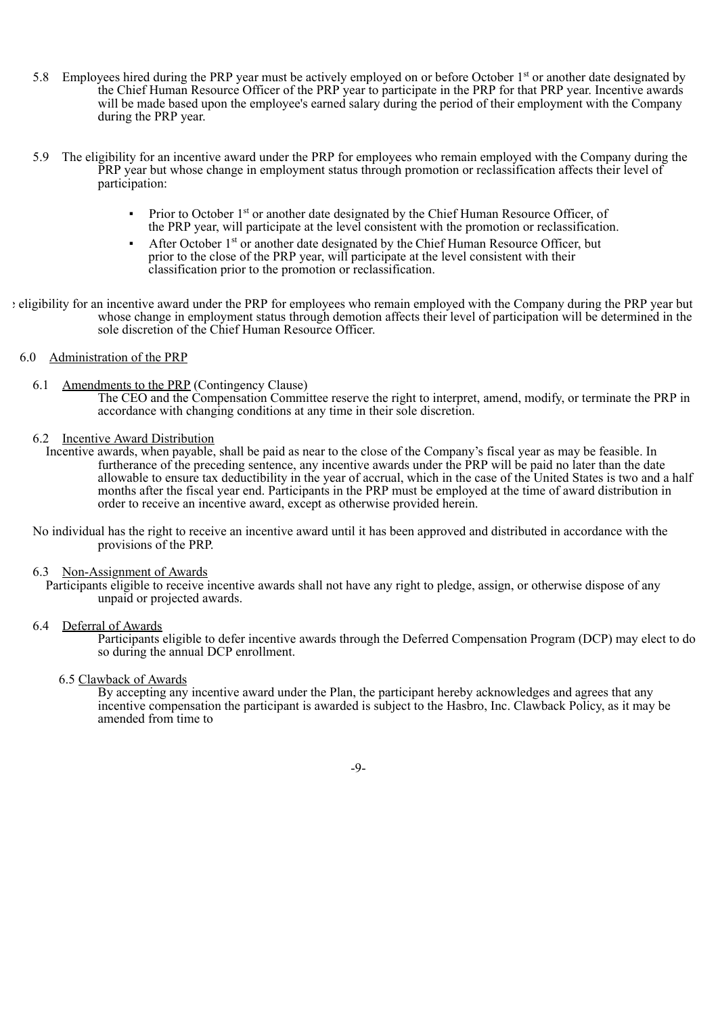- 5.8 Employees hired during the PRP year must be actively employed on or before October 1<sup>st</sup> or another date designated by the Chief Human Resource Officer of the PRP year to participate in the PRP for that PRP year. Incentive awards will be made based upon the employee's earned salary during the period of their employment with the Company during the PRP year.
- 5.9 The eligibility for an incentive award under the PRP for employees who remain employed with the Company during the PRP year but whose change in employment status through promotion or reclassification affects their level of participation:
	- **•** Prior to October 1<sup>st</sup> or another date designated by the Chief Human Resource Officer, of the PRP year, will participate at the level consistent with the promotion or reclassification.
	- **•** After October 1<sup>st</sup> or another date designated by the Chief Human Resource Officer, but prior to the close of the PRP year, will participate at the level consistent with their classification prior to the promotion or reclassification.
- e eligibility for an incentive award under the PRP for employees who remain employed with the Company during the PRP year but whose change in employment status through demotion affects their level of participation will be determined in the sole discretion of the Chief Human Resource Officer.

#### 6.0 Administration of the PRP

6.1 Amendments to the PRP (Contingency Clause)

The CEO and the Compensation Committee reserve the right to interpret, amend, modify, or terminate the PRP in accordance with changing conditions at any time in their sole discretion.

6.2 Incentive Award Distribution

Incentive awards, when payable, shall be paid as near to the close of the Company's fiscal year as may be feasible. In furtherance of the preceding sentence, any incentive awards under the PRP will be paid no later than the date allowable to ensure tax deductibility in the year of accrual, which in the case of the United States is two and a half months after the fiscal year end. Participants in the PRP must be employed at the time of award distribution in order to receive an incentive award, except as otherwise provided herein.

No individual has the right to receive an incentive award until it has been approved and distributed in accordance with the provisions of the PRP.

6.3 Non-Assignment of Awards

Participants eligible to receive incentive awards shall not have any right to pledge, assign, or otherwise dispose of any unpaid or projected awards.

6.4 Deferral of Awards

Participants eligible to defer incentive awards through the Deferred Compensation Program (DCP) may elect to do so during the annual DCP enrollment.

## 6.5 Clawback of Awards

By accepting any incentive award under the Plan, the participant hereby acknowledges and agrees that any incentive compensation the participant is awarded is subject to the Hasbro, Inc. Clawback Policy, as it may be amended from time to

-9-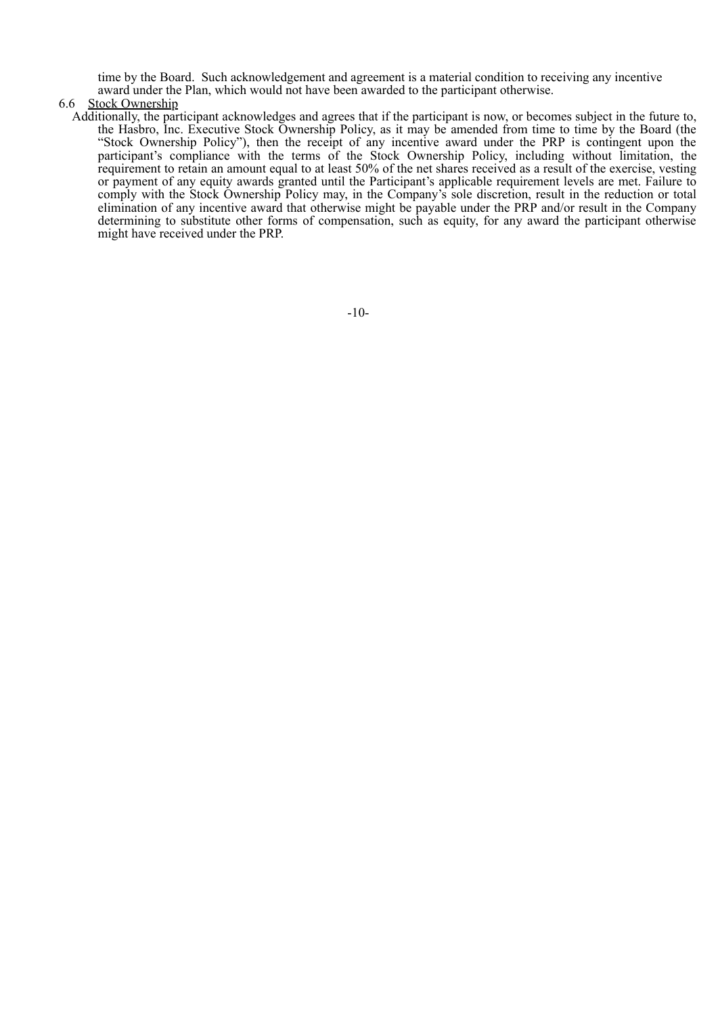time by the Board. Such acknowledgement and agreement is a material condition to receiving any incentive award under the Plan, which would not have been awarded to the participant otherwise.

#### 6.6 Stock Ownership

Additionally, the participant acknowledges and agrees that if the participant is now, or becomes subject in the future to, the Hasbro, Inc. Executive Stock Ownership Policy, as it may be amended from time to time by the Board (the "Stock Ownership Policy"), then the receipt of any incentive award under the PRP is contingent upon the participant's compliance with the terms of the Stock Ownership Policy, including without limitation, the requirement to retain an amount equal to at least 50% of the net shares received as a result of the exercise, vesting or payment of any equity awards granted until the Participant's applicable requirement levels are met. Failure to comply with the Stock Ownership Policy may, in the Company's sole discretion, result in the reduction or total elimination of any incentive award that otherwise might be payable under the PRP and/or result in the Company determining to substitute other forms of compensation, such as equity, for any award the participant otherwise might have received under the PRP.

-10-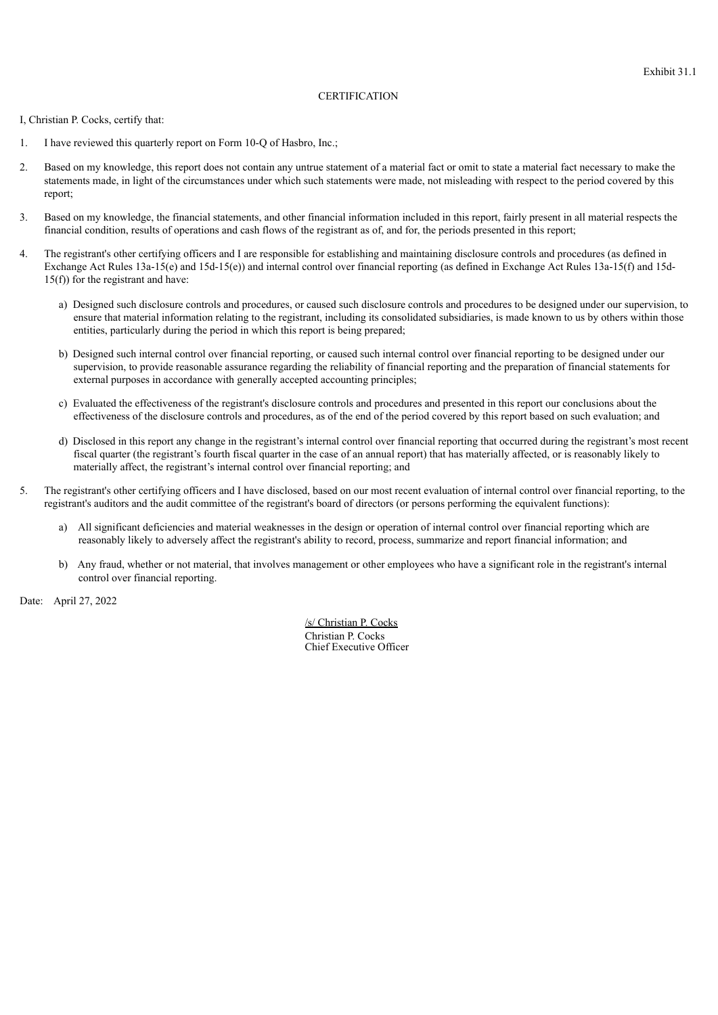#### **CERTIFICATION**

I, Christian P. Cocks, certify that:

- 1. I have reviewed this quarterly report on Form 10-Q of Hasbro, Inc.;
- 2. Based on my knowledge, this report does not contain any untrue statement of a material fact or omit to state a material fact necessary to make the statements made, in light of the circumstances under which such statements were made, not misleading with respect to the period covered by this report;
- 3. Based on my knowledge, the financial statements, and other financial information included in this report, fairly present in all material respects the financial condition, results of operations and cash flows of the registrant as of, and for, the periods presented in this report;
- 4. The registrant's other certifying officers and I are responsible for establishing and maintaining disclosure controls and procedures (as defined in Exchange Act Rules 13a-15(e) and 15d-15(e)) and internal control over financial reporting (as defined in Exchange Act Rules 13a-15(f) and 15d-15(f)) for the registrant and have:
	- a) Designed such disclosure controls and procedures, or caused such disclosure controls and procedures to be designed under our supervision, to ensure that material information relating to the registrant, including its consolidated subsidiaries, is made known to us by others within those entities, particularly during the period in which this report is being prepared;
	- b) Designed such internal control over financial reporting, or caused such internal control over financial reporting to be designed under our supervision, to provide reasonable assurance regarding the reliability of financial reporting and the preparation of financial statements for external purposes in accordance with generally accepted accounting principles;
	- c) Evaluated the effectiveness of the registrant's disclosure controls and procedures and presented in this report our conclusions about the effectiveness of the disclosure controls and procedures, as of the end of the period covered by this report based on such evaluation; and
	- d) Disclosed in this report any change in the registrant's internal control over financial reporting that occurred during the registrant's most recent fiscal quarter (the registrant's fourth fiscal quarter in the case of an annual report) that has materially affected, or is reasonably likely to materially affect, the registrant's internal control over financial reporting; and
- 5. The registrant's other certifying officers and I have disclosed, based on our most recent evaluation of internal control over financial reporting, to the registrant's auditors and the audit committee of the registrant's board of directors (or persons performing the equivalent functions):
	- a) All significant deficiencies and material weaknesses in the design or operation of internal control over financial reporting which are reasonably likely to adversely affect the registrant's ability to record, process, summarize and report financial information; and
	- b) Any fraud, whether or not material, that involves management or other employees who have a significant role in the registrant's internal control over financial reporting.

Date: April 27, 2022

/s/ Christian P. Cocks Christian P. Cocks Chief Executive Officer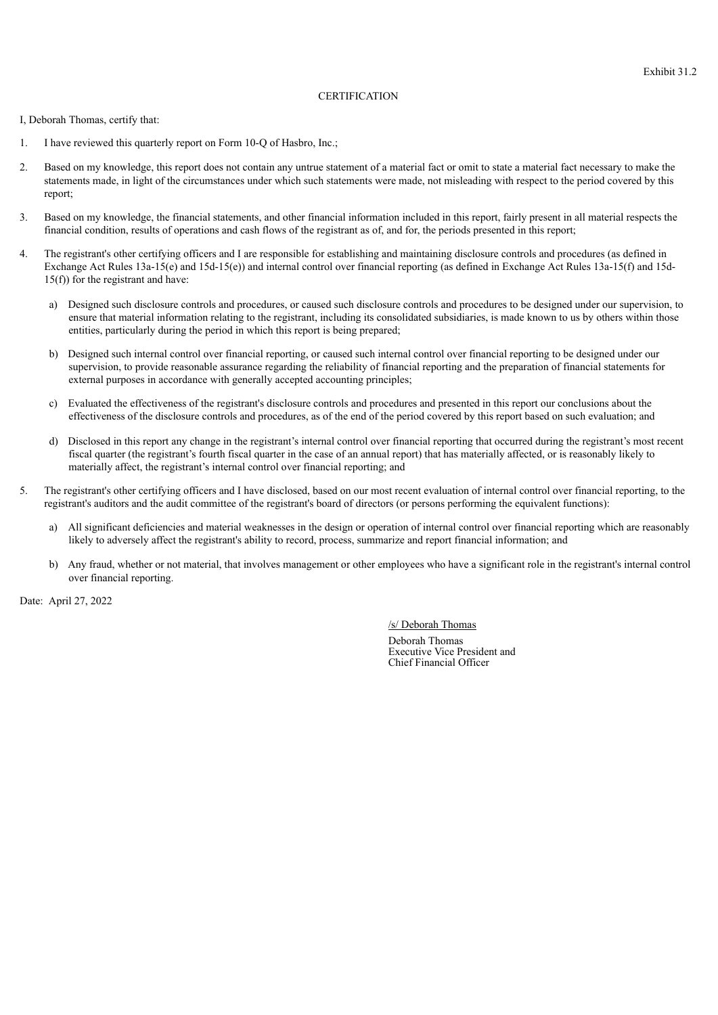## **CERTIFICATION**

I, Deborah Thomas, certify that:

- 1. I have reviewed this quarterly report on Form 10-Q of Hasbro, Inc.;
- 2. Based on my knowledge, this report does not contain any untrue statement of a material fact or omit to state a material fact necessary to make the statements made, in light of the circumstances under which such statements were made, not misleading with respect to the period covered by this report;
- 3. Based on my knowledge, the financial statements, and other financial information included in this report, fairly present in all material respects the financial condition, results of operations and cash flows of the registrant as of, and for, the periods presented in this report;
- 4. The registrant's other certifying officers and I are responsible for establishing and maintaining disclosure controls and procedures (as defined in Exchange Act Rules 13a-15(e) and 15d-15(e)) and internal control over financial reporting (as defined in Exchange Act Rules 13a-15(f) and 15d-15(f)) for the registrant and have:
	- a) Designed such disclosure controls and procedures, or caused such disclosure controls and procedures to be designed under our supervision, to ensure that material information relating to the registrant, including its consolidated subsidiaries, is made known to us by others within those entities, particularly during the period in which this report is being prepared;
	- b) Designed such internal control over financial reporting, or caused such internal control over financial reporting to be designed under our supervision, to provide reasonable assurance regarding the reliability of financial reporting and the preparation of financial statements for external purposes in accordance with generally accepted accounting principles;
	- c) Evaluated the effectiveness of the registrant's disclosure controls and procedures and presented in this report our conclusions about the effectiveness of the disclosure controls and procedures, as of the end of the period covered by this report based on such evaluation; and
	- d) Disclosed in this report any change in the registrant's internal control over financial reporting that occurred during the registrant's most recent fiscal quarter (the registrant's fourth fiscal quarter in the case of an annual report) that has materially affected, or is reasonably likely to materially affect, the registrant's internal control over financial reporting; and
- 5. The registrant's other certifying officers and I have disclosed, based on our most recent evaluation of internal control over financial reporting, to the registrant's auditors and the audit committee of the registrant's board of directors (or persons performing the equivalent functions):
	- a) All significant deficiencies and material weaknesses in the design or operation of internal control over financial reporting which are reasonably likely to adversely affect the registrant's ability to record, process, summarize and report financial information; and
	- b) Any fraud, whether or not material, that involves management or other employees who have a significant role in the registrant's internal control over financial reporting.

Date: April 27, 2022

/s/ Deborah Thomas

Deborah Thomas Executive Vice President and Chief Financial Officer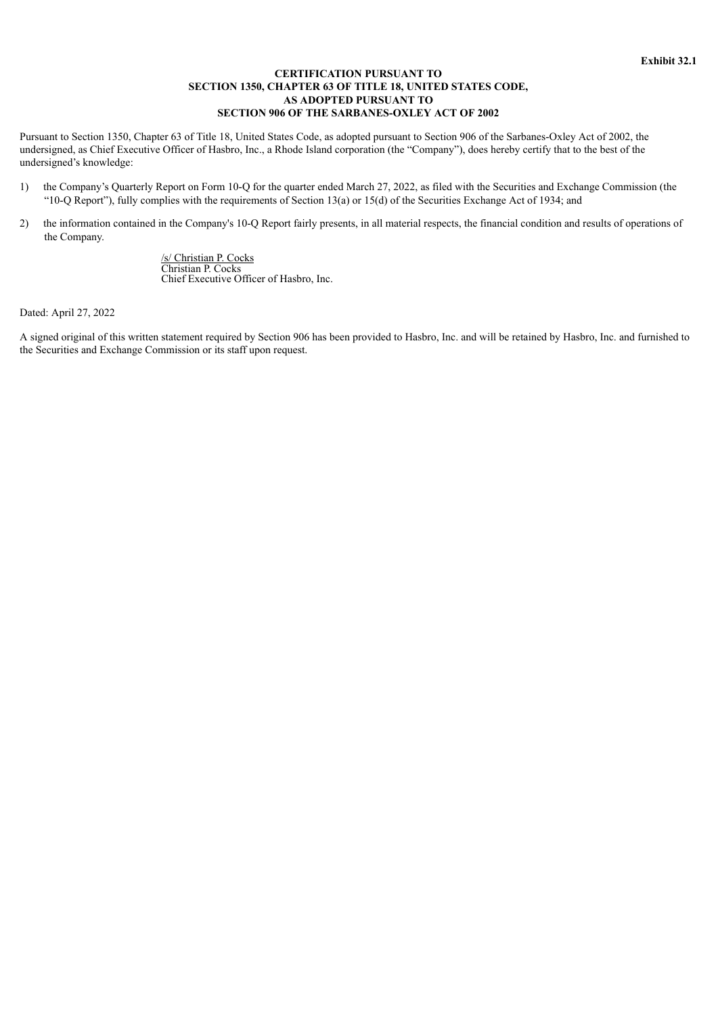## **CERTIFICATION PURSUANT TO SECTION 1350, CHAPTER 63 OF TITLE 18, UNITED STATES CODE, AS ADOPTED PURSUANT TO SECTION 906 OF THE SARBANES-OXLEY ACT OF 2002**

Pursuant to Section 1350, Chapter 63 of Title 18, United States Code, as adopted pursuant to Section 906 of the Sarbanes-Oxley Act of 2002, the undersigned, as Chief Executive Officer of Hasbro, Inc., a Rhode Island corporation (the "Company"), does hereby certify that to the best of the undersigned's knowledge:

- 1) the Company's Quarterly Report on Form 10-Q for the quarter ended March 27, 2022, as filed with the Securities and Exchange Commission (the "10-Q Report"), fully complies with the requirements of Section 13(a) or 15(d) of the Securities Exchange Act of 1934; and
- 2) the information contained in the Company's 10-Q Report fairly presents, in all material respects, the financial condition and results of operations of the Company.

/s/ Christian P. Cocks Christian P. Cocks Chief Executive Officer of Hasbro, Inc.

Dated: April 27, 2022

A signed original of this written statement required by Section 906 has been provided to Hasbro, Inc. and will be retained by Hasbro, Inc. and furnished to the Securities and Exchange Commission or its staff upon request.